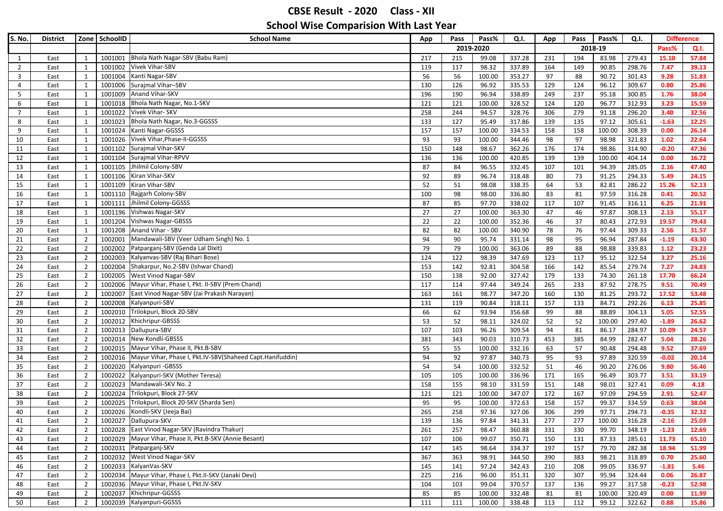| S. No.         | <b>District</b> |                | Zone SchoolID | <b>School Name</b>                                                   | App | Pass      | Pass%  | Q.I.   | App | Pass | Pass%   | Q.I.   | <b>Difference</b> |       |
|----------------|-----------------|----------------|---------------|----------------------------------------------------------------------|-----|-----------|--------|--------|-----|------|---------|--------|-------------------|-------|
|                |                 |                |               |                                                                      |     | 2019-2020 |        |        |     |      | 2018-19 |        | Pass%             | Q.I.  |
| 1              | East            | 1              | 1001001       | Bhola Nath Nagar-SBV (Babu Ram)                                      | 217 | 215       | 99.08  | 337.28 | 231 | 194  | 83.98   | 279.43 | 15.10             | 57.84 |
| $\overline{2}$ | East            | 1              | 1001002       | Vivek Vihar-SBV                                                      | 119 | 117       | 98.32  | 337.89 | 164 | 149  | 90.85   | 298.76 | 7.47              | 39.13 |
| 3              | East            | $\mathbf{1}$   | 1001004       | Kanti Nagar-SBV                                                      | 56  | 56        | 100.00 | 353.27 | 97  | 88   | 90.72   | 301.43 | 9.28              | 51.83 |
| $\overline{4}$ | East            | $\mathbf{1}$   | 1001006       | Surajmal Vihar-SBV                                                   | 130 | 126       | 96.92  | 335.53 | 129 | 124  | 96.12   | 309.67 | 0.80              | 25.86 |
| 5              | East            | 1              | 1001009       | Anand Vihar-SKV                                                      | 196 | 190       | 96.94  | 338.89 | 249 | 237  | 95.18   | 300.85 | 1.76              | 38.04 |
| 6              | East            | 1              | 1001018       | Bhola Nath Nagar, No.1-SKV                                           | 121 | 121       | 100.00 | 328.52 | 124 | 120  | 96.77   | 312.93 | 3.23              | 15.59 |
| $\overline{7}$ | East            | 1              | 1001022       | Vivek Vihar- SKV                                                     | 258 | 244       | 94.57  | 328.76 | 306 | 279  | 91.18   | 296.20 | 3.40              | 32.56 |
| 8              | East            | 1              | 1001023       | Bhola Nath Nagar, No.3-GGSSS                                         | 133 | 127       | 95.49  | 317.86 | 139 | 135  | 97.12   | 305.61 | $-1.63$           | 12.25 |
| 9              | East            | 1              |               | 1001024 Kanti Nagar-GGSSS                                            | 157 | 157       | 100.00 | 334.53 | 158 | 158  | 100.00  | 308.39 | 0.00              | 26.14 |
| 10             | East            | 1              | 1001026       | Vivek Vihar, Phase-II-GGSSS                                          | 93  | 93        | 100.00 | 344.46 | 98  | 97   | 98.98   | 321.83 | 1.02              | 22.64 |
| 11             | East            | 1              | 1001102       | Surajmal Vihar-SKV                                                   | 150 | 148       | 98.67  | 362.26 | 176 | 174  | 98.86   | 314.90 | $-0.20$           | 47.36 |
| 12             | East            | 1              | 1001104       | Surajmal Vihar-RPVV                                                  | 136 | 136       | 100.00 | 420.85 | 139 | 139  | 100.00  | 404.14 | 0.00              | 16.72 |
| 13             | East            | $\mathbf{1}$   | 1001105       | Jhilmil Colony-SBV                                                   | 87  | 84        | 96.55  | 332.45 | 107 | 101  | 94.39   | 285.05 | 2.16              | 47.40 |
| 14             | East            | 1              | 1001106       | Kiran Vihar-SKV                                                      | 92  | 89        | 96.74  | 318.48 | 80  | 73   | 91.25   | 294.33 | 5.49              | 24.15 |
| 15             | East            | 1              | 1001109       | Kiran Vihar-SBV                                                      | 52  | 51        | 98.08  | 338.35 | 64  | 53   | 82.81   | 286.22 | 15.26             | 52.13 |
| 16             | East            | 1              | 1001110       | Rajgarh Colony-SBV                                                   | 100 | 98        | 98.00  | 336.80 | 83  | 81   | 97.59   | 316.28 | 0.41              | 20.52 |
| 17             | East            | 1              | 1001111       | Jhilmil Colony-GGSSS                                                 | 87  | 85        | 97.70  | 338.02 | 117 | 107  | 91.45   | 316.11 | 6.25              | 21.91 |
| 18             | East            | $\mathbf{1}$   |               | 1001196 Vishwas Nagar-SKV                                            | 27  | 27        | 100.00 | 363.30 | 47  | 46   | 97.87   | 308.13 | 2.13              | 55.17 |
| 19             | East            | 1              | 1001204       | <b>Vishwas Nagar-GBSSS</b>                                           | 22  | 22        | 100.00 | 352.36 | 46  | 37   | 80.43   | 272.93 | 19.57             | 79.43 |
| 20             | East            | 1              | 1001208       | Anand Vihar - SBV                                                    | 82  | 82        | 100.00 | 340.90 | 78  | 76   | 97.44   | 309.33 | 2.56              | 31.57 |
| 21             | East            | $\overline{2}$ | 1002001       | Mandawali-SBV (Veer Udham Singh) No. 1                               | 94  | 90        | 95.74  | 331.14 | 98  | 95   | 96.94   | 287.84 | $-1.19$           | 43.30 |
| 22             | East            | $\overline{2}$ |               | 1002002 Patparganj-SBV (Genda Lal Dixit)                             | 79  | 79        | 100.00 | 363.06 | 89  | 88   | 98.88   | 339.83 | 1.12              | 23.23 |
| 23             | East            | $\overline{2}$ | 1002003       | Kalyanvas-SBV (Raj Bihari Bose)                                      | 124 | 122       | 98.39  | 347.69 | 123 | 117  | 95.12   | 322.54 | 3.27              | 25.16 |
| 24             | East            | $\overline{2}$ | 1002004       | Shakarpur, No.2-SBV (Ishwar Chand)                                   | 153 | 142       | 92.81  | 304.58 | 166 | 142  | 85.54   | 279.74 | 7.27              | 24.83 |
| 25             | East            | $\overline{2}$ | 1002005       | West Vinod Nagar-SBV                                                 | 150 | 138       | 92.00  | 327.42 | 179 | 133  | 74.30   | 261.18 | 17.70             | 66.24 |
| 26             | East            | $\overline{2}$ | 1002006       | Mayur Vihar, Phase I, Pkt. II-SBV (Prem Chand)                       | 117 | 114       | 97.44  | 349.24 | 265 | 233  | 87.92   | 278.75 | 9.51              | 70.49 |
| 27             | East            | $\overline{2}$ | 1002007       | East Vinod Nagar-SBV (Jai Prakash Narayan)                           | 163 | 161       | 98.77  | 347.20 | 160 | 130  | 81.25   | 293.72 | 17.52             | 53.48 |
| 28             | East            | $\overline{2}$ | 1002008       | Kalyanpuri-SBV                                                       | 131 | 119       | 90.84  | 318.11 | 157 | 133  | 84.71   | 292.26 | 6.13              | 25.85 |
| 29             | East            | $\overline{2}$ | 1002010       | Trilokpuri, Block 20-SBV                                             | 66  | 62        | 93.94  | 356.68 | 99  | 88   | 88.89   | 304.13 | 5.05              | 52.55 |
| 30             | East            | $\overline{2}$ | 1002012       | Khichripur-GBSSS                                                     | 53  | 52        | 98.11  | 324.02 | 52  | 52   | 100.00  | 297.40 | $-1.89$           | 26.62 |
| 31             | East            | $\overline{2}$ | 1002013       | Dallupura-SBV                                                        | 107 | 103       | 96.26  | 309.54 | 94  | 81   | 86.17   | 284.97 | 10.09             | 24.57 |
| 32             | East            | $\overline{2}$ | 1002014       | New Kondli-GBSSS                                                     | 381 | 343       | 90.03  | 310.73 | 453 | 385  | 84.99   | 282.47 | 5.04              | 28.26 |
| 33             | East            | $\overline{2}$ | 1002015       | Mayur Vihar, Phase II, Pkt.B-SBV                                     | 55  | 55        | 100.00 | 332.16 | 63  | 57   | 90.48   | 294.48 | 9.52              | 37.69 |
| 34             | East            | $\overline{2}$ |               | 1002016   Mayur Vihar, Phase I, Pkt.IV-SBV (Shaheed Capt.Hanifuddin) | 94  | 92        | 97.87  | 340.73 | 95  | 93   | 97.89   | 320.59 | $-0.02$           | 20.14 |
| 35             | East            | $\overline{2}$ | 1002020       | Kalyanpuri - GBSSS                                                   | 54  | 54        | 100.00 | 332.52 | 51  | 46   | 90.20   | 276.06 | 9.80              | 56.46 |
| 36             | East            | $\overline{2}$ | 1002022       | Kalyanpuri-SKV (Mother Teresa)                                       | 105 | 105       | 100.00 | 336.96 | 171 | 165  | 96.49   | 303.77 | 3.51              | 33.19 |
| 37             | East            | $\overline{2}$ | 1002023       | Mandawali-SKV No. 2                                                  | 158 | 155       | 98.10  | 331.59 | 151 | 148  | 98.01   | 327.41 | 0.09              | 4.18  |
| 38             | East            | $\overline{2}$ |               | 1002024 Trilokpuri, Block 27-SKV                                     | 121 | 121       | 100.00 | 347.07 | 172 | 167  | 97.09   | 294.59 | 2.91              | 52.47 |
| 39             | East            | $\overline{2}$ | 1002025       | Trilokpuri, Block 20-SKV (Sharda Sen)                                | 95  | 95        | 100.00 | 372.63 | 158 | 157  | 99.37   | 334.59 | 0.63              | 38.04 |
| 40             | East            | $\overline{2}$ | 1002026       | Kondli-SKV (Jeeja Bai)                                               | 265 | 258       | 97.36  | 327.06 | 306 | 299  | 97.71   | 294.73 | $-0.35$           | 32.32 |
| 41             | East            | $\overline{2}$ |               | 1002027 Dallupura-SKV                                                | 139 | 136       | 97.84  | 341.31 | 277 | 277  | 100.00  | 316.28 | $-2.16$           | 25.03 |
| 42             | East            | $\overline{2}$ |               | 1002028 East Vinod Nagar-SKV (Ravindra Thakur)                       | 261 | 257       | 98.47  | 360.88 | 331 | 330  | 99.70   | 348.19 | $-1.23$           | 12.69 |
| 43             | East            | $\overline{2}$ |               | 1002029 Mayur Vihar, Phase II, Pkt.B-SKV (Annie Besant)              | 107 | 106       | 99.07  | 350.71 | 150 | 131  | 87.33   | 285.61 | 11.73             | 65.10 |
| 44             | East            | $\overline{2}$ |               | 1002031 Patparganj-SKV                                               | 147 | 145       | 98.64  | 334.37 | 197 | 157  | 79.70   | 282.38 | 18.94             | 51.99 |
| 45             | East            | $\overline{2}$ |               | 1002032 West Vinod Nagar-SKV                                         | 367 | 363       | 98.91  | 344.50 | 390 | 383  | 98.21   | 318.89 | 0.70              | 25.60 |
| 46             | East            | $\overline{2}$ |               | 1002033 KalyanVas-SKV                                                | 145 | 141       | 97.24  | 342.43 | 210 | 208  | 99.05   | 336.97 | $-1.81$           | 5.46  |
| 47             | East            | $\overline{2}$ |               | 1002034 Mayur Vihar, Phase I, Pkt.II-SKV (Janaki Devi)               | 225 | 216       | 96.00  | 351.31 | 320 | 307  | 95.94   | 324.44 | 0.06              | 26.87 |
| 48             | East            | $\overline{2}$ |               | 1002036 Mayur Vihar, Phase I, Pkt.IV-SKV                             | 104 | 103       | 99.04  | 370.57 | 137 | 136  | 99.27   | 317.58 | $-0.23$           | 52.98 |
| 49             | East            | $\overline{2}$ |               | 1002037 Khichripur-GGSSS                                             | 85  | 85        | 100.00 | 332.48 | 81  | 81   | 100.00  | 320.49 | 0.00              | 11.99 |
| 50             | East            | $\overline{2}$ |               | 1002039 Kalyanpuri-GGSSS                                             | 111 | 111       | 100.00 | 338.48 | 113 | 112  | 99.12   | 322.62 | 0.88              | 15.86 |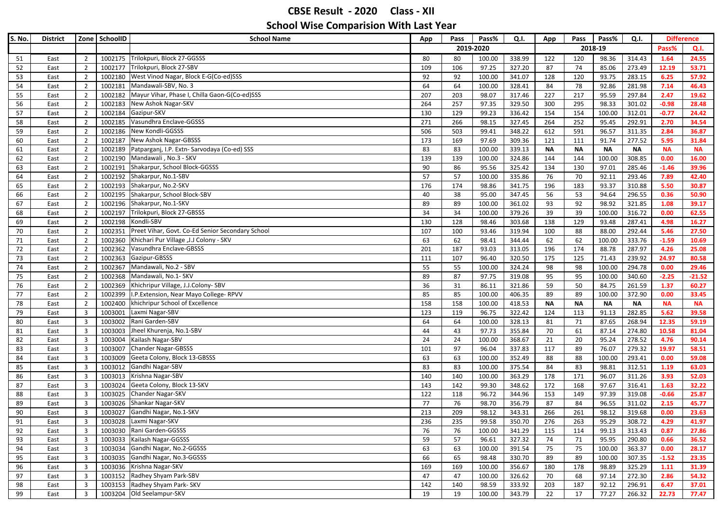| S. No. | <b>District</b> |                         | Zone SchoolID | <b>School Name</b>                                       | App | Pass | Pass%     | Q.I.   | App       | Pass      | Pass%     | Q.I.      | <b>Difference</b> |           |
|--------|-----------------|-------------------------|---------------|----------------------------------------------------------|-----|------|-----------|--------|-----------|-----------|-----------|-----------|-------------------|-----------|
|        |                 |                         |               |                                                          |     |      | 2019-2020 |        |           |           | 2018-19   |           | Pass%             | Q.I.      |
| 51     | East            | $\overline{2}$          |               | 1002175 Trilokpuri, Block 27-GGSSS                       | 80  | 80   | 100.00    | 338.99 | 122       | 120       | 98.36     | 314.43    | 1.64              | 24.55     |
| 52     | East            | $\overline{2}$          |               | 1002177 Trilokpuri, Block 27-SBV                         | 109 | 106  | 97.25     | 327.20 | 87        | 74        | 85.06     | 273.49    | 12.19             | 53.71     |
| 53     | East            | $\overline{2}$          |               | 1002180 West Vinod Nagar, Block E-G(Co-ed)SSS            | 92  | 92   | 100.00    | 341.07 | 128       | 120       | 93.75     | 283.15    | 6.25              | 57.92     |
| 54     | East            | $\overline{2}$          |               | 1002181 Mandawali-SBV, No. 3                             | 64  | 64   | 100.00    | 328.41 | 84        | 78        | 92.86     | 281.98    | 7.14              | 46.43     |
| 55     | East            | $\overline{2}$          |               | 1002182 Mayur Vihar, Phase I, Chilla Gaon-G(Co-ed)SSS    | 207 | 203  | 98.07     | 317.46 | 227       | 217       | 95.59     | 297.84    | 2.47              | 19.62     |
| 56     | East            | $\overline{2}$          |               | 1002183 New Ashok Nagar-SKV                              | 264 | 257  | 97.35     | 329.50 | 300       | 295       | 98.33     | 301.02    | $-0.98$           | 28.48     |
| 57     | East            | $\overline{2}$          |               | 1002184 Gazipur-SKV                                      | 130 | 129  | 99.23     | 336.42 | 154       | 154       | 100.00    | 312.01    | $-0.77$           | 24.42     |
| 58     | East            | $\overline{2}$          |               | 1002185 Vasundhra Enclave-GGSSS                          | 271 | 266  | 98.15     | 327.45 | 264       | 252       | 95.45     | 292.91    | 2.70              | 34.54     |
| 59     | East            | $\overline{2}$          |               | 1002186 New Kondli-GGSSS                                 | 506 | 503  | 99.41     | 348.22 | 612       | 591       | 96.57     | 311.35    | 2.84              | 36.87     |
| 60     | East            | $\overline{2}$          |               | 1002187 New Ashok Nagar-GBSSS                            | 173 | 169  | 97.69     | 309.36 | 121       | 111       | 91.74     | 277.52    | 5.95              | 31.84     |
| 61     | East            | $\overline{2}$          |               | 1002189 Patparganj, I.P. Extn- Sarvodaya (Co-ed) SSS     | 83  | 83   | 100.00    | 339.13 | <b>NA</b> | <b>NA</b> | <b>NA</b> | <b>NA</b> | <b>NA</b>         | <b>NA</b> |
| 62     | East            | $\overline{2}$          |               | 1002190 Mandawali, No.3 - SKV                            | 139 | 139  | 100.00    | 324.86 | 144       | 144       | 100.00    | 308.85    | 0.00              | 16.00     |
| 63     | East            | $\overline{2}$          |               | 1002191 Shakarpur, School Block-GGSSS                    | 90  | 86   | 95.56     | 325.42 | 134       | 130       | 97.01     | 285.46    | $-1.46$           | 39.96     |
| 64     | East            | $\overline{2}$          |               | 1002192 Shakarpur, No.1-SBV                              | 57  | 57   | 100.00    | 335.86 | 76        | 70        | 92.11     | 293.46    | 7.89              | 42.40     |
| 65     | East            | $\overline{2}$          |               | 1002193 Shakarpur, No.2-SKV                              | 176 | 174  | 98.86     | 341.75 | 196       | 183       | 93.37     | 310.88    | 5.50              | 30.87     |
| 66     | East            | $\overline{2}$          |               | 1002195 Shakarpur, School Block-SBV                      | 40  | 38   | 95.00     | 347.45 | 56        | 53        | 94.64     | 296.55    | 0.36              | 50.90     |
| 67     | East            | $\overline{2}$          |               | 1002196 Shakarpur, No.1-SKV                              | 89  | 89   | 100.00    | 361.02 | 93        | 92        | 98.92     | 321.85    | 1.08              | 39.17     |
| 68     | East            | $\overline{2}$          |               | 1002197 Trilokpuri, Block 27-GBSSS                       | 34  | 34   | 100.00    | 379.26 | 39        | 39        | 100.00    | 316.72    | 0.00              | 62.55     |
| 69     | East            | $\overline{2}$          |               | 1002198 Kondli-SBV                                       | 130 | 128  | 98.46     | 303.68 | 138       | 129       | 93.48     | 287.41    | 4.98              | 16.27     |
| 70     | East            | $\overline{2}$          |               | 1002351 Preet Vihar, Govt. Co-Ed Senior Secondary School | 107 | 100  | 93.46     | 319.94 | 100       | 88        | 88.00     | 292.44    | 5.46              | 27.50     |
| 71     | East            | $\overline{2}$          |               | 1002360 Khichari Pur Village , J.J Colony - SKV          | 63  | 62   | 98.41     | 344.44 | 62        | 62        | 100.00    | 333.76    | $-1.59$           | 10.69     |
| 72     | East            | $\overline{2}$          |               | 1002362 Vasundhra Enclave-GBSSS                          | 201 | 187  | 93.03     | 313.05 | 196       | 174       | 88.78     | 287.97    | 4.26              | 25.08     |
| 73     | East            | $\overline{2}$          |               | 1002363 Gazipur-GBSSS                                    | 111 | 107  | 96.40     | 320.50 | 175       | 125       | 71.43     | 239.92    | 24.97             | 80.58     |
| 74     | East            | $\overline{2}$          |               | 1002367 Mandawali, No.2 - SBV                            | 55  | 55   | 100.00    | 324.24 | 98        | 98        | 100.00    | 294.78    | 0.00              | 29.46     |
| 75     | East            | $\overline{2}$          |               | 1002368 Mandawali, No.1- SKV                             | 89  | 87   | 97.75     | 319.08 | 95        | 95        | 100.00    | 340.60    | $-2.25$           | $-21.52$  |
| 76     | East            | $\overline{2}$          |               | 1002369 Khichripur Village, J.J.Colony-SBV               | 36  | 31   | 86.11     | 321.86 | 59        | 50        | 84.75     | 261.59    | 1.37              | 60.27     |
| 77     | East            | $\overline{2}$          |               | 1002399 I.P. Extension, Near Mayo College-RPVV           | 85  | 85   | 100.00    | 406.35 | 89        | 89        | 100.00    | 372.90    | 0.00              | 33.45     |
| 78     | East            | $\overline{2}$          |               | 1002400 khichripur School of Excellence                  | 158 | 158  | 100.00    | 418.53 | <b>NA</b> | <b>NA</b> | <b>NA</b> | <b>NA</b> | <b>NA</b>         | <b>NA</b> |
| 79     | East            | $\overline{\mathbf{3}}$ |               | 1003001 Laxmi Nagar-SBV                                  | 123 | 119  | 96.75     | 322.42 | 124       | 113       | 91.13     | 282.85    | 5.62              | 39.58     |
| 80     | East            | $\overline{\mathbf{3}}$ |               | 1003002 Rani Garden-SBV                                  | 64  | 64   | 100.00    | 328.13 | 81        | 71        | 87.65     | 268.94    | 12.35             | 59.19     |
| 81     | East            | $\overline{\mathbf{3}}$ |               | 1003003 Jheel Khurenja, No.1-SBV                         | 44  | 43   | 97.73     | 355.84 | 70        | 61        | 87.14     | 274.80    | 10.58             | 81.04     |
| 82     | East            | $\overline{\mathbf{3}}$ |               | 1003004 Kailash Nagar-SBV                                | 24  | 24   | 100.00    | 368.67 | 21        | 20        | 95.24     | 278.52    | 4.76              | 90.14     |
| 83     | East            | $\overline{\mathbf{3}}$ |               | 1003007 Chander Nagar-GBSSS                              | 101 | 97   | 96.04     | 337.83 | 117       | 89        | 76.07     | 279.32    | 19.97             | 58.51     |
| 84     | East            | $\overline{\mathbf{3}}$ |               | 1003009 Geeta Colony, Block 13-GBSSS                     | 63  | 63   | 100.00    | 352.49 | 88        | 88        | 100.00    | 293.41    | 0.00              | 59.08     |
| 85     | East            | $\overline{\mathbf{3}}$ |               | 1003012 Gandhi Nagar-SBV                                 | 83  | 83   | 100.00    | 375.54 | 84        | 83        | 98.81     | 312.51    | 1.19              | 63.03     |
| 86     | East            | $\overline{\mathbf{3}}$ |               | 1003013 Krishna Nagar-SBV                                | 140 | 140  | 100.00    | 363.29 | 178       | 171       | 96.07     | 311.26    | 3.93              | 52.03     |
| 87     | East            | $\overline{\mathbf{3}}$ |               | 1003024 Geeta Colony, Block 13-SKV                       | 143 | 142  | 99.30     | 348.62 | 172       | 168       | 97.67     | 316.41    | 1.63              | 32.22     |
| 88     | East            | $\overline{3}$          |               | 1003025 Chander Nagar-SKV                                | 122 | 118  | 96.72     | 344.96 | 153       | 149       | 97.39     | 319.08    | $-0.66$           | 25.87     |
| 89     | East            | $\overline{3}$          |               | 1003026 Shankar Nagar-SKV                                | 77  | 76   | 98.70     | 356.79 | 87        | 84        | 96.55     | 311.02    | 2.15              | 45.77     |
| 90     | East            | $\overline{3}$          |               | 1003027 Gandhi Nagar, No.1-SKV                           | 213 | 209  | 98.12     | 343.31 | 266       | 261       | 98.12     | 319.68    | 0.00              | 23.63     |
| 91     | East            | 3                       |               | 1003028 Laxmi Nagar-SKV                                  | 236 | 235  | 99.58     | 350.70 | 276       | 263       | 95.29     | 308.72    | 4.29              | 41.97     |
| 92     | East            | $\overline{\mathbf{3}}$ |               | 1003030 Rani Garden-GGSSS                                | 76  | 76   | 100.00    | 341.29 | 115       | 114       | 99.13     | 313.43    | 0.87              | 27.86     |
| 93     | East            | $\overline{\mathbf{3}}$ |               | 1003033 Kailash Nagar-GGSSS                              | 59  | 57   | 96.61     | 327.32 | 74        | 71        | 95.95     | 290.80    | 0.66              | 36.52     |
| 94     | East            | $\overline{\mathbf{3}}$ |               | 1003034 Gandhi Nagar, No.2-GGSSS                         | 63  | 63   | 100.00    | 391.54 | 75        | 75        | 100.00    | 363.37    | 0.00              | 28.17     |
| 95     | East            | $\overline{\mathbf{3}}$ |               | 1003035 Gandhi Nagar, No.3-GGSSS                         | 66  | 65   | 98.48     | 330.70 | 89        | 89        | 100.00    | 307.35    | $-1.52$           | 23.35     |
| 96     | East            | $\overline{\mathbf{3}}$ |               | 1003036 Krishna Nagar-SKV                                | 169 | 169  | 100.00    | 356.67 | 180       | 178       | 98.89     | 325.29    | 1.11              | 31.39     |
| 97     | East            | $\overline{\mathbf{3}}$ |               | 1003152 Radhey Shyam Park-SBV                            | 47  | 47   | 100.00    | 326.62 | 70        | 68        | 97.14     | 272.30    | 2.86              | 54.32     |
| 98     | East            | $\overline{\mathbf{3}}$ |               | 1003153 Radhey Shyam Park- SKV                           | 142 | 140  | 98.59     | 333.92 | 203       | 187       | 92.12     | 296.91    | 6.47              | 37.01     |
| 99     | East            | $\overline{3}$          |               | 1003204 Old Seelampur-SKV                                | 19  | 19   | 100.00    | 343.79 | 22        | 17        | 77.27     | 266.32    | 22.73             | 77.47     |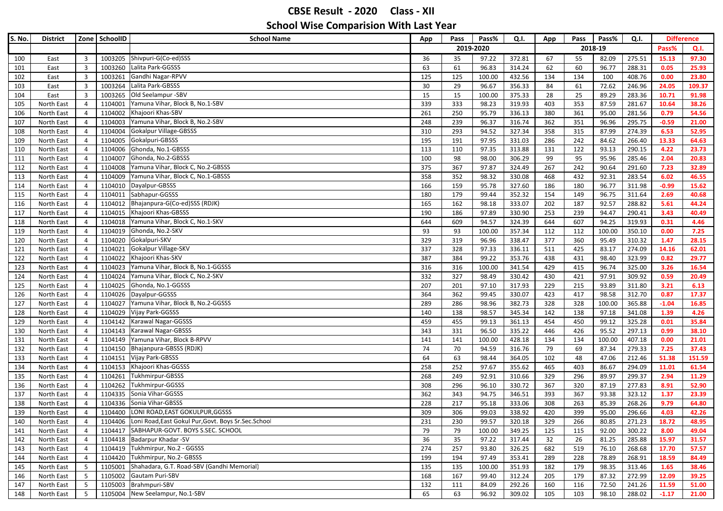| S. No. | <b>District</b> |                         | Zone SchoolID | <b>School Name</b>                                                  | App | Pass | Pass%     | Q.I.   | App | Pass | Pass%   | Q.I.   | <b>Difference</b> |        |
|--------|-----------------|-------------------------|---------------|---------------------------------------------------------------------|-----|------|-----------|--------|-----|------|---------|--------|-------------------|--------|
|        |                 |                         |               |                                                                     |     |      | 2019-2020 |        |     |      | 2018-19 |        | Pass%             | Q.I.   |
| 100    | East            | $\overline{\mathbf{3}}$ |               | 1003205 Shivpuri-G(Co-ed)SSS                                        | 36  | 35   | 97.22     | 372.81 | 67  | 55   | 82.09   | 275.51 | 15.13             | 97.30  |
| 101    | East            | $\overline{\mathbf{3}}$ |               | 1003260 Lalita Park-GGSSS                                           | 63  | 61   | 96.83     | 314.24 | 62  | 60   | 96.77   | 288.31 | 0.05              | 25.93  |
| 102    | East            | $\overline{\mathbf{3}}$ |               | 1003261 Gandhi Nagar-RPVV                                           | 125 | 125  | 100.00    | 432.56 | 134 | 134  | 100     | 408.76 | 0.00              | 23.80  |
| 103    | East            | $\overline{3}$          | 1003264       | Lalita Park-GBSSS                                                   | 30  | 29   | 96.67     | 356.33 | 84  | 61   | 72.62   | 246.96 | 24.05             | 109.37 |
| 104    | East            | $\overline{\mathbf{3}}$ |               | 1003265 Old Seelampur -SBV                                          | 15  | 15   | 100.00    | 375.33 | 28  | 25   | 89.29   | 283.36 | 10.71             | 91.98  |
| 105    | North East      | $\overline{4}$          | 1104001       | Yamuna Vihar, Block B, No.1-SBV                                     | 339 | 333  | 98.23     | 319.93 | 403 | 353  | 87.59   | 281.67 | 10.64             | 38.26  |
| 106    | North East      | $\overline{4}$          |               | 1104002 Khajoori Khas-SBV                                           | 261 | 250  | 95.79     | 336.13 | 380 | 361  | 95.00   | 281.56 | 0.79              | 54.56  |
| 107    | North East      | $\overline{4}$          | 1104003       | Yamuna Vihar, Block B, No.2-SBV                                     | 248 | 239  | 96.37     | 316.74 | 362 | 351  | 96.96   | 295.75 | $-0.59$           | 21.00  |
| 108    | North East      | $\overline{4}$          | 1104004       | Gokalpur Village-GBSSS                                              | 310 | 293  | 94.52     | 327.34 | 358 | 315  | 87.99   | 274.39 | 6.53              | 52.95  |
| 109    | North East      | $\overline{4}$          | 1104005       | Gokalpuri-GBSSS                                                     | 195 | 191  | 97.95     | 331.03 | 286 | 242  | 84.62   | 266.40 | 13.33             | 64.63  |
| 110    | North East      | $\overline{4}$          |               | 1104006 Ghonda, No.1-GBSSS                                          | 113 | 110  | 97.35     | 313.88 | 131 | 122  | 93.13   | 290.15 | 4.22              | 23.73  |
| 111    | North East      | $\overline{4}$          | 1104007       | Ghonda, No.2-GBSSS                                                  | 100 | 98   | 98.00     | 306.29 | 99  | 95   | 95.96   | 285.46 | 2.04              | 20.83  |
| 112    | North East      | $\overline{4}$          | 1104008       | Yamuna Vihar, Block C, No.2-GBSSS                                   | 375 | 367  | 97.87     | 324.49 | 267 | 242  | 90.64   | 291.60 | 7.23              | 32.89  |
| 113    | North East      | $\overline{4}$          |               | 1104009 Yamuna Vihar, Block C, No.1-GBSSS                           | 358 | 352  | 98.32     | 330.08 | 468 | 432  | 92.31   | 283.54 | 6.02              | 46.55  |
| 114    | North East      | $\overline{4}$          |               | 1104010 Dayalpur-GBSSS                                              | 166 | 159  | 95.78     | 327.60 | 186 | 180  | 96.77   | 311.98 | $-0.99$           | 15.62  |
| 115    | North East      | $\overline{4}$          |               | 1104011 Sabhapur-GGSSS                                              | 180 | 179  | 99.44     | 352.32 | 154 | 149  | 96.75   | 311.64 | 2.69              | 40.68  |
| 116    | North East      | $\overline{4}$          |               | 1104012 Bhajanpura-G(Co-ed)SSS (RDJK)                               | 165 | 162  | 98.18     | 333.07 | 202 | 187  | 92.57   | 288.82 | 5.61              | 44.24  |
| 117    | North East      | $\overline{4}$          |               | 1104015 Khajoori Khas-GBSSS                                         | 190 | 186  | 97.89     | 330.90 | 253 | 239  | 94.47   | 290.41 | 3.43              | 40.49  |
| 118    | North East      | $\overline{4}$          |               | 1104018 Yamuna Vihar, Block C, No.1-SKV                             | 644 | 609  | 94.57     | 324.39 | 644 | 607  | 94.25   | 319.93 | 0.31              | 4.46   |
| 119    | North East      | $\overline{4}$          | 1104019       | Ghonda, No.2-SKV                                                    | 93  | 93   | 100.00    | 357.34 | 112 | 112  | 100.00  | 350.10 | 0.00              | 7.25   |
| 120    | North East      | $\overline{4}$          | 1104020       | Gokalpuri-SKV                                                       | 329 | 319  | 96.96     | 338.47 | 377 | 360  | 95.49   | 310.32 | 1.47              | 28.15  |
| 121    | North East      | $\overline{4}$          | 1104021       | Gokalpur Village-SKV                                                | 337 | 328  | 97.33     | 336.11 | 511 | 425  | 83.17   | 274.09 | 14.16             | 62.01  |
| 122    | North East      | $\overline{4}$          |               | 1104022 Khajoori Khas-SKV                                           | 387 | 384  | 99.22     | 353.76 | 438 | 431  | 98.40   | 323.99 | 0.82              | 29.77  |
| 123    | North East      | $\overline{4}$          |               | 1104023 Yamuna Vihar, Block B, No.1-GGSSS                           | 316 | 316  | 100.00    | 341.54 | 429 | 415  | 96.74   | 325.00 | 3.26              | 16.54  |
| 124    | North East      | $\overline{4}$          | 1104024       | Yamuna Vihar, Block C, No.2-SKV                                     | 332 | 327  | 98.49     | 330.42 | 430 | 421  | 97.91   | 309.92 | 0.59              | 20.49  |
| 125    | North East      | $\overline{4}$          |               | 1104025 Ghonda, No.1-GGSSS                                          | 207 | 201  | 97.10     | 317.93 | 229 | 215  | 93.89   | 311.80 | 3.21              | 6.13   |
| 126    | North East      | $\overline{4}$          |               | 1104026 Dayalpur-GGSSS                                              | 364 | 362  | 99.45     | 330.07 | 423 | 417  | 98.58   | 312.70 | 0.87              | 17.37  |
| 127    | North East      | $\overline{4}$          |               | 1104027 Yamuna Vihar, Block B, No.2-GGSSS                           | 289 | 286  | 98.96     | 382.73 | 328 | 328  | 100.00  | 365.88 | $-1.04$           | 16.85  |
| 128    | North East      | $\overline{4}$          |               | 1104029 Vijay Park-GGSSS                                            | 140 | 138  | 98.57     | 345.34 | 142 | 138  | 97.18   | 341.08 | 1.39              | 4.26   |
| 129    | North East      | $\overline{4}$          |               | 1104142 Karawal Nagar-GGSSS                                         | 459 | 455  | 99.13     | 361.13 | 454 | 450  | 99.12   | 325.28 | 0.01              | 35.84  |
| 130    | North East      | $\overline{4}$          |               | 1104143 Karawal Nagar-GBSSS                                         | 343 | 331  | 96.50     | 335.22 | 446 | 426  | 95.52   | 297.13 | 0.99              | 38.10  |
| 131    | North East      | $\overline{4}$          |               | 1104149 Yamuna Vihar, Block B-RPVV                                  | 141 | 141  | 100.00    | 428.18 | 134 | 134  | 100.00  | 407.18 | 0.00              | 21.01  |
| 132    | North East      | $\overline{4}$          |               | 1104150 Bhajanpura-GBSSS (RDJK)                                     | 74  | 70   | 94.59     | 316.76 | 79  | 69   | 87.34   | 279.33 | 7.25              | 37.43  |
| 133    | North East      | $\overline{4}$          |               | 1104151 Vijay Park-GBSSS                                            | 64  | 63   | 98.44     | 364.05 | 102 | 48   | 47.06   | 212.46 | 51.38             | 151.59 |
| 134    | North East      | $\overline{4}$          |               | 1104153 Khajoori Khas-GGSSS                                         | 258 | 252  | 97.67     | 355.62 | 465 | 403  | 86.67   | 294.09 | 11.01             | 61.54  |
| 135    | North East      | $\overline{4}$          |               | 1104261 Tukhmirpur-GBSSS                                            | 268 | 249  | 92.91     | 310.66 | 329 | 296  | 89.97   | 299.37 | 2.94              | 11.29  |
| 136    | North East      | $\overline{4}$          |               | 1104262 Tukhmirpur-GGSSS                                            | 308 | 296  | 96.10     | 330.72 | 367 | 320  | 87.19   | 277.83 | 8.91              | 52.90  |
| 137    | North East      | $\overline{4}$          | 1104335       | Sonia Vihar-GGSSS                                                   | 362 | 343  | 94.75     | 346.51 | 393 | 367  | 93.38   | 323.12 | 1.37              | 23.39  |
| 138    | North East      | $\overline{4}$          |               | 1104336 Sonia Vihar-GBSSS                                           | 228 | 217  | 95.18     | 333.06 | 308 | 263  | 85.39   | 268.26 | 9.79              | 64.80  |
| 139    | North East      | $\overline{4}$          |               | 1104400 LONI ROAD, EAST GOKULPUR, GGSSS                             | 309 | 306  | 99.03     | 338.92 | 420 | 399  | 95.00   | 296.66 | 4.03              | 42.26  |
| 140    | North East      | $\overline{4}$          |               | 1104406 Loni Road, East Gokul Pur, Govt. Boys Sr. Sec. School       | 231 | 230  | 99.57     | 320.18 | 329 | 266  | 80.85   | 271.23 | 18.72             | 48.95  |
| 141    | North East      | $\overline{4}$          |               | 1104417 SABHAPUR-GOVT. BOYS S.SEC. SCHOOL                           | 79  | 79   | 100.00    | 349.25 | 125 | 115  | 92.00   | 300.22 | 8.00              | 49.04  |
| 142    | North East      | $\overline{4}$          |               | 1104418 Badarpur Khadar - SV                                        | 36  | 35   | 97.22     | 317.44 | 32  | 26   | 81.25   | 285.88 | 15.97             | 31.57  |
| 143    | North East      | $\overline{4}$          |               | 1104419 Tukhmirpur, No.2 - GGSSS<br>1104420 Tukhmirpur, No.2- GBSSS | 274 | 257  | 93.80     | 326.25 | 682 | 519  | 76.10   | 268.68 | 17.70             | 57.57  |
| 144    | North East      | $\overline{4}$          |               | 1105001 Shahadara, G.T. Road-SBV (Gandhi Memorial)                  | 199 | 194  | 97.49     | 353.41 | 289 | 228  | 78.89   | 268.91 | 18.59             | 84.49  |
| 145    | North East      | 5                       |               | 1105002 Gautam Puri-SBV                                             | 135 | 135  | 100.00    | 351.93 | 182 | 179  | 98.35   | 313.46 | 1.65              | 38.46  |
| 146    | North East      | 5                       |               | 1105003 Brahmpuri-SBV                                               | 168 | 167  | 99.40     | 312.24 | 205 | 179  | 87.32   | 272.99 | 12.09             | 39.25  |
| 147    | North East      | 5                       |               |                                                                     | 132 | 111  | 84.09     | 292.26 | 160 | 116  | 72.50   | 241.26 | 11.59             | 51.00  |
| 148    | North East      | 5                       |               | 1105004 New Seelampur, No.1-SBV                                     | 65  | 63   | 96.92     | 309.02 | 105 | 103  | 98.10   | 288.02 | $-1.17$           | 21.00  |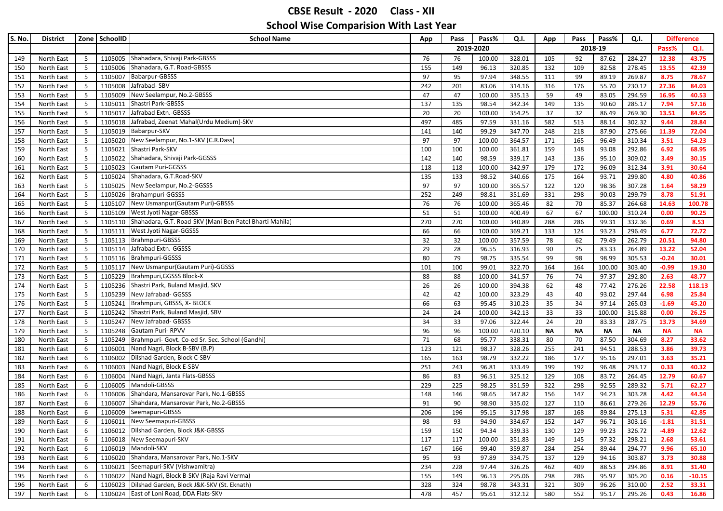| S. No. | <b>District</b> |                         | Zone SchoolID | <b>School Name</b>                                              | App | Pass | Pass%     | Q.I.   | App       | Pass      | Pass%     | Q.I.      | <b>Difference</b> |           |
|--------|-----------------|-------------------------|---------------|-----------------------------------------------------------------|-----|------|-----------|--------|-----------|-----------|-----------|-----------|-------------------|-----------|
|        |                 |                         |               |                                                                 |     |      | 2019-2020 |        |           |           | 2018-19   |           | Pass%             | Q.I.      |
| 149    | North East      | $5\overline{5}$         |               | 1105005 Shahadara, Shivaji Park-GBSSS                           | 76  | 76   | 100.00    | 328.01 | 105       | 92        | 87.62     | 284.27    | 12.38             | 43.75     |
| 150    | North East      | 5                       |               | 1105006 Shahadara, G.T. Road-GBSSS                              | 155 | 149  | 96.13     | 320.85 | 132       | 109       | 82.58     | 278.45    | 13.55             | 42.39     |
| 151    | North East      | $5\phantom{.0}$         | 1105007       | Babarpur-GBSSS                                                  | 97  | 95   | 97.94     | 348.55 | 111       | 99        | 89.19     | 269.87    | 8.75              | 78.67     |
| 152    | North East      | $5\phantom{.0}$         | 1105008       | Jafrabad-SBV                                                    | 242 | 201  | 83.06     | 314.16 | 316       | 176       | 55.70     | 230.12    | 27.36             | 84.03     |
| 153    | North East      | 5                       | 1105009       | New Seelampur, No.2-GBSSS                                       | 47  | 47   | 100.00    | 335.13 | 59        | 49        | 83.05     | 294.59    | 16.95             | 40.53     |
| 154    | North East      | 5                       | 1105011       | Shastri Park-GBSSS                                              | 137 | 135  | 98.54     | 342.34 | 149       | 135       | 90.60     | 285.17    | 7.94              | 57.16     |
| 155    | North East      | $5\phantom{.0}$         | 1105017       | Jafrabad Extn.-GBSSS                                            | 20  | 20   | 100.00    | 354.25 | 37        | 32        | 86.49     | 269.30    | 13.51             | 84.95     |
| 156    | North East      | 5                       | 1105018       | Jafrabad, Zeenat Mahal(Urdu Medium)-SKV                         | 497 | 485  | 97.59     | 331.16 | 582       | 513       | 88.14     | 302.32    | 9.44              | 28.84     |
| 157    | North East      | 5                       | 1105019       | Babarpur-SKV                                                    | 141 | 140  | 99.29     | 347.70 | 248       | 218       | 87.90     | 275.66    | 11.39             | 72.04     |
| 158    | North East      | 5                       |               | 1105020 New Seelampur, No.1-SKV (C.R.Dass)                      | 97  | 97   | 100.00    | 364.57 | 171       | 165       | 96.49     | 310.34    | 3.51              | 54.23     |
| 159    | North East      | 5                       | 1105021       | Shastri Park-SKV                                                | 100 | 100  | 100.00    | 361.81 | 159       | 148       | 93.08     | 292.86    | 6.92              | 68.95     |
| 160    | North East      | 5                       | 1105022       | Shahadara, Shivaji Park-GGSSS                                   | 142 | 140  | 98.59     | 339.17 | 143       | 136       | 95.10     | 309.02    | 3.49              | 30.15     |
| 161    | North East      | 5                       | 1105023       | Gautam Puri-GGSSS                                               | 118 | 118  | 100.00    | 342.97 | 179       | 172       | 96.09     | 312.34    | 3.91              | 30.64     |
| 162    | North East      | 5                       | 1105024       | Shahadara, G.T.Road-SKV                                         | 135 | 133  | 98.52     | 340.66 | 175       | 164       | 93.71     | 299.80    | 4.80              | 40.86     |
| 163    | North East      | 5                       |               | 1105025 New Seelampur, No.2-GGSSS                               | 97  | 97   | 100.00    | 365.57 | 122       | 120       | 98.36     | 307.28    | 1.64              | 58.29     |
| 164    | North East      | 5                       |               | 1105026 Brahampuri-GGSSS                                        | 252 | 249  | 98.81     | 351.69 | 331       | 298       | 90.03     | 299.79    | 8.78              | 51.91     |
| 165    | North East      | 5                       | 1105107       | New Usmanpur (Gautam Puri)-GBSSS                                | 76  | 76   | 100.00    | 365.46 | 82        | 70        | 85.37     | 264.68    | 14.63             | 100.78    |
| 166    | North East      | 5                       |               | 1105109 West Jyoti Nagar-GBSSS                                  | 51  | 51   | 100.00    | 400.49 | 67        | 67        | 100.00    | 310.24    | 0.00              | 90.25     |
| 167    | North East      | 5                       |               | 1105110 Shahadara, G.T. Road-SKV (Mani Ben Patel Bharti Mahila) | 270 | 270  | 100.00    | 340.89 | 288       | 286       | 99.31     | 332.36    | 0.69              | 8.53      |
| 168    | North East      | 5                       | 1105111       | West Jyoti Nagar-GGSSS                                          | 66  | 66   | 100.00    | 369.21 | 133       | 124       | 93.23     | 296.49    | 6.77              | 72.72     |
| 169    | North East      | 5                       |               | 1105113 Brahmpuri-GBSSS                                         | 32  | 32   | 100.00    | 357.59 | 78        | 62        | 79.49     | 262.79    | 20.51             | 94.80     |
| 170    | North East      | 5                       |               | 1105114 Jafrabad Extn.-GGSSS                                    | 29  | 28   | 96.55     | 316.93 | 90        | 75        | 83.33     | 264.89    | 13.22             | 52.04     |
| 171    | North East      | 5                       |               | 1105116 Brahmpuri-GGSSS                                         | 80  | 79   | 98.75     | 335.54 | 99        | 98        | 98.99     | 305.53    | $-0.24$           | 30.01     |
| 172    | North East      | $\overline{\mathbf{5}}$ | 1105117       | New Usmanpur (Gautam Puri)-GGSSS                                | 101 | 100  | 99.01     | 322.70 | 164       | 164       | 100.00    | 303.40    | $-0.99$           | 19.30     |
| 173    | North East      | 5                       | 1105229       | Brahmpuri, GGSSS Block-X                                        | 88  | 88   | 100.00    | 341.57 | 76        | 74        | 97.37     | 292.80    | 2.63              | 48.77     |
| 174    | North East      | 5                       |               | 1105236 Shastri Park, Buland Masjid, SKV                        | 26  | 26   | 100.00    | 394.38 | 62        | 48        | 77.42     | 276.26    | 22.58             | 118.13    |
| 175    | North East      | 5                       |               | 1105239 New Jafrabad- GGSSS                                     | 42  | 42   | 100.00    | 323.29 | 43        | 40        | 93.02     | 297.44    | 6.98              | 25.84     |
| 176    | North East      | 5                       | 1105241       | Brahmpuri, GBSSS, X- BLOCK                                      | 66  | 63   | 95.45     | 310.23 | 35        | 34        | 97.14     | 265.03    | $-1.69$           | 45.20     |
| 177    | North East      | 5                       |               | 1105242 Shastri Park, Buland Masjid, SBV                        | 24  | 24   | 100.00    | 342.13 | 33        | 33        | 100.00    | 315.88    | 0.00              | 26.25     |
| 178    | North East      | 5                       | 1105247       | New Jafrabad- GBSSS                                             | 34  | 33   | 97.06     | 322.44 | 24        | 20        | 83.33     | 287.75    | 13.73             | 34.69     |
| 179    | North East      | $5\phantom{.0}$         |               | 1105248 Gautam Puri-RPVV                                        | 96  | 96   | 100.00    | 420.10 | <b>NA</b> | <b>NA</b> | <b>NA</b> | <b>NA</b> | <b>NA</b>         | <b>NA</b> |
| 180    | North East      | 5                       |               | 1105249   Brahmpuri- Govt. Co-ed Sr. Sec. School (Gandhi)       | 71  | 68   | 95.77     | 338.31 | 80        | 70        | 87.50     | 304.69    | 8.27              | 33.62     |
| 181    | North East      | 6                       | 1106001       | Nand Nagri, Block B-SBV (B.P)                                   | 123 | 121  | 98.37     | 328.26 | 255       | 241       | 94.51     | 288.53    | 3.86              | 39.73     |
| 182    | North East      | 6                       | 1106002       | Dilshad Garden, Block C-SBV                                     | 165 | 163  | 98.79     | 332.22 | 186       | 177       | 95.16     | 297.01    | 3.63              | 35.21     |
| 183    | North East      | 6                       | 1106003       | Nand Nagri, Block E-SBV                                         | 251 | 243  | 96.81     | 333.49 | 199       | 192       | 96.48     | 293.17    | 0.33              | 40.32     |
| 184    | North East      | 6                       | 1106004       | Nand Nagri, Janta Flats-GBSSS                                   | 86  | 83   | 96.51     | 325.12 | 129       | 108       | 83.72     | 264.45    | 12.79             | 60.67     |
| 185    | North East      | 6                       | 1106005       | Mandoli-GBSSS                                                   | 229 | 225  | 98.25     | 351.59 | 322       | 298       | 92.55     | 289.32    | 5.71              | 62.27     |
| 186    | North East      | 6                       |               | 1106006 Shahdara, Mansarovar Park, No.1-GBSSS                   | 148 | 146  | 98.65     | 347.82 | 156       | 147       | 94.23     | 303.28    | 4.42              | 44.54     |
| 187    | North East      | 6                       | 1106007       | Shahdara, Mansarovar Park, No.2-GBSSS                           | 91  | 90   | 98.90     | 335.02 | 127       | 110       | 86.61     | 279.26    | 12.29             | 55.76     |
| 188    | North East      | 6                       |               | 1106009 Seemapuri-GBSSS                                         | 206 | 196  | 95.15     | 317.98 | 187       | 168       | 89.84     | 275.13    | 5.31              | 42.85     |
| 189    | North East      | 6                       |               | 1106011 New Seemapuri-GBSSS                                     | 98  | 93   | 94.90     | 334.67 | 152       | 147       | 96.71     | 303.16    | $-1.81$           | 31.51     |
| 190    | North East      | 6                       |               | 1106012 Dilshad Garden, Block J&K-GBSSS                         | 159 | 150  | 94.34     | 339.33 | 130       | 129       | 99.23     | 326.72    | $-4.89$           | 12.62     |
| 191    | North East      | 6                       |               | 1106018 New Seemapuri-SKV                                       | 117 | 117  | 100.00    | 351.83 | 149       | 145       | 97.32     | 298.21    | 2.68              | 53.61     |
| 192    | North East      | 6                       |               | 1106019 Mandoli-SKV                                             | 167 | 166  | 99.40     | 359.87 | 284       | 254       | 89.44     | 294.77    | 9.96              | 65.10     |
| 193    | North East      | 6                       |               | 1106020 Shahdara, Mansarovar Park, No.1-SKV                     | 95  | 93   | 97.89     | 334.75 | 137       | 129       | 94.16     | 303.87    | 3.73              | 30.88     |
| 194    | North East      | 6                       |               | 1106021 Seemapuri-SKV (Vishwamitra)                             | 234 | 228  | 97.44     | 326.26 | 462       | 409       | 88.53     | 294.86    | 8.91              | 31.40     |
| 195    | North East      | 6                       |               | 1106022 Nand Nagri, Block B-SKV (Raja Ravi Verma)               | 155 | 149  | 96.13     | 295.06 | 298       | 286       | 95.97     | 305.20    | 0.16              | $-10.15$  |
| 196    | North East      | 6                       |               | 1106023 Dilshad Garden, Block J&K-SKV (St. Eknath)              | 328 | 324  | 98.78     | 343.31 | 321       | 309       | 96.26     | 310.00    | 2.52              | 33.31     |
| 197    | North East      | 6                       |               | 1106024 East of Loni Road, DDA Flats-SKV                        | 478 | 457  | 95.61     | 312.12 | 580       | 552       | 95.17     | 295.26    | 0.43              | 16.86     |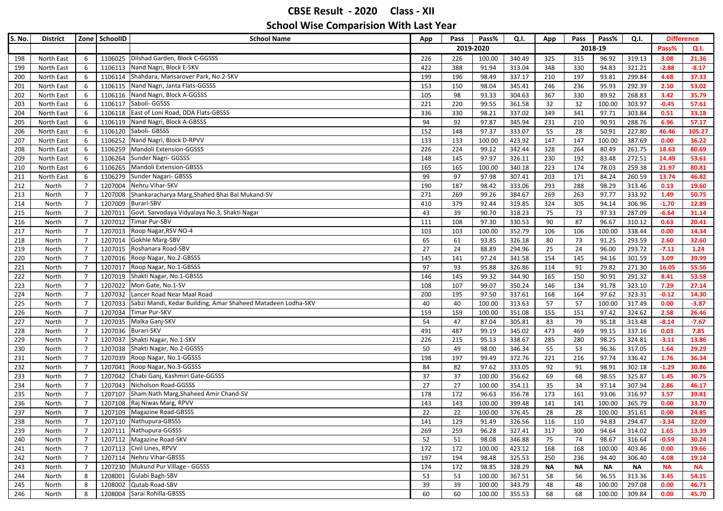| S. No. | <b>District</b> | Zone           | SchoolID | <b>School Name</b>                                                   | App | Pass | Pass%     | Q.I.   | App | Pass            | Pass%     | Q.I.      | <b>Difference</b> |           |
|--------|-----------------|----------------|----------|----------------------------------------------------------------------|-----|------|-----------|--------|-----|-----------------|-----------|-----------|-------------------|-----------|
|        |                 |                |          |                                                                      |     |      | 2019-2020 |        |     |                 | 2018-19   |           | Pass%             | Q.I.      |
| 198    | North East      | 6              |          | 1106025 Dilshad Garden, Block C-GGSSS                                | 226 | 226  | 100.00    | 340.49 | 325 | 315             | 96.92     | 319.13    | 3.08              | 21.36     |
| 199    | North East      | 6              |          | 1106113 Nand Nagri, Block E-SKV                                      | 422 | 388  | 91.94     | 313.04 | 348 | 330             | 94.83     | 321.21    | $-2.88$           | $-8.17$   |
| 200    | North East      | 6              |          | 1106114 Shahdara, Mansarover Park, No.2-SKV                          | 199 | 196  | 98.49     | 337.17 | 210 | 197             | 93.81     | 299.84    | 4.68              | 37.33     |
| 201    | North East      | 6              | 1106115  | Nand Nagri, Janta Flats-GGSSS                                        | 153 | 150  | 98.04     | 345.41 | 246 | 236             | 95.93     | 292.39    | 2.10              | 53.02     |
| 202    | North East      | 6              |          | 1106116 Nand Nagri, Block A-GGSSS                                    | 105 | 98   | 93.33     | 304.63 | 367 | 330             | 89.92     | 268.83    | 3.42              | 35.79     |
| 203    | North East      | 6              |          | 1106117 Saboli- GGSSS                                                | 221 | 220  | 99.55     | 361.58 | 32  | 32              | 100.00    | 303.97    | $-0.45$           | 57.61     |
| 204    | North East      | 6              |          | 1106118 East of Loni Road, DDA Flats-GBSSS                           | 336 | 330  | 98.21     | 337.02 | 349 | 341             | 97.71     | 303.84    | 0.51              | 33.18     |
| 205    | North East      | 6              |          | 1106119 Nand Nagri, Block A-GBSSS                                    | 94  | 92   | 97.87     | 345.94 | 231 | 210             | 90.91     | 288.76    | 6.96              | 57.17     |
| 206    | North East      | 6              |          | 1106120 Saboli- GBSSS                                                | 152 | 148  | 97.37     | 333.07 | 55  | 28              | 50.91     | 227.80    | 46.46             | 105.27    |
| 207    | North East      | 6              |          | 1106252 Nand Nagri, Block D-RPVV                                     | 133 | 133  | 100.00    | 423.92 | 147 | 147             | 100.00    | 387.69    | 0.00              | 36.22     |
| 208    | North East      | 6              |          | 1106259 Mandoli Extension-GGSSS                                      | 226 | 224  | 99.12     | 342.44 | 328 | 264             | 80.49     | 261.75    | 18.63             | 80.69     |
| 209    | North East      | 6              | 1106264  | Sunder Nagri- GGSSS                                                  | 148 | 145  | 97.97     | 326.11 | 230 | 192             | 83.48     | 272.51    | 14.49             | 53.61     |
| 210    | North East      | 6              |          | 1106265 Mandoli Extension-GBSSS                                      | 165 | 165  | 100.00    | 340.18 | 223 | 174             | 78.03     | 259.38    | 21.97             | 80.81     |
| 211    | North East      | 6              |          | 1106279 Sunder Nagari- GBSSS                                         | 99  | 97   | 97.98     | 307.41 | 203 | 171             | 84.24     | 260.59    | 13.74             | 46.82     |
| 212    | North           | $\overline{7}$ |          | 1207004 Nehru Vihar-SKV                                              | 190 | 187  | 98.42     | 333.06 | 293 | 288             | 98.29     | 313.46    | 0.13              | 19.60     |
| 213    | North           | $\overline{7}$ | 1207008  | Shankaracharya Marg, Shahed Bhai Bal Mukand-SV                       | 271 | 269  | 99.26     | 384.67 | 269 | 263             | 97.77     | 333.92    | 1.49              | 50.75     |
| 214    | North           | $\overline{7}$ |          | 1207009 Burari-SBV                                                   | 410 | 379  | 92.44     | 319.85 | 324 | 305             | 94.14     | 306.96    | $-1.70$           | 12.89     |
| 215    | North           | $\overline{7}$ | 1207011  | Govt. Sarvodaya Vidyalaya No.3, Shakti Nagar                         | 43  | 39   | 90.70     | 318.23 | 75  | 73              | 97.33     | 287.09    | $-6.64$           | 31.14     |
| 216    | North           | $\overline{7}$ |          | 1207012 Timar Pur-SBV                                                | 111 | 108  | 97.30     | 330.53 | 90  | 87              | 96.67     | 310.12    | 0.63              | 20.41     |
| 217    | North           | $\overline{7}$ | 1207013  | Roop Nagar, RSV NO-4                                                 | 103 | 103  | 100.00    | 352.79 | 106 | 106             | 100.00    | 338.44    | 0.00              | 14.34     |
| 218    | North           | $\overline{7}$ | 1207014  | Gokhle Marg-SBV                                                      | 65  | 61   | 93.85     | 326.18 | 80  | 73              | 91.25     | 293.59    | 2.60              | 32.60     |
| 219    | North           | $\overline{7}$ | 1207015  | Roshanara Road-SBV                                                   | 27  | 24   | 88.89     | 294.96 | 25  | $\overline{24}$ | 96.00     | 293.72    | $-7.11$           | 1.24      |
| 220    | North           | $\overline{7}$ | 1207016  | Roop Nagar, No.2-GBSSS                                               | 145 | 141  | 97.24     | 341.58 | 154 | 145             | 94.16     | 301.59    | 3.09              | 39.99     |
| 221    | North           | $\overline{7}$ | 1207017  | Roop Nagar, No.1-GBSSS                                               | 97  | 93   | 95.88     | 326.86 | 114 | 91              | 79.82     | 271.30    | 16.05             | 55.56     |
| 222    | North           | $\overline{7}$ | 1207019  | Shakti Nagar, No.1-GBSSS                                             | 146 | 145  | 99.32     | 344.90 | 165 | 150             | 90.91     | 291.32    | 8.41              | 53.58     |
| 223    | North           | $\overline{7}$ | 1207022  | Mori Gate, No.1-SV                                                   | 108 | 107  | 99.07     | 350.24 | 146 | 134             | 91.78     | 323.10    | 7.29              | 27.14     |
| 224    | North           | $\overline{7}$ |          | 1207032 Lancer Road Near Maal Road                                   | 200 | 195  | 97.50     | 337.61 | 168 | 164             | 97.62     | 323.31    | $-0.12$           | 14.30     |
| 225    | North           | $\overline{7}$ |          | 1207033 Sabzi Mandi, Kedar Building, Amar Shaheed Matadeen Lodha-SKV | 40  | 40   | 100.00    | 313.63 | 57  | 57              | 100.00    | 317.49    | 0.00              | $-3.87$   |
| 226    | North           | $\overline{7}$ | 1207034  | Timar Pur-SKV                                                        | 159 | 159  | 100.00    | 351.08 | 155 | 151             | 97.42     | 324.62    | 2.58              | 26.46     |
| 227    | North           | $\overline{7}$ | 1207035  | Malka Ganj-SKV                                                       | 54  | 47   | 87.04     | 305.81 | 83  | 79              | 95.18     | 313.48    | $-8.14$           | $-7.67$   |
| 228    | North           | $\overline{7}$ |          | 1207036 Burari-SKV                                                   | 491 | 487  | 99.19     | 345.02 | 473 | 469             | 99.15     | 337.16    | 0.03              | 7.85      |
| 229    | North           | $\overline{7}$ |          | 1207037 Shakti Nagar, No.1-SKV                                       | 226 | 215  | 95.13     | 338.67 | 285 | 280             | 98.25     | 324.81    | $-3.11$           | 13.86     |
| 230    | North           | $\overline{7}$ | 1207038  | Shakti Nagar, No.2-GGSSS                                             | 50  | 49   | 98.00     | 346.34 | 55  | 53              | 96.36     | 317.05    | 1.64              | 29.29     |
| 231    | North           | $\overline{7}$ |          | 1207039 Roop Nagar, No.1-GGSSS                                       | 198 | 197  | 99.49     | 372.76 | 221 | 216             | 97.74     | 336.42    | 1.76              | 36.34     |
| 232    | North           | $\overline{7}$ | 1207041  | Roop Nagar, No.3-GGSSS                                               | 84  | 82   | 97.62     | 333.05 | 92  | 91              | 98.91     | 302.18    | $-1.29$           | 30.86     |
| 233    | North           | $\overline{7}$ |          | 1207042 Chabi Ganj, Kashmiri Gate-GGSSS                              | 37  | 37   | 100.00    | 356.62 | 69  | 68              | 98.55     | 325.87    | 1.45              | 30.75     |
| 234    | North           | $\overline{7}$ | 1207043  | Nicholson Road-GGSSS                                                 | 27  | 27   | 100.00    | 354.11 | 35  | 34              | 97.14     | 307.94    | 2.86              | 46.17     |
| 235    | North           | $\overline{7}$ | 1207107  | Sham Nath Marg, Shaheed Amir Chand-SV                                | 178 | 172  | 96.63     | 356.78 | 173 | 161             | 93.06     | 316.97    | 3.57              | 39.81     |
| 236    | North           | $\overline{7}$ | 1207108  | Raj Niwas Marg, RPVV                                                 | 143 | 143  | 100.00    | 399.48 | 141 | 141             | 100.00    | 365.79    | 0.00              | 33.70     |
| 237    | North           | $\overline{7}$ |          | 1207109 Magazine Road-GBSSS                                          | 22  | 22   | 100.00    | 376.45 | 28  | 28              | 100.00    | 351.61    | 0.00              | 24.85     |
| 238    | North           | 7              |          | 1207110 Nathupura-GBSSS                                              | 141 | 129  | 91.49     | 326.56 | 116 | 110             | 94.83     | 294.47    | $-3.34$           | 32.09     |
| 239    | North           | $\overline{7}$ |          | 1207111 Nathupura-GGSSS                                              | 269 | 259  | 96.28     | 327.41 | 317 | 300             | 94.64     | 314.02    | 1.65              | 13.39     |
| 240    | North           | $\overline{7}$ |          | 1207112 Magazine Road-SKV                                            | 52  | 51   | 98.08     | 346.88 | 75  | 74              | 98.67     | 316.64    | $-0.59$           | 30.24     |
| 241    | North           | $\overline{7}$ |          | 1207113 Civil Lines, RPVV                                            | 172 | 172  | 100.00    | 423.12 | 168 | 168             | 100.00    | 403.46    | 0.00              | 19.66     |
| 242    | North           | $\overline{7}$ |          | 1207114 Nehru Vihar-GBSSS                                            | 197 | 194  | 98.48     | 325.53 | 250 | 236             | 94.40     | 306.40    | 4.08              | 19.14     |
| 243    | North           | $\overline{7}$ |          | 1207230 Mukund Pur Village - GGSSS                                   | 174 | 172  | 98.85     | 328.29 | ΝA  | ΝA              | <b>NA</b> | <b>NA</b> | <b>NA</b>         | <b>NA</b> |
| 244    | North           | 8              |          | 1208001 Gulabi Bagh-SBV                                              | 53  | 53   | 100.00    | 367.51 | 58  | 56              | 96.55     | 313.36    | 3.45              | 54.15     |
| 245    | North           | 8              |          | 1208002 Qutab Road-SBV                                               | 39  | 39   | 100.00    | 343.79 | 48  | 48              | 100.00    | 297.08    | 0.00              | 46.71     |
| 246    | North           | 8              |          | 1208004 Sarai Rohilla-GBSSS                                          | 60  | 60   | 100.00    | 355.53 | 68  | 68              | 100.00    | 309.84    | 0.00              | 45.70     |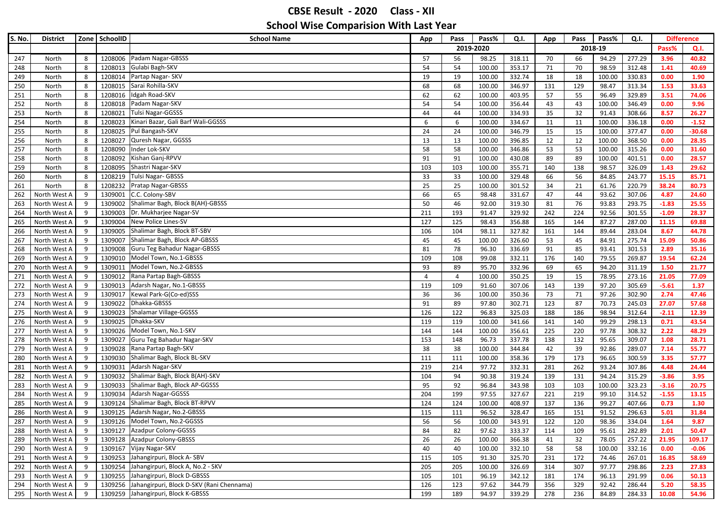| S. No.     | <b>District</b>              |        | Zone SchoolID      | <b>School Name</b>                                 | App            | Pass                  | Pass%           | Q.I.             | App       | Pass      | Pass%          | Q.I.             | <b>Difference</b> |               |
|------------|------------------------------|--------|--------------------|----------------------------------------------------|----------------|-----------------------|-----------------|------------------|-----------|-----------|----------------|------------------|-------------------|---------------|
|            |                              |        |                    |                                                    |                |                       | 2019-2020       |                  |           |           | 2018-19        |                  | Pass%             | Q.I.          |
| 247        | North                        | 8      |                    | 1208006 Padam Nagar-GBSSS                          | 57             | 56                    | 98.25           | 318.11           | 70        | 66        | 94.29          | 277.29           | 3.96              | 40.82         |
| 248        | North                        | 8      |                    | 1208013 Gulabi Bagh-SKV                            | 54             | 54                    | 100.00          | 353.17           | 71        | 70        | 98.59          | 312.48           | 1.41              | 40.69         |
| 249        | North                        | 8      |                    | 1208014 Partap Nagar- SKV                          | 19             | 19                    | 100.00          | 332.74           | 18        | 18        | 100.00         | 330.83           | 0.00              | 1.90          |
| 250        | North                        | 8      | 1208015            | Sarai Rohilla-SKV                                  | 68             | 68                    | 100.00          | 346.97           | 131       | 129       | 98.47          | 313.34           | 1.53              | 33.63         |
| 251        | North                        | 8      | 1208016            | Idgah Road-SKV                                     | 62             | 62                    | 100.00          | 403.95           | 57        | 55        | 96.49          | 329.89           | 3.51              | 74.06         |
| 252        | North                        | 8      | 1208018            | Padam Nagar-SKV                                    | 54             | 54                    | 100.00          | 356.44           | 43        | 43        | 100.00         | 346.49           | 0.00              | 9.96          |
| 253        | North                        | 8      | 1208021            | Tulsi Nagar-GGSSS                                  | 44             | 44                    | 100.00          | 334.93           | 35        | 32        | 91.43          | 308.66           | 8.57              | 26.27         |
| 254        | North                        | 8      | 1208023            | Kinari Bazar, Gali Barf Wali-GGSSS                 | 6              | 6                     | 100.00          | 334.67           | 11        | 11        | 100.00         | 336.18           | 0.00              | $-1.52$       |
| 255        | North                        | 8      |                    | 1208025 Pul Bangash-SKV                            | 24             | 24                    | 100.00          | 346.79           | 15        | 15        | 100.00         | 377.47           | 0.00              | $-30.68$      |
| 256        | North                        | 8      | 1208027            | Quresh Nagar, GGSSS                                | 13             | 13                    | 100.00          | 396.85           | 12        | 12        | 100.00         | 368.50           | 0.00              | 28.35         |
| 257        | North                        | 8      | 1208090            | Inder Lok-SKV                                      | 58             | 58                    | 100.00          | 346.86           | 53        | 53        | 100.00         | 315.26           | 0.00              | 31.60         |
| 258        | North                        | 8      | 1208092            | Kishan Ganj-RPVV                                   | 91             | 91                    | 100.00          | 430.08           | 89        | 89        | 100.00         | 401.51           | 0.00              | 28.57         |
| 259        | North                        | 8      | 1208095            | Shastri Nagar-SKV                                  | 103            | 103                   | 100.00          | 355.71           | 140       | 138       | 98.57          | 326.09           | 1.43              | 29.62         |
| 260        | North                        | 8      | 1208219            | Tulsi Nagar- GBSSS                                 | 33             | 33                    | 100.00          | 329.48           | 66        | 56        | 84.85          | 243.77           | 15.15             | 85.71         |
| 261        | North                        | 8      | 1208232            | <b>Pratap Nagar-GBSSS</b>                          | 25             | 25                    | 100.00          | 301.52           | 34        | 21        | 61.76          | 220.79           | 38.24             | 80.73         |
| 262        | North West A                 | 9      | 1309001            | C.C. Colony-SBV                                    | 66             | 65                    | 98.48           | 331.67           | 47        | 44        | 93.62          | 307.06           | 4.87              | 24.60         |
| 263        | North West A                 | 9      | 1309002            | Shalimar Bagh, Block B(AH)-GBSSS                   | 50             | 46                    | 92.00           | 319.30           | 81        | 76        | 93.83          | 293.75           | $-1.83$           | 25.55         |
| 264        | North West A                 | 9      | 1309003            | Dr. Mukharjee Nagar-SV                             | 211            | 193                   | 91.47           | 329.92           | 242       | 224       | 92.56          | 301.55           | $-1.09$           | 28.37         |
| 265        | North West A                 | 9      | 1309004            | New Police Lines-SV                                | 127            | 125                   | 98.43           | 356.88           | 165       | 144       | 87.27          | 287.00           | 11.15             | 69.88         |
| 266        | North West A                 | 9      | 1309005            | Shalimar Bagh, Block BT-SBV                        | 106            | 104                   | 98.11           | 327.82           | 161       | 144       | 89.44          | 283.04           | 8.67              | 44.78         |
| 267        | North West A                 | 9      | 1309007            | Shalimar Bagh, Block AP-GBSSS                      | 45             | 45                    | 100.00          | 326.60           | 53        | 45        | 84.91          | 275.74           | 15.09             | 50.86         |
| 268        | North West A                 | 9      | 1309008            | Guru Teg Bahadur Nagar-GBSSS                       | 81             | 78                    | 96.30           | 336.69           | 91        | 85        | 93.41          | 301.53           | 2.89              | 35.16         |
| 269        | North West A                 | 9      | 1309010            | Model Town, No.1-GBSSS<br>Model Town, No.2-GBSSS   | 109            | 108                   | 99.08           | 332.11           | 176       | 140       | 79.55          | 269.87           | 19.54             | 62.24         |
| 270        | North West A                 | 9      | 1309011<br>1309012 | Rana Partap Bagh-GBSSS                             | 93             | 89                    | 95.70           | 332.96           | 69        | 65        | 94.20          | 311.19<br>273.16 | 1.50<br>21.05     | 21.77         |
| 271        | North West A                 | 9      |                    |                                                    | $\overline{4}$ | $\overline{4}$<br>109 | 100.00<br>91.60 | 350.25           | 19        | 15        | 78.95          |                  |                   | 77.09         |
| 272<br>273 | North West A<br>North West A | 9<br>9 | 1309013<br>1309017 | Adarsh Nagar, No.1-GBSSS<br>Kewal Park-G(Co-ed)SSS | 119<br>36      | 36                    | 100.00          | 307.06<br>350.36 | 143<br>73 | 139<br>71 | 97.20<br>97.26 | 305.69<br>302.90 | $-5.61$<br>2.74   | 1.37<br>47.46 |
| 274        | North West A                 | 9      |                    | 1309022 Dhakka-GBSSS                               | 91             | 89                    | 97.80           | 302.71           | 123       | 87        | 70.73          | 245.03           | 27.07             | 57.68         |
| 275        | North West A                 | 9      | 1309023            | Shalamar Village-GGSSS                             | 126            | 122                   | 96.83           | 325.03           | 188       | 186       | 98.94          | 312.64           | $-2.11$           | 12.39         |
| 276        | North West A                 | 9      |                    | 1309025 Dhakka-SKV                                 | 119            | 119                   | 100.00          | 341.66           | 141       | 140       | 99.29          | 298.13           | 0.71              | 43.54         |
| 277        | North West A                 | 9      |                    | 1309026 Model Town, No.1-SKV                       | 144            | 144                   | 100.00          | 356.61           | 225       | 220       | 97.78          | 308.32           | 2.22              | 48.29         |
| 278        | North West A                 | 9      |                    | 1309027 Guru Teg Bahadur Nagar-SKV                 | 153            | 148                   | 96.73           | 337.78           | 138       | 132       | 95.65          | 309.07           | 1.08              | 28.71         |
| 279        | North West A                 | 9      | 1309028            | Rana Partap Bagh-SKV                               | 38             | 38                    | 100.00          | 344.84           | 42        | 39        | 92.86          | 289.07           | 7.14              | 55.77         |
| 280        | North West A                 | 9      |                    | 1309030 Shalimar Bagh, Block BL-SKV                | 111            | 111                   | 100.00          | 358.36           | 179       | 173       | 96.65          | 300.59           | 3.35              | 57.77         |
| 281        | North West A                 | 9      | 1309031            | Adarsh Nagar-SKV                                   | 219            | 214                   | 97.72           | 332.31           | 281       | 262       | 93.24          | 307.86           | 4.48              | 24.44         |
| 282        | North West A                 | 9      |                    | 1309032 Shalimar Bagh, Block B(AH)-SKV             | 104            | 94                    | 90.38           | 319.24           | 139       | 131       | 94.24          | 315.29           | $-3.86$           | 3.95          |
| 283        | North West A                 | 9      | 1309033            | Shalimar Bagh, Block AP-GGSSS                      | 95             | 92                    | 96.84           | 343.98           | 103       | 103       | 100.00         | 323.23           | $-3.16$           | 20.75         |
| 284        | North West A                 | 9      | 1309034            | Adarsh Nagar-GGSSS                                 | 204            | 199                   | 97.55           | 327.67           | 221       | 219       | 99.10          | 314.52           | $-1.55$           | 13.15         |
| 285        | North West A                 | 9      | 1309124            | Shalimar Bagh, Block BT-RPVV                       | 124            | 124                   | 100.00          | 408.97           | 137       | 136       | 99.27          | 407.66           | 0.73              | 1.30          |
| 286        | North West A                 | 9      |                    | 1309125 Adarsh Nagar, No.2-GBSSS                   | 115            | 111                   | 96.52           | 328.47           | 165       | 151       | 91.52          | 296.63           | 5.01              | 31.84         |
| 287        | North West A                 | 9      |                    | 1309126 Model Town, No.2-GGSSS                     | 56             | 56                    | 100.00          | 343.91           | 122       | 120       | 98.36          | 334.04           | 1.64              | 9.87          |
| 288        | North West A                 | 9      |                    | 1309127 Azadpur Colony-GGSSS                       | 84             | 82                    | 97.62           | 333.37           | 114       | 109       | 95.61          | 282.89           | 2.01              | 50.47         |
| 289        | North West A                 | 9      |                    | 1309128 Azadpur Colony-GBSSS                       | 26             | 26                    | 100.00          | 366.38           | 41        | 32        | 78.05          | 257.22           | 21.95             | 109.17        |
| 290        | North West A                 | 9      |                    | 1309167 Vijay Nagar-SKV                            | 40             | 40                    | 100.00          | 332.10           | 58        | 58        | 100.00         | 332.16           | 0.00              | $-0.06$       |
| 291        | North West A                 | 9      |                    | 1309253 Jahangirpuri, Block A-SBV                  | 115            | 105                   | 91.30           | 325.70           | 231       | 172       | 74.46          | 267.01           | 16.85             | 58.69         |
| 292        | North West A                 | 9      |                    | 1309254 Jahangirpuri, Block A, No.2 - SKV          | 205            | 205                   | 100.00          | 326.69           | 314       | 307       | 97.77          | 298.86           | 2.23              | 27.83         |
| 293        | North West A                 | 9      |                    | 1309255 Jahangirpuri, Block D-GBSSS                | 105            | 101                   | 96.19           | 342.12           | 181       | 174       | 96.13          | 291.99           | 0.06              | 50.13         |
| 294        | North West A                 | 9      |                    | 1309256 Jahangirpuri, Block D-SKV (Rani Chennama)  | 126            | 123                   | 97.62           | 344.79           | 356       | 329       | 92.42          | 286.44           | 5.20              | 58.35         |
| 295        | North West A                 | 9      |                    | 1309259 Jahangirpuri, Block K-GBSSS                | 199            | 189                   | 94.97           | 339.29           | 278       | 236       | 84.89          | 284.33           | 10.08             | 54.96         |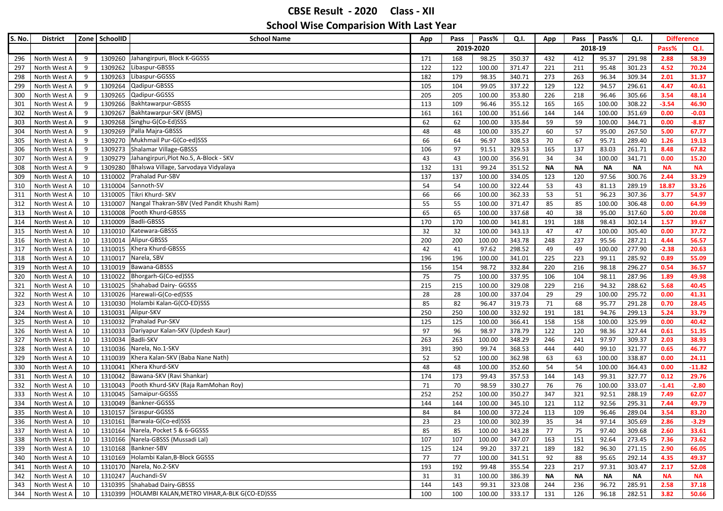| S. No. | <b>District</b>                  | Zone     | SchoolID          | <b>School Name</b>                                                       | App        | Pass      | Pass%           | Q.I.             | App       | Pass      | Pass%       | Q.I.         | <b>Difference</b> |                |
|--------|----------------------------------|----------|-------------------|--------------------------------------------------------------------------|------------|-----------|-----------------|------------------|-----------|-----------|-------------|--------------|-------------------|----------------|
|        |                                  |          |                   |                                                                          |            | 2019-2020 |                 |                  |           |           | 2018-19     |              | Pass%             | Q.I.           |
| 296    | North West A                     | 9        |                   | 1309260 Jahangirpuri, Block K-GGSSS                                      | 171        | 168       | 98.25           | 350.37           | 432       | 412       | 95.37       | 291.98       | 2.88              | 58.39          |
| 297    | North West A                     | 9        | 1309262           | Libaspur-GBSSS                                                           | 122        | 122       | 100.00          | 371.47           | 221       | 211       | 95.48       | 301.23       | 4.52              | 70.24          |
| 298    | North West A                     | 9        | 1309263           | Libaspur-GGSSS                                                           | 182        | 179       | 98.35           | 340.71           | 273       | 263       | 96.34       | 309.34       | 2.01              | 31.37          |
| 299    | North West A                     | 9        | 1309264           | Qadipur-GBSSS                                                            | 105        | 104       | 99.05           | 337.22           | 129       | 122       | 94.57       | 296.61       | 4.47              | 40.61          |
| 300    | North West A                     | 9        | 1309265           | Qadipur-GGSSS                                                            | 205        | 205       | 100.00          | 353.80           | 226       | 218       | 96.46       | 305.66       | 3.54              | 48.14          |
| 301    | North West A                     | 9        | 1309266           | Bakhtawarpur-GBSSS                                                       | 113        | 109       | 96.46           | 355.12           | 165       | 165       | 100.00      | 308.22       | $-3.54$           | 46.90          |
| 302    | North West A                     | 9        | 1309267           | Bakhtawarpur-SKV (BMS)                                                   | 161        | 161       | 100.00          | 351.66           | 144       | 144       | 100.00      | 351.69       | 0.00              | $-0.03$        |
| 303    | North West A                     | 9        | 1309268           | Singhu-G(Co-Ed)SSS                                                       | 62         | 62        | 100.00          | 335.84           | 59        | 59        | 100.00      | 344.71       | 0.00              | $-8.87$        |
| 304    | North West A                     | 9        |                   | 1309269 Palla Majra-GBSSS                                                | 48         | 48        | 100.00          | 335.27           | 60        | 57        | 95.00       | 267.50       | 5.00              | 67.77          |
| 305    | North West A                     | 9        |                   | 1309270 Mukhmail Pur-G(Co-ed)SSS                                         | 66         | 64        | 96.97           | 308.53           | 70        | 67        | 95.71       | 289.40       | 1.26              | 19.13          |
| 306    | North West A                     | 9        |                   | 1309273 Shalamar Village-GBSSS                                           | 106        | 97        | 91.51           | 329.53           | 165       | 137       | 83.03       | 261.71       | 8.48              | 67.82          |
| 307    | North West A                     | 9        | 1309279           | Jahangirpuri, Plot No.5, A-Block - SKV                                   | 43         | 43        | 100.00          | 356.91           | 34        | 34        | 100.00      | 341.71       | 0.00              | 15.20          |
| 308    | North West A                     | 9        | 1309280           | Bhalswa Village, Sarvodaya Vidyalaya                                     | 132        | 131       | 99.24           | 351.52           | NΑ        | <b>NA</b> | <b>NA</b>   | ΝA           | <b>NA</b>         | <b>NA</b>      |
| 309    | North West A                     | 10       | 1310002           | Prahalad Pur-SBV                                                         | 137        | 137       | 100.00          | 334.05           | 123       | 120       | 97.56       | 300.76       | 2.44              | 33.29          |
| 310    | North West A                     | 10       | 1310004           | Sannoth-SV                                                               | 54         | 54        | 100.00          | 322.44           | 53        | 43        | 81.13       | 289.19       | 18.87             | 33.26          |
| 311    | North West A                     | 10       | 1310005           | Tikri Khurd- SKV                                                         | 66         | 66        | 100.00          | 362.33           | 53        | 51        | 96.23       | 307.36       | 3.77              | 54.97          |
| 312    | North West A                     | 10       | 1310007           | Nangal Thakran-SBV (Ved Pandit Khushi Ram)                               | 55         | 55        | 100.00          | 371.47           | 85        | 85        | 100.00      | 306.48       | 0.00              | 64.99          |
| 313    | North West A                     | 10       | 1310008           | Pooth Khurd-GBSSS                                                        | 65         | 65        | 100.00          | 337.68           | 40        | 38        | 95.00       | 317.60       | 5.00              | 20.08          |
| 314    | North West A                     | 10       |                   | 1310009 Badli-GBSSS                                                      | 170        | 170       | 100.00          | 341.81           | 191       | 188       | 98.43       | 302.14       | 1.57              | 39.67          |
| 315    | North West A                     | 10       | 1310010           | Katewara-GBSSS                                                           | 32         | 32        | 100.00          | 343.13           | 47        | 47        | 100.00      | 305.40       | 0.00              | 37.72          |
| 316    | North West A                     | 10       | 1310014           | Alipur-GBSSS                                                             | 200        | 200       | 100.00          | 343.78           | 248       | 237       | 95.56       | 287.21       | 4.44              | 56.57          |
| 317    | North West A                     | 10       | 1310015           | Khera Khurd-GBSSS                                                        | 42         | 41        | 97.62           | 298.52           | 49        | 49        | 100.00      | 277.90       | $-2.38$           | 20.63          |
| 318    | North West A                     | 10       | 1310017           | Narela, SBV                                                              | 196        | 196       | 100.00          | 341.01           | 225       | 223       | 99.11       | 285.92       | 0.89              | 55.09          |
| 319    | North West A                     | 10       | 1310019           | Bawana-GBSSS                                                             | 156        | 154       | 98.72           | 332.84           | 220       | 216       | 98.18       | 296.27       | 0.54              | 36.57          |
| 320    | North West A                     | 10       | 1310022           | Bhorgarh-G(Co-ed)SSS                                                     | 75         | 75        | 100.00          | 337.95           | 106       | 104       | 98.11       | 287.96       | 1.89              | 49.98          |
| 321    | North West A                     | 10       |                   | 1310025 Shahabad Dairy- GGSSS                                            | 215        | 215       | 100.00          | 329.08           | 229       | 216       | 94.32       | 288.62       | 5.68              | 40.45          |
| 322    | North West A                     | 10       |                   | 1310026 Harewali-G(Co-ed)SSS                                             | 28         | 28        | 100.00          | 337.04           | 29        | 29        | 100.00      | 295.72       | 0.00              | 41.31          |
| 323    | North West A                     | 10       |                   | 1310030 Holambi Kalan-G(CO-ED)SSS                                        | 85         | 82        | 96.47           | 319.73           | 71        | 68        | 95.77       | 291.28       | 0.70              | 28.45          |
| 324    | North West A                     | 10       | 1310031           | Alipur-SKV                                                               | 250        | 250       | 100.00          | 332.92           | 191       | 181       | 94.76       | 299.13       | 5.24              | 33.79          |
| 325    | North West A                     | 10       | 1310032           | Prahalad Pur-SKV                                                         | 125        | 125       | 100.00          | 366.41           | 158       | 158       | 100.00      | 325.99       | 0.00              | 40.42          |
| 326    | North West A                     | 10       |                   | 1310033 Dariyapur Kalan-SKV (Updesh Kaur)                                | 97         | 96        | 98.97           | 378.79           | 122       | 120       | 98.36       | 327.44       | 0.61              | 51.35          |
| 327    | North West A                     | 10       | 1310034 Badli-SKV |                                                                          | 263        | 263       | 100.00          | 348.29           | 246       | 241       | 97.97       | 309.37       | 2.03              | 38.93          |
| 328    | North West A                     | 10       |                   | 1310036 Narela, No.1-SKV                                                 | 391        | 390       | 99.74           | 368.53           | 444       | 440       | 99.10       | 321.77       | 0.65              | 46.77          |
| 329    | North West A                     | 10       | 1310039           | Khera Kalan-SKV (Baba Nane Nath)                                         | 52         | 52        | 100.00          | 362.98           | 63        | 63        | 100.00      | 338.87       | 0.00              | 24.11          |
| 330    | North West A                     | 10       |                   | 1310041 Khera Khurd-SKV                                                  | 48         | 48        | 100.00          | 352.60           | 54        | 54        | 100.00      | 364.43       | 0.00              | $-11.82$       |
| 331    | North West A                     | 10       |                   | 1310042 Bawana-SKV (Ravi Shankar)<br>Pooth Khurd-SKV (Raja RamMohan Roy) | 174        | 173       | 99.43           | 357.53           | 144       | 143       | 99.31       | 327.77       | 0.12              | 29.76          |
| 332    | North West A                     | 10       | 1310043           |                                                                          | 71         | 70        | 98.59           | 330.27           | 76        | 76        | 100.00      | 333.07       | $-1.41$           | $-2.80$        |
| 333    | North West A                     | 10       | 1310045           | Samaipur-GGSSS<br>Bankner-GGSSS                                          | 252        | 252       | 100.00          | 350.27           | 347       | 321       | 92.51       | 288.19       | 7.49              | 62.07          |
| 334    | North West A<br>North West A     | 10       | 1310049           | 1310157 Siraspur-GGSSS                                                   | 144        | 144       | 100.00          | 345.10           | 121       | 112       | 92.56       | 295.31       | 7.44              | 49.79<br>83.20 |
| 335    |                                  | 10       |                   |                                                                          | 84         | 84        | 100.00          | 372.24           | 113       | 109       | 96.46       | 289.04       | 3.54              |                |
|        | 336 North West A                 | 10       |                   | 1310161 Barwala-G(Co-ed)SSS<br>1310164 Narela, Pocket 5 & 6-GGSSS        | 23         | 23        | 100.00          | 302.39           | 35        | 34        | 97.14       | 305.69       | 2.86              | $-3.29$        |
| 337    | North West A                     | 10       |                   | 1310166 Narela-GBSSS (Mussadi Lal)                                       | 85         | 85        | 100.00          | 343.28           | 77        | 75        | 97.40       | 309.68       | 2.60              | 33.61          |
| 338    | North West A                     | 10       |                   | 1310168 Bankner-SBV                                                      | 107        | 107       | 100.00          | 347.07           | 163       | 151       | 92.64       | 273.45       | 7.36              | 73.62          |
| 339    | North West A                     | 10       |                   | 1310169 Holambi Kalan, B-Block GGSSS                                     | 125        | 124       | 99.20           | 337.21           | 189       | 182       | 96.30       | 271.15       | 2.90              | 66.05          |
| 340    | North West A                     | 10<br>10 |                   | 1310170 Narela, No.2-SKV                                                 | 77         | 77<br>192 | 100.00<br>99.48 | 341.51           | 92<br>223 | 88<br>217 | 95.65       | 292.14       | 4.35<br>2.17      | 49.37<br>52.08 |
| 341    | North West A<br>North West A     | 10       |                   | 1310247 Auchandi-SV                                                      | 193<br>31  | 31        | 100.00          | 355.54<br>386.39 | ΝA        | NΑ        | 97.31<br>NΑ | 303.47<br>NΑ | <b>NA</b>         | <b>NA</b>      |
| 342    |                                  |          |                   | 1310395 Shahabad Dairy-GBSSS                                             |            |           |                 |                  |           |           |             |              | 2.58              | 37.18          |
| 343    | North West A<br>344 North West A | 10<br>10 |                   | 1310399 HOLAMBI KALAN, METRO VIHAR, A-BLK G(CO-ED)SSS                    | 144<br>100 | 143       | 99.31           | 323.08           | 244       | 236       | 96.72       | 285.91       | 3.82              | 50.66          |
|        |                                  |          |                   |                                                                          |            | 100       | 100.00          | 333.17           | 131       | 126       | 96.18       | 282.51       |                   |                |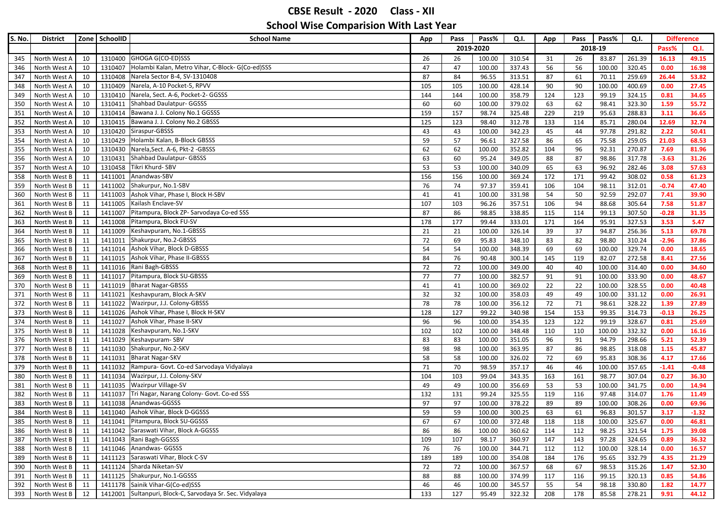| 2019-2020<br>2018-19<br>Q.I.<br>Pass%<br>1310400 GHOGA G(CO-ED)SSS<br>North West A<br>10<br>26<br>100.00<br>310.54<br>31<br>26<br>83.87<br>261.39<br>16.13<br>49.15<br>26<br>345<br>1310407 Holambi Kalan, Metro Vihar, C-Block-G(Co-ed)SSS<br>47<br>47<br>337.43<br>56<br>100.00<br>320.45<br>0.00<br>16.98<br>North West A<br>10<br>100.00<br>56<br>346<br>Narela Sector B-4, SV-1310408<br>87<br>53.82<br>North West A<br>10<br>1310408<br>84<br>96.55<br>313.51<br>87<br>61<br>70.11<br>259.69<br>26.44<br>347<br>North West A<br>10<br>1310409 Narela, A-10 Pocket-5, RPVV<br>105<br>105<br>100.00<br>428.14<br>90<br>90<br>100.00<br>400.69<br>0.00<br>27.45<br>348<br>1310410 Narela, Sect. A-6, Pocket-2- GGSSS<br>North West A<br>10<br>144<br>144<br>100.00<br>358.79<br>124<br>123<br>99.19<br>324.15<br>0.81<br>34.65<br>349<br>1310411 Shahbad Daulatpur- GGSSS<br>62<br>1.59<br>55.72<br>North West A<br>10<br>60<br>60<br>100.00<br>379.02<br>63<br>98.41<br>323.30<br>350<br>1310414 Bawana J. J. Colony No.1 GGSSS<br>36.65<br>351<br>North West A<br>10<br>159<br>157<br>98.74<br>325.48<br>229<br>219<br>95.63<br>288.83<br>3.11<br>1310415 Bawana J. J. Colony No.2 GBSSS<br>North West A<br>10<br>125<br>123<br>98.40<br>312.78<br>133<br>114<br>85.71<br>280.04<br>12.69<br>32.74<br>352<br>1310420 Siraspur-GBSSS<br>342.23<br>291.82<br>2.22<br>50.41<br>10<br>43<br>43<br>100.00<br>45<br>44<br>97.78<br>353<br>North West A<br>1310429 Holambi Kalan, B-Block GBSSS<br>57<br>75.58<br>259.05<br>North West A<br>59<br>96.61<br>327.58<br>86<br>65<br>21.03<br>68.53<br>354<br>10<br>Narela, Sect. A-6, Pkt-2 - GBSSS<br>96<br>7.69<br>81.96<br>10<br>1310430<br>62<br>62<br>100.00<br>352.82<br>104<br>92.31<br>270.87<br>355<br>North West A<br>Shahbad Daulatpur- GBSSS<br>1310431<br>356<br>North West A<br>10<br>63<br>60<br>95.24<br>349.05<br>88<br>87<br>98.86<br>317.78<br>$-3.63$<br>31.26<br>1310458 Tikri Khurd-SBV<br>57.63<br>10<br>53<br>53<br>100.00<br>340.09<br>65<br>63<br>96.92<br>282.46<br>3.08<br>357<br>North West A<br>Anandwas-SBV<br>1411001<br>156<br>156<br>369.24<br>172<br>171<br>308.02<br>0.58<br>61.23<br>North West B<br>11<br>100.00<br>99.42<br>358<br>11<br>Shakurpur, No.1-SBV<br>76<br>74<br>97.37<br>104<br>$-0.74$<br>47.40<br>359<br>North West B<br>1411002<br>359.41<br>106<br>98.11<br>312.01<br>Ashok Vihar, Phase I, Block H-SBV<br>292.07<br>360<br>North West B<br>11<br>1411003<br>41<br>41<br>100.00<br>331.98<br>54<br>50<br>92.59<br>7.41<br>39.90<br>Kailash Enclave-SV<br>107<br>94<br>7.58<br>51.87<br>North West B<br>11<br>1411005<br>103<br>96.26<br>357.51<br>106<br>88.68<br>305.64<br>361<br>Pitampura, Block ZP- Sarvodaya Co-ed SSS<br>1411007<br>87<br>86<br>98.85<br>338.85<br>114<br>99.13<br>307.50<br>$-0.28$<br>31.35<br>North West B<br>11<br>115<br>362<br>11<br>Pitampura, Block FU-SV<br>327.53<br>3.53<br>5.47<br>North West B<br>1411008<br>178<br>177<br>99.44<br>333.01<br>171<br>164<br>95.91<br>363<br>Keshavpuram, No.1-GBSSS<br>37<br>364<br>North West B<br>11<br>1411009<br>21<br>21<br>100.00<br>326.14<br>39<br>94.87<br>256.36<br>5.13<br>69.78<br>Shakurpur, No.2-GBSSS<br>72<br>82<br>$-2.96$<br>365<br>North West B<br>11<br>1411011<br>69<br>95.83<br>348.10<br>83<br>98.80<br>310.24<br>37.86<br>1411014 Ashok Vihar, Block D-GBSSS<br>54<br>329.74<br>18.65<br>North West B<br>11<br>54<br>100.00<br>348.39<br>69<br>69<br>100.00<br>0.00<br>366<br>1411015 Ashok Vihar, Phase II-GBSSS<br>84<br>76<br>82.07<br>272.58<br>27.56<br>North West B<br>11<br>90.48<br>300.14<br>145<br>119<br>8.41<br>367<br>1411016 Rani Bagh-GBSSS<br>72<br>100.00<br>100.00<br>34.60<br>North West B<br>11<br>72<br>349.00<br>40<br>40<br>314.40<br>0.00<br>368<br>Pitampura, Block SU-GBSSS<br>77<br>333.90<br>0.00<br>North West B<br>11<br>1411017<br>77<br>100.00<br>382.57<br>91<br>91<br>100.00<br>48.67<br>369<br>1411019 Bharat Nagar-GBSSS<br>North West B<br>11<br>41<br>100.00<br>369.02<br>22<br>22<br>100.00<br>328.55<br>0.00<br>40.48<br>370<br>41<br>1411021<br>Keshavpuram, Block A-SKV<br>32<br>North West B<br>11<br>32<br>100.00<br>358.03<br>49<br>49<br>100.00<br>331.12<br>0.00<br>26.91<br>371<br>Wazirpur, J.J. Colony-GBSSS<br>78<br>372<br>North West B<br>11<br>1411022<br>78<br>100.00<br>356.12<br>72<br>71<br>98.61<br>328.22<br>1.39<br>27.89<br>1411026<br>Ashok Vihar, Phase I, Block H-SKV<br>127<br>$-0.13$<br>North West B<br>11<br>128<br>99.22<br>340.98<br>154<br>153<br>99.35<br>314.73<br>26.25<br>373<br>Ashok Vihar, Phase II-SKV<br>1411027<br>96<br>354.35<br>25.69<br>North West B<br>11<br>96<br>100.00<br>123<br>122<br>99.19<br>328.67<br>0.81<br>374<br>1411028 Keshavpuram, No.1-SKV<br>332.32<br>16.16<br>North West B<br>11<br>102<br>102<br>100.00<br>348.48<br>110<br>110<br>100.00<br>0.00<br>375<br>11<br>Keshavpuram-SBV<br>298.66<br>52.39<br>North West B<br>1411029<br>83<br>83<br>100.00<br>351.05<br>96<br>91<br>94.79<br>5.21<br>376<br>1411030 Shakurpur, No.2-SKV<br>North West B<br>98<br>98<br>100.00<br>363.95<br>87<br>86<br>98.85<br>318.08<br>45.87<br>377<br>11<br>1.15<br>58<br>4.17<br>17.66<br>11<br>1411031<br><b>Bharat Nagar-SKV</b><br>58<br>100.00<br>326.02<br>72<br>69<br>95.83<br>308.36<br>378<br>North West B<br>1411032 Rampura- Govt. Co-ed Sarvodaya Vidyalaya<br>71<br>357.17<br>46<br>100.00<br>357.65<br>North West B<br>70<br>98.59<br>46<br>$-1.41$<br>$-0.48$<br>379<br>11<br>1411034 Wazirpur, J.J. Colony-SKV<br>0.27<br>36.30<br>North West B<br>11<br>104<br>103<br>99.04<br>343.35<br>163<br>161<br>98.77<br>307.04<br>380<br>1411035 Wazirpur Village-SV<br>North West B<br>11<br>49<br>100.00<br>356.69<br>53<br>53<br>100.00<br>341.75<br>0.00<br>14.94<br>381<br>49<br>1411037<br>Tri Nagar, Narang Colony- Govt. Co-ed SSS<br>132<br>131<br>99.24<br>325.55<br>116<br>97.48<br>314.07<br>1.76<br>11.49<br>382<br>North West B<br>11<br>119<br>1411038 Anandwas-GGSSS<br>North West B<br>97<br>97<br>100.00<br>378.22<br>89<br>89<br>100.00<br>308.26<br>0.00<br>69.96<br>383<br>11<br>1411040 Ashok Vihar, Block D-GGSSS<br>384<br>North West B<br>11<br>59<br>59<br>100.00<br>300.25<br>63<br>61<br>96.83<br>301.57<br>3.17<br>$-1.32$<br>North West B<br>11<br>1411041 Pitampura, Block SU-GGSSS<br>67<br>67<br>100.00<br>372.48<br>100.00<br>325.67<br>0.00<br>46.81<br>118<br>118<br>385<br>1411042 Saraswati Vihar, Block A-GGSSS<br>86<br>86<br>360.62<br>98.25<br>321.54<br>386<br>North West B<br>11<br>100.00<br>114<br>112<br>1.75<br>39.08<br>1411043 Rani Bagh-GGSSS<br>324.65<br>360.97<br>97.28<br>0.89<br>36.32<br>North West B<br>109<br>107<br>98.17<br>147<br>143<br>387<br>11<br>1411046 Anandwas-GGSSS<br>North West B<br>76<br>328.14<br>11<br>76<br>100.00<br>344.71<br>112<br>100.00<br>0.00<br>16.57<br>112<br>388<br>1411123 Saraswati Vihar, Block C-SV<br>North West B<br>189<br>189<br>100.00<br>354.08<br>184<br>176<br>95.65<br>332.79<br>4.35<br>21.29<br>389<br>11<br>1411124 Sharda Niketan-SV<br>North West B<br>11<br>72<br>72<br>100.00<br>367.57<br>68<br>67<br>98.53<br>315.26<br>1.47<br>52.30<br>390<br>1411125 Shakurpur, No.1-GGSSS<br>North West B<br>88<br>100.00<br>374.99<br>99.15<br>320.13<br>0.85<br>54.86<br>11<br>88<br>117<br>116<br>391<br>1411178 Sainik Vihar-G(Co-ed)SSS<br>North West B<br>46<br>46<br>100.00<br>345.57<br>55<br>54<br>98.18<br>330.80<br>1.82<br>14.77<br>11<br>392<br>1412001 Sultanpuri, Block-C, Sarvodaya Sr. Sec. Vidyalaya<br>North West B<br>12<br>133<br>127<br>322.32<br>208<br>85.58<br>278.21<br>44.12<br>393<br>95.49<br>178<br>9.91 | <b>S. No.</b> | <b>District</b> | Zone SchoolID | <b>School Name</b> | App | Pass | Pass% | Q.I. | App | Pass | Pass% | Q.I. | <b>Difference</b> |
|--------------------------------------------------------------------------------------------------------------------------------------------------------------------------------------------------------------------------------------------------------------------------------------------------------------------------------------------------------------------------------------------------------------------------------------------------------------------------------------------------------------------------------------------------------------------------------------------------------------------------------------------------------------------------------------------------------------------------------------------------------------------------------------------------------------------------------------------------------------------------------------------------------------------------------------------------------------------------------------------------------------------------------------------------------------------------------------------------------------------------------------------------------------------------------------------------------------------------------------------------------------------------------------------------------------------------------------------------------------------------------------------------------------------------------------------------------------------------------------------------------------------------------------------------------------------------------------------------------------------------------------------------------------------------------------------------------------------------------------------------------------------------------------------------------------------------------------------------------------------------------------------------------------------------------------------------------------------------------------------------------------------------------------------------------------------------------------------------------------------------------------------------------------------------------------------------------------------------------------------------------------------------------------------------------------------------------------------------------------------------------------------------------------------------------------------------------------------------------------------------------------------------------------------------------------------------------------------------------------------------------------------------------------------------------------------------------------------------------------------------------------------------------------------------------------------------------------------------------------------------------------------------------------------------------------------------------------------------------------------------------------------------------------------------------------------------------------------------------------------------------------------------------------------------------------------------------------------------------------------------------------------------------------------------------------------------------------------------------------------------------------------------------------------------------------------------------------------------------------------------------------------------------------------------------------------------------------------------------------------------------------------------------------------------------------------------------------------------------------------------------------------------------------------------------------------------------------------------------------------------------------------------------------------------------------------------------------------------------------------------------------------------------------------------------------------------------------------------------------------------------------------------------------------------------------------------------------------------------------------------------------------------------------------------------------------------------------------------------------------------------------------------------------------------------------------------------------------------------------------------------------------------------------------------------------------------------------------------------------------------------------------------------------------------------------------------------------------------------------------------------------------------------------------------------------------------------------------------------------------------------------------------------------------------------------------------------------------------------------------------------------------------------------------------------------------------------------------------------------------------------------------------------------------------------------------------------------------------------------------------------------------------------------------------------------------------------------------------------------------------------------------------------------------------------------------------------------------------------------------------------------------------------------------------------------------------------------------------------------------------------------------------------------------------------------------------------------------------------------------------------------------------------------------------------------------------------------------------------------------------------------------------------------------------------------------------------------------------------------------------------------------------------------------------------------------------------------------------------------------------------------------------------------------------------------------------------------------------------------------------------------------------------------------------------------------------------------------------------------------------------------------------------------------------------------------------------------------------------------------------------------------------------------------------------------------------------------------------------------------------------------------------------------------------------------------------------------------------------------------------------------------------------------------------------------------------------------------------------------------------------------------------------------------------------------------------------------------------------------------------------------------------------------------------------------------------------------------------------------------------------------------------------------------------------------------------------------------------------------------------------------------------------------------------------------------------------------------------------------------------------------------------------------------------------------------------------------------------------------------------------------------------------------------------------------------------------------------------------------------------------------------|---------------|-----------------|---------------|--------------------|-----|------|-------|------|-----|------|-------|------|-------------------|
|                                                                                                                                                                                                                                                                                                                                                                                                                                                                                                                                                                                                                                                                                                                                                                                                                                                                                                                                                                                                                                                                                                                                                                                                                                                                                                                                                                                                                                                                                                                                                                                                                                                                                                                                                                                                                                                                                                                                                                                                                                                                                                                                                                                                                                                                                                                                                                                                                                                                                                                                                                                                                                                                                                                                                                                                                                                                                                                                                                                                                                                                                                                                                                                                                                                                                                                                                                                                                                                                                                                                                                                                                                                                                                                                                                                                                                                                                                                                                                                                                                                                                                                                                                                                                                                                                                                                                                                                                                                                                                                                                                                                                                                                                                                                                                                                                                                                                                                                                                                                                                                                                                                                                                                                                                                                                                                                                                                                                                                                                                                                                                                                                                                                                                                                                                                                                                                                                                                                                                                                                                                                                                                                                                                                                                                                                                                                                                                                                                                                                                                                                                                                                                                                                                                                                                                                                                                                                                                                                                                                                                                                                                                                                                                                                                                                                                                                                                                                                                                                                                                                                                                                                                            |               |                 |               |                    |     |      |       |      |     |      |       |      |                   |
|                                                                                                                                                                                                                                                                                                                                                                                                                                                                                                                                                                                                                                                                                                                                                                                                                                                                                                                                                                                                                                                                                                                                                                                                                                                                                                                                                                                                                                                                                                                                                                                                                                                                                                                                                                                                                                                                                                                                                                                                                                                                                                                                                                                                                                                                                                                                                                                                                                                                                                                                                                                                                                                                                                                                                                                                                                                                                                                                                                                                                                                                                                                                                                                                                                                                                                                                                                                                                                                                                                                                                                                                                                                                                                                                                                                                                                                                                                                                                                                                                                                                                                                                                                                                                                                                                                                                                                                                                                                                                                                                                                                                                                                                                                                                                                                                                                                                                                                                                                                                                                                                                                                                                                                                                                                                                                                                                                                                                                                                                                                                                                                                                                                                                                                                                                                                                                                                                                                                                                                                                                                                                                                                                                                                                                                                                                                                                                                                                                                                                                                                                                                                                                                                                                                                                                                                                                                                                                                                                                                                                                                                                                                                                                                                                                                                                                                                                                                                                                                                                                                                                                                                                                            |               |                 |               |                    |     |      |       |      |     |      |       |      |                   |
|                                                                                                                                                                                                                                                                                                                                                                                                                                                                                                                                                                                                                                                                                                                                                                                                                                                                                                                                                                                                                                                                                                                                                                                                                                                                                                                                                                                                                                                                                                                                                                                                                                                                                                                                                                                                                                                                                                                                                                                                                                                                                                                                                                                                                                                                                                                                                                                                                                                                                                                                                                                                                                                                                                                                                                                                                                                                                                                                                                                                                                                                                                                                                                                                                                                                                                                                                                                                                                                                                                                                                                                                                                                                                                                                                                                                                                                                                                                                                                                                                                                                                                                                                                                                                                                                                                                                                                                                                                                                                                                                                                                                                                                                                                                                                                                                                                                                                                                                                                                                                                                                                                                                                                                                                                                                                                                                                                                                                                                                                                                                                                                                                                                                                                                                                                                                                                                                                                                                                                                                                                                                                                                                                                                                                                                                                                                                                                                                                                                                                                                                                                                                                                                                                                                                                                                                                                                                                                                                                                                                                                                                                                                                                                                                                                                                                                                                                                                                                                                                                                                                                                                                                                            |               |                 |               |                    |     |      |       |      |     |      |       |      |                   |
|                                                                                                                                                                                                                                                                                                                                                                                                                                                                                                                                                                                                                                                                                                                                                                                                                                                                                                                                                                                                                                                                                                                                                                                                                                                                                                                                                                                                                                                                                                                                                                                                                                                                                                                                                                                                                                                                                                                                                                                                                                                                                                                                                                                                                                                                                                                                                                                                                                                                                                                                                                                                                                                                                                                                                                                                                                                                                                                                                                                                                                                                                                                                                                                                                                                                                                                                                                                                                                                                                                                                                                                                                                                                                                                                                                                                                                                                                                                                                                                                                                                                                                                                                                                                                                                                                                                                                                                                                                                                                                                                                                                                                                                                                                                                                                                                                                                                                                                                                                                                                                                                                                                                                                                                                                                                                                                                                                                                                                                                                                                                                                                                                                                                                                                                                                                                                                                                                                                                                                                                                                                                                                                                                                                                                                                                                                                                                                                                                                                                                                                                                                                                                                                                                                                                                                                                                                                                                                                                                                                                                                                                                                                                                                                                                                                                                                                                                                                                                                                                                                                                                                                                                                            |               |                 |               |                    |     |      |       |      |     |      |       |      |                   |
|                                                                                                                                                                                                                                                                                                                                                                                                                                                                                                                                                                                                                                                                                                                                                                                                                                                                                                                                                                                                                                                                                                                                                                                                                                                                                                                                                                                                                                                                                                                                                                                                                                                                                                                                                                                                                                                                                                                                                                                                                                                                                                                                                                                                                                                                                                                                                                                                                                                                                                                                                                                                                                                                                                                                                                                                                                                                                                                                                                                                                                                                                                                                                                                                                                                                                                                                                                                                                                                                                                                                                                                                                                                                                                                                                                                                                                                                                                                                                                                                                                                                                                                                                                                                                                                                                                                                                                                                                                                                                                                                                                                                                                                                                                                                                                                                                                                                                                                                                                                                                                                                                                                                                                                                                                                                                                                                                                                                                                                                                                                                                                                                                                                                                                                                                                                                                                                                                                                                                                                                                                                                                                                                                                                                                                                                                                                                                                                                                                                                                                                                                                                                                                                                                                                                                                                                                                                                                                                                                                                                                                                                                                                                                                                                                                                                                                                                                                                                                                                                                                                                                                                                                                            |               |                 |               |                    |     |      |       |      |     |      |       |      |                   |
|                                                                                                                                                                                                                                                                                                                                                                                                                                                                                                                                                                                                                                                                                                                                                                                                                                                                                                                                                                                                                                                                                                                                                                                                                                                                                                                                                                                                                                                                                                                                                                                                                                                                                                                                                                                                                                                                                                                                                                                                                                                                                                                                                                                                                                                                                                                                                                                                                                                                                                                                                                                                                                                                                                                                                                                                                                                                                                                                                                                                                                                                                                                                                                                                                                                                                                                                                                                                                                                                                                                                                                                                                                                                                                                                                                                                                                                                                                                                                                                                                                                                                                                                                                                                                                                                                                                                                                                                                                                                                                                                                                                                                                                                                                                                                                                                                                                                                                                                                                                                                                                                                                                                                                                                                                                                                                                                                                                                                                                                                                                                                                                                                                                                                                                                                                                                                                                                                                                                                                                                                                                                                                                                                                                                                                                                                                                                                                                                                                                                                                                                                                                                                                                                                                                                                                                                                                                                                                                                                                                                                                                                                                                                                                                                                                                                                                                                                                                                                                                                                                                                                                                                                                            |               |                 |               |                    |     |      |       |      |     |      |       |      |                   |
|                                                                                                                                                                                                                                                                                                                                                                                                                                                                                                                                                                                                                                                                                                                                                                                                                                                                                                                                                                                                                                                                                                                                                                                                                                                                                                                                                                                                                                                                                                                                                                                                                                                                                                                                                                                                                                                                                                                                                                                                                                                                                                                                                                                                                                                                                                                                                                                                                                                                                                                                                                                                                                                                                                                                                                                                                                                                                                                                                                                                                                                                                                                                                                                                                                                                                                                                                                                                                                                                                                                                                                                                                                                                                                                                                                                                                                                                                                                                                                                                                                                                                                                                                                                                                                                                                                                                                                                                                                                                                                                                                                                                                                                                                                                                                                                                                                                                                                                                                                                                                                                                                                                                                                                                                                                                                                                                                                                                                                                                                                                                                                                                                                                                                                                                                                                                                                                                                                                                                                                                                                                                                                                                                                                                                                                                                                                                                                                                                                                                                                                                                                                                                                                                                                                                                                                                                                                                                                                                                                                                                                                                                                                                                                                                                                                                                                                                                                                                                                                                                                                                                                                                                                            |               |                 |               |                    |     |      |       |      |     |      |       |      |                   |
|                                                                                                                                                                                                                                                                                                                                                                                                                                                                                                                                                                                                                                                                                                                                                                                                                                                                                                                                                                                                                                                                                                                                                                                                                                                                                                                                                                                                                                                                                                                                                                                                                                                                                                                                                                                                                                                                                                                                                                                                                                                                                                                                                                                                                                                                                                                                                                                                                                                                                                                                                                                                                                                                                                                                                                                                                                                                                                                                                                                                                                                                                                                                                                                                                                                                                                                                                                                                                                                                                                                                                                                                                                                                                                                                                                                                                                                                                                                                                                                                                                                                                                                                                                                                                                                                                                                                                                                                                                                                                                                                                                                                                                                                                                                                                                                                                                                                                                                                                                                                                                                                                                                                                                                                                                                                                                                                                                                                                                                                                                                                                                                                                                                                                                                                                                                                                                                                                                                                                                                                                                                                                                                                                                                                                                                                                                                                                                                                                                                                                                                                                                                                                                                                                                                                                                                                                                                                                                                                                                                                                                                                                                                                                                                                                                                                                                                                                                                                                                                                                                                                                                                                                                            |               |                 |               |                    |     |      |       |      |     |      |       |      |                   |
|                                                                                                                                                                                                                                                                                                                                                                                                                                                                                                                                                                                                                                                                                                                                                                                                                                                                                                                                                                                                                                                                                                                                                                                                                                                                                                                                                                                                                                                                                                                                                                                                                                                                                                                                                                                                                                                                                                                                                                                                                                                                                                                                                                                                                                                                                                                                                                                                                                                                                                                                                                                                                                                                                                                                                                                                                                                                                                                                                                                                                                                                                                                                                                                                                                                                                                                                                                                                                                                                                                                                                                                                                                                                                                                                                                                                                                                                                                                                                                                                                                                                                                                                                                                                                                                                                                                                                                                                                                                                                                                                                                                                                                                                                                                                                                                                                                                                                                                                                                                                                                                                                                                                                                                                                                                                                                                                                                                                                                                                                                                                                                                                                                                                                                                                                                                                                                                                                                                                                                                                                                                                                                                                                                                                                                                                                                                                                                                                                                                                                                                                                                                                                                                                                                                                                                                                                                                                                                                                                                                                                                                                                                                                                                                                                                                                                                                                                                                                                                                                                                                                                                                                                                            |               |                 |               |                    |     |      |       |      |     |      |       |      |                   |
|                                                                                                                                                                                                                                                                                                                                                                                                                                                                                                                                                                                                                                                                                                                                                                                                                                                                                                                                                                                                                                                                                                                                                                                                                                                                                                                                                                                                                                                                                                                                                                                                                                                                                                                                                                                                                                                                                                                                                                                                                                                                                                                                                                                                                                                                                                                                                                                                                                                                                                                                                                                                                                                                                                                                                                                                                                                                                                                                                                                                                                                                                                                                                                                                                                                                                                                                                                                                                                                                                                                                                                                                                                                                                                                                                                                                                                                                                                                                                                                                                                                                                                                                                                                                                                                                                                                                                                                                                                                                                                                                                                                                                                                                                                                                                                                                                                                                                                                                                                                                                                                                                                                                                                                                                                                                                                                                                                                                                                                                                                                                                                                                                                                                                                                                                                                                                                                                                                                                                                                                                                                                                                                                                                                                                                                                                                                                                                                                                                                                                                                                                                                                                                                                                                                                                                                                                                                                                                                                                                                                                                                                                                                                                                                                                                                                                                                                                                                                                                                                                                                                                                                                                                            |               |                 |               |                    |     |      |       |      |     |      |       |      |                   |
|                                                                                                                                                                                                                                                                                                                                                                                                                                                                                                                                                                                                                                                                                                                                                                                                                                                                                                                                                                                                                                                                                                                                                                                                                                                                                                                                                                                                                                                                                                                                                                                                                                                                                                                                                                                                                                                                                                                                                                                                                                                                                                                                                                                                                                                                                                                                                                                                                                                                                                                                                                                                                                                                                                                                                                                                                                                                                                                                                                                                                                                                                                                                                                                                                                                                                                                                                                                                                                                                                                                                                                                                                                                                                                                                                                                                                                                                                                                                                                                                                                                                                                                                                                                                                                                                                                                                                                                                                                                                                                                                                                                                                                                                                                                                                                                                                                                                                                                                                                                                                                                                                                                                                                                                                                                                                                                                                                                                                                                                                                                                                                                                                                                                                                                                                                                                                                                                                                                                                                                                                                                                                                                                                                                                                                                                                                                                                                                                                                                                                                                                                                                                                                                                                                                                                                                                                                                                                                                                                                                                                                                                                                                                                                                                                                                                                                                                                                                                                                                                                                                                                                                                                                            |               |                 |               |                    |     |      |       |      |     |      |       |      |                   |
|                                                                                                                                                                                                                                                                                                                                                                                                                                                                                                                                                                                                                                                                                                                                                                                                                                                                                                                                                                                                                                                                                                                                                                                                                                                                                                                                                                                                                                                                                                                                                                                                                                                                                                                                                                                                                                                                                                                                                                                                                                                                                                                                                                                                                                                                                                                                                                                                                                                                                                                                                                                                                                                                                                                                                                                                                                                                                                                                                                                                                                                                                                                                                                                                                                                                                                                                                                                                                                                                                                                                                                                                                                                                                                                                                                                                                                                                                                                                                                                                                                                                                                                                                                                                                                                                                                                                                                                                                                                                                                                                                                                                                                                                                                                                                                                                                                                                                                                                                                                                                                                                                                                                                                                                                                                                                                                                                                                                                                                                                                                                                                                                                                                                                                                                                                                                                                                                                                                                                                                                                                                                                                                                                                                                                                                                                                                                                                                                                                                                                                                                                                                                                                                                                                                                                                                                                                                                                                                                                                                                                                                                                                                                                                                                                                                                                                                                                                                                                                                                                                                                                                                                                                            |               |                 |               |                    |     |      |       |      |     |      |       |      |                   |
|                                                                                                                                                                                                                                                                                                                                                                                                                                                                                                                                                                                                                                                                                                                                                                                                                                                                                                                                                                                                                                                                                                                                                                                                                                                                                                                                                                                                                                                                                                                                                                                                                                                                                                                                                                                                                                                                                                                                                                                                                                                                                                                                                                                                                                                                                                                                                                                                                                                                                                                                                                                                                                                                                                                                                                                                                                                                                                                                                                                                                                                                                                                                                                                                                                                                                                                                                                                                                                                                                                                                                                                                                                                                                                                                                                                                                                                                                                                                                                                                                                                                                                                                                                                                                                                                                                                                                                                                                                                                                                                                                                                                                                                                                                                                                                                                                                                                                                                                                                                                                                                                                                                                                                                                                                                                                                                                                                                                                                                                                                                                                                                                                                                                                                                                                                                                                                                                                                                                                                                                                                                                                                                                                                                                                                                                                                                                                                                                                                                                                                                                                                                                                                                                                                                                                                                                                                                                                                                                                                                                                                                                                                                                                                                                                                                                                                                                                                                                                                                                                                                                                                                                                                            |               |                 |               |                    |     |      |       |      |     |      |       |      |                   |
|                                                                                                                                                                                                                                                                                                                                                                                                                                                                                                                                                                                                                                                                                                                                                                                                                                                                                                                                                                                                                                                                                                                                                                                                                                                                                                                                                                                                                                                                                                                                                                                                                                                                                                                                                                                                                                                                                                                                                                                                                                                                                                                                                                                                                                                                                                                                                                                                                                                                                                                                                                                                                                                                                                                                                                                                                                                                                                                                                                                                                                                                                                                                                                                                                                                                                                                                                                                                                                                                                                                                                                                                                                                                                                                                                                                                                                                                                                                                                                                                                                                                                                                                                                                                                                                                                                                                                                                                                                                                                                                                                                                                                                                                                                                                                                                                                                                                                                                                                                                                                                                                                                                                                                                                                                                                                                                                                                                                                                                                                                                                                                                                                                                                                                                                                                                                                                                                                                                                                                                                                                                                                                                                                                                                                                                                                                                                                                                                                                                                                                                                                                                                                                                                                                                                                                                                                                                                                                                                                                                                                                                                                                                                                                                                                                                                                                                                                                                                                                                                                                                                                                                                                                            |               |                 |               |                    |     |      |       |      |     |      |       |      |                   |
|                                                                                                                                                                                                                                                                                                                                                                                                                                                                                                                                                                                                                                                                                                                                                                                                                                                                                                                                                                                                                                                                                                                                                                                                                                                                                                                                                                                                                                                                                                                                                                                                                                                                                                                                                                                                                                                                                                                                                                                                                                                                                                                                                                                                                                                                                                                                                                                                                                                                                                                                                                                                                                                                                                                                                                                                                                                                                                                                                                                                                                                                                                                                                                                                                                                                                                                                                                                                                                                                                                                                                                                                                                                                                                                                                                                                                                                                                                                                                                                                                                                                                                                                                                                                                                                                                                                                                                                                                                                                                                                                                                                                                                                                                                                                                                                                                                                                                                                                                                                                                                                                                                                                                                                                                                                                                                                                                                                                                                                                                                                                                                                                                                                                                                                                                                                                                                                                                                                                                                                                                                                                                                                                                                                                                                                                                                                                                                                                                                                                                                                                                                                                                                                                                                                                                                                                                                                                                                                                                                                                                                                                                                                                                                                                                                                                                                                                                                                                                                                                                                                                                                                                                                            |               |                 |               |                    |     |      |       |      |     |      |       |      |                   |
|                                                                                                                                                                                                                                                                                                                                                                                                                                                                                                                                                                                                                                                                                                                                                                                                                                                                                                                                                                                                                                                                                                                                                                                                                                                                                                                                                                                                                                                                                                                                                                                                                                                                                                                                                                                                                                                                                                                                                                                                                                                                                                                                                                                                                                                                                                                                                                                                                                                                                                                                                                                                                                                                                                                                                                                                                                                                                                                                                                                                                                                                                                                                                                                                                                                                                                                                                                                                                                                                                                                                                                                                                                                                                                                                                                                                                                                                                                                                                                                                                                                                                                                                                                                                                                                                                                                                                                                                                                                                                                                                                                                                                                                                                                                                                                                                                                                                                                                                                                                                                                                                                                                                                                                                                                                                                                                                                                                                                                                                                                                                                                                                                                                                                                                                                                                                                                                                                                                                                                                                                                                                                                                                                                                                                                                                                                                                                                                                                                                                                                                                                                                                                                                                                                                                                                                                                                                                                                                                                                                                                                                                                                                                                                                                                                                                                                                                                                                                                                                                                                                                                                                                                                            |               |                 |               |                    |     |      |       |      |     |      |       |      |                   |
|                                                                                                                                                                                                                                                                                                                                                                                                                                                                                                                                                                                                                                                                                                                                                                                                                                                                                                                                                                                                                                                                                                                                                                                                                                                                                                                                                                                                                                                                                                                                                                                                                                                                                                                                                                                                                                                                                                                                                                                                                                                                                                                                                                                                                                                                                                                                                                                                                                                                                                                                                                                                                                                                                                                                                                                                                                                                                                                                                                                                                                                                                                                                                                                                                                                                                                                                                                                                                                                                                                                                                                                                                                                                                                                                                                                                                                                                                                                                                                                                                                                                                                                                                                                                                                                                                                                                                                                                                                                                                                                                                                                                                                                                                                                                                                                                                                                                                                                                                                                                                                                                                                                                                                                                                                                                                                                                                                                                                                                                                                                                                                                                                                                                                                                                                                                                                                                                                                                                                                                                                                                                                                                                                                                                                                                                                                                                                                                                                                                                                                                                                                                                                                                                                                                                                                                                                                                                                                                                                                                                                                                                                                                                                                                                                                                                                                                                                                                                                                                                                                                                                                                                                                            |               |                 |               |                    |     |      |       |      |     |      |       |      |                   |
|                                                                                                                                                                                                                                                                                                                                                                                                                                                                                                                                                                                                                                                                                                                                                                                                                                                                                                                                                                                                                                                                                                                                                                                                                                                                                                                                                                                                                                                                                                                                                                                                                                                                                                                                                                                                                                                                                                                                                                                                                                                                                                                                                                                                                                                                                                                                                                                                                                                                                                                                                                                                                                                                                                                                                                                                                                                                                                                                                                                                                                                                                                                                                                                                                                                                                                                                                                                                                                                                                                                                                                                                                                                                                                                                                                                                                                                                                                                                                                                                                                                                                                                                                                                                                                                                                                                                                                                                                                                                                                                                                                                                                                                                                                                                                                                                                                                                                                                                                                                                                                                                                                                                                                                                                                                                                                                                                                                                                                                                                                                                                                                                                                                                                                                                                                                                                                                                                                                                                                                                                                                                                                                                                                                                                                                                                                                                                                                                                                                                                                                                                                                                                                                                                                                                                                                                                                                                                                                                                                                                                                                                                                                                                                                                                                                                                                                                                                                                                                                                                                                                                                                                                                            |               |                 |               |                    |     |      |       |      |     |      |       |      |                   |
|                                                                                                                                                                                                                                                                                                                                                                                                                                                                                                                                                                                                                                                                                                                                                                                                                                                                                                                                                                                                                                                                                                                                                                                                                                                                                                                                                                                                                                                                                                                                                                                                                                                                                                                                                                                                                                                                                                                                                                                                                                                                                                                                                                                                                                                                                                                                                                                                                                                                                                                                                                                                                                                                                                                                                                                                                                                                                                                                                                                                                                                                                                                                                                                                                                                                                                                                                                                                                                                                                                                                                                                                                                                                                                                                                                                                                                                                                                                                                                                                                                                                                                                                                                                                                                                                                                                                                                                                                                                                                                                                                                                                                                                                                                                                                                                                                                                                                                                                                                                                                                                                                                                                                                                                                                                                                                                                                                                                                                                                                                                                                                                                                                                                                                                                                                                                                                                                                                                                                                                                                                                                                                                                                                                                                                                                                                                                                                                                                                                                                                                                                                                                                                                                                                                                                                                                                                                                                                                                                                                                                                                                                                                                                                                                                                                                                                                                                                                                                                                                                                                                                                                                                                            |               |                 |               |                    |     |      |       |      |     |      |       |      |                   |
|                                                                                                                                                                                                                                                                                                                                                                                                                                                                                                                                                                                                                                                                                                                                                                                                                                                                                                                                                                                                                                                                                                                                                                                                                                                                                                                                                                                                                                                                                                                                                                                                                                                                                                                                                                                                                                                                                                                                                                                                                                                                                                                                                                                                                                                                                                                                                                                                                                                                                                                                                                                                                                                                                                                                                                                                                                                                                                                                                                                                                                                                                                                                                                                                                                                                                                                                                                                                                                                                                                                                                                                                                                                                                                                                                                                                                                                                                                                                                                                                                                                                                                                                                                                                                                                                                                                                                                                                                                                                                                                                                                                                                                                                                                                                                                                                                                                                                                                                                                                                                                                                                                                                                                                                                                                                                                                                                                                                                                                                                                                                                                                                                                                                                                                                                                                                                                                                                                                                                                                                                                                                                                                                                                                                                                                                                                                                                                                                                                                                                                                                                                                                                                                                                                                                                                                                                                                                                                                                                                                                                                                                                                                                                                                                                                                                                                                                                                                                                                                                                                                                                                                                                                            |               |                 |               |                    |     |      |       |      |     |      |       |      |                   |
|                                                                                                                                                                                                                                                                                                                                                                                                                                                                                                                                                                                                                                                                                                                                                                                                                                                                                                                                                                                                                                                                                                                                                                                                                                                                                                                                                                                                                                                                                                                                                                                                                                                                                                                                                                                                                                                                                                                                                                                                                                                                                                                                                                                                                                                                                                                                                                                                                                                                                                                                                                                                                                                                                                                                                                                                                                                                                                                                                                                                                                                                                                                                                                                                                                                                                                                                                                                                                                                                                                                                                                                                                                                                                                                                                                                                                                                                                                                                                                                                                                                                                                                                                                                                                                                                                                                                                                                                                                                                                                                                                                                                                                                                                                                                                                                                                                                                                                                                                                                                                                                                                                                                                                                                                                                                                                                                                                                                                                                                                                                                                                                                                                                                                                                                                                                                                                                                                                                                                                                                                                                                                                                                                                                                                                                                                                                                                                                                                                                                                                                                                                                                                                                                                                                                                                                                                                                                                                                                                                                                                                                                                                                                                                                                                                                                                                                                                                                                                                                                                                                                                                                                                                            |               |                 |               |                    |     |      |       |      |     |      |       |      |                   |
|                                                                                                                                                                                                                                                                                                                                                                                                                                                                                                                                                                                                                                                                                                                                                                                                                                                                                                                                                                                                                                                                                                                                                                                                                                                                                                                                                                                                                                                                                                                                                                                                                                                                                                                                                                                                                                                                                                                                                                                                                                                                                                                                                                                                                                                                                                                                                                                                                                                                                                                                                                                                                                                                                                                                                                                                                                                                                                                                                                                                                                                                                                                                                                                                                                                                                                                                                                                                                                                                                                                                                                                                                                                                                                                                                                                                                                                                                                                                                                                                                                                                                                                                                                                                                                                                                                                                                                                                                                                                                                                                                                                                                                                                                                                                                                                                                                                                                                                                                                                                                                                                                                                                                                                                                                                                                                                                                                                                                                                                                                                                                                                                                                                                                                                                                                                                                                                                                                                                                                                                                                                                                                                                                                                                                                                                                                                                                                                                                                                                                                                                                                                                                                                                                                                                                                                                                                                                                                                                                                                                                                                                                                                                                                                                                                                                                                                                                                                                                                                                                                                                                                                                                                            |               |                 |               |                    |     |      |       |      |     |      |       |      |                   |
|                                                                                                                                                                                                                                                                                                                                                                                                                                                                                                                                                                                                                                                                                                                                                                                                                                                                                                                                                                                                                                                                                                                                                                                                                                                                                                                                                                                                                                                                                                                                                                                                                                                                                                                                                                                                                                                                                                                                                                                                                                                                                                                                                                                                                                                                                                                                                                                                                                                                                                                                                                                                                                                                                                                                                                                                                                                                                                                                                                                                                                                                                                                                                                                                                                                                                                                                                                                                                                                                                                                                                                                                                                                                                                                                                                                                                                                                                                                                                                                                                                                                                                                                                                                                                                                                                                                                                                                                                                                                                                                                                                                                                                                                                                                                                                                                                                                                                                                                                                                                                                                                                                                                                                                                                                                                                                                                                                                                                                                                                                                                                                                                                                                                                                                                                                                                                                                                                                                                                                                                                                                                                                                                                                                                                                                                                                                                                                                                                                                                                                                                                                                                                                                                                                                                                                                                                                                                                                                                                                                                                                                                                                                                                                                                                                                                                                                                                                                                                                                                                                                                                                                                                                            |               |                 |               |                    |     |      |       |      |     |      |       |      |                   |
|                                                                                                                                                                                                                                                                                                                                                                                                                                                                                                                                                                                                                                                                                                                                                                                                                                                                                                                                                                                                                                                                                                                                                                                                                                                                                                                                                                                                                                                                                                                                                                                                                                                                                                                                                                                                                                                                                                                                                                                                                                                                                                                                                                                                                                                                                                                                                                                                                                                                                                                                                                                                                                                                                                                                                                                                                                                                                                                                                                                                                                                                                                                                                                                                                                                                                                                                                                                                                                                                                                                                                                                                                                                                                                                                                                                                                                                                                                                                                                                                                                                                                                                                                                                                                                                                                                                                                                                                                                                                                                                                                                                                                                                                                                                                                                                                                                                                                                                                                                                                                                                                                                                                                                                                                                                                                                                                                                                                                                                                                                                                                                                                                                                                                                                                                                                                                                                                                                                                                                                                                                                                                                                                                                                                                                                                                                                                                                                                                                                                                                                                                                                                                                                                                                                                                                                                                                                                                                                                                                                                                                                                                                                                                                                                                                                                                                                                                                                                                                                                                                                                                                                                                                            |               |                 |               |                    |     |      |       |      |     |      |       |      |                   |
|                                                                                                                                                                                                                                                                                                                                                                                                                                                                                                                                                                                                                                                                                                                                                                                                                                                                                                                                                                                                                                                                                                                                                                                                                                                                                                                                                                                                                                                                                                                                                                                                                                                                                                                                                                                                                                                                                                                                                                                                                                                                                                                                                                                                                                                                                                                                                                                                                                                                                                                                                                                                                                                                                                                                                                                                                                                                                                                                                                                                                                                                                                                                                                                                                                                                                                                                                                                                                                                                                                                                                                                                                                                                                                                                                                                                                                                                                                                                                                                                                                                                                                                                                                                                                                                                                                                                                                                                                                                                                                                                                                                                                                                                                                                                                                                                                                                                                                                                                                                                                                                                                                                                                                                                                                                                                                                                                                                                                                                                                                                                                                                                                                                                                                                                                                                                                                                                                                                                                                                                                                                                                                                                                                                                                                                                                                                                                                                                                                                                                                                                                                                                                                                                                                                                                                                                                                                                                                                                                                                                                                                                                                                                                                                                                                                                                                                                                                                                                                                                                                                                                                                                                                            |               |                 |               |                    |     |      |       |      |     |      |       |      |                   |
|                                                                                                                                                                                                                                                                                                                                                                                                                                                                                                                                                                                                                                                                                                                                                                                                                                                                                                                                                                                                                                                                                                                                                                                                                                                                                                                                                                                                                                                                                                                                                                                                                                                                                                                                                                                                                                                                                                                                                                                                                                                                                                                                                                                                                                                                                                                                                                                                                                                                                                                                                                                                                                                                                                                                                                                                                                                                                                                                                                                                                                                                                                                                                                                                                                                                                                                                                                                                                                                                                                                                                                                                                                                                                                                                                                                                                                                                                                                                                                                                                                                                                                                                                                                                                                                                                                                                                                                                                                                                                                                                                                                                                                                                                                                                                                                                                                                                                                                                                                                                                                                                                                                                                                                                                                                                                                                                                                                                                                                                                                                                                                                                                                                                                                                                                                                                                                                                                                                                                                                                                                                                                                                                                                                                                                                                                                                                                                                                                                                                                                                                                                                                                                                                                                                                                                                                                                                                                                                                                                                                                                                                                                                                                                                                                                                                                                                                                                                                                                                                                                                                                                                                                                            |               |                 |               |                    |     |      |       |      |     |      |       |      |                   |
|                                                                                                                                                                                                                                                                                                                                                                                                                                                                                                                                                                                                                                                                                                                                                                                                                                                                                                                                                                                                                                                                                                                                                                                                                                                                                                                                                                                                                                                                                                                                                                                                                                                                                                                                                                                                                                                                                                                                                                                                                                                                                                                                                                                                                                                                                                                                                                                                                                                                                                                                                                                                                                                                                                                                                                                                                                                                                                                                                                                                                                                                                                                                                                                                                                                                                                                                                                                                                                                                                                                                                                                                                                                                                                                                                                                                                                                                                                                                                                                                                                                                                                                                                                                                                                                                                                                                                                                                                                                                                                                                                                                                                                                                                                                                                                                                                                                                                                                                                                                                                                                                                                                                                                                                                                                                                                                                                                                                                                                                                                                                                                                                                                                                                                                                                                                                                                                                                                                                                                                                                                                                                                                                                                                                                                                                                                                                                                                                                                                                                                                                                                                                                                                                                                                                                                                                                                                                                                                                                                                                                                                                                                                                                                                                                                                                                                                                                                                                                                                                                                                                                                                                                                            |               |                 |               |                    |     |      |       |      |     |      |       |      |                   |
|                                                                                                                                                                                                                                                                                                                                                                                                                                                                                                                                                                                                                                                                                                                                                                                                                                                                                                                                                                                                                                                                                                                                                                                                                                                                                                                                                                                                                                                                                                                                                                                                                                                                                                                                                                                                                                                                                                                                                                                                                                                                                                                                                                                                                                                                                                                                                                                                                                                                                                                                                                                                                                                                                                                                                                                                                                                                                                                                                                                                                                                                                                                                                                                                                                                                                                                                                                                                                                                                                                                                                                                                                                                                                                                                                                                                                                                                                                                                                                                                                                                                                                                                                                                                                                                                                                                                                                                                                                                                                                                                                                                                                                                                                                                                                                                                                                                                                                                                                                                                                                                                                                                                                                                                                                                                                                                                                                                                                                                                                                                                                                                                                                                                                                                                                                                                                                                                                                                                                                                                                                                                                                                                                                                                                                                                                                                                                                                                                                                                                                                                                                                                                                                                                                                                                                                                                                                                                                                                                                                                                                                                                                                                                                                                                                                                                                                                                                                                                                                                                                                                                                                                                                            |               |                 |               |                    |     |      |       |      |     |      |       |      |                   |
|                                                                                                                                                                                                                                                                                                                                                                                                                                                                                                                                                                                                                                                                                                                                                                                                                                                                                                                                                                                                                                                                                                                                                                                                                                                                                                                                                                                                                                                                                                                                                                                                                                                                                                                                                                                                                                                                                                                                                                                                                                                                                                                                                                                                                                                                                                                                                                                                                                                                                                                                                                                                                                                                                                                                                                                                                                                                                                                                                                                                                                                                                                                                                                                                                                                                                                                                                                                                                                                                                                                                                                                                                                                                                                                                                                                                                                                                                                                                                                                                                                                                                                                                                                                                                                                                                                                                                                                                                                                                                                                                                                                                                                                                                                                                                                                                                                                                                                                                                                                                                                                                                                                                                                                                                                                                                                                                                                                                                                                                                                                                                                                                                                                                                                                                                                                                                                                                                                                                                                                                                                                                                                                                                                                                                                                                                                                                                                                                                                                                                                                                                                                                                                                                                                                                                                                                                                                                                                                                                                                                                                                                                                                                                                                                                                                                                                                                                                                                                                                                                                                                                                                                                                            |               |                 |               |                    |     |      |       |      |     |      |       |      |                   |
|                                                                                                                                                                                                                                                                                                                                                                                                                                                                                                                                                                                                                                                                                                                                                                                                                                                                                                                                                                                                                                                                                                                                                                                                                                                                                                                                                                                                                                                                                                                                                                                                                                                                                                                                                                                                                                                                                                                                                                                                                                                                                                                                                                                                                                                                                                                                                                                                                                                                                                                                                                                                                                                                                                                                                                                                                                                                                                                                                                                                                                                                                                                                                                                                                                                                                                                                                                                                                                                                                                                                                                                                                                                                                                                                                                                                                                                                                                                                                                                                                                                                                                                                                                                                                                                                                                                                                                                                                                                                                                                                                                                                                                                                                                                                                                                                                                                                                                                                                                                                                                                                                                                                                                                                                                                                                                                                                                                                                                                                                                                                                                                                                                                                                                                                                                                                                                                                                                                                                                                                                                                                                                                                                                                                                                                                                                                                                                                                                                                                                                                                                                                                                                                                                                                                                                                                                                                                                                                                                                                                                                                                                                                                                                                                                                                                                                                                                                                                                                                                                                                                                                                                                                            |               |                 |               |                    |     |      |       |      |     |      |       |      |                   |
|                                                                                                                                                                                                                                                                                                                                                                                                                                                                                                                                                                                                                                                                                                                                                                                                                                                                                                                                                                                                                                                                                                                                                                                                                                                                                                                                                                                                                                                                                                                                                                                                                                                                                                                                                                                                                                                                                                                                                                                                                                                                                                                                                                                                                                                                                                                                                                                                                                                                                                                                                                                                                                                                                                                                                                                                                                                                                                                                                                                                                                                                                                                                                                                                                                                                                                                                                                                                                                                                                                                                                                                                                                                                                                                                                                                                                                                                                                                                                                                                                                                                                                                                                                                                                                                                                                                                                                                                                                                                                                                                                                                                                                                                                                                                                                                                                                                                                                                                                                                                                                                                                                                                                                                                                                                                                                                                                                                                                                                                                                                                                                                                                                                                                                                                                                                                                                                                                                                                                                                                                                                                                                                                                                                                                                                                                                                                                                                                                                                                                                                                                                                                                                                                                                                                                                                                                                                                                                                                                                                                                                                                                                                                                                                                                                                                                                                                                                                                                                                                                                                                                                                                                                            |               |                 |               |                    |     |      |       |      |     |      |       |      |                   |
|                                                                                                                                                                                                                                                                                                                                                                                                                                                                                                                                                                                                                                                                                                                                                                                                                                                                                                                                                                                                                                                                                                                                                                                                                                                                                                                                                                                                                                                                                                                                                                                                                                                                                                                                                                                                                                                                                                                                                                                                                                                                                                                                                                                                                                                                                                                                                                                                                                                                                                                                                                                                                                                                                                                                                                                                                                                                                                                                                                                                                                                                                                                                                                                                                                                                                                                                                                                                                                                                                                                                                                                                                                                                                                                                                                                                                                                                                                                                                                                                                                                                                                                                                                                                                                                                                                                                                                                                                                                                                                                                                                                                                                                                                                                                                                                                                                                                                                                                                                                                                                                                                                                                                                                                                                                                                                                                                                                                                                                                                                                                                                                                                                                                                                                                                                                                                                                                                                                                                                                                                                                                                                                                                                                                                                                                                                                                                                                                                                                                                                                                                                                                                                                                                                                                                                                                                                                                                                                                                                                                                                                                                                                                                                                                                                                                                                                                                                                                                                                                                                                                                                                                                                            |               |                 |               |                    |     |      |       |      |     |      |       |      |                   |
|                                                                                                                                                                                                                                                                                                                                                                                                                                                                                                                                                                                                                                                                                                                                                                                                                                                                                                                                                                                                                                                                                                                                                                                                                                                                                                                                                                                                                                                                                                                                                                                                                                                                                                                                                                                                                                                                                                                                                                                                                                                                                                                                                                                                                                                                                                                                                                                                                                                                                                                                                                                                                                                                                                                                                                                                                                                                                                                                                                                                                                                                                                                                                                                                                                                                                                                                                                                                                                                                                                                                                                                                                                                                                                                                                                                                                                                                                                                                                                                                                                                                                                                                                                                                                                                                                                                                                                                                                                                                                                                                                                                                                                                                                                                                                                                                                                                                                                                                                                                                                                                                                                                                                                                                                                                                                                                                                                                                                                                                                                                                                                                                                                                                                                                                                                                                                                                                                                                                                                                                                                                                                                                                                                                                                                                                                                                                                                                                                                                                                                                                                                                                                                                                                                                                                                                                                                                                                                                                                                                                                                                                                                                                                                                                                                                                                                                                                                                                                                                                                                                                                                                                                                            |               |                 |               |                    |     |      |       |      |     |      |       |      |                   |
|                                                                                                                                                                                                                                                                                                                                                                                                                                                                                                                                                                                                                                                                                                                                                                                                                                                                                                                                                                                                                                                                                                                                                                                                                                                                                                                                                                                                                                                                                                                                                                                                                                                                                                                                                                                                                                                                                                                                                                                                                                                                                                                                                                                                                                                                                                                                                                                                                                                                                                                                                                                                                                                                                                                                                                                                                                                                                                                                                                                                                                                                                                                                                                                                                                                                                                                                                                                                                                                                                                                                                                                                                                                                                                                                                                                                                                                                                                                                                                                                                                                                                                                                                                                                                                                                                                                                                                                                                                                                                                                                                                                                                                                                                                                                                                                                                                                                                                                                                                                                                                                                                                                                                                                                                                                                                                                                                                                                                                                                                                                                                                                                                                                                                                                                                                                                                                                                                                                                                                                                                                                                                                                                                                                                                                                                                                                                                                                                                                                                                                                                                                                                                                                                                                                                                                                                                                                                                                                                                                                                                                                                                                                                                                                                                                                                                                                                                                                                                                                                                                                                                                                                                                            |               |                 |               |                    |     |      |       |      |     |      |       |      |                   |
|                                                                                                                                                                                                                                                                                                                                                                                                                                                                                                                                                                                                                                                                                                                                                                                                                                                                                                                                                                                                                                                                                                                                                                                                                                                                                                                                                                                                                                                                                                                                                                                                                                                                                                                                                                                                                                                                                                                                                                                                                                                                                                                                                                                                                                                                                                                                                                                                                                                                                                                                                                                                                                                                                                                                                                                                                                                                                                                                                                                                                                                                                                                                                                                                                                                                                                                                                                                                                                                                                                                                                                                                                                                                                                                                                                                                                                                                                                                                                                                                                                                                                                                                                                                                                                                                                                                                                                                                                                                                                                                                                                                                                                                                                                                                                                                                                                                                                                                                                                                                                                                                                                                                                                                                                                                                                                                                                                                                                                                                                                                                                                                                                                                                                                                                                                                                                                                                                                                                                                                                                                                                                                                                                                                                                                                                                                                                                                                                                                                                                                                                                                                                                                                                                                                                                                                                                                                                                                                                                                                                                                                                                                                                                                                                                                                                                                                                                                                                                                                                                                                                                                                                                                            |               |                 |               |                    |     |      |       |      |     |      |       |      |                   |
|                                                                                                                                                                                                                                                                                                                                                                                                                                                                                                                                                                                                                                                                                                                                                                                                                                                                                                                                                                                                                                                                                                                                                                                                                                                                                                                                                                                                                                                                                                                                                                                                                                                                                                                                                                                                                                                                                                                                                                                                                                                                                                                                                                                                                                                                                                                                                                                                                                                                                                                                                                                                                                                                                                                                                                                                                                                                                                                                                                                                                                                                                                                                                                                                                                                                                                                                                                                                                                                                                                                                                                                                                                                                                                                                                                                                                                                                                                                                                                                                                                                                                                                                                                                                                                                                                                                                                                                                                                                                                                                                                                                                                                                                                                                                                                                                                                                                                                                                                                                                                                                                                                                                                                                                                                                                                                                                                                                                                                                                                                                                                                                                                                                                                                                                                                                                                                                                                                                                                                                                                                                                                                                                                                                                                                                                                                                                                                                                                                                                                                                                                                                                                                                                                                                                                                                                                                                                                                                                                                                                                                                                                                                                                                                                                                                                                                                                                                                                                                                                                                                                                                                                                                            |               |                 |               |                    |     |      |       |      |     |      |       |      |                   |
|                                                                                                                                                                                                                                                                                                                                                                                                                                                                                                                                                                                                                                                                                                                                                                                                                                                                                                                                                                                                                                                                                                                                                                                                                                                                                                                                                                                                                                                                                                                                                                                                                                                                                                                                                                                                                                                                                                                                                                                                                                                                                                                                                                                                                                                                                                                                                                                                                                                                                                                                                                                                                                                                                                                                                                                                                                                                                                                                                                                                                                                                                                                                                                                                                                                                                                                                                                                                                                                                                                                                                                                                                                                                                                                                                                                                                                                                                                                                                                                                                                                                                                                                                                                                                                                                                                                                                                                                                                                                                                                                                                                                                                                                                                                                                                                                                                                                                                                                                                                                                                                                                                                                                                                                                                                                                                                                                                                                                                                                                                                                                                                                                                                                                                                                                                                                                                                                                                                                                                                                                                                                                                                                                                                                                                                                                                                                                                                                                                                                                                                                                                                                                                                                                                                                                                                                                                                                                                                                                                                                                                                                                                                                                                                                                                                                                                                                                                                                                                                                                                                                                                                                                                            |               |                 |               |                    |     |      |       |      |     |      |       |      |                   |
|                                                                                                                                                                                                                                                                                                                                                                                                                                                                                                                                                                                                                                                                                                                                                                                                                                                                                                                                                                                                                                                                                                                                                                                                                                                                                                                                                                                                                                                                                                                                                                                                                                                                                                                                                                                                                                                                                                                                                                                                                                                                                                                                                                                                                                                                                                                                                                                                                                                                                                                                                                                                                                                                                                                                                                                                                                                                                                                                                                                                                                                                                                                                                                                                                                                                                                                                                                                                                                                                                                                                                                                                                                                                                                                                                                                                                                                                                                                                                                                                                                                                                                                                                                                                                                                                                                                                                                                                                                                                                                                                                                                                                                                                                                                                                                                                                                                                                                                                                                                                                                                                                                                                                                                                                                                                                                                                                                                                                                                                                                                                                                                                                                                                                                                                                                                                                                                                                                                                                                                                                                                                                                                                                                                                                                                                                                                                                                                                                                                                                                                                                                                                                                                                                                                                                                                                                                                                                                                                                                                                                                                                                                                                                                                                                                                                                                                                                                                                                                                                                                                                                                                                                                            |               |                 |               |                    |     |      |       |      |     |      |       |      |                   |
|                                                                                                                                                                                                                                                                                                                                                                                                                                                                                                                                                                                                                                                                                                                                                                                                                                                                                                                                                                                                                                                                                                                                                                                                                                                                                                                                                                                                                                                                                                                                                                                                                                                                                                                                                                                                                                                                                                                                                                                                                                                                                                                                                                                                                                                                                                                                                                                                                                                                                                                                                                                                                                                                                                                                                                                                                                                                                                                                                                                                                                                                                                                                                                                                                                                                                                                                                                                                                                                                                                                                                                                                                                                                                                                                                                                                                                                                                                                                                                                                                                                                                                                                                                                                                                                                                                                                                                                                                                                                                                                                                                                                                                                                                                                                                                                                                                                                                                                                                                                                                                                                                                                                                                                                                                                                                                                                                                                                                                                                                                                                                                                                                                                                                                                                                                                                                                                                                                                                                                                                                                                                                                                                                                                                                                                                                                                                                                                                                                                                                                                                                                                                                                                                                                                                                                                                                                                                                                                                                                                                                                                                                                                                                                                                                                                                                                                                                                                                                                                                                                                                                                                                                                            |               |                 |               |                    |     |      |       |      |     |      |       |      |                   |
|                                                                                                                                                                                                                                                                                                                                                                                                                                                                                                                                                                                                                                                                                                                                                                                                                                                                                                                                                                                                                                                                                                                                                                                                                                                                                                                                                                                                                                                                                                                                                                                                                                                                                                                                                                                                                                                                                                                                                                                                                                                                                                                                                                                                                                                                                                                                                                                                                                                                                                                                                                                                                                                                                                                                                                                                                                                                                                                                                                                                                                                                                                                                                                                                                                                                                                                                                                                                                                                                                                                                                                                                                                                                                                                                                                                                                                                                                                                                                                                                                                                                                                                                                                                                                                                                                                                                                                                                                                                                                                                                                                                                                                                                                                                                                                                                                                                                                                                                                                                                                                                                                                                                                                                                                                                                                                                                                                                                                                                                                                                                                                                                                                                                                                                                                                                                                                                                                                                                                                                                                                                                                                                                                                                                                                                                                                                                                                                                                                                                                                                                                                                                                                                                                                                                                                                                                                                                                                                                                                                                                                                                                                                                                                                                                                                                                                                                                                                                                                                                                                                                                                                                                                            |               |                 |               |                    |     |      |       |      |     |      |       |      |                   |
|                                                                                                                                                                                                                                                                                                                                                                                                                                                                                                                                                                                                                                                                                                                                                                                                                                                                                                                                                                                                                                                                                                                                                                                                                                                                                                                                                                                                                                                                                                                                                                                                                                                                                                                                                                                                                                                                                                                                                                                                                                                                                                                                                                                                                                                                                                                                                                                                                                                                                                                                                                                                                                                                                                                                                                                                                                                                                                                                                                                                                                                                                                                                                                                                                                                                                                                                                                                                                                                                                                                                                                                                                                                                                                                                                                                                                                                                                                                                                                                                                                                                                                                                                                                                                                                                                                                                                                                                                                                                                                                                                                                                                                                                                                                                                                                                                                                                                                                                                                                                                                                                                                                                                                                                                                                                                                                                                                                                                                                                                                                                                                                                                                                                                                                                                                                                                                                                                                                                                                                                                                                                                                                                                                                                                                                                                                                                                                                                                                                                                                                                                                                                                                                                                                                                                                                                                                                                                                                                                                                                                                                                                                                                                                                                                                                                                                                                                                                                                                                                                                                                                                                                                                            |               |                 |               |                    |     |      |       |      |     |      |       |      |                   |
|                                                                                                                                                                                                                                                                                                                                                                                                                                                                                                                                                                                                                                                                                                                                                                                                                                                                                                                                                                                                                                                                                                                                                                                                                                                                                                                                                                                                                                                                                                                                                                                                                                                                                                                                                                                                                                                                                                                                                                                                                                                                                                                                                                                                                                                                                                                                                                                                                                                                                                                                                                                                                                                                                                                                                                                                                                                                                                                                                                                                                                                                                                                                                                                                                                                                                                                                                                                                                                                                                                                                                                                                                                                                                                                                                                                                                                                                                                                                                                                                                                                                                                                                                                                                                                                                                                                                                                                                                                                                                                                                                                                                                                                                                                                                                                                                                                                                                                                                                                                                                                                                                                                                                                                                                                                                                                                                                                                                                                                                                                                                                                                                                                                                                                                                                                                                                                                                                                                                                                                                                                                                                                                                                                                                                                                                                                                                                                                                                                                                                                                                                                                                                                                                                                                                                                                                                                                                                                                                                                                                                                                                                                                                                                                                                                                                                                                                                                                                                                                                                                                                                                                                                                            |               |                 |               |                    |     |      |       |      |     |      |       |      |                   |
|                                                                                                                                                                                                                                                                                                                                                                                                                                                                                                                                                                                                                                                                                                                                                                                                                                                                                                                                                                                                                                                                                                                                                                                                                                                                                                                                                                                                                                                                                                                                                                                                                                                                                                                                                                                                                                                                                                                                                                                                                                                                                                                                                                                                                                                                                                                                                                                                                                                                                                                                                                                                                                                                                                                                                                                                                                                                                                                                                                                                                                                                                                                                                                                                                                                                                                                                                                                                                                                                                                                                                                                                                                                                                                                                                                                                                                                                                                                                                                                                                                                                                                                                                                                                                                                                                                                                                                                                                                                                                                                                                                                                                                                                                                                                                                                                                                                                                                                                                                                                                                                                                                                                                                                                                                                                                                                                                                                                                                                                                                                                                                                                                                                                                                                                                                                                                                                                                                                                                                                                                                                                                                                                                                                                                                                                                                                                                                                                                                                                                                                                                                                                                                                                                                                                                                                                                                                                                                                                                                                                                                                                                                                                                                                                                                                                                                                                                                                                                                                                                                                                                                                                                                            |               |                 |               |                    |     |      |       |      |     |      |       |      |                   |
|                                                                                                                                                                                                                                                                                                                                                                                                                                                                                                                                                                                                                                                                                                                                                                                                                                                                                                                                                                                                                                                                                                                                                                                                                                                                                                                                                                                                                                                                                                                                                                                                                                                                                                                                                                                                                                                                                                                                                                                                                                                                                                                                                                                                                                                                                                                                                                                                                                                                                                                                                                                                                                                                                                                                                                                                                                                                                                                                                                                                                                                                                                                                                                                                                                                                                                                                                                                                                                                                                                                                                                                                                                                                                                                                                                                                                                                                                                                                                                                                                                                                                                                                                                                                                                                                                                                                                                                                                                                                                                                                                                                                                                                                                                                                                                                                                                                                                                                                                                                                                                                                                                                                                                                                                                                                                                                                                                                                                                                                                                                                                                                                                                                                                                                                                                                                                                                                                                                                                                                                                                                                                                                                                                                                                                                                                                                                                                                                                                                                                                                                                                                                                                                                                                                                                                                                                                                                                                                                                                                                                                                                                                                                                                                                                                                                                                                                                                                                                                                                                                                                                                                                                                            |               |                 |               |                    |     |      |       |      |     |      |       |      |                   |
|                                                                                                                                                                                                                                                                                                                                                                                                                                                                                                                                                                                                                                                                                                                                                                                                                                                                                                                                                                                                                                                                                                                                                                                                                                                                                                                                                                                                                                                                                                                                                                                                                                                                                                                                                                                                                                                                                                                                                                                                                                                                                                                                                                                                                                                                                                                                                                                                                                                                                                                                                                                                                                                                                                                                                                                                                                                                                                                                                                                                                                                                                                                                                                                                                                                                                                                                                                                                                                                                                                                                                                                                                                                                                                                                                                                                                                                                                                                                                                                                                                                                                                                                                                                                                                                                                                                                                                                                                                                                                                                                                                                                                                                                                                                                                                                                                                                                                                                                                                                                                                                                                                                                                                                                                                                                                                                                                                                                                                                                                                                                                                                                                                                                                                                                                                                                                                                                                                                                                                                                                                                                                                                                                                                                                                                                                                                                                                                                                                                                                                                                                                                                                                                                                                                                                                                                                                                                                                                                                                                                                                                                                                                                                                                                                                                                                                                                                                                                                                                                                                                                                                                                                                            |               |                 |               |                    |     |      |       |      |     |      |       |      |                   |
|                                                                                                                                                                                                                                                                                                                                                                                                                                                                                                                                                                                                                                                                                                                                                                                                                                                                                                                                                                                                                                                                                                                                                                                                                                                                                                                                                                                                                                                                                                                                                                                                                                                                                                                                                                                                                                                                                                                                                                                                                                                                                                                                                                                                                                                                                                                                                                                                                                                                                                                                                                                                                                                                                                                                                                                                                                                                                                                                                                                                                                                                                                                                                                                                                                                                                                                                                                                                                                                                                                                                                                                                                                                                                                                                                                                                                                                                                                                                                                                                                                                                                                                                                                                                                                                                                                                                                                                                                                                                                                                                                                                                                                                                                                                                                                                                                                                                                                                                                                                                                                                                                                                                                                                                                                                                                                                                                                                                                                                                                                                                                                                                                                                                                                                                                                                                                                                                                                                                                                                                                                                                                                                                                                                                                                                                                                                                                                                                                                                                                                                                                                                                                                                                                                                                                                                                                                                                                                                                                                                                                                                                                                                                                                                                                                                                                                                                                                                                                                                                                                                                                                                                                                            |               |                 |               |                    |     |      |       |      |     |      |       |      |                   |
|                                                                                                                                                                                                                                                                                                                                                                                                                                                                                                                                                                                                                                                                                                                                                                                                                                                                                                                                                                                                                                                                                                                                                                                                                                                                                                                                                                                                                                                                                                                                                                                                                                                                                                                                                                                                                                                                                                                                                                                                                                                                                                                                                                                                                                                                                                                                                                                                                                                                                                                                                                                                                                                                                                                                                                                                                                                                                                                                                                                                                                                                                                                                                                                                                                                                                                                                                                                                                                                                                                                                                                                                                                                                                                                                                                                                                                                                                                                                                                                                                                                                                                                                                                                                                                                                                                                                                                                                                                                                                                                                                                                                                                                                                                                                                                                                                                                                                                                                                                                                                                                                                                                                                                                                                                                                                                                                                                                                                                                                                                                                                                                                                                                                                                                                                                                                                                                                                                                                                                                                                                                                                                                                                                                                                                                                                                                                                                                                                                                                                                                                                                                                                                                                                                                                                                                                                                                                                                                                                                                                                                                                                                                                                                                                                                                                                                                                                                                                                                                                                                                                                                                                                                            |               |                 |               |                    |     |      |       |      |     |      |       |      |                   |
|                                                                                                                                                                                                                                                                                                                                                                                                                                                                                                                                                                                                                                                                                                                                                                                                                                                                                                                                                                                                                                                                                                                                                                                                                                                                                                                                                                                                                                                                                                                                                                                                                                                                                                                                                                                                                                                                                                                                                                                                                                                                                                                                                                                                                                                                                                                                                                                                                                                                                                                                                                                                                                                                                                                                                                                                                                                                                                                                                                                                                                                                                                                                                                                                                                                                                                                                                                                                                                                                                                                                                                                                                                                                                                                                                                                                                                                                                                                                                                                                                                                                                                                                                                                                                                                                                                                                                                                                                                                                                                                                                                                                                                                                                                                                                                                                                                                                                                                                                                                                                                                                                                                                                                                                                                                                                                                                                                                                                                                                                                                                                                                                                                                                                                                                                                                                                                                                                                                                                                                                                                                                                                                                                                                                                                                                                                                                                                                                                                                                                                                                                                                                                                                                                                                                                                                                                                                                                                                                                                                                                                                                                                                                                                                                                                                                                                                                                                                                                                                                                                                                                                                                                                            |               |                 |               |                    |     |      |       |      |     |      |       |      |                   |
|                                                                                                                                                                                                                                                                                                                                                                                                                                                                                                                                                                                                                                                                                                                                                                                                                                                                                                                                                                                                                                                                                                                                                                                                                                                                                                                                                                                                                                                                                                                                                                                                                                                                                                                                                                                                                                                                                                                                                                                                                                                                                                                                                                                                                                                                                                                                                                                                                                                                                                                                                                                                                                                                                                                                                                                                                                                                                                                                                                                                                                                                                                                                                                                                                                                                                                                                                                                                                                                                                                                                                                                                                                                                                                                                                                                                                                                                                                                                                                                                                                                                                                                                                                                                                                                                                                                                                                                                                                                                                                                                                                                                                                                                                                                                                                                                                                                                                                                                                                                                                                                                                                                                                                                                                                                                                                                                                                                                                                                                                                                                                                                                                                                                                                                                                                                                                                                                                                                                                                                                                                                                                                                                                                                                                                                                                                                                                                                                                                                                                                                                                                                                                                                                                                                                                                                                                                                                                                                                                                                                                                                                                                                                                                                                                                                                                                                                                                                                                                                                                                                                                                                                                                            |               |                 |               |                    |     |      |       |      |     |      |       |      |                   |
|                                                                                                                                                                                                                                                                                                                                                                                                                                                                                                                                                                                                                                                                                                                                                                                                                                                                                                                                                                                                                                                                                                                                                                                                                                                                                                                                                                                                                                                                                                                                                                                                                                                                                                                                                                                                                                                                                                                                                                                                                                                                                                                                                                                                                                                                                                                                                                                                                                                                                                                                                                                                                                                                                                                                                                                                                                                                                                                                                                                                                                                                                                                                                                                                                                                                                                                                                                                                                                                                                                                                                                                                                                                                                                                                                                                                                                                                                                                                                                                                                                                                                                                                                                                                                                                                                                                                                                                                                                                                                                                                                                                                                                                                                                                                                                                                                                                                                                                                                                                                                                                                                                                                                                                                                                                                                                                                                                                                                                                                                                                                                                                                                                                                                                                                                                                                                                                                                                                                                                                                                                                                                                                                                                                                                                                                                                                                                                                                                                                                                                                                                                                                                                                                                                                                                                                                                                                                                                                                                                                                                                                                                                                                                                                                                                                                                                                                                                                                                                                                                                                                                                                                                                            |               |                 |               |                    |     |      |       |      |     |      |       |      |                   |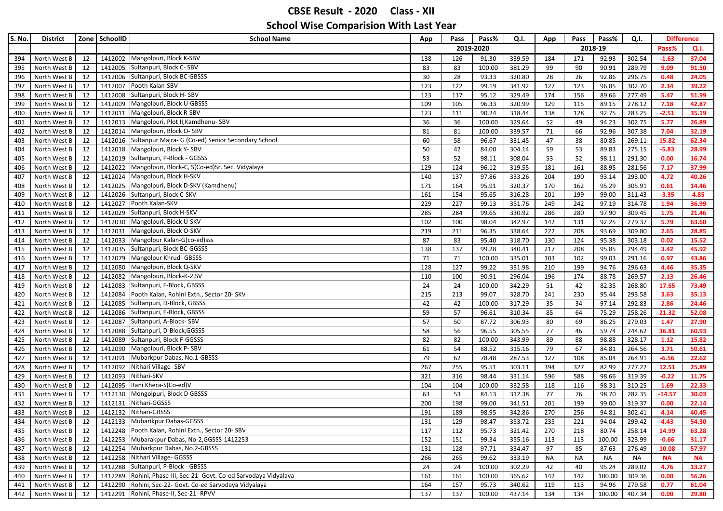| S. No.     | <b>District</b>              |          | Zone SchoolID      | <b>School Name</b>                                                 | App        | Pass       | Pass%           | Q.I.             | App        | Pass       | Pass%          | Q.I.             |                 | <b>Difference</b> |
|------------|------------------------------|----------|--------------------|--------------------------------------------------------------------|------------|------------|-----------------|------------------|------------|------------|----------------|------------------|-----------------|-------------------|
|            |                              |          |                    |                                                                    |            |            | 2019-2020       |                  |            |            | 2018-19        |                  | Pass%           | Q.I.              |
| 394        | North West B                 | 12       |                    | 1412002 Mangolpuri, Block K-SBV                                    | 138        | 126        | 91.30           | 339.59           | 184        | 171        | 92.93          | 302.54           | $-1.63$         | 37.04             |
| 395        | North West B                 | 12       |                    | 1412005 Sultanpuri, Block C-SBV                                    | 83         | 83         | 100.00          | 381.29           | 99         | 90         | 90.91          | 289.79           | 9.09            | 91.50             |
| 396        | North West B                 | 12       |                    | 1412006 Sultanpuri, Block BC-GBSSS                                 | 30         | 28         | 93.33           | 320.80           | 28         | 26         | 92.86          | 296.75           | 0.48            | 24.05             |
| 397        | North West B                 | 12       | 1412007            | Pooth Kalan-SBV                                                    | 123        | 122        | 99.19           | 341.92           | 127        | 123        | 96.85          | 302.70           | 2.34            | 39.22             |
| 398        | North West B                 | 12       | 1412008            | Sultanpuri, Block H-SBV                                            | 123        | 117        | 95.12           | 329.49           | 174        | 156        | 89.66          | 277.49           | 5.47            | 51.99             |
| 399        | North West B                 | 12       | 1412009            | Mangolpuri, Block U-GBSSS                                          | 109        | 105        | 96.33           | 320.99           | 129        | 115        | 89.15          | 278.12           | 7.18            | 42.87             |
| 400        | North West B                 | 12       | 1412011            | Mangolpuri, Block R-SBV                                            | 123        | 111        | 90.24           | 318.44           | 138        | 128        | 92.75          | 283.25           | $-2.51$         | 35.19             |
| 401        | North West B                 | 12       | 1412013            | Mangolpuri, Plot II, Kamdhenu-SBV                                  | 36         | 36         | 100.00          | 329.64           | 52         | 49         | 94.23          | 302.75           | 5.77            | 26.89             |
| 402        | North West B                 | 12       |                    | 1412014 Mangolpuri, Block O-SBV                                    | 81         | 81         | 100.00          | 339.57           | 71         | 66         | 92.96          | 307.38           | 7.04            | 32.19             |
| 403        | North West B                 | 12       |                    | 1412016 Sultanpur Majra- G (Co-ed) Senior Secondary School         | 60         | 58         | 96.67           | 331.45           | 47         | 38         | 80.85          | 269.11           | 15.82           | 62.34             |
| 404        | North West B                 | 12       |                    | 1412018 Mangolpuri, Block Y-SBV                                    | 50         | 42         | 84.00           | 304.14           | 59         | 53         | 89.83          | 275.15           | $-5.83$         | 28.99             |
| 405        | North West B                 | 12       |                    | 1412019 Sultanpuri, P-Block - GGSSS                                | 53         | 52         | 98.11           | 308.04           | 53         | 52         | 98.11          | 291.30           | 0.00            | 16.74             |
| 406        | North West B                 | 12       | 1412022            | Mangolpuri, Block-C, S(Co-ed)Sr. Sec. Vidyalaya                    | 129        | 124        | 96.12           | 319.55           | 181        | 161        | 88.95          | 281.56           | 7.17            | 37.99             |
| 407        | North West B                 | 12       | 1412024            | Mangolpuri, Block H-SKV                                            | 140        | 137        | 97.86           | 333.26           | 204        | 190        | 93.14          | 293.00           | 4.72            | 40.26             |
| 408        | North West B                 | 12       | 1412025            | Mangolpuri, Block D-SKV (Kamdhenu)                                 | 171        | 164        | 95.91           | 320.37           | 170        | 162        | 95.29          | 305.91           | 0.61            | 14.46             |
| 409        | North West B                 | 12       | 1412026            | Sultanpuri, Block C-SKV                                            | 161        | 154        | 95.65           | 316.28           | 201        | 199        | 99.00          | 311.43           | $-3.35$         | 4.85              |
| 410        | North West B                 | 12       | 1412027            | Pooth Kalan-SKV                                                    | 229        | 227        | 99.13           | 351.76           | 249        | 242        | 97.19          | 314.78           | 1.94            | 36.99             |
| 411        | North West B                 | 12       | 1412029            | Sultanpuri, Block H-SKV                                            | 285        | 284        | 99.65           | 330.92           | 286        | 280        | 97.90          | 309.45           | 1.75            | 21.46             |
| 412        | North West B                 | 12       |                    | 1412030 Mangolpuri, Block U-SKV                                    | 102        | 100        | 98.04           | 342.97           | 142        | 131        | 92.25          | 279.37           | 5.79            | 63.60             |
| 413        | North West B                 | 12       | 1412031            | Mangolpuri, Block O-SKV                                            | 219        | 211        | 96.35           | 338.64           | 222        | 208        | 93.69          | 309.80           | 2.65            | 28.85             |
| 414        | North West B                 | 12       | 1412033            | Mangolpur Kalan-G(co-ed)sss                                        | 87         | 83         | 95.40           | 318.70           | 130        | 124        | 95.38          | 303.18           | 0.02            | 15.52             |
| 415        | North West B                 | 12       | 1412035            | Sultanpuri, Block BC-GGSSS                                         | 138        | 137        | 99.28           | 340.41           | 217        | 208        | 95.85          | 294.49           | 3.42            | 45.92             |
| 416        | North West B                 | 12       | 1412079            | Mangolpur Khrud- GBSSS                                             | 71         | 71         | 100.00          | 335.01           | 103        | 102        | 99.03          | 291.16           | 0.97            | 43.86             |
| 417        | North West B                 | 12       | 1412080            | Mangolpuri, Block Q-SKV                                            | 128        | 127        | 99.22           | 331.98           | 210        | 199        | 94.76          | 296.63           | 4.46            | 35.35             |
| 418        | North West B                 | 12       | 1412082            | Mangolpuri, Block-K-2,SV                                           | 110        | 100        | 90.91           | 296.04           | 196        | 174        | 88.78          | 269.57           | 2.13            | 26.46             |
| 419        | North West B                 | 12       | 1412083            | Sultanpuri, F-Block, GBSSS                                         | 24         | 24         | 100.00          | 342.29           | 51         | 42         | 82.35          | 268.80           | 17.65           | 73.49             |
| 420        | North West B                 | 12       | 1412084            | Pooth Kalan, Rohini Extn., Sector 20- SKV                          | 215        | 213        | 99.07           | 328.70           | 241        | 230        | 95.44          | 293.58           | 3.63            | 35.13             |
| 421        | North West B                 | 12       | 1412085            | Sultanpuri, D-Block, GBSSS                                         | 42         | 42         | 100.00          | 317.29           | 35         | 34         | 97.14          | 292.83           | 2.86            | 24.46             |
| 422        | North West B                 | 12       | 1412086            | Sultanpuri, E-Block, GBSSS                                         | 59         | 57         | 96.61           | 310.34           | 85         | 64         | 75.29          | 258.26           | 21.32           | 52.08             |
| 423        | North West B                 | 12       | 1412087            | Sultanpuri, A-Block-SBV                                            | 57         | 50         | 87.72           | 306.93           | 80         | 69         | 86.25          | 279.03           | 1.47            | 27.90             |
| 424        | North West B                 | 12       | 1412088            | Sultanpuri, D-Block, GGSSS                                         | 58         | 56         | 96.55           | 305.55           | 77         | 46         | 59.74          | 244.62           | 36.81           | 60.93             |
| 425        | North West B                 | 12       |                    | 1412089 Sultanpuri, Block F-GGSSS                                  | 82         | 82         | 100.00          | 343.99           | 89         | 88         | 98.88          | 328.17           | 1.12            | 15.82             |
| 426        | North West B                 | 12       | 1412090            | Mangolpuri, Block P-SBV                                            | 61         | 54         | 88.52           | 315.16           | 79         | 67         | 84.81          | 264.56           | 3.71            | 50.61             |
| 427        | North West B                 | 12       | 1412091            | Mubarkpur Dabas, No.1-GBSSS                                        | 79         | 62         | 78.48           | 287.53           | 127        | 108        | 85.04          | 264.91           | $-6.56$         | 22.62             |
| 428        | North West B                 | 12       | 1412092            | Nithari Village-SBV<br>Nithari-SKV                                 | 267        | 255        | 95.51           | 303.11           | 394        | 327        | 82.99          | 277.22           | 12.51           | 25.89             |
| 429        | North West B                 | 12<br>12 | 1412093<br>1412095 | Rani Khera-S(Co-ed)V                                               | 321        | 316        | 98.44           | 331.14           | 596        | 588        | 98.66          | 319.39           | $-0.22$<br>1.69 | 11.75<br>22.33    |
| 430        | North West B<br>North West B | 12       | 1412130            | Mongolpuri, Block D GBSSS                                          | 104<br>63  | 104<br>53  | 100.00<br>84.13 | 332.58<br>312.38 | 118<br>77  | 116<br>76  | 98.31<br>98.70 | 310.25<br>282.35 | $-14.57$        | 30.03             |
| 431        |                              | 12       | 1412131            | Nithari-GGSSS                                                      | 200        | 198        | 99.00           | 341.51           | 201        | 199        | 99.00          | 319.37           | 0.00            | 22.14             |
| 432        | North West B<br>North West B | 12       |                    | 1412132 Nithari-GBSSS                                              | 191        | 189        | 98.95           | 342.86           | 270        | 256        | 94.81          | 302.41           | 4.14            | 40.45             |
| 433        | North West B                 |          |                    | 1412133 Mubarikpur Dabas-GGSSS                                     |            |            |                 |                  |            |            |                |                  |                 |                   |
| 434        | North West B                 | 12<br>12 |                    | 1412248 Pooth Kalan, Rohini Extn., Sector 20- SBV                  | 131<br>117 | 129<br>112 | 98.47<br>95.73  | 353.72<br>321.42 | 235<br>270 | 221<br>218 | 94.04<br>80.74 | 299.42<br>258.14 | 4.43<br>14.99   | 54.30<br>63.28    |
| 435        |                              | 12       |                    | 1412253 Mubarakpur Dabas, No-2, GGSSS-1412253                      | 152        | 151        |                 |                  |            |            | 100.00         |                  | $-0.66$         |                   |
| 436<br>437 | North West B<br>North West B | 12       |                    | 1412254 Mubarkpur Dabas, No.2-GBSSS                                | 131        | 128        | 99.34<br>97.71  | 355.16<br>334.47 | 113<br>97  | 113<br>85  | 87.63          | 323.99<br>276.49 | 10.08           | 31.17<br>57.97    |
| 438        | North West B                 | 12       |                    | 1412258 Nithari Village- GGSSS                                     | 266        | 265        | 99.62           | 333.19           | <b>NA</b>  | <b>NA</b>  | NA             | <b>NA</b>        | <b>NA</b>       | <b>NA</b>         |
| 439        | North West B                 | 12       |                    | 1412288 Sultanpuri, P-Block - GBSSS                                | 24         | 24         | 100.00          | 302.29           | 42         | 40         | 95.24          | 289.02           | 4.76            | 13.27             |
| 440        | North West B                 | 12       |                    | 1412289 Rohini, Phase-III, Sec-21- Govt. Co-ed Sarvodaya Vidyalaya | 161        | 161        | 100.00          | 365.62           | 142        | 142        | 100.00         | 309.36           | 0.00            | 56.26             |
| 441        | North West B                 | 12       |                    | 1412290 Rohini, Sec-22- Govt. Co-ed Sarvodaya Vidyalaya            | 164        | 157        | 95.73           | 340.62           | 119        | 113        | 94.96          | 279.58           | 0.77            | 61.04             |
|            | 442 North West B             | 12       |                    | 1412291 Rohini, Phase-II, Sec-21- RPVV                             | 137        | 137        | 100.00          | 437.14           | 134        | 134        | 100.00         | 407.34           | 0.00            | 29.80             |
|            |                              |          |                    |                                                                    |            |            |                 |                  |            |            |                |                  |                 |                   |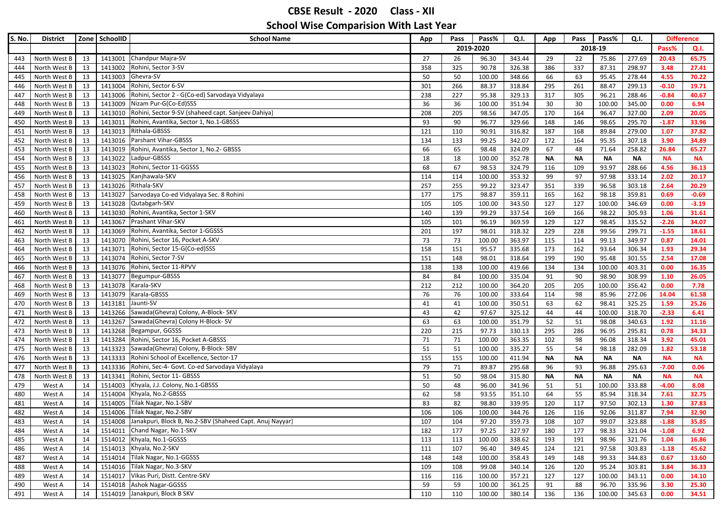| S. No.     | <b>District</b>  |          | Zone SchoolID      | <b>School Name</b>                                                                               | App      | Pass     | Pass%          | Q.I.             | App       | Pass      | Pass%               | Q.I.                |                      | <b>Difference</b> |
|------------|------------------|----------|--------------------|--------------------------------------------------------------------------------------------------|----------|----------|----------------|------------------|-----------|-----------|---------------------|---------------------|----------------------|-------------------|
|            |                  |          |                    |                                                                                                  |          |          | 2019-2020      |                  |           |           | 2018-19             |                     | Pass%                | Q.I.              |
| 443        | North West B     | 13       | 1413001            | Chandpur Majra-SV                                                                                | 27       | 26       | 96.30          | 343.44           | 29        | 22        | 75.86               | 277.69              | 20.43                | 65.75             |
| 444        | North West B     | 13       | 1413002            | Rohini, Sector 3-SV                                                                              | 358      | 325      | 90.78          | 326.38           | 386       | 337       | 87.31               | 298.97              | 3.48                 | 27.41             |
| 445        | North West B     | 13       | 1413003            | Ghevra-SV                                                                                        | 50       | 50       | 100.00         | 348.66           | 66        | 63        | 95.45               | 278.44              | 4.55                 | 70.22             |
| 446        | North West B     | 13       | 1413004            | Rohini, Sector 6-SV                                                                              | 301      | 266      | 88.37          | 318.84           | 295       | 261       | 88.47               | 299.13              | $-0.10$              | 19.71             |
| 447        | North West B     | 13       | 1413006            | Rohini, Sector 2 - G(Co-ed) Sarvodaya Vidyalaya                                                  | 238      | 227      | 95.38          | 329.13           | 317       | 305       | 96.21               | 288.46              | $-0.84$              | 40.67             |
| 448        | North West B     | 13       | 1413009            | Nizam Pur-G(Co-Ed)SSS                                                                            | 36       | 36       | 100.00         | 351.94           | 30        | 30        | 100.00              | 345.00              | 0.00                 | 6.94              |
| 449        | North West B     | 13       | 1413010            | Rohini, Sector 9-SV (shaheed capt. Sanjeev Dahiya)                                               | 208      | 205      | 98.56          | 347.05           | 170       | 164       | 96.47               | 327.00              | 2.09                 | 20.05             |
| 450        | North West B     | 13       | 1413011            | Rohini, Avantika, Sector 1, No.1-GBSSS                                                           | 93       | 90       | 96.77          | 329.66           | 148       | 146       | 98.65               | 295.70              | $-1.87$              | 33.96             |
| 451        | North West B     | 13       | 1413013            | Rithala-GBSSS                                                                                    | 121      | 110      | 90.91          | 316.82           | 187       | 168       | 89.84               | 279.00              | 1.07                 | 37.82             |
| 452        | North West B     | 13       |                    | 1413016 Parshant Vihar-GBSSS                                                                     | 134      | 133      | 99.25          | 342.07           | 172       | 164       | 95.35               | 307.18              | 3.90                 | 34.89             |
| 453        | North West B     | 13       | 1413019            | Rohini, Avantika, Sector 1, No.2- GBSSS                                                          | 66       | 65       | 98.48          | 324.09           | 67        | 48        | 71.64               | 258.82              | 26.84                | 65.27             |
| 454        | North West B     | 13       | 1413022            | Ladpur-GBSSS                                                                                     | 18       | 18       | 100.00         | 352.78           | <b>NA</b> | <b>NA</b> | <b>NA</b>           | <b>NA</b>           | <b>NA</b>            | <b>NA</b>         |
| 455        | North West B     | 13       | 1413023            | Rohini, Sector 11-GGSSS                                                                          | 68       | 67       | 98.53          | 324.79           | 116       | 109       | 93.97               | 288.66              | 4.56                 | 36.13             |
| 456        | North West B     | 13       | 1413025            | Kanjhawala-SKV                                                                                   | 114      | 114      | 100.00         | 353.32           | 99        | 97        | 97.98               | 333.14              | 2.02                 | 20.17             |
| 457        | North West B     | 13       | 1413026            | Rithala-SKV                                                                                      | 257      | 255      | 99.22          | 323.47           | 351       | 339       | 96.58               | 303.18              | 2.64                 | 20.29             |
| 458        | North West B     | 13       | 1413027            | Sarvodaya Co-ed Vidyalaya Sec. 8 Rohini                                                          | 177      | 175      | 98.87          | 359.11           | 165       | 162       | 98.18               | 359.81              | 0.69                 | $-0.69$           |
| 459        | North West B     | 13       | 1413028            | Qutabgarh-SKV                                                                                    | 105      | 105      | 100.00         | 343.50           | 127       | 127       | 100.00              | 346.69              | 0.00                 | $-3.19$           |
| 460        | North West B     | 13       | 1413030            | Rohini, Avantika, Sector 1-SKV                                                                   | 140      | 139      | 99.29          | 337.54           | 169       | 166       | 98.22               | 305.93              | 1.06                 | 31.61             |
| 461        | North West B     | 13       | 1413067            | Prashant Vihar-SKV                                                                               | 105      | 101      | 96.19          | 369.59           | 129       | 127       | 98.45               | 335.52              | $-2.26$              | 34.07             |
| 462        | North West B     | 13       | 1413069            | Rohini, Avantika, Sector 1-GGSSS                                                                 | 201      | 197      | 98.01          | 318.32           | 229       | 228       | 99.56               | 299.71              | $-1.55$              | 18.61             |
| 463        | North West B     | 13       | 1413070            | Rohini, Sector 16, Pocket A-SKV                                                                  | 73       | 73       | 100.00         | 363.97           | 115       | 114       | 99.13               | 349.97              | 0.87                 | 14.01             |
| 464        | North West B     | 13       | 1413071            | Rohini, Sector 15-G(Co-ed)SSS                                                                    | 158      | 151      | 95.57          | 335.68           | 173       | 162       | 93.64               | 306.34              | 1.93                 | 29.34             |
| 465        | North West B     | 13       | 1413074            | Rohini, Sector 7-SV                                                                              | 151      | 148      | 98.01          | 318.64           | 199       | 190       | 95.48               | 301.55              | 2.54                 | 17.08             |
| 466        | North West B     | 13       | 1413076            | Rohini, Sector 11-RPVV                                                                           | 138      | 138      | 100.00         | 419.66           | 134       | 134       | 100.00              | 403.31              | 0.00                 | 16.35             |
| 467        | North West B     | 13       | 1413077            | Begumpur-GBSSS                                                                                   | 84       | 84       | 100.00         | 335.04           | 91        | 90        | 98.90               | 308.99              | 1.10                 | 26.05             |
| 468        | North West B     | 13       | 1413078            | Karala-SKV                                                                                       | 212      | 212      | 100.00         | 364.20           | 205       | 205       | 100.00              | 356.42              | 0.00                 | 7.78              |
| 469        | North West B     | 13       | 1413079            | Karala-GBSSS                                                                                     | 76       | 76       | 100.00         | 333.64           | 114       | 98        | 85.96               | 272.06              | 14.04                | 61.58             |
| 470        | North West B     | 13       | 1413181            | Jaunti-SV                                                                                        | 41       | 41       | 100.00         | 350.51           | 63        | 62        | 98.41               | 325.25              | 1.59                 | 25.26             |
| 471        | North West B     | 13       | 1413266            | Sawada(Ghevra) Colony, A-Block- SKV                                                              | 43       | 42       | 97.67          | 325.12           | 44        | 44        | 100.00              | 318.70              | $-2.33$              | 6.41              |
| 472        | North West B     | 13       | 1413267            | Sawada(Ghevra) Colony H-Block-SV                                                                 | 63       | 63       | 100.00         | 351.79           | 52        | 51        | 98.08               | 340.63              | 1.92                 | 11.16             |
| 473        | North West B     | 13       |                    | 1413268 Begampur, GGSSS                                                                          | 220      | 215      | 97.73          | 330.13           | 295       | 286       | 96.95               | 295.81              | 0.78                 | 34.33             |
| 474        | North West B     | 13       | 1413284            | Rohini, Sector 16, Pocket A-GBSSS                                                                | 71       | 71       | 100.00         | 363.35           | 102       | 98        | 96.08               | 318.34              | 3.92                 | 45.01             |
| 475        | North West B     | 13       | 1413323            | Sawada(Ghevra) Colony, B-Block-SBV                                                               | 51       | 51       | 100.00         | 335.27           | 55        | 54        | 98.18               | 282.09              | 1.82                 | 53.18             |
| 476        | North West B     | 13       | 1413333            | Rohini School of Excellence, Sector-17<br>1413336 Rohini, Sec-4- Govt. Co-ed Sarvodaya Vidyalaya | 155      | 155      | 100.00         | 411.94           | <b>NA</b> | <b>NA</b> | <b>NA</b>           | <b>NA</b>           | <b>NA</b><br>$-7.00$ | <b>NA</b>         |
| 477        | North West B     | 13       |                    | Rohini, Sector 11- GBSSS                                                                         | 79       | 71       | 89.87<br>98.04 | 295.68           | 96        | 93        | 96.88               | 295.63              |                      | 0.06              |
| 478        | North West B     | 13<br>14 | 1413341<br>1514003 | Khyala, J.J. Colony, No.1-GBSSS                                                                  | 51       | 50<br>48 | 96.00          | 315.80<br>341.96 | <b>NA</b> | <b>NA</b> | <b>NA</b><br>100.00 | <b>NA</b><br>333.88 | <b>NA</b><br>$-4.00$ | <b>NA</b><br>8.08 |
| 479<br>480 | West A           | 14       | 1514004            | Khyala, No.2-GBSSS                                                                               | 50<br>62 | 58       | 93.55          | 351.10           | 51<br>64  | 51<br>55  | 85.94               | 318.34              | 7.61                 | 32.75             |
| 481        | West A<br>West A | 14       | 1514005            | Tilak Nagar, No.1-SBV                                                                            | 83       | 82       | 98.80          | 339.95           | 120       | 117       | 97.50               | 302.13              | 1.30                 | 37.83             |
| 482        | West A           | 14       |                    | 1514006 Tilak Nagar, No.2-SBV                                                                    | 106      | 106      | 100.00         | 344.76           | 126       | 116       | 92.06               | 311.87              | 7.94                 | 32.90             |
| 483        | West A           | 14       |                    | 1514008 Janakpuri, Block B, No.2-SBV (Shaheed Capt. Anuj Nayyar)                                 | 107      | 104      | 97.20          | 359.73           | 108       | 107       | 99.07               | 323.88              | $-1.88$              | 35.85             |
| 484        | West A           | 14       |                    | 1514011 Chand Nagar, No.1-SKV                                                                    | 182      | 177      | 97.25          | 327.97           | 180       | 177       | 98.33               | 321.04              | $-1.08$              | 6.92              |
| 485        | West A           | 14       |                    | 1514012 Khyala, No.1-GGSSS                                                                       | 113      | 113      | 100.00         | 338.62           | 193       | 191       | 98.96               | 321.76              | 1.04                 | 16.86             |
| 486        | West A           | 14       |                    | 1514013 Khyala, No.2-SKV                                                                         | 111      | 107      | 96.40          | 349.45           | 124       | 121       | 97.58               | 303.83              | $-1.18$              | 45.62             |
| 487        | West A           | 14       |                    | 1514014 Tilak Nagar, No.1-GGSSS                                                                  | 148      | 148      | 100.00         | 358.43           | 149       | 148       | 99.33               | 344.83              | 0.67                 | 13.60             |
| 488        | West A           | 14       |                    | 1514016 Tilak Nagar, No.3-SKV                                                                    | 109      | 108      | 99.08          | 340.14           | 126       | 120       | 95.24               | 303.81              | 3.84                 | 36.33             |
| 489        | West A           | 14       |                    | 1514017 Vikas Puri, Distt. Centre-SKV                                                            | 116      | 116      | 100.00         | 357.21           | 127       | 127       | 100.00              | 343.11              | 0.00                 | 14.10             |
| 490        | West A           | 14       |                    | 1514018 Ashok Nagar-GGSSS                                                                        | 59       | 59       | 100.00         | 361.25           | 91        | 88        | 96.70               | 335.96              | 3.30                 | 25.30             |
| 491        | West A           | 14       |                    | 1514019 Janakpuri, Block B SKV                                                                   | 110      | 110      | 100.00         | 380.14           | 136       | 136       | 100.00              | 345.63              | 0.00                 | 34.51             |
|            |                  |          |                    |                                                                                                  |          |          |                |                  |           |           |                     |                     |                      |                   |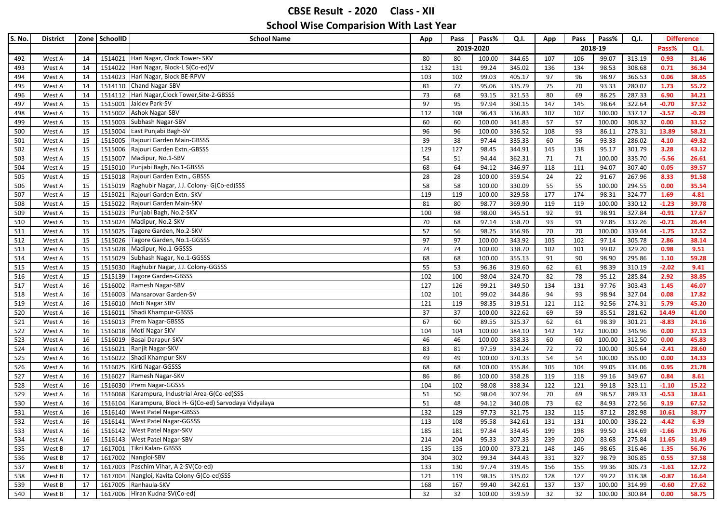| S. No. | <b>District</b> |    | Zone SchoolID | <b>School Name</b>                               | App | Pass      | Pass%  | Q.I.   | App | Pass | Pass%   | Q.I.   | <b>Difference</b> |         |
|--------|-----------------|----|---------------|--------------------------------------------------|-----|-----------|--------|--------|-----|------|---------|--------|-------------------|---------|
|        |                 |    |               |                                                  |     | 2019-2020 |        |        |     |      | 2018-19 |        | Pass%             | Q.I.    |
| 492    | West A          | 14 | 1514021       | Hari Nagar, Clock Tower- SKV                     | 80  | 80        | 100.00 | 344.65 | 107 | 106  | 99.07   | 313.19 | 0.93              | 31.46   |
| 493    | West A          | 14 |               | 1514022 Hari Nagar, Block-L S(Co-ed)V            | 132 | 131       | 99.24  | 345.02 | 136 | 134  | 98.53   | 308.68 | 0.71              | 36.34   |
| 494    | West A          | 14 | 1514023       | Hari Nagar, Block BE-RPVV                        | 103 | 102       | 99.03  | 405.17 | 97  | 96   | 98.97   | 366.53 | 0.06              | 38.65   |
| 495    | West A          | 14 |               | 1514110 Chand Nagar-SBV                          | 81  | 77        | 95.06  | 335.79 | 75  | 70   | 93.33   | 280.07 | 1.73              | 55.72   |
| 496    | West A          | 14 |               | 1514112 Hari Nagar, Clock Tower, Site-2-GBSSS    | 73  | 68        | 93.15  | 321.53 | 80  | 69   | 86.25   | 287.33 | 6.90              | 34.21   |
| 497    | West A          | 15 | 1515001       | Jaidev Park-SV                                   | 97  | 95        | 97.94  | 360.15 | 147 | 145  | 98.64   | 322.64 | $-0.70$           | 37.52   |
| 498    | West A          | 15 | 1515002       | <b>Ashok Nagar-SBV</b>                           | 112 | 108       | 96.43  | 336.83 | 107 | 107  | 100.00  | 337.12 | $-3.57$           | $-0.29$ |
| 499    | West A          | 15 | 1515003       | Subhash Nagar-SBV                                | 60  | 60        | 100.00 | 341.83 | 57  | 57   | 100.00  | 308.32 | 0.00              | 33.52   |
| 500    | West A          | 15 | 1515004       | East Punjabi Bagh-SV                             | 96  | 96        | 100.00 | 336.52 | 108 | 93   | 86.11   | 278.31 | 13.89             | 58.21   |
| 501    | West A          | 15 | 1515005       | Rajouri Garden Main-GBSSS                        | 39  | 38        | 97.44  | 335.33 | 60  | 56   | 93.33   | 286.02 | 4.10              | 49.32   |
| 502    | West A          | 15 | 1515006       | Rajouri Garden Extn.-GBSSS                       | 129 | 127       | 98.45  | 344.91 | 145 | 138  | 95.17   | 301.79 | 3.28              | 43.12   |
| 503    | West A          | 15 | 1515007       | Madipur, No.1-SBV                                | 54  | 51        | 94.44  | 362.31 | 71  | 71   | 100.00  | 335.70 | $-5.56$           | 26.61   |
| 504    | West A          | 15 | 1515010       | Punjabi Bagh, No.1-GBSSS                         | 68  | 64        | 94.12  | 346.97 | 118 | 111  | 94.07   | 307.40 | 0.05              | 39.57   |
| 505    | West A          | 15 | 1515018       | Rajouri Garden Extn., GBSSS                      | 28  | 28        | 100.00 | 359.54 | 24  | 22   | 91.67   | 267.96 | 8.33              | 91.58   |
| 506    | West A          | 15 | 1515019       | Raghubir Nagar, J.J. Colony- G(Co-ed)SSS         | 58  | 58        | 100.00 | 330.09 | 55  | 55   | 100.00  | 294.55 | 0.00              | 35.54   |
| 507    | West A          | 15 | 1515021       | Rajouri Garden Extn.-SKV                         | 119 | 119       | 100.00 | 329.58 | 177 | 174  | 98.31   | 324.77 | 1.69              | 4.81    |
| 508    | West A          | 15 | 1515022       | Rajouri Garden Main-SKV                          | 81  | 80        | 98.77  | 369.90 | 119 | 119  | 100.00  | 330.12 | $-1.23$           | 39.78   |
| 509    | West A          | 15 | 1515023       | Punjabi Bagh, No.2-SKV                           | 100 | 98        | 98.00  | 345.51 | 92  | 91   | 98.91   | 327.84 | $-0.91$           | 17.67   |
| 510    | West A          | 15 | 1515024       | Madipur, No.2-SKV                                | 70  | 68        | 97.14  | 358.70 | 93  | 91   | 97.85   | 332.26 | $-0.71$           | 26.44   |
| 511    | West A          | 15 | 1515025       | Tagore Garden, No.2-SKV                          | 57  | 56        | 98.25  | 356.96 | 70  | 70   | 100.00  | 339.44 | $-1.75$           | 17.52   |
| 512    | West A          | 15 | 1515026       | Tagore Garden, No.1-GGSSS                        | 97  | 97        | 100.00 | 343.92 | 105 | 102  | 97.14   | 305.78 | 2.86              | 38.14   |
| 513    | West A          | 15 | 1515028       | Madipur, No.1-GGSSS                              | 74  | 74        | 100.00 | 338.70 | 102 | 101  | 99.02   | 329.20 | 0.98              | 9.51    |
| 514    | West A          | 15 | 1515029       | Subhash Nagar, No.1-GGSSS                        | 68  | 68        | 100.00 | 355.13 | 91  | 90   | 98.90   | 295.86 | 1.10              | 59.28   |
| 515    | West A          | 15 | 1515030       | Raghubir Nagar, J.J. Colony-GGSSS                | 55  | 53        | 96.36  | 319.60 | 62  | 61   | 98.39   | 310.19 | $-2.02$           | 9.41    |
| 516    | West A          | 15 | 1515139       | Tagore Garden-GBSSS                              | 102 | 100       | 98.04  | 324.70 | 82  | 78   | 95.12   | 285.84 | 2.92              | 38.85   |
| 517    | West A          | 16 | 1516002       | Ramesh Nagar-SBV                                 | 127 | 126       | 99.21  | 349.50 | 134 | 131  | 97.76   | 303.43 | 1.45              | 46.07   |
| 518    | West A          | 16 |               | 1516003 Mansarovar Garden-SV                     | 102 | 101       | 99.02  | 344.86 | 94  | 93   | 98.94   | 327.04 | 0.08              | 17.82   |
| 519    | West A          | 16 | 1516010       | Moti Nagar SBV                                   | 121 | 119       | 98.35  | 319.51 | 121 | 112  | 92.56   | 274.31 | 5.79              | 45.20   |
| 520    | West A          | 16 | 1516011       | Shadi Khampur-GBSSS                              | 37  | 37        | 100.00 | 322.62 | 69  | 59   | 85.51   | 281.62 | 14.49             | 41.00   |
| 521    | West A          | 16 | 1516013       | Prem Nagar-GBSSS                                 | 67  | 60        | 89.55  | 325.37 | 62  | 61   | 98.39   | 301.21 | $-8.83$           | 24.16   |
| 522    | West A          | 16 |               | 1516018 Moti Nagar SKV                           | 104 | 104       | 100.00 | 384.10 | 142 | 142  | 100.00  | 346.96 | 0.00              | 37.13   |
| 523    | West A          | 16 | 1516019       | Basai Darapur-SKV                                | 46  | 46        | 100.00 | 358.33 | 60  | 60   | 100.00  | 312.50 | 0.00              | 45.83   |
| 524    | West A          | 16 | 1516021       | Ranjit Nagar-SKV                                 | 83  | 81        | 97.59  | 334.24 | 72  | 72   | 100.00  | 305.64 | $-2.41$           | 28.60   |
| 525    | West A          | 16 |               | 1516022 Shadi Khampur-SKV                        | 49  | 49        | 100.00 | 370.33 | 54  | 54   | 100.00  | 356.00 | 0.00              | 14.33   |
| 526    | West A          | 16 |               | 1516025 Kirti Nagar-GGSSS                        | 68  | 68        | 100.00 | 355.84 | 105 | 104  | 99.05   | 334.06 | 0.95              | 21.78   |
| 527    | West A          | 16 | 1516027       | Ramesh Nagar-SKV                                 | 86  | 86        | 100.00 | 358.28 | 119 | 118  | 99.16   | 349.67 | 0.84              | 8.61    |
| 528    | West A          | 16 | 1516030       | Prem Nagar-GGSSS                                 | 104 | 102       | 98.08  | 338.34 | 122 | 121  | 99.18   | 323.11 | $-1.10$           | 15.22   |
| 529    | West A          | 16 | 1516068       | Karampura, Industrial Area-G(Co-ed)SSS           | 51  | 50        | 98.04  | 307.94 | 70  | 69   | 98.57   | 289.33 | $-0.53$           | 18.61   |
| 530    | West A          | 16 | 1516104       | Karampura, Block H- G(Co-ed) Sarvodaya Vidyalaya | 51  | 48        | 94.12  | 340.08 | 73  | 62   | 84.93   | 272.56 | 9.19              | 67.52   |
| 531    | West A          | 16 |               | 1516140 West Patel Nagar-GBSSS                   | 132 | 129       | 97.73  | 321.75 | 132 | 115  | 87.12   | 282.98 | 10.61             | 38.77   |
| 532    | West A          | 16 |               | 1516141 West Patel Nagar-GGSSS                   | 113 | 108       | 95.58  | 342.61 | 131 | 131  | 100.00  | 336.22 | $-4.42$           | 6.39    |
| 533    | West A          | 16 |               | 1516142 West Patel Nagar-SKV                     | 185 | 181       | 97.84  | 334.45 | 199 | 198  | 99.50   | 314.69 | $-1.66$           | 19.76   |
| 534    | West A          | 16 |               | 1516143 West Patel Nagar-SBV                     | 214 | 204       | 95.33  | 307.33 | 239 | 200  | 83.68   | 275.84 | 11.65             | 31.49   |
| 535    | West B          | 17 |               | 1617001 Tikri Kalan- GBSSS                       | 135 | 135       | 100.00 | 373.21 | 148 | 146  | 98.65   | 316.46 | 1.35              | 56.76   |
| 536    | West B          | 17 |               | 1617002 Nangloi-SBV                              | 304 | 302       | 99.34  | 344.43 | 331 | 327  | 98.79   | 306.85 | 0.55              | 37.58   |
| 537    | West B          | 17 |               | 1617003 Paschim Vihar, A 2-SV(Co-ed)             | 133 | 130       | 97.74  | 319.45 | 156 | 155  | 99.36   | 306.73 | $-1.61$           | 12.72   |
| 538    | West B          | 17 |               | 1617004 Nangloi, Kavita Colony-G(Co-ed)SSS       | 121 | 119       | 98.35  | 335.02 | 128 | 127  | 99.22   | 318.38 | $-0.87$           | 16.64   |
| 539    | West B          | 17 |               | 1617005 Ranhaula-SKV                             | 168 | 167       | 99.40  | 342.61 | 137 | 137  | 100.00  | 314.99 | $-0.60$           | 27.62   |
| 540    | West B          | 17 |               | 1617006 Hiran Kudna-SV(Co-ed)                    | 32  | 32        | 100.00 | 359.59 | 32  | 32   | 100.00  | 300.84 | 0.00              | 58.75   |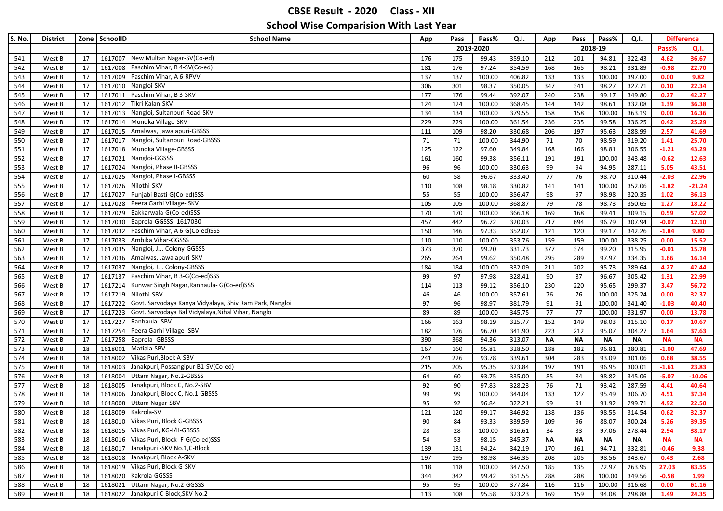| S. No. | <b>District</b> |    | Zone SchoolID | <b>School Name</b>                                      | App | Pass | Pass%     | Q.I.   | App       | Pass      | Pass%     | Q.I.      | <b>Difference</b> |           |
|--------|-----------------|----|---------------|---------------------------------------------------------|-----|------|-----------|--------|-----------|-----------|-----------|-----------|-------------------|-----------|
|        |                 |    |               |                                                         |     |      | 2019-2020 |        |           |           | 2018-19   |           | Pass%             | Q.I.      |
| 541    | West B          | 17 |               | 1617007 New Multan Nagar-SV(Co-ed)                      | 176 | 175  | 99.43     | 359.10 | 212       | 201       | 94.81     | 322.43    | 4.62              | 36.67     |
| 542    | West B          | 17 |               | 1617008 Paschim Vihar, B 4-SV(Co-ed)                    | 181 | 176  | 97.24     | 354.59 | 168       | 165       | 98.21     | 331.89    | $-0.98$           | 22.70     |
| 543    | West B          | 17 | 1617009       | Paschim Vihar, A 6-RPVV                                 | 137 | 137  | 100.00    | 406.82 | 133       | 133       | 100.00    | 397.00    | 0.00              | 9.82      |
| 544    | West B          | 17 |               | 1617010 Nangloi-SKV                                     | 306 | 301  | 98.37     | 350.05 | 347       | 341       | 98.27     | 327.71    | 0.10              | 22.34     |
| 545    | West B          | 17 | 1617011       | Paschim Vihar, B 3-SKV                                  | 177 | 176  | 99.44     | 392.07 | 240       | 238       | 99.17     | 349.80    | 0.27              | 42.27     |
| 546    | West B          | 17 |               | 1617012 Tikri Kalan-SKV                                 | 124 | 124  | 100.00    | 368.45 | 144       | 142       | 98.61     | 332.08    | 1.39              | 36.38     |
| 547    | West B          | 17 |               | 1617013 Nangloi, Sultanpuri Road-SKV                    | 134 | 134  | 100.00    | 379.55 | 158       | 158       | 100.00    | 363.19    | 0.00              | 16.36     |
| 548    | West B          | 17 |               | 1617014 Mundka Village-SKV                              | 229 | 229  | 100.00    | 361.54 | 236       | 235       | 99.58     | 336.25    | 0.42              | 25.29     |
| 549    | West B          | 17 |               | 1617015 Amalwas, Jawalapuri-GBSSS                       | 111 | 109  | 98.20     | 330.68 | 206       | 197       | 95.63     | 288.99    | 2.57              | 41.69     |
| 550    | West B          | 17 |               | 1617017 Nangloi, Sultanpuri Road-GBSSS                  | 71  | 71   | 100.00    | 344.90 | 71        | 70        | 98.59     | 319.20    | 1.41              | 25.70     |
| 551    | West B          | 17 |               | 1617018 Mundka Village-GBSSS                            | 125 | 122  | 97.60     | 349.84 | 168       | 166       | 98.81     | 306.55    | $-1.21$           | 43.29     |
| 552    | West B          | 17 | 1617021       | Nangloi-GGSSS                                           | 161 | 160  | 99.38     | 356.11 | 191       | 191       | 100.00    | 343.48    | $-0.62$           | 12.63     |
| 553    | West B          | 17 | 1617024       | Nangloi, Phase II-GBSSS                                 | 96  | 96   | 100.00    | 330.63 | 99        | 94        | 94.95     | 287.11    | 5.05              | 43.51     |
| 554    | West B          | 17 | 1617025       | Nangloi, Phase I-GBSSS                                  | 60  | 58   | 96.67     | 333.40 | 77        | 76        | 98.70     | 310.44    | $-2.03$           | 22.96     |
| 555    | West B          | 17 |               | 1617026 Nilothi-SKV                                     | 110 | 108  | 98.18     | 330.82 | 141       | 141       | 100.00    | 352.06    | $-1.82$           | $-21.24$  |
| 556    | West B          | 17 | 1617027       | Punjabi Basti-G(Co-ed)SSS                               | 55  | 55   | 100.00    | 356.47 | 98        | 97        | 98.98     | 320.35    | 1.02              | 36.13     |
| 557    | West B          | 17 | 1617028       | Peera Garhi Village- SKV                                | 105 | 105  | 100.00    | 368.87 | 79        | 78        | 98.73     | 350.65    | 1.27              | 18.22     |
| 558    | West B          | 17 | 1617029       | Bakkarwala-G(Co-ed)SSS                                  | 170 | 170  | 100.00    | 366.18 | 169       | 168       | 99.41     | 309.15    | 0.59              | 57.02     |
| 559    | West B          | 17 |               | 1617030 Baprola-GGSSS- 1617030                          | 457 | 442  | 96.72     | 320.03 | 717       | 694       | 96.79     | 307.94    | $-0.07$           | 12.10     |
| 560    | West B          | 17 | 1617032       | Paschim Vihar, A 6-G(Co-ed)SSS                          | 150 | 146  | 97.33     | 352.07 | 121       | 120       | 99.17     | 342.26    | $-1.84$           | 9.80      |
| 561    | West B          | 17 |               | 1617033 Ambika Vihar-GGSSS                              | 110 | 110  | 100.00    | 353.76 | 159       | 159       | 100.00    | 338.25    | 0.00              | 15.52     |
| 562    | West B          | 17 |               | 1617035 Nangloi, J.J. Colony-GGSSS                      | 373 | 370  | 99.20     | 331.73 | 377       | 374       | 99.20     | 315.95    | $-0.01$           | 15.78     |
| 563    | West B          | 17 |               | 1617036 Amalwas, Jawalapuri-SKV                         | 265 | 264  | 99.62     | 350.48 | 295       | 289       | 97.97     | 334.35    | 1.66              | 16.14     |
| 564    | West B          | 17 |               | 1617037 Nangloi, J.J. Colony-GBSSS                      | 184 | 184  | 100.00    | 332.09 | 211       | 202       | 95.73     | 289.64    | 4.27              | 42.44     |
| 565    | West B          | 17 |               | 1617137 Paschim Vihar, B 3-G(Co-ed)SSS                  | 99  | 97   | 97.98     | 328.41 | 90        | 87        | 96.67     | 305.42    | 1.31              | 22.99     |
| 566    | West B          | 17 |               | 1617214   Kunwar Singh Nagar, Ranhaula- G(Co-ed)SSS     | 114 | 113  | 99.12     | 356.10 | 230       | 220       | 95.65     | 299.37    | 3.47              | 56.72     |
| 567    | West B          | 17 |               | 1617219 Nilothi-SBV                                     | 46  | 46   | 100.00    | 357.61 | 76        | 76        | 100.00    | 325.24    | 0.00              | 32.37     |
| 568    | West B          | 17 | 1617222       | Govt. Sarvodaya Kanya Vidyalaya, Shiv Ram Park, Nangloi | 97  | 96   | 98.97     | 381.79 | 91        | 91        | 100.00    | 341.40    | $-1.03$           | 40.40     |
| 569    | West B          | 17 | 1617223       | Govt. Sarvodaya Bal Vidyalaya, Nihal Vihar, Nangloi     | 89  | 89   | 100.00    | 345.75 | 77        | 77        | 100.00    | 331.97    | 0.00              | 13.78     |
| 570    | West B          | 17 | 1617227       | Ranhaula-SBV                                            | 166 | 163  | 98.19     | 325.77 | 152       | 149       | 98.03     | 315.10    | 0.17              | 10.67     |
| 571    | West B          | 17 |               | 1617254 Peera Garhi Village- SBV                        | 182 | 176  | 96.70     | 341.90 | 223       | 212       | 95.07     | 304.27    | 1.64              | 37.63     |
| 572    | West B          | 17 |               | 1617258 Baprola- GBSSS                                  | 390 | 368  | 94.36     | 313.07 | <b>NA</b> | <b>NA</b> | <b>NA</b> | <b>NA</b> | <b>NA</b>         | <b>NA</b> |
| 573    | West B          | 18 | 1618001       | Matiala-SBV                                             | 167 | 160  | 95.81     | 328.50 | 188       | 182       | 96.81     | 280.81    | $-1.00$           | 47.69     |
| 574    | West B          | 18 | 1618002       | Vikas Puri, Block A-SBV                                 | 241 | 226  | 93.78     | 339.61 | 304       | 283       | 93.09     | 301.06    | 0.68              | 38.55     |
| 575    | West B          | 18 | 1618003       | Janakpuri, Possangipur B1-SV(Co-ed)                     | 215 | 205  | 95.35     | 323.84 | 197       | 191       | 96.95     | 300.01    | $-1.61$           | 23.83     |
| 576    | West B          | 18 | 1618004       | Uttam Nagar, No.2-GBSSS                                 | 64  | 60   | 93.75     | 335.00 | 85        | 84        | 98.82     | 345.06    | $-5.07$           | $-10.06$  |
| 577    | West B          | 18 | 1618005       | Janakpuri, Block C, No.2-SBV                            | 92  | 90   | 97.83     | 328.23 | 76        | 71        | 93.42     | 287.59    | 4.41              | 40.64     |
| 578    | West B          | 18 | 1618006       | Janakpuri, Block C, No.1-GBSSS                          | 99  | 99   | 100.00    | 344.04 | 133       | 127       | 95.49     | 306.70    | 4.51              | 37.34     |
| 579    | West B          | 18 | 1618008       | <b>Uttam Nagar-SBV</b>                                  | 95  | 92   | 96.84     | 322.21 | 99        | 91        | 91.92     | 299.71    | 4.92              | 22.50     |
| 580    | West B          | 18 | 1618009       | Kakrola-SV                                              | 121 | 120  | 99.17     | 346.92 | 138       | 136       | 98.55     | 314.54    | 0.62              | 32.37     |
| 581    | West B          | 18 |               | 1618010 Vikas Puri, Block G-GBSSS                       | 90  | 84   | 93.33     | 339.59 | 109       | 96        | 88.07     | 300.24    | 5.26              | 39.35     |
| 582    | West B          | 18 |               | 1618015 Vikas Puri, KG-I/II-GBSSS                       | 28  | 28   | 100.00    | 316.61 | 34        | 33        | 97.06     | 278.44    | 2.94              | 38.17     |
| 583    | West B          | 18 |               | 1618016 Vikas Puri, Block- F-G(Co-ed)SSS                | 54  | 53   | 98.15     | 345.37 | ΝΑ        | NΑ        | NΑ        | NΑ        | <b>NA</b>         | <b>NA</b> |
| 584    | West B          | 18 |               | 1618017 Janakpuri - SKV No.1, C-Block                   | 139 | 131  | 94.24     | 342.19 | 170       | 161       | 94.71     | 332.81    | $-0.46$           | 9.38      |
| 585    | West B          | 18 |               | 1618018 Janakpuri, Block A-SKV                          | 197 | 195  | 98.98     | 346.35 | 208       | 205       | 98.56     | 343.67    | 0.43              | 2.68      |
| 586    | West B          | 18 |               | 1618019 Vikas Puri, Block G-SKV                         | 118 | 118  | 100.00    | 347.50 | 185       | 135       | 72.97     | 263.95    | 27.03             | 83.55     |
| 587    | West B          | 18 |               | 1618020 Kakrola-GGSSS                                   | 344 | 342  | 99.42     | 351.55 | 288       | 288       | 100.00    | 349.56    | $-0.58$           | 1.99      |
| 588    | West B          | 18 |               | 1618021 Uttam Nagar, No.2-GGSSS                         | 95  | 95   | 100.00    | 377.84 | 116       | 116       | 100.00    | 316.68    | 0.00              | 61.16     |
| 589    | West B          | 18 |               | 1618022 Janakpuri C-Block, SKV No.2                     | 113 | 108  | 95.58     | 323.23 | 169       | 159       | 94.08     | 298.88    | 1.49              | 24.35     |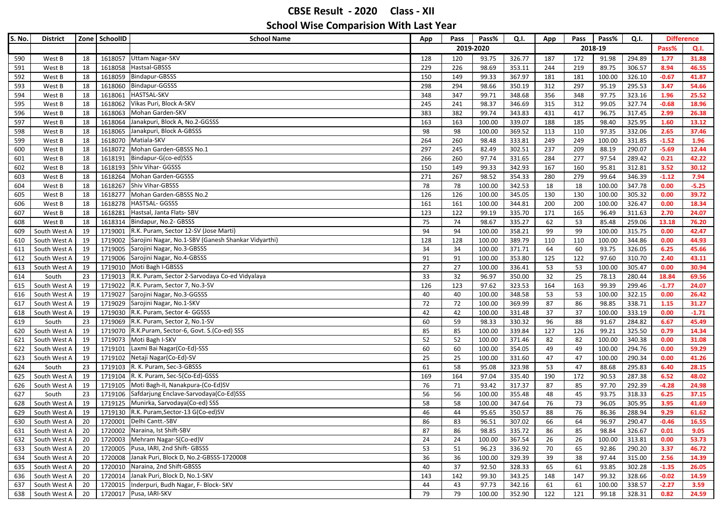| S. No.     | <b>District</b>              |          | Zone SchoolID | <b>School Name</b>                                                              | Pass%<br>Pass<br>Q.I.<br>App |           | Pass<br>App     |                  | Pass%<br>Q.I. |           | <b>Difference</b> |                  |                 |                |
|------------|------------------------------|----------|---------------|---------------------------------------------------------------------------------|------------------------------|-----------|-----------------|------------------|---------------|-----------|-------------------|------------------|-----------------|----------------|
|            |                              |          |               |                                                                                 |                              | 2019-2020 |                 |                  |               | 2018-19   |                   |                  | Pass%           | Q.I.           |
| 590        | West B                       | 18       | 1618057       | <b>Uttam Nagar-SKV</b>                                                          | 128                          | 120       | 93.75           | 326.77           | 187           | 172       | 91.98             | 294.89           | 1.77            | 31.88          |
| 591        | West B                       | 18       |               | 1618058 Hastsal-GBSSS                                                           | 229                          | 226       | 98.69           | 353.11           | 244           | 219       | 89.75             | 306.57           | 8.94            | 46.55          |
| 592        | West B                       | 18       |               | 1618059 Bindapur-GBSSS                                                          | 150                          | 149       | 99.33           | 367.97           | 181           | 181       | 100.00            | 326.10           | $-0.67$         | 41.87          |
| 593        | West B                       | 18       | 1618060       | Bindapur-GGSSS                                                                  | 298                          | 294       | 98.66           | 350.19           | 312           | 297       | 95.19             | 295.53           | 3.47            | 54.66          |
| 594        | West B                       | 18       | 1618061       | <b>HASTSAL-SKV</b>                                                              | 348                          | 347       | 99.71           | 348.68           | 356           | 348       | 97.75             | 323.16           | 1.96            | 25.52          |
| 595        | West B                       | 18       | 1618062       | Vikas Puri, Block A-SKV                                                         | 245                          | 241       | 98.37           | 346.69           | 315           | 312       | 99.05             | 327.74           | $-0.68$         | 18.96          |
| 596        | West B                       | 18       | 1618063       | Mohan Garden-SKV                                                                | 383                          | 382       | 99.74           | 343.83           | 431           | 417       | 96.75             | 317.45           | 2.99            | 26.38          |
| 597        | West B                       | 18       | 1618064       | Janakpuri, Block A, No.2-GGSSS                                                  | 163                          | 163       | 100.00          | 339.07           | 188           | 185       | 98.40             | 325.95           | 1.60            | 13.12          |
| 598        | West B                       | 18       | 1618065       | Janakpuri, Block A-GBSSS                                                        | 98                           | 98        | 100.00          | 369.52           | 113           | 110       | 97.35             | 332.06           | 2.65            | 37.46          |
| 599        | West B                       | 18       |               | 1618070 Matiala-SKV                                                             | 264                          | 260       | 98.48           | 333.81           | 249           | 249       | 100.00            | 331.85           | $-1.52$         | 1.96           |
| 600        | West B                       | 18       | 1618072       | Mohan Garden-GBSSS No.1                                                         | 297                          | 245       | 82.49           | 302.51           | 237           | 209       | 88.19             | 290.07           | $-5.69$         | 12.44          |
| 601        | West B                       | 18       | 1618191       | Bindapur-G(co-ed)SSS                                                            | 266                          | 260       | 97.74           | 331.65           | 284           | 277       | 97.54             | 289.42           | 0.21            | 42.22          |
| 602        | West B                       | 18       | 1618193       | Shiv Vihar- GGSSS                                                               | 150                          | 149       | 99.33           | 342.93           | 167           | 160       | 95.81             | 312.81           | 3.52            | 30.12          |
| 603        | West B                       | 18       | 1618264       | Mohan Garden-GGSSS                                                              | 271                          | 267       | 98.52           | 354.33           | 280           | 279       | 99.64             | 346.39           | $-1.12$         | 7.94           |
| 604        | West B                       | 18       | 1618267       | Shiv Vihar-GBSSS                                                                | 78                           | 78        | 100.00          | 342.53           | 18            | 18        | 100.00            | 347.78           | 0.00            | $-5.25$        |
| 605        | West B                       | 18       | 1618277       | Mohan Garden-GBSSS No.2                                                         | 126                          | 126       | 100.00          | 345.05           | 130           | 130       | 100.00            | 305.32           | 0.00            | 39.72          |
| 606        | West B                       | 18       | 1618278       | <b>HASTSAL-GGSSS</b>                                                            | 161                          | 161       | 100.00          | 344.81           | 200           | 200       | 100.00            | 326.47           | 0.00            | 18.34          |
| 607        | West B                       | 18       | 1618281       | Hastsal, Janta Flats- SBV                                                       | 123                          | 122       | 99.19           | 335.70           | 171           | 165       | 96.49             | 311.63           | 2.70            | 24.07          |
| 608        | West B                       | 18       |               | 1618314 Bindapur, No.2- GBSSS                                                   | 75                           | 74        | 98.67           | 335.27           | 62            | 53        | 85.48             | 259.06           | 13.18           | 76.20          |
| 609        | South West A                 | 19       | 1719001       | R.K. Puram, Sector 12-SV (Jose Marti)                                           | 94                           | 94        | 100.00          | 358.21           | 99            | 99        | 100.00            | 315.75           | 0.00            | 42.47          |
| 610        | South West A                 | 19       | 1719002       | Sarojini Nagar, No.1-SBV (Ganesh Shankar Vidyarthi)                             | 128                          | 128       | 100.00          | 389.79           | 110           | 110       | 100.00            | 344.86           | 0.00            | 44.93          |
| 611        | South West A                 | 19       | 1719005       | Sarojini Nagar, No.3-GBSSS                                                      | 34                           | 34        | 100.00          | 371.71           | 64            | 60        | 93.75             | 326.05           | 6.25            | 45.66          |
| 612        | South West A                 | 19       |               | 1719006 Sarojini Nagar, No.4-GBSSS                                              | 91                           | 91        | 100.00          | 353.80           | 125           | 122       | 97.60             | 310.70           | 2.40            | 43.11          |
| 613        | South West A                 | 19       |               | 1719010 Moti Bagh I-GBSSS                                                       | 27                           | 27        | 100.00          | 336.41           | 53            | 53        | 100.00            | 305.47           | 0.00            | 30.94          |
| 614        | South                        | 23       | 1719013       | R.K. Puram, Sector 2-Sarvodaya Co-ed Vidyalaya<br>R.K. Puram, Sector 7, No.3-SV | 33                           | 32        | 96.97           | 350.00           | 32            | 25        | 78.13             | 280.44           | 18.84           | 69.56          |
| 615        | South West A                 | 19       | 1719022       | 1719027 Sarojini Nagar, No.3-GGSSS                                              | 126<br>40                    | 123<br>40 | 97.62<br>100.00 | 323.53<br>348.58 | 164<br>53     | 163<br>53 | 99.39<br>100.00   | 299.46<br>322.15 | $-1.77$<br>0.00 | 24.07<br>26.42 |
| 616<br>617 | South West A<br>South West A | 19<br>19 |               | 1719029 Sarojini Nagar, No.1-SKV                                                | 72                           | 72        | 100.00          | 369.99           | 87            | 86        | 98.85             | 338.71           | 1.15            | 31.27          |
| 618        | South West A                 | 19       | 1719030       | R.K. Puram, Sector 4- GGSSS                                                     | 42                           | 42        | 100.00          | 331.48           | 37            | 37        | 100.00            | 333.19           | 0.00            | $-1.71$        |
| 619        | South                        | 23       | 1719069       | R.K. Puram, Sector 2, No.1-SV                                                   | 60                           | 59        | 98.33           | 330.32           | 96            | 88        | 91.67             | 284.82           | 6.67            | 45.49          |
| 620        | South West A                 | 19       |               | 1719070 R.K.Puram, Sector-6, Govt. S.(Co-ed) SSS                                | 85                           | 85        | 100.00          | 339.84           | 127           | 126       | 99.21             | 325.50           | 0.79            | 14.34          |
| 621        | South West A                 | 19       |               | 1719073 Moti Bagh I-SKV                                                         | 52                           | 52        | 100.00          | 371.46           | 82            | 82        | 100.00            | 340.38           | 0.00            | 31.08          |
| 622        | South West A                 | 19       | 1719101       | Laxmi Bai Nagar(Co-Ed)-SSS                                                      | 60                           | 60        | 100.00          | 354.05           | 49            | 49        | 100.00            | 294.76           | 0.00            | 59.29          |
| 623        | South West A                 | 19       | 1719102       | Netaji Nagar(Co-Ed)-SV                                                          | 25                           | 25        | 100.00          | 331.60           | 47            | 47        | 100.00            | 290.34           | 0.00            | 41.26          |
| 624        | South                        | 23       | 1719103       | R. K. Puram, Sec-3-GBSSS                                                        | 61                           | 58        | 95.08           | 323.98           | 53            | 47        | 88.68             | 295.83           | 6.40            | 28.15          |
| 625        | South West A                 | 19       |               | 1719104 R. K. Puram, Sec-5(Co-Ed)-GSSS                                          | 169                          | 164       | 97.04           | 335.40           | 190           | 172       | 90.53             | 287.38           | 6.52            | 48.02          |
| 626        | South West A                 | 19       | 1719105       | Moti Bagh-II, Nanakpura-(Co-Ed)SV                                               | 76                           | 71        | 93.42           | 317.37           | 87            | 85        | 97.70             | 292.39           | $-4.28$         | 24.98          |
| 627        | South                        | 23       |               | 1719106 Safdarjung Enclave-Sarvodaya(Co-Ed)SSS                                  | 56                           | 56        | 100.00          | 355.48           | 48            | 45        | 93.75             | 318.33           | 6.25            | 37.15          |
| 628        | South West A                 | 19       |               | 1719125 Munirka, Sarvodaya(Co-ed) SSS                                           | 58                           | 58        | 100.00          | 347.64           | 76            | 73        | 96.05             | 305.95           | 3.95            | 41.69          |
| 629        | South West A                 | 19       |               | 1719130 R.K. Puram, Sector-13 G(Co-ed)SV                                        | 46                           | 44        | 95.65           | 350.57           | 88            | 76        | 86.36             | 288.94           | 9.29            | 61.62          |
| 630        | South West A                 | 20       |               | 1720001 Delhi Cantt.-SBV                                                        | 86                           | 83        | 96.51           | 307.02           | 66            | 64        | 96.97             | 290.47           | $-0.46$         | 16.55          |
| 631        | South West A                 | 20       | 1720002       | Naraina, Ist Shift-SBV                                                          | 87                           | 86        | 98.85           | 335.72           | 86            | 85        | 98.84             | 326.67           | 0.01            | 9.05           |
| 632        | South West A                 | 20       |               | 1720003 Mehram Nagar-S(Co-ed)V                                                  | 24                           | 24        | 100.00          | 367.54           | 26            | 26        | 100.00            | 313.81           | 0.00            | 53.73          |
| 633        | South West A                 | 20       |               | 1720005 Pusa, IARI, 2nd Shift- GBSSS                                            | 53                           | 51        | 96.23           | 336.92           | 70            | 65        | 92.86             | 290.20           | 3.37            | 46.72          |
| 634        | South West A                 | 20       |               | 1720008 Janak Puri, Block D, No.2-GBSSS-1720008                                 | 36                           | 36        | 100.00          | 329.39           | 39            | 38        | 97.44             | 315.00           | 2.56            | 14.39          |
| 635        | South West A                 | 20       |               | 1720010 Naraina, 2nd Shift-GBSSS                                                | 40                           | 37        | 92.50           | 328.33           | 65            | 61        | 93.85             | 302.28           | $-1.35$         | 26.05          |
| 636        | South West A                 | 20       |               | 1720014 Janak Puri, Block D, No.1-SKV                                           | 143                          | 142       | 99.30           | 343.25           | 148           | 147       | 99.32             | 328.66           | $-0.02$         | 14.59          |
| 637        | South West A                 | 20       |               | 1720015   Inderpuri, Budh Nagar, F- Block-SKV                                   | 44                           | 43        | 97.73           | 342.16           | 61            | 61        | 100.00            | 338.57           | $-2.27$         | 3.59           |
|            | 638 South West A             | 20       |               | 1720017 Pusa, IARI-SKV                                                          | 79                           | 79        | 100.00          | 352.90           | 122           | 121       | 99.18             | 328.31           | 0.82            | 24.59          |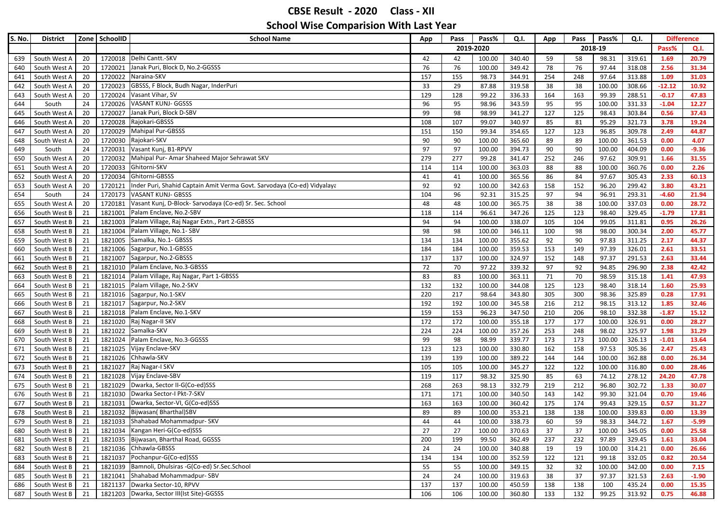| 2019-2020<br>2018-19<br>Pass%<br>Q.I.<br>1720018 Delhi Cantt.-SKV<br>20<br>42<br>59<br>319.61<br>20.79<br>South West A<br>42<br>100.00<br>340.40<br>58<br>98.31<br>1.69<br>639<br>Janak Puri, Block D, No.2-GGSSS<br>76<br>76<br>318.08<br>2.56<br>South West A<br>20<br>1720021<br>76<br>100.00<br>349.42<br>97.44<br>31.34<br>78<br>640<br>20<br>1720022<br>Naraina-SKV<br>155<br>97.64<br>1.09<br>31.03<br>South West A<br>157<br>98.73<br>344.91<br>254<br>248<br>313.88<br>641<br>1720023<br>GBSSS, F Block, Budh Nagar, InderPuri<br>33<br>308.66<br>South West A<br>20<br>29<br>87.88<br>319.58<br>38<br>38<br>100.00<br>$-12.12$<br>10.92<br>642<br>Vasant Vihar, SV<br>South West A<br>20<br>1720024<br>129<br>128<br>99.22<br>336.33<br>164<br>163<br>99.39<br>288.51<br>$-0.17$<br>47.83<br>643<br><b>VASANT KUNJ- GGSSS</b><br>1720026<br>96<br>95<br>343.59<br>95<br>100.00<br>331.33<br>$-1.04$<br>12.27<br>South<br>24<br>98.96<br>95<br>644<br>Janak Puri, Block D-SBV<br>0.56<br>20<br>1720027<br>99<br>98<br>98.99<br>341.27<br>127<br>125<br>98.43<br>303.84<br>37.43<br>645<br>South West A<br>1720028<br>Rajokari-GBSSS<br>108<br>321.73<br>South West A<br>20<br>107<br>99.07<br>340.97<br>85<br>81<br>95.29<br>3.78<br>19.24<br>646<br><b>Mahipal Pur-GBSSS</b><br>150<br>99.34<br>123<br>309.78<br>South West A<br>20<br>1720029<br>151<br>354.65<br>127<br>96.85<br>2.49<br>44.87<br>647<br>1720030 Rajokari-SKV<br>100.00<br>361.53<br>0.00<br>South West A<br>20<br>90<br>90<br>100.00<br>365.60<br>89<br>89<br>4.07<br>648<br>24<br>1720031<br>Vasant Kunj, B1-RPVV<br>90<br>404.09<br>$-9.36$<br>97<br>97<br>100.00<br>394.73<br>90<br>100.00<br>0.00<br>649<br>South<br>Mahipal Pur- Amar Shaheed Major Sehrawat SKV<br>20<br>1720032<br>279<br>277<br>99.28<br>252<br>246<br>97.62<br>309.91<br>31.55<br>650<br>South West A<br>341.47<br>1.66<br>Ghitorni-SKV<br>20<br>1720033<br>114<br>100.00<br>363.03<br>88<br>88<br>100.00<br>360.76<br>0.00<br>2.26<br>651<br>South West A<br>114<br>20<br>1720034<br>Ghitorni-GBSSS<br>305.43<br>South West A<br>41<br>41<br>100.00<br>365.56<br>86<br>84<br>97.67<br>2.33<br>60.13<br>652<br>20<br>Inder Puri, Shahid Captain Amit Verma Govt. Sarvodaya (Co-ed) Vidyalaya<br>92<br>92<br>299.42<br>43.21<br>South West A<br>1720121<br>100.00<br>342.63<br>158<br>152<br>96.20<br>3.80<br>653<br>24<br><b>VASANT KUNJ- GBSSS</b><br>96<br>293.31<br>654<br>South<br>1720173<br>104<br>92.31<br>315.25<br>97<br>94<br>96.91<br>$-4.60$<br>21.94<br>Vasant Kunj, D-Block- Sarvodaya (Co-ed) Sr. Sec. School<br>337.03<br>South West A<br>20<br>1720181<br>48<br>48<br>100.00<br>365.75<br>38<br>38<br>100.00<br>0.00<br>28.72<br>655<br>Palam Enclave, No.2-SBV<br>21<br>1821001<br>329.45<br>656<br>South West B<br>118<br>114<br>96.61<br>347.26<br>125<br>123<br>98.40<br>$-1.79$<br>17.81<br>21<br>Palam Village, Raj Nagar Extn., Part 2-GBSSS<br>94<br>South West B<br>1821003<br>94<br>100.00<br>338.07<br>105<br>104<br>99.05<br>311.81<br>0.95<br>26.26<br>657<br>21<br>Palam Village, No.1- SBV<br>658<br>South West B<br>1821004<br>98<br>98<br>100.00<br>346.11<br>100<br>98<br>98.00<br>300.34<br>2.00<br>45.77<br>Samalka, No.1- GBSSS<br>2.17<br>South West B<br>21<br>1821005<br>134<br>134<br>100.00<br>355.62<br>92<br>90<br>97.83<br>311.25<br>44.37<br>659<br>21<br>1821006<br>Sagarpur, No.1-GBSSS<br>326.01<br>2.61<br>33.51<br>South West B<br>184<br>184<br>100.00<br>359.53<br>153<br>149<br>97.39<br>660<br>Sagarpur, No.2-GBSSS<br>2.63<br>South West B<br>21<br>1821007<br>137<br>137<br>100.00<br>324.97<br>152<br>148<br>97.37<br>291.53<br>33.44<br>661<br>Palam Enclave, No.3-GBSSS<br>21<br>72<br>92<br>296.90<br>2.38<br>42.42<br>662<br>South West B<br>1821010<br>70<br>97.22<br>339.32<br>97<br>94.85<br>South West B<br>21<br>1821014<br>Palam Village, Raj Nagar, Part 1-GBSSS<br>83<br>83<br>100.00<br>363.11<br>70<br>98.59<br>315.18<br>1.41<br>663<br>71<br>47.93<br>1821015 Palam Village, No.2-SKV<br>344.08<br>1.60<br>25.93<br>South West B<br>21<br>132<br>132<br>100.00<br>125<br>123<br>98.40<br>318.14<br>664<br>1821016 Sagarpur, No.1-SKV<br>98.64<br>343.80<br>325.89<br>0.28<br>17.91<br>South West B<br>21<br>220<br>217<br>305<br>300<br>98.36<br>665<br>21<br>Sagarpur, No.2-SKV<br>192<br>345.58<br>98.15<br>1.85<br>32.46<br>South West B<br>1821017<br>192<br>100.00<br>216<br>212<br>313.12<br>666<br>Palam Enclave, No.1-SKV<br>153<br>South West B<br>21<br>1821018<br>159<br>96.23<br>347.50<br>206<br>98.10<br>332.38<br>$-1.87$<br>15.12<br>667<br>210<br>21<br>1821020 Raj Nagar-II SKV<br>326.91<br>South West B<br>172<br>172<br>100.00<br>355.18<br>177<br>177<br>100.00<br>0.00<br>28.27<br>668<br>1821022 Samalka-SKV<br>21<br>325.97<br>South West B<br>224<br>224<br>100.00<br>357.26<br>253<br>248<br>98.02<br>1.98<br>31.29<br>669<br>Palam Enclave, No.3-GGSSS<br>13.64<br>South West B<br>21<br>1821024<br>99<br>98<br>98.99<br>339.77<br>173<br>173<br>100.00<br>326.13<br>$-1.01$<br>670<br>1821025<br>Vijay Enclave-SKV<br>123<br>123<br>158<br>97.53<br>305.36<br>671<br>South West B<br>21<br>100.00<br>330.80<br>162<br>2.47<br>25.43<br>21<br>Chhawla-SKV<br>362.88<br>0.00<br>26.34<br>South West B<br>1821026<br>139<br>139<br>100.00<br>389.22<br>144<br>144<br>100.00<br>672<br>1821027 Raj Nagar-I SKV<br>316.80<br>South West B<br>21<br>105<br>105<br>100.00<br>345.27<br>122<br>122<br>100.00<br>0.00<br>28.46<br>673<br>Vijay Enclave-SBV<br>21<br>1821028<br>98.32<br>325.90<br>63<br>74.12<br>278.12<br>47.78<br>South West B<br>119<br>117<br>85<br>24.20<br>674<br>Dwarka, Sector II-G(Co-ed)SSS<br>21<br>1821029<br>212<br>302.72<br>675<br>South West B<br>268<br>263<br>98.13<br>332.79<br>219<br>96.80<br>1.33<br>30.07<br>Dwarka Sector-I Pkt-7-SKV<br>21<br>1821030<br>100.00<br>0.70<br>South West B<br>171<br>171<br>340.50<br>143<br>142<br>99.30<br>321.04<br>19.46<br>676<br>Dwarka, Sector-VI, G(Co-ed)SSS<br>21<br>1821031<br>163<br>163<br>100.00<br>360.42<br>175<br>174<br>99.43<br>329.15<br>0.57<br>31.27<br>677<br>South West B<br>21<br>1821032 Bijwasan(Bharthal)SBV<br>89<br>339.83<br>South West B<br>89<br>100.00<br>353.21<br>138<br>138<br>100.00<br>0.00<br>13.39<br>678<br>1821033 Shahabad Mohammadpur- SKV<br>100.00<br>338.73<br>98.33<br>344.72<br>South West B<br>21<br>44<br>44<br>60<br>$-5.99$<br>59<br>1.67<br>679<br>1821034 Kangan Heri-G(Co-ed)SSS<br>27<br>South West B<br>21<br>27<br>370.63<br>37<br>37<br>100.00<br>345.05<br>0.00<br>25.58<br>100.00<br>680<br>1821035 Bijwasan, Bharthal Road, GGSSS<br>681 South West B<br>21<br>200<br>199<br>99.50<br>362.49<br>237<br>232<br>97.89<br>329.45<br>1.61<br>33.04<br>South West B<br>1821036 Chhawla-GBSSS<br>21<br>24<br>100.00<br>340.88<br>19<br>100.00<br>314.21<br>0.00<br>26.66<br>24<br>19<br>682<br>1821037 Pochanpur-G(Co-ed)SSS<br>South West B<br>21<br>134<br>134<br>122<br>99.18<br>332.05<br>0.82<br>20.54<br>683<br>100.00<br>352.59<br>121<br>1821039 Bamnoli, Dhulsiras -G(Co-ed) Sr.Sec.School<br>South West B<br>55<br>21<br>55<br>100.00<br>349.15<br>32<br>32<br>100.00<br>342.00<br>0.00<br>7.15<br>684<br>1821041 Shahabad Mohammadpur-SBV<br>South West B<br>21<br>24<br>100.00<br>319.63<br>38<br>37<br>321.53<br>2.63<br>$-1.90$<br>685<br>24<br>97.37<br>1821137 Dwarka Sector-10, RPVV<br>South West B<br>137<br>137<br>15.35<br>21<br>100.00<br>450.59<br>138<br>138<br>435.24<br>0.00<br>100<br>686<br>1821203 Dwarka, Sector III(Ist Site)-GGSSS<br>21<br>South West B<br>106<br>106<br>100.00<br>360.80<br>133<br>132<br>99.25<br>313.92<br>0.75<br>687 | S. No. | <b>District</b> | Zone SchoolID | <b>School Name</b> | App | Pass | Pass% | Q.I. | App | Pass | Pass% | Q.I. | <b>Difference</b> |       |
|-----------------------------------------------------------------------------------------------------------------------------------------------------------------------------------------------------------------------------------------------------------------------------------------------------------------------------------------------------------------------------------------------------------------------------------------------------------------------------------------------------------------------------------------------------------------------------------------------------------------------------------------------------------------------------------------------------------------------------------------------------------------------------------------------------------------------------------------------------------------------------------------------------------------------------------------------------------------------------------------------------------------------------------------------------------------------------------------------------------------------------------------------------------------------------------------------------------------------------------------------------------------------------------------------------------------------------------------------------------------------------------------------------------------------------------------------------------------------------------------------------------------------------------------------------------------------------------------------------------------------------------------------------------------------------------------------------------------------------------------------------------------------------------------------------------------------------------------------------------------------------------------------------------------------------------------------------------------------------------------------------------------------------------------------------------------------------------------------------------------------------------------------------------------------------------------------------------------------------------------------------------------------------------------------------------------------------------------------------------------------------------------------------------------------------------------------------------------------------------------------------------------------------------------------------------------------------------------------------------------------------------------------------------------------------------------------------------------------------------------------------------------------------------------------------------------------------------------------------------------------------------------------------------------------------------------------------------------------------------------------------------------------------------------------------------------------------------------------------------------------------------------------------------------------------------------------------------------------------------------------------------------------------------------------------------------------------------------------------------------------------------------------------------------------------------------------------------------------------------------------------------------------------------------------------------------------------------------------------------------------------------------------------------------------------------------------------------------------------------------------------------------------------------------------------------------------------------------------------------------------------------------------------------------------------------------------------------------------------------------------------------------------------------------------------------------------------------------------------------------------------------------------------------------------------------------------------------------------------------------------------------------------------------------------------------------------------------------------------------------------------------------------------------------------------------------------------------------------------------------------------------------------------------------------------------------------------------------------------------------------------------------------------------------------------------------------------------------------------------------------------------------------------------------------------------------------------------------------------------------------------------------------------------------------------------------------------------------------------------------------------------------------------------------------------------------------------------------------------------------------------------------------------------------------------------------------------------------------------------------------------------------------------------------------------------------------------------------------------------------------------------------------------------------------------------------------------------------------------------------------------------------------------------------------------------------------------------------------------------------------------------------------------------------------------------------------------------------------------------------------------------------------------------------------------------------------------------------------------------------------------------------------------------------------------------------------------------------------------------------------------------------------------------------------------------------------------------------------------------------------------------------------------------------------------------------------------------------------------------------------------------------------------------------------------------------------------------------------------------------------------------------------------------------------------------------------------------------------------------------------------------------------------------------------------------------------------------------------------------------------------------------------------------------------------------------------------------------------------------------------------------------------------------------------------------------------------------------------------------------------------------------------------------------------------------------------------------------------------------------------------------------------------------------------------------------------------------------------------------------------------------------------------------------------------------------------------------------------------------------------------------------------------------------------------------------------------------------------------------------------------------------------------------------------------------------------------------------------------------------------------------------------------------------------------------------------------------------------------------------------------------------------------------------|--------|-----------------|---------------|--------------------|-----|------|-------|------|-----|------|-------|------|-------------------|-------|
|                                                                                                                                                                                                                                                                                                                                                                                                                                                                                                                                                                                                                                                                                                                                                                                                                                                                                                                                                                                                                                                                                                                                                                                                                                                                                                                                                                                                                                                                                                                                                                                                                                                                                                                                                                                                                                                                                                                                                                                                                                                                                                                                                                                                                                                                                                                                                                                                                                                                                                                                                                                                                                                                                                                                                                                                                                                                                                                                                                                                                                                                                                                                                                                                                                                                                                                                                                                                                                                                                                                                                                                                                                                                                                                                                                                                                                                                                                                                                                                                                                                                                                                                                                                                                                                                                                                                                                                                                                                                                                                                                                                                                                                                                                                                                                                                                                                                                                                                                                                                                                                                                                                                                                                                                                                                                                                                                                                                                                                                                                                                                                                                                                                                                                                                                                                                                                                                                                                                                                                                                                                                                                                                                                                                                                                                                                                                                                                                                                                                                                                                                                                                                                                                                                                                                                                                                                                                                                                                                                                                                                                                                                                                                                                                                                                                                                                                                                                                                                                                                                                                                                                                                                                                 |        |                 |               |                    |     |      |       |      |     |      |       |      |                   |       |
|                                                                                                                                                                                                                                                                                                                                                                                                                                                                                                                                                                                                                                                                                                                                                                                                                                                                                                                                                                                                                                                                                                                                                                                                                                                                                                                                                                                                                                                                                                                                                                                                                                                                                                                                                                                                                                                                                                                                                                                                                                                                                                                                                                                                                                                                                                                                                                                                                                                                                                                                                                                                                                                                                                                                                                                                                                                                                                                                                                                                                                                                                                                                                                                                                                                                                                                                                                                                                                                                                                                                                                                                                                                                                                                                                                                                                                                                                                                                                                                                                                                                                                                                                                                                                                                                                                                                                                                                                                                                                                                                                                                                                                                                                                                                                                                                                                                                                                                                                                                                                                                                                                                                                                                                                                                                                                                                                                                                                                                                                                                                                                                                                                                                                                                                                                                                                                                                                                                                                                                                                                                                                                                                                                                                                                                                                                                                                                                                                                                                                                                                                                                                                                                                                                                                                                                                                                                                                                                                                                                                                                                                                                                                                                                                                                                                                                                                                                                                                                                                                                                                                                                                                                                                 |        |                 |               |                    |     |      |       |      |     |      |       |      |                   |       |
|                                                                                                                                                                                                                                                                                                                                                                                                                                                                                                                                                                                                                                                                                                                                                                                                                                                                                                                                                                                                                                                                                                                                                                                                                                                                                                                                                                                                                                                                                                                                                                                                                                                                                                                                                                                                                                                                                                                                                                                                                                                                                                                                                                                                                                                                                                                                                                                                                                                                                                                                                                                                                                                                                                                                                                                                                                                                                                                                                                                                                                                                                                                                                                                                                                                                                                                                                                                                                                                                                                                                                                                                                                                                                                                                                                                                                                                                                                                                                                                                                                                                                                                                                                                                                                                                                                                                                                                                                                                                                                                                                                                                                                                                                                                                                                                                                                                                                                                                                                                                                                                                                                                                                                                                                                                                                                                                                                                                                                                                                                                                                                                                                                                                                                                                                                                                                                                                                                                                                                                                                                                                                                                                                                                                                                                                                                                                                                                                                                                                                                                                                                                                                                                                                                                                                                                                                                                                                                                                                                                                                                                                                                                                                                                                                                                                                                                                                                                                                                                                                                                                                                                                                                                                 |        |                 |               |                    |     |      |       |      |     |      |       |      |                   |       |
|                                                                                                                                                                                                                                                                                                                                                                                                                                                                                                                                                                                                                                                                                                                                                                                                                                                                                                                                                                                                                                                                                                                                                                                                                                                                                                                                                                                                                                                                                                                                                                                                                                                                                                                                                                                                                                                                                                                                                                                                                                                                                                                                                                                                                                                                                                                                                                                                                                                                                                                                                                                                                                                                                                                                                                                                                                                                                                                                                                                                                                                                                                                                                                                                                                                                                                                                                                                                                                                                                                                                                                                                                                                                                                                                                                                                                                                                                                                                                                                                                                                                                                                                                                                                                                                                                                                                                                                                                                                                                                                                                                                                                                                                                                                                                                                                                                                                                                                                                                                                                                                                                                                                                                                                                                                                                                                                                                                                                                                                                                                                                                                                                                                                                                                                                                                                                                                                                                                                                                                                                                                                                                                                                                                                                                                                                                                                                                                                                                                                                                                                                                                                                                                                                                                                                                                                                                                                                                                                                                                                                                                                                                                                                                                                                                                                                                                                                                                                                                                                                                                                                                                                                                                                 |        |                 |               |                    |     |      |       |      |     |      |       |      |                   |       |
|                                                                                                                                                                                                                                                                                                                                                                                                                                                                                                                                                                                                                                                                                                                                                                                                                                                                                                                                                                                                                                                                                                                                                                                                                                                                                                                                                                                                                                                                                                                                                                                                                                                                                                                                                                                                                                                                                                                                                                                                                                                                                                                                                                                                                                                                                                                                                                                                                                                                                                                                                                                                                                                                                                                                                                                                                                                                                                                                                                                                                                                                                                                                                                                                                                                                                                                                                                                                                                                                                                                                                                                                                                                                                                                                                                                                                                                                                                                                                                                                                                                                                                                                                                                                                                                                                                                                                                                                                                                                                                                                                                                                                                                                                                                                                                                                                                                                                                                                                                                                                                                                                                                                                                                                                                                                                                                                                                                                                                                                                                                                                                                                                                                                                                                                                                                                                                                                                                                                                                                                                                                                                                                                                                                                                                                                                                                                                                                                                                                                                                                                                                                                                                                                                                                                                                                                                                                                                                                                                                                                                                                                                                                                                                                                                                                                                                                                                                                                                                                                                                                                                                                                                                                                 |        |                 |               |                    |     |      |       |      |     |      |       |      |                   |       |
|                                                                                                                                                                                                                                                                                                                                                                                                                                                                                                                                                                                                                                                                                                                                                                                                                                                                                                                                                                                                                                                                                                                                                                                                                                                                                                                                                                                                                                                                                                                                                                                                                                                                                                                                                                                                                                                                                                                                                                                                                                                                                                                                                                                                                                                                                                                                                                                                                                                                                                                                                                                                                                                                                                                                                                                                                                                                                                                                                                                                                                                                                                                                                                                                                                                                                                                                                                                                                                                                                                                                                                                                                                                                                                                                                                                                                                                                                                                                                                                                                                                                                                                                                                                                                                                                                                                                                                                                                                                                                                                                                                                                                                                                                                                                                                                                                                                                                                                                                                                                                                                                                                                                                                                                                                                                                                                                                                                                                                                                                                                                                                                                                                                                                                                                                                                                                                                                                                                                                                                                                                                                                                                                                                                                                                                                                                                                                                                                                                                                                                                                                                                                                                                                                                                                                                                                                                                                                                                                                                                                                                                                                                                                                                                                                                                                                                                                                                                                                                                                                                                                                                                                                                                                 |        |                 |               |                    |     |      |       |      |     |      |       |      |                   |       |
|                                                                                                                                                                                                                                                                                                                                                                                                                                                                                                                                                                                                                                                                                                                                                                                                                                                                                                                                                                                                                                                                                                                                                                                                                                                                                                                                                                                                                                                                                                                                                                                                                                                                                                                                                                                                                                                                                                                                                                                                                                                                                                                                                                                                                                                                                                                                                                                                                                                                                                                                                                                                                                                                                                                                                                                                                                                                                                                                                                                                                                                                                                                                                                                                                                                                                                                                                                                                                                                                                                                                                                                                                                                                                                                                                                                                                                                                                                                                                                                                                                                                                                                                                                                                                                                                                                                                                                                                                                                                                                                                                                                                                                                                                                                                                                                                                                                                                                                                                                                                                                                                                                                                                                                                                                                                                                                                                                                                                                                                                                                                                                                                                                                                                                                                                                                                                                                                                                                                                                                                                                                                                                                                                                                                                                                                                                                                                                                                                                                                                                                                                                                                                                                                                                                                                                                                                                                                                                                                                                                                                                                                                                                                                                                                                                                                                                                                                                                                                                                                                                                                                                                                                                                                 |        |                 |               |                    |     |      |       |      |     |      |       |      |                   |       |
|                                                                                                                                                                                                                                                                                                                                                                                                                                                                                                                                                                                                                                                                                                                                                                                                                                                                                                                                                                                                                                                                                                                                                                                                                                                                                                                                                                                                                                                                                                                                                                                                                                                                                                                                                                                                                                                                                                                                                                                                                                                                                                                                                                                                                                                                                                                                                                                                                                                                                                                                                                                                                                                                                                                                                                                                                                                                                                                                                                                                                                                                                                                                                                                                                                                                                                                                                                                                                                                                                                                                                                                                                                                                                                                                                                                                                                                                                                                                                                                                                                                                                                                                                                                                                                                                                                                                                                                                                                                                                                                                                                                                                                                                                                                                                                                                                                                                                                                                                                                                                                                                                                                                                                                                                                                                                                                                                                                                                                                                                                                                                                                                                                                                                                                                                                                                                                                                                                                                                                                                                                                                                                                                                                                                                                                                                                                                                                                                                                                                                                                                                                                                                                                                                                                                                                                                                                                                                                                                                                                                                                                                                                                                                                                                                                                                                                                                                                                                                                                                                                                                                                                                                                                                 |        |                 |               |                    |     |      |       |      |     |      |       |      |                   |       |
|                                                                                                                                                                                                                                                                                                                                                                                                                                                                                                                                                                                                                                                                                                                                                                                                                                                                                                                                                                                                                                                                                                                                                                                                                                                                                                                                                                                                                                                                                                                                                                                                                                                                                                                                                                                                                                                                                                                                                                                                                                                                                                                                                                                                                                                                                                                                                                                                                                                                                                                                                                                                                                                                                                                                                                                                                                                                                                                                                                                                                                                                                                                                                                                                                                                                                                                                                                                                                                                                                                                                                                                                                                                                                                                                                                                                                                                                                                                                                                                                                                                                                                                                                                                                                                                                                                                                                                                                                                                                                                                                                                                                                                                                                                                                                                                                                                                                                                                                                                                                                                                                                                                                                                                                                                                                                                                                                                                                                                                                                                                                                                                                                                                                                                                                                                                                                                                                                                                                                                                                                                                                                                                                                                                                                                                                                                                                                                                                                                                                                                                                                                                                                                                                                                                                                                                                                                                                                                                                                                                                                                                                                                                                                                                                                                                                                                                                                                                                                                                                                                                                                                                                                                                                 |        |                 |               |                    |     |      |       |      |     |      |       |      |                   |       |
|                                                                                                                                                                                                                                                                                                                                                                                                                                                                                                                                                                                                                                                                                                                                                                                                                                                                                                                                                                                                                                                                                                                                                                                                                                                                                                                                                                                                                                                                                                                                                                                                                                                                                                                                                                                                                                                                                                                                                                                                                                                                                                                                                                                                                                                                                                                                                                                                                                                                                                                                                                                                                                                                                                                                                                                                                                                                                                                                                                                                                                                                                                                                                                                                                                                                                                                                                                                                                                                                                                                                                                                                                                                                                                                                                                                                                                                                                                                                                                                                                                                                                                                                                                                                                                                                                                                                                                                                                                                                                                                                                                                                                                                                                                                                                                                                                                                                                                                                                                                                                                                                                                                                                                                                                                                                                                                                                                                                                                                                                                                                                                                                                                                                                                                                                                                                                                                                                                                                                                                                                                                                                                                                                                                                                                                                                                                                                                                                                                                                                                                                                                                                                                                                                                                                                                                                                                                                                                                                                                                                                                                                                                                                                                                                                                                                                                                                                                                                                                                                                                                                                                                                                                                                 |        |                 |               |                    |     |      |       |      |     |      |       |      |                   |       |
|                                                                                                                                                                                                                                                                                                                                                                                                                                                                                                                                                                                                                                                                                                                                                                                                                                                                                                                                                                                                                                                                                                                                                                                                                                                                                                                                                                                                                                                                                                                                                                                                                                                                                                                                                                                                                                                                                                                                                                                                                                                                                                                                                                                                                                                                                                                                                                                                                                                                                                                                                                                                                                                                                                                                                                                                                                                                                                                                                                                                                                                                                                                                                                                                                                                                                                                                                                                                                                                                                                                                                                                                                                                                                                                                                                                                                                                                                                                                                                                                                                                                                                                                                                                                                                                                                                                                                                                                                                                                                                                                                                                                                                                                                                                                                                                                                                                                                                                                                                                                                                                                                                                                                                                                                                                                                                                                                                                                                                                                                                                                                                                                                                                                                                                                                                                                                                                                                                                                                                                                                                                                                                                                                                                                                                                                                                                                                                                                                                                                                                                                                                                                                                                                                                                                                                                                                                                                                                                                                                                                                                                                                                                                                                                                                                                                                                                                                                                                                                                                                                                                                                                                                                                                 |        |                 |               |                    |     |      |       |      |     |      |       |      |                   |       |
|                                                                                                                                                                                                                                                                                                                                                                                                                                                                                                                                                                                                                                                                                                                                                                                                                                                                                                                                                                                                                                                                                                                                                                                                                                                                                                                                                                                                                                                                                                                                                                                                                                                                                                                                                                                                                                                                                                                                                                                                                                                                                                                                                                                                                                                                                                                                                                                                                                                                                                                                                                                                                                                                                                                                                                                                                                                                                                                                                                                                                                                                                                                                                                                                                                                                                                                                                                                                                                                                                                                                                                                                                                                                                                                                                                                                                                                                                                                                                                                                                                                                                                                                                                                                                                                                                                                                                                                                                                                                                                                                                                                                                                                                                                                                                                                                                                                                                                                                                                                                                                                                                                                                                                                                                                                                                                                                                                                                                                                                                                                                                                                                                                                                                                                                                                                                                                                                                                                                                                                                                                                                                                                                                                                                                                                                                                                                                                                                                                                                                                                                                                                                                                                                                                                                                                                                                                                                                                                                                                                                                                                                                                                                                                                                                                                                                                                                                                                                                                                                                                                                                                                                                                                                 |        |                 |               |                    |     |      |       |      |     |      |       |      |                   |       |
|                                                                                                                                                                                                                                                                                                                                                                                                                                                                                                                                                                                                                                                                                                                                                                                                                                                                                                                                                                                                                                                                                                                                                                                                                                                                                                                                                                                                                                                                                                                                                                                                                                                                                                                                                                                                                                                                                                                                                                                                                                                                                                                                                                                                                                                                                                                                                                                                                                                                                                                                                                                                                                                                                                                                                                                                                                                                                                                                                                                                                                                                                                                                                                                                                                                                                                                                                                                                                                                                                                                                                                                                                                                                                                                                                                                                                                                                                                                                                                                                                                                                                                                                                                                                                                                                                                                                                                                                                                                                                                                                                                                                                                                                                                                                                                                                                                                                                                                                                                                                                                                                                                                                                                                                                                                                                                                                                                                                                                                                                                                                                                                                                                                                                                                                                                                                                                                                                                                                                                                                                                                                                                                                                                                                                                                                                                                                                                                                                                                                                                                                                                                                                                                                                                                                                                                                                                                                                                                                                                                                                                                                                                                                                                                                                                                                                                                                                                                                                                                                                                                                                                                                                                                                 |        |                 |               |                    |     |      |       |      |     |      |       |      |                   |       |
|                                                                                                                                                                                                                                                                                                                                                                                                                                                                                                                                                                                                                                                                                                                                                                                                                                                                                                                                                                                                                                                                                                                                                                                                                                                                                                                                                                                                                                                                                                                                                                                                                                                                                                                                                                                                                                                                                                                                                                                                                                                                                                                                                                                                                                                                                                                                                                                                                                                                                                                                                                                                                                                                                                                                                                                                                                                                                                                                                                                                                                                                                                                                                                                                                                                                                                                                                                                                                                                                                                                                                                                                                                                                                                                                                                                                                                                                                                                                                                                                                                                                                                                                                                                                                                                                                                                                                                                                                                                                                                                                                                                                                                                                                                                                                                                                                                                                                                                                                                                                                                                                                                                                                                                                                                                                                                                                                                                                                                                                                                                                                                                                                                                                                                                                                                                                                                                                                                                                                                                                                                                                                                                                                                                                                                                                                                                                                                                                                                                                                                                                                                                                                                                                                                                                                                                                                                                                                                                                                                                                                                                                                                                                                                                                                                                                                                                                                                                                                                                                                                                                                                                                                                                                 |        |                 |               |                    |     |      |       |      |     |      |       |      |                   |       |
|                                                                                                                                                                                                                                                                                                                                                                                                                                                                                                                                                                                                                                                                                                                                                                                                                                                                                                                                                                                                                                                                                                                                                                                                                                                                                                                                                                                                                                                                                                                                                                                                                                                                                                                                                                                                                                                                                                                                                                                                                                                                                                                                                                                                                                                                                                                                                                                                                                                                                                                                                                                                                                                                                                                                                                                                                                                                                                                                                                                                                                                                                                                                                                                                                                                                                                                                                                                                                                                                                                                                                                                                                                                                                                                                                                                                                                                                                                                                                                                                                                                                                                                                                                                                                                                                                                                                                                                                                                                                                                                                                                                                                                                                                                                                                                                                                                                                                                                                                                                                                                                                                                                                                                                                                                                                                                                                                                                                                                                                                                                                                                                                                                                                                                                                                                                                                                                                                                                                                                                                                                                                                                                                                                                                                                                                                                                                                                                                                                                                                                                                                                                                                                                                                                                                                                                                                                                                                                                                                                                                                                                                                                                                                                                                                                                                                                                                                                                                                                                                                                                                                                                                                                                                 |        |                 |               |                    |     |      |       |      |     |      |       |      |                   |       |
|                                                                                                                                                                                                                                                                                                                                                                                                                                                                                                                                                                                                                                                                                                                                                                                                                                                                                                                                                                                                                                                                                                                                                                                                                                                                                                                                                                                                                                                                                                                                                                                                                                                                                                                                                                                                                                                                                                                                                                                                                                                                                                                                                                                                                                                                                                                                                                                                                                                                                                                                                                                                                                                                                                                                                                                                                                                                                                                                                                                                                                                                                                                                                                                                                                                                                                                                                                                                                                                                                                                                                                                                                                                                                                                                                                                                                                                                                                                                                                                                                                                                                                                                                                                                                                                                                                                                                                                                                                                                                                                                                                                                                                                                                                                                                                                                                                                                                                                                                                                                                                                                                                                                                                                                                                                                                                                                                                                                                                                                                                                                                                                                                                                                                                                                                                                                                                                                                                                                                                                                                                                                                                                                                                                                                                                                                                                                                                                                                                                                                                                                                                                                                                                                                                                                                                                                                                                                                                                                                                                                                                                                                                                                                                                                                                                                                                                                                                                                                                                                                                                                                                                                                                                                 |        |                 |               |                    |     |      |       |      |     |      |       |      |                   |       |
|                                                                                                                                                                                                                                                                                                                                                                                                                                                                                                                                                                                                                                                                                                                                                                                                                                                                                                                                                                                                                                                                                                                                                                                                                                                                                                                                                                                                                                                                                                                                                                                                                                                                                                                                                                                                                                                                                                                                                                                                                                                                                                                                                                                                                                                                                                                                                                                                                                                                                                                                                                                                                                                                                                                                                                                                                                                                                                                                                                                                                                                                                                                                                                                                                                                                                                                                                                                                                                                                                                                                                                                                                                                                                                                                                                                                                                                                                                                                                                                                                                                                                                                                                                                                                                                                                                                                                                                                                                                                                                                                                                                                                                                                                                                                                                                                                                                                                                                                                                                                                                                                                                                                                                                                                                                                                                                                                                                                                                                                                                                                                                                                                                                                                                                                                                                                                                                                                                                                                                                                                                                                                                                                                                                                                                                                                                                                                                                                                                                                                                                                                                                                                                                                                                                                                                                                                                                                                                                                                                                                                                                                                                                                                                                                                                                                                                                                                                                                                                                                                                                                                                                                                                                                 |        |                 |               |                    |     |      |       |      |     |      |       |      |                   |       |
|                                                                                                                                                                                                                                                                                                                                                                                                                                                                                                                                                                                                                                                                                                                                                                                                                                                                                                                                                                                                                                                                                                                                                                                                                                                                                                                                                                                                                                                                                                                                                                                                                                                                                                                                                                                                                                                                                                                                                                                                                                                                                                                                                                                                                                                                                                                                                                                                                                                                                                                                                                                                                                                                                                                                                                                                                                                                                                                                                                                                                                                                                                                                                                                                                                                                                                                                                                                                                                                                                                                                                                                                                                                                                                                                                                                                                                                                                                                                                                                                                                                                                                                                                                                                                                                                                                                                                                                                                                                                                                                                                                                                                                                                                                                                                                                                                                                                                                                                                                                                                                                                                                                                                                                                                                                                                                                                                                                                                                                                                                                                                                                                                                                                                                                                                                                                                                                                                                                                                                                                                                                                                                                                                                                                                                                                                                                                                                                                                                                                                                                                                                                                                                                                                                                                                                                                                                                                                                                                                                                                                                                                                                                                                                                                                                                                                                                                                                                                                                                                                                                                                                                                                                                                 |        |                 |               |                    |     |      |       |      |     |      |       |      |                   |       |
|                                                                                                                                                                                                                                                                                                                                                                                                                                                                                                                                                                                                                                                                                                                                                                                                                                                                                                                                                                                                                                                                                                                                                                                                                                                                                                                                                                                                                                                                                                                                                                                                                                                                                                                                                                                                                                                                                                                                                                                                                                                                                                                                                                                                                                                                                                                                                                                                                                                                                                                                                                                                                                                                                                                                                                                                                                                                                                                                                                                                                                                                                                                                                                                                                                                                                                                                                                                                                                                                                                                                                                                                                                                                                                                                                                                                                                                                                                                                                                                                                                                                                                                                                                                                                                                                                                                                                                                                                                                                                                                                                                                                                                                                                                                                                                                                                                                                                                                                                                                                                                                                                                                                                                                                                                                                                                                                                                                                                                                                                                                                                                                                                                                                                                                                                                                                                                                                                                                                                                                                                                                                                                                                                                                                                                                                                                                                                                                                                                                                                                                                                                                                                                                                                                                                                                                                                                                                                                                                                                                                                                                                                                                                                                                                                                                                                                                                                                                                                                                                                                                                                                                                                                                                 |        |                 |               |                    |     |      |       |      |     |      |       |      |                   |       |
|                                                                                                                                                                                                                                                                                                                                                                                                                                                                                                                                                                                                                                                                                                                                                                                                                                                                                                                                                                                                                                                                                                                                                                                                                                                                                                                                                                                                                                                                                                                                                                                                                                                                                                                                                                                                                                                                                                                                                                                                                                                                                                                                                                                                                                                                                                                                                                                                                                                                                                                                                                                                                                                                                                                                                                                                                                                                                                                                                                                                                                                                                                                                                                                                                                                                                                                                                                                                                                                                                                                                                                                                                                                                                                                                                                                                                                                                                                                                                                                                                                                                                                                                                                                                                                                                                                                                                                                                                                                                                                                                                                                                                                                                                                                                                                                                                                                                                                                                                                                                                                                                                                                                                                                                                                                                                                                                                                                                                                                                                                                                                                                                                                                                                                                                                                                                                                                                                                                                                                                                                                                                                                                                                                                                                                                                                                                                                                                                                                                                                                                                                                                                                                                                                                                                                                                                                                                                                                                                                                                                                                                                                                                                                                                                                                                                                                                                                                                                                                                                                                                                                                                                                                                                 |        |                 |               |                    |     |      |       |      |     |      |       |      |                   |       |
|                                                                                                                                                                                                                                                                                                                                                                                                                                                                                                                                                                                                                                                                                                                                                                                                                                                                                                                                                                                                                                                                                                                                                                                                                                                                                                                                                                                                                                                                                                                                                                                                                                                                                                                                                                                                                                                                                                                                                                                                                                                                                                                                                                                                                                                                                                                                                                                                                                                                                                                                                                                                                                                                                                                                                                                                                                                                                                                                                                                                                                                                                                                                                                                                                                                                                                                                                                                                                                                                                                                                                                                                                                                                                                                                                                                                                                                                                                                                                                                                                                                                                                                                                                                                                                                                                                                                                                                                                                                                                                                                                                                                                                                                                                                                                                                                                                                                                                                                                                                                                                                                                                                                                                                                                                                                                                                                                                                                                                                                                                                                                                                                                                                                                                                                                                                                                                                                                                                                                                                                                                                                                                                                                                                                                                                                                                                                                                                                                                                                                                                                                                                                                                                                                                                                                                                                                                                                                                                                                                                                                                                                                                                                                                                                                                                                                                                                                                                                                                                                                                                                                                                                                                                                 |        |                 |               |                    |     |      |       |      |     |      |       |      |                   |       |
|                                                                                                                                                                                                                                                                                                                                                                                                                                                                                                                                                                                                                                                                                                                                                                                                                                                                                                                                                                                                                                                                                                                                                                                                                                                                                                                                                                                                                                                                                                                                                                                                                                                                                                                                                                                                                                                                                                                                                                                                                                                                                                                                                                                                                                                                                                                                                                                                                                                                                                                                                                                                                                                                                                                                                                                                                                                                                                                                                                                                                                                                                                                                                                                                                                                                                                                                                                                                                                                                                                                                                                                                                                                                                                                                                                                                                                                                                                                                                                                                                                                                                                                                                                                                                                                                                                                                                                                                                                                                                                                                                                                                                                                                                                                                                                                                                                                                                                                                                                                                                                                                                                                                                                                                                                                                                                                                                                                                                                                                                                                                                                                                                                                                                                                                                                                                                                                                                                                                                                                                                                                                                                                                                                                                                                                                                                                                                                                                                                                                                                                                                                                                                                                                                                                                                                                                                                                                                                                                                                                                                                                                                                                                                                                                                                                                                                                                                                                                                                                                                                                                                                                                                                                                 |        |                 |               |                    |     |      |       |      |     |      |       |      |                   |       |
|                                                                                                                                                                                                                                                                                                                                                                                                                                                                                                                                                                                                                                                                                                                                                                                                                                                                                                                                                                                                                                                                                                                                                                                                                                                                                                                                                                                                                                                                                                                                                                                                                                                                                                                                                                                                                                                                                                                                                                                                                                                                                                                                                                                                                                                                                                                                                                                                                                                                                                                                                                                                                                                                                                                                                                                                                                                                                                                                                                                                                                                                                                                                                                                                                                                                                                                                                                                                                                                                                                                                                                                                                                                                                                                                                                                                                                                                                                                                                                                                                                                                                                                                                                                                                                                                                                                                                                                                                                                                                                                                                                                                                                                                                                                                                                                                                                                                                                                                                                                                                                                                                                                                                                                                                                                                                                                                                                                                                                                                                                                                                                                                                                                                                                                                                                                                                                                                                                                                                                                                                                                                                                                                                                                                                                                                                                                                                                                                                                                                                                                                                                                                                                                                                                                                                                                                                                                                                                                                                                                                                                                                                                                                                                                                                                                                                                                                                                                                                                                                                                                                                                                                                                                                 |        |                 |               |                    |     |      |       |      |     |      |       |      |                   |       |
|                                                                                                                                                                                                                                                                                                                                                                                                                                                                                                                                                                                                                                                                                                                                                                                                                                                                                                                                                                                                                                                                                                                                                                                                                                                                                                                                                                                                                                                                                                                                                                                                                                                                                                                                                                                                                                                                                                                                                                                                                                                                                                                                                                                                                                                                                                                                                                                                                                                                                                                                                                                                                                                                                                                                                                                                                                                                                                                                                                                                                                                                                                                                                                                                                                                                                                                                                                                                                                                                                                                                                                                                                                                                                                                                                                                                                                                                                                                                                                                                                                                                                                                                                                                                                                                                                                                                                                                                                                                                                                                                                                                                                                                                                                                                                                                                                                                                                                                                                                                                                                                                                                                                                                                                                                                                                                                                                                                                                                                                                                                                                                                                                                                                                                                                                                                                                                                                                                                                                                                                                                                                                                                                                                                                                                                                                                                                                                                                                                                                                                                                                                                                                                                                                                                                                                                                                                                                                                                                                                                                                                                                                                                                                                                                                                                                                                                                                                                                                                                                                                                                                                                                                                                                 |        |                 |               |                    |     |      |       |      |     |      |       |      |                   |       |
|                                                                                                                                                                                                                                                                                                                                                                                                                                                                                                                                                                                                                                                                                                                                                                                                                                                                                                                                                                                                                                                                                                                                                                                                                                                                                                                                                                                                                                                                                                                                                                                                                                                                                                                                                                                                                                                                                                                                                                                                                                                                                                                                                                                                                                                                                                                                                                                                                                                                                                                                                                                                                                                                                                                                                                                                                                                                                                                                                                                                                                                                                                                                                                                                                                                                                                                                                                                                                                                                                                                                                                                                                                                                                                                                                                                                                                                                                                                                                                                                                                                                                                                                                                                                                                                                                                                                                                                                                                                                                                                                                                                                                                                                                                                                                                                                                                                                                                                                                                                                                                                                                                                                                                                                                                                                                                                                                                                                                                                                                                                                                                                                                                                                                                                                                                                                                                                                                                                                                                                                                                                                                                                                                                                                                                                                                                                                                                                                                                                                                                                                                                                                                                                                                                                                                                                                                                                                                                                                                                                                                                                                                                                                                                                                                                                                                                                                                                                                                                                                                                                                                                                                                                                                 |        |                 |               |                    |     |      |       |      |     |      |       |      |                   |       |
|                                                                                                                                                                                                                                                                                                                                                                                                                                                                                                                                                                                                                                                                                                                                                                                                                                                                                                                                                                                                                                                                                                                                                                                                                                                                                                                                                                                                                                                                                                                                                                                                                                                                                                                                                                                                                                                                                                                                                                                                                                                                                                                                                                                                                                                                                                                                                                                                                                                                                                                                                                                                                                                                                                                                                                                                                                                                                                                                                                                                                                                                                                                                                                                                                                                                                                                                                                                                                                                                                                                                                                                                                                                                                                                                                                                                                                                                                                                                                                                                                                                                                                                                                                                                                                                                                                                                                                                                                                                                                                                                                                                                                                                                                                                                                                                                                                                                                                                                                                                                                                                                                                                                                                                                                                                                                                                                                                                                                                                                                                                                                                                                                                                                                                                                                                                                                                                                                                                                                                                                                                                                                                                                                                                                                                                                                                                                                                                                                                                                                                                                                                                                                                                                                                                                                                                                                                                                                                                                                                                                                                                                                                                                                                                                                                                                                                                                                                                                                                                                                                                                                                                                                                                                 |        |                 |               |                    |     |      |       |      |     |      |       |      |                   |       |
|                                                                                                                                                                                                                                                                                                                                                                                                                                                                                                                                                                                                                                                                                                                                                                                                                                                                                                                                                                                                                                                                                                                                                                                                                                                                                                                                                                                                                                                                                                                                                                                                                                                                                                                                                                                                                                                                                                                                                                                                                                                                                                                                                                                                                                                                                                                                                                                                                                                                                                                                                                                                                                                                                                                                                                                                                                                                                                                                                                                                                                                                                                                                                                                                                                                                                                                                                                                                                                                                                                                                                                                                                                                                                                                                                                                                                                                                                                                                                                                                                                                                                                                                                                                                                                                                                                                                                                                                                                                                                                                                                                                                                                                                                                                                                                                                                                                                                                                                                                                                                                                                                                                                                                                                                                                                                                                                                                                                                                                                                                                                                                                                                                                                                                                                                                                                                                                                                                                                                                                                                                                                                                                                                                                                                                                                                                                                                                                                                                                                                                                                                                                                                                                                                                                                                                                                                                                                                                                                                                                                                                                                                                                                                                                                                                                                                                                                                                                                                                                                                                                                                                                                                                                                 |        |                 |               |                    |     |      |       |      |     |      |       |      |                   |       |
|                                                                                                                                                                                                                                                                                                                                                                                                                                                                                                                                                                                                                                                                                                                                                                                                                                                                                                                                                                                                                                                                                                                                                                                                                                                                                                                                                                                                                                                                                                                                                                                                                                                                                                                                                                                                                                                                                                                                                                                                                                                                                                                                                                                                                                                                                                                                                                                                                                                                                                                                                                                                                                                                                                                                                                                                                                                                                                                                                                                                                                                                                                                                                                                                                                                                                                                                                                                                                                                                                                                                                                                                                                                                                                                                                                                                                                                                                                                                                                                                                                                                                                                                                                                                                                                                                                                                                                                                                                                                                                                                                                                                                                                                                                                                                                                                                                                                                                                                                                                                                                                                                                                                                                                                                                                                                                                                                                                                                                                                                                                                                                                                                                                                                                                                                                                                                                                                                                                                                                                                                                                                                                                                                                                                                                                                                                                                                                                                                                                                                                                                                                                                                                                                                                                                                                                                                                                                                                                                                                                                                                                                                                                                                                                                                                                                                                                                                                                                                                                                                                                                                                                                                                                                 |        |                 |               |                    |     |      |       |      |     |      |       |      |                   |       |
|                                                                                                                                                                                                                                                                                                                                                                                                                                                                                                                                                                                                                                                                                                                                                                                                                                                                                                                                                                                                                                                                                                                                                                                                                                                                                                                                                                                                                                                                                                                                                                                                                                                                                                                                                                                                                                                                                                                                                                                                                                                                                                                                                                                                                                                                                                                                                                                                                                                                                                                                                                                                                                                                                                                                                                                                                                                                                                                                                                                                                                                                                                                                                                                                                                                                                                                                                                                                                                                                                                                                                                                                                                                                                                                                                                                                                                                                                                                                                                                                                                                                                                                                                                                                                                                                                                                                                                                                                                                                                                                                                                                                                                                                                                                                                                                                                                                                                                                                                                                                                                                                                                                                                                                                                                                                                                                                                                                                                                                                                                                                                                                                                                                                                                                                                                                                                                                                                                                                                                                                                                                                                                                                                                                                                                                                                                                                                                                                                                                                                                                                                                                                                                                                                                                                                                                                                                                                                                                                                                                                                                                                                                                                                                                                                                                                                                                                                                                                                                                                                                                                                                                                                                                                 |        |                 |               |                    |     |      |       |      |     |      |       |      |                   |       |
|                                                                                                                                                                                                                                                                                                                                                                                                                                                                                                                                                                                                                                                                                                                                                                                                                                                                                                                                                                                                                                                                                                                                                                                                                                                                                                                                                                                                                                                                                                                                                                                                                                                                                                                                                                                                                                                                                                                                                                                                                                                                                                                                                                                                                                                                                                                                                                                                                                                                                                                                                                                                                                                                                                                                                                                                                                                                                                                                                                                                                                                                                                                                                                                                                                                                                                                                                                                                                                                                                                                                                                                                                                                                                                                                                                                                                                                                                                                                                                                                                                                                                                                                                                                                                                                                                                                                                                                                                                                                                                                                                                                                                                                                                                                                                                                                                                                                                                                                                                                                                                                                                                                                                                                                                                                                                                                                                                                                                                                                                                                                                                                                                                                                                                                                                                                                                                                                                                                                                                                                                                                                                                                                                                                                                                                                                                                                                                                                                                                                                                                                                                                                                                                                                                                                                                                                                                                                                                                                                                                                                                                                                                                                                                                                                                                                                                                                                                                                                                                                                                                                                                                                                                                                 |        |                 |               |                    |     |      |       |      |     |      |       |      |                   |       |
|                                                                                                                                                                                                                                                                                                                                                                                                                                                                                                                                                                                                                                                                                                                                                                                                                                                                                                                                                                                                                                                                                                                                                                                                                                                                                                                                                                                                                                                                                                                                                                                                                                                                                                                                                                                                                                                                                                                                                                                                                                                                                                                                                                                                                                                                                                                                                                                                                                                                                                                                                                                                                                                                                                                                                                                                                                                                                                                                                                                                                                                                                                                                                                                                                                                                                                                                                                                                                                                                                                                                                                                                                                                                                                                                                                                                                                                                                                                                                                                                                                                                                                                                                                                                                                                                                                                                                                                                                                                                                                                                                                                                                                                                                                                                                                                                                                                                                                                                                                                                                                                                                                                                                                                                                                                                                                                                                                                                                                                                                                                                                                                                                                                                                                                                                                                                                                                                                                                                                                                                                                                                                                                                                                                                                                                                                                                                                                                                                                                                                                                                                                                                                                                                                                                                                                                                                                                                                                                                                                                                                                                                                                                                                                                                                                                                                                                                                                                                                                                                                                                                                                                                                                                                 |        |                 |               |                    |     |      |       |      |     |      |       |      |                   |       |
|                                                                                                                                                                                                                                                                                                                                                                                                                                                                                                                                                                                                                                                                                                                                                                                                                                                                                                                                                                                                                                                                                                                                                                                                                                                                                                                                                                                                                                                                                                                                                                                                                                                                                                                                                                                                                                                                                                                                                                                                                                                                                                                                                                                                                                                                                                                                                                                                                                                                                                                                                                                                                                                                                                                                                                                                                                                                                                                                                                                                                                                                                                                                                                                                                                                                                                                                                                                                                                                                                                                                                                                                                                                                                                                                                                                                                                                                                                                                                                                                                                                                                                                                                                                                                                                                                                                                                                                                                                                                                                                                                                                                                                                                                                                                                                                                                                                                                                                                                                                                                                                                                                                                                                                                                                                                                                                                                                                                                                                                                                                                                                                                                                                                                                                                                                                                                                                                                                                                                                                                                                                                                                                                                                                                                                                                                                                                                                                                                                                                                                                                                                                                                                                                                                                                                                                                                                                                                                                                                                                                                                                                                                                                                                                                                                                                                                                                                                                                                                                                                                                                                                                                                                                                 |        |                 |               |                    |     |      |       |      |     |      |       |      |                   |       |
|                                                                                                                                                                                                                                                                                                                                                                                                                                                                                                                                                                                                                                                                                                                                                                                                                                                                                                                                                                                                                                                                                                                                                                                                                                                                                                                                                                                                                                                                                                                                                                                                                                                                                                                                                                                                                                                                                                                                                                                                                                                                                                                                                                                                                                                                                                                                                                                                                                                                                                                                                                                                                                                                                                                                                                                                                                                                                                                                                                                                                                                                                                                                                                                                                                                                                                                                                                                                                                                                                                                                                                                                                                                                                                                                                                                                                                                                                                                                                                                                                                                                                                                                                                                                                                                                                                                                                                                                                                                                                                                                                                                                                                                                                                                                                                                                                                                                                                                                                                                                                                                                                                                                                                                                                                                                                                                                                                                                                                                                                                                                                                                                                                                                                                                                                                                                                                                                                                                                                                                                                                                                                                                                                                                                                                                                                                                                                                                                                                                                                                                                                                                                                                                                                                                                                                                                                                                                                                                                                                                                                                                                                                                                                                                                                                                                                                                                                                                                                                                                                                                                                                                                                                                                 |        |                 |               |                    |     |      |       |      |     |      |       |      |                   |       |
|                                                                                                                                                                                                                                                                                                                                                                                                                                                                                                                                                                                                                                                                                                                                                                                                                                                                                                                                                                                                                                                                                                                                                                                                                                                                                                                                                                                                                                                                                                                                                                                                                                                                                                                                                                                                                                                                                                                                                                                                                                                                                                                                                                                                                                                                                                                                                                                                                                                                                                                                                                                                                                                                                                                                                                                                                                                                                                                                                                                                                                                                                                                                                                                                                                                                                                                                                                                                                                                                                                                                                                                                                                                                                                                                                                                                                                                                                                                                                                                                                                                                                                                                                                                                                                                                                                                                                                                                                                                                                                                                                                                                                                                                                                                                                                                                                                                                                                                                                                                                                                                                                                                                                                                                                                                                                                                                                                                                                                                                                                                                                                                                                                                                                                                                                                                                                                                                                                                                                                                                                                                                                                                                                                                                                                                                                                                                                                                                                                                                                                                                                                                                                                                                                                                                                                                                                                                                                                                                                                                                                                                                                                                                                                                                                                                                                                                                                                                                                                                                                                                                                                                                                                                                 |        |                 |               |                    |     |      |       |      |     |      |       |      |                   |       |
|                                                                                                                                                                                                                                                                                                                                                                                                                                                                                                                                                                                                                                                                                                                                                                                                                                                                                                                                                                                                                                                                                                                                                                                                                                                                                                                                                                                                                                                                                                                                                                                                                                                                                                                                                                                                                                                                                                                                                                                                                                                                                                                                                                                                                                                                                                                                                                                                                                                                                                                                                                                                                                                                                                                                                                                                                                                                                                                                                                                                                                                                                                                                                                                                                                                                                                                                                                                                                                                                                                                                                                                                                                                                                                                                                                                                                                                                                                                                                                                                                                                                                                                                                                                                                                                                                                                                                                                                                                                                                                                                                                                                                                                                                                                                                                                                                                                                                                                                                                                                                                                                                                                                                                                                                                                                                                                                                                                                                                                                                                                                                                                                                                                                                                                                                                                                                                                                                                                                                                                                                                                                                                                                                                                                                                                                                                                                                                                                                                                                                                                                                                                                                                                                                                                                                                                                                                                                                                                                                                                                                                                                                                                                                                                                                                                                                                                                                                                                                                                                                                                                                                                                                                                                 |        |                 |               |                    |     |      |       |      |     |      |       |      |                   |       |
|                                                                                                                                                                                                                                                                                                                                                                                                                                                                                                                                                                                                                                                                                                                                                                                                                                                                                                                                                                                                                                                                                                                                                                                                                                                                                                                                                                                                                                                                                                                                                                                                                                                                                                                                                                                                                                                                                                                                                                                                                                                                                                                                                                                                                                                                                                                                                                                                                                                                                                                                                                                                                                                                                                                                                                                                                                                                                                                                                                                                                                                                                                                                                                                                                                                                                                                                                                                                                                                                                                                                                                                                                                                                                                                                                                                                                                                                                                                                                                                                                                                                                                                                                                                                                                                                                                                                                                                                                                                                                                                                                                                                                                                                                                                                                                                                                                                                                                                                                                                                                                                                                                                                                                                                                                                                                                                                                                                                                                                                                                                                                                                                                                                                                                                                                                                                                                                                                                                                                                                                                                                                                                                                                                                                                                                                                                                                                                                                                                                                                                                                                                                                                                                                                                                                                                                                                                                                                                                                                                                                                                                                                                                                                                                                                                                                                                                                                                                                                                                                                                                                                                                                                                                                 |        |                 |               |                    |     |      |       |      |     |      |       |      |                   |       |
|                                                                                                                                                                                                                                                                                                                                                                                                                                                                                                                                                                                                                                                                                                                                                                                                                                                                                                                                                                                                                                                                                                                                                                                                                                                                                                                                                                                                                                                                                                                                                                                                                                                                                                                                                                                                                                                                                                                                                                                                                                                                                                                                                                                                                                                                                                                                                                                                                                                                                                                                                                                                                                                                                                                                                                                                                                                                                                                                                                                                                                                                                                                                                                                                                                                                                                                                                                                                                                                                                                                                                                                                                                                                                                                                                                                                                                                                                                                                                                                                                                                                                                                                                                                                                                                                                                                                                                                                                                                                                                                                                                                                                                                                                                                                                                                                                                                                                                                                                                                                                                                                                                                                                                                                                                                                                                                                                                                                                                                                                                                                                                                                                                                                                                                                                                                                                                                                                                                                                                                                                                                                                                                                                                                                                                                                                                                                                                                                                                                                                                                                                                                                                                                                                                                                                                                                                                                                                                                                                                                                                                                                                                                                                                                                                                                                                                                                                                                                                                                                                                                                                                                                                                                                 |        |                 |               |                    |     |      |       |      |     |      |       |      |                   |       |
|                                                                                                                                                                                                                                                                                                                                                                                                                                                                                                                                                                                                                                                                                                                                                                                                                                                                                                                                                                                                                                                                                                                                                                                                                                                                                                                                                                                                                                                                                                                                                                                                                                                                                                                                                                                                                                                                                                                                                                                                                                                                                                                                                                                                                                                                                                                                                                                                                                                                                                                                                                                                                                                                                                                                                                                                                                                                                                                                                                                                                                                                                                                                                                                                                                                                                                                                                                                                                                                                                                                                                                                                                                                                                                                                                                                                                                                                                                                                                                                                                                                                                                                                                                                                                                                                                                                                                                                                                                                                                                                                                                                                                                                                                                                                                                                                                                                                                                                                                                                                                                                                                                                                                                                                                                                                                                                                                                                                                                                                                                                                                                                                                                                                                                                                                                                                                                                                                                                                                                                                                                                                                                                                                                                                                                                                                                                                                                                                                                                                                                                                                                                                                                                                                                                                                                                                                                                                                                                                                                                                                                                                                                                                                                                                                                                                                                                                                                                                                                                                                                                                                                                                                                                                 |        |                 |               |                    |     |      |       |      |     |      |       |      |                   |       |
|                                                                                                                                                                                                                                                                                                                                                                                                                                                                                                                                                                                                                                                                                                                                                                                                                                                                                                                                                                                                                                                                                                                                                                                                                                                                                                                                                                                                                                                                                                                                                                                                                                                                                                                                                                                                                                                                                                                                                                                                                                                                                                                                                                                                                                                                                                                                                                                                                                                                                                                                                                                                                                                                                                                                                                                                                                                                                                                                                                                                                                                                                                                                                                                                                                                                                                                                                                                                                                                                                                                                                                                                                                                                                                                                                                                                                                                                                                                                                                                                                                                                                                                                                                                                                                                                                                                                                                                                                                                                                                                                                                                                                                                                                                                                                                                                                                                                                                                                                                                                                                                                                                                                                                                                                                                                                                                                                                                                                                                                                                                                                                                                                                                                                                                                                                                                                                                                                                                                                                                                                                                                                                                                                                                                                                                                                                                                                                                                                                                                                                                                                                                                                                                                                                                                                                                                                                                                                                                                                                                                                                                                                                                                                                                                                                                                                                                                                                                                                                                                                                                                                                                                                                                                 |        |                 |               |                    |     |      |       |      |     |      |       |      |                   |       |
|                                                                                                                                                                                                                                                                                                                                                                                                                                                                                                                                                                                                                                                                                                                                                                                                                                                                                                                                                                                                                                                                                                                                                                                                                                                                                                                                                                                                                                                                                                                                                                                                                                                                                                                                                                                                                                                                                                                                                                                                                                                                                                                                                                                                                                                                                                                                                                                                                                                                                                                                                                                                                                                                                                                                                                                                                                                                                                                                                                                                                                                                                                                                                                                                                                                                                                                                                                                                                                                                                                                                                                                                                                                                                                                                                                                                                                                                                                                                                                                                                                                                                                                                                                                                                                                                                                                                                                                                                                                                                                                                                                                                                                                                                                                                                                                                                                                                                                                                                                                                                                                                                                                                                                                                                                                                                                                                                                                                                                                                                                                                                                                                                                                                                                                                                                                                                                                                                                                                                                                                                                                                                                                                                                                                                                                                                                                                                                                                                                                                                                                                                                                                                                                                                                                                                                                                                                                                                                                                                                                                                                                                                                                                                                                                                                                                                                                                                                                                                                                                                                                                                                                                                                                                 |        |                 |               |                    |     |      |       |      |     |      |       |      |                   |       |
|                                                                                                                                                                                                                                                                                                                                                                                                                                                                                                                                                                                                                                                                                                                                                                                                                                                                                                                                                                                                                                                                                                                                                                                                                                                                                                                                                                                                                                                                                                                                                                                                                                                                                                                                                                                                                                                                                                                                                                                                                                                                                                                                                                                                                                                                                                                                                                                                                                                                                                                                                                                                                                                                                                                                                                                                                                                                                                                                                                                                                                                                                                                                                                                                                                                                                                                                                                                                                                                                                                                                                                                                                                                                                                                                                                                                                                                                                                                                                                                                                                                                                                                                                                                                                                                                                                                                                                                                                                                                                                                                                                                                                                                                                                                                                                                                                                                                                                                                                                                                                                                                                                                                                                                                                                                                                                                                                                                                                                                                                                                                                                                                                                                                                                                                                                                                                                                                                                                                                                                                                                                                                                                                                                                                                                                                                                                                                                                                                                                                                                                                                                                                                                                                                                                                                                                                                                                                                                                                                                                                                                                                                                                                                                                                                                                                                                                                                                                                                                                                                                                                                                                                                                                                 |        |                 |               |                    |     |      |       |      |     |      |       |      |                   |       |
|                                                                                                                                                                                                                                                                                                                                                                                                                                                                                                                                                                                                                                                                                                                                                                                                                                                                                                                                                                                                                                                                                                                                                                                                                                                                                                                                                                                                                                                                                                                                                                                                                                                                                                                                                                                                                                                                                                                                                                                                                                                                                                                                                                                                                                                                                                                                                                                                                                                                                                                                                                                                                                                                                                                                                                                                                                                                                                                                                                                                                                                                                                                                                                                                                                                                                                                                                                                                                                                                                                                                                                                                                                                                                                                                                                                                                                                                                                                                                                                                                                                                                                                                                                                                                                                                                                                                                                                                                                                                                                                                                                                                                                                                                                                                                                                                                                                                                                                                                                                                                                                                                                                                                                                                                                                                                                                                                                                                                                                                                                                                                                                                                                                                                                                                                                                                                                                                                                                                                                                                                                                                                                                                                                                                                                                                                                                                                                                                                                                                                                                                                                                                                                                                                                                                                                                                                                                                                                                                                                                                                                                                                                                                                                                                                                                                                                                                                                                                                                                                                                                                                                                                                                                                 |        |                 |               |                    |     |      |       |      |     |      |       |      |                   |       |
|                                                                                                                                                                                                                                                                                                                                                                                                                                                                                                                                                                                                                                                                                                                                                                                                                                                                                                                                                                                                                                                                                                                                                                                                                                                                                                                                                                                                                                                                                                                                                                                                                                                                                                                                                                                                                                                                                                                                                                                                                                                                                                                                                                                                                                                                                                                                                                                                                                                                                                                                                                                                                                                                                                                                                                                                                                                                                                                                                                                                                                                                                                                                                                                                                                                                                                                                                                                                                                                                                                                                                                                                                                                                                                                                                                                                                                                                                                                                                                                                                                                                                                                                                                                                                                                                                                                                                                                                                                                                                                                                                                                                                                                                                                                                                                                                                                                                                                                                                                                                                                                                                                                                                                                                                                                                                                                                                                                                                                                                                                                                                                                                                                                                                                                                                                                                                                                                                                                                                                                                                                                                                                                                                                                                                                                                                                                                                                                                                                                                                                                                                                                                                                                                                                                                                                                                                                                                                                                                                                                                                                                                                                                                                                                                                                                                                                                                                                                                                                                                                                                                                                                                                                                                 |        |                 |               |                    |     |      |       |      |     |      |       |      |                   |       |
|                                                                                                                                                                                                                                                                                                                                                                                                                                                                                                                                                                                                                                                                                                                                                                                                                                                                                                                                                                                                                                                                                                                                                                                                                                                                                                                                                                                                                                                                                                                                                                                                                                                                                                                                                                                                                                                                                                                                                                                                                                                                                                                                                                                                                                                                                                                                                                                                                                                                                                                                                                                                                                                                                                                                                                                                                                                                                                                                                                                                                                                                                                                                                                                                                                                                                                                                                                                                                                                                                                                                                                                                                                                                                                                                                                                                                                                                                                                                                                                                                                                                                                                                                                                                                                                                                                                                                                                                                                                                                                                                                                                                                                                                                                                                                                                                                                                                                                                                                                                                                                                                                                                                                                                                                                                                                                                                                                                                                                                                                                                                                                                                                                                                                                                                                                                                                                                                                                                                                                                                                                                                                                                                                                                                                                                                                                                                                                                                                                                                                                                                                                                                                                                                                                                                                                                                                                                                                                                                                                                                                                                                                                                                                                                                                                                                                                                                                                                                                                                                                                                                                                                                                                                                 |        |                 |               |                    |     |      |       |      |     |      |       |      |                   |       |
|                                                                                                                                                                                                                                                                                                                                                                                                                                                                                                                                                                                                                                                                                                                                                                                                                                                                                                                                                                                                                                                                                                                                                                                                                                                                                                                                                                                                                                                                                                                                                                                                                                                                                                                                                                                                                                                                                                                                                                                                                                                                                                                                                                                                                                                                                                                                                                                                                                                                                                                                                                                                                                                                                                                                                                                                                                                                                                                                                                                                                                                                                                                                                                                                                                                                                                                                                                                                                                                                                                                                                                                                                                                                                                                                                                                                                                                                                                                                                                                                                                                                                                                                                                                                                                                                                                                                                                                                                                                                                                                                                                                                                                                                                                                                                                                                                                                                                                                                                                                                                                                                                                                                                                                                                                                                                                                                                                                                                                                                                                                                                                                                                                                                                                                                                                                                                                                                                                                                                                                                                                                                                                                                                                                                                                                                                                                                                                                                                                                                                                                                                                                                                                                                                                                                                                                                                                                                                                                                                                                                                                                                                                                                                                                                                                                                                                                                                                                                                                                                                                                                                                                                                                                                 |        |                 |               |                    |     |      |       |      |     |      |       |      |                   |       |
|                                                                                                                                                                                                                                                                                                                                                                                                                                                                                                                                                                                                                                                                                                                                                                                                                                                                                                                                                                                                                                                                                                                                                                                                                                                                                                                                                                                                                                                                                                                                                                                                                                                                                                                                                                                                                                                                                                                                                                                                                                                                                                                                                                                                                                                                                                                                                                                                                                                                                                                                                                                                                                                                                                                                                                                                                                                                                                                                                                                                                                                                                                                                                                                                                                                                                                                                                                                                                                                                                                                                                                                                                                                                                                                                                                                                                                                                                                                                                                                                                                                                                                                                                                                                                                                                                                                                                                                                                                                                                                                                                                                                                                                                                                                                                                                                                                                                                                                                                                                                                                                                                                                                                                                                                                                                                                                                                                                                                                                                                                                                                                                                                                                                                                                                                                                                                                                                                                                                                                                                                                                                                                                                                                                                                                                                                                                                                                                                                                                                                                                                                                                                                                                                                                                                                                                                                                                                                                                                                                                                                                                                                                                                                                                                                                                                                                                                                                                                                                                                                                                                                                                                                                                                 |        |                 |               |                    |     |      |       |      |     |      |       |      |                   |       |
|                                                                                                                                                                                                                                                                                                                                                                                                                                                                                                                                                                                                                                                                                                                                                                                                                                                                                                                                                                                                                                                                                                                                                                                                                                                                                                                                                                                                                                                                                                                                                                                                                                                                                                                                                                                                                                                                                                                                                                                                                                                                                                                                                                                                                                                                                                                                                                                                                                                                                                                                                                                                                                                                                                                                                                                                                                                                                                                                                                                                                                                                                                                                                                                                                                                                                                                                                                                                                                                                                                                                                                                                                                                                                                                                                                                                                                                                                                                                                                                                                                                                                                                                                                                                                                                                                                                                                                                                                                                                                                                                                                                                                                                                                                                                                                                                                                                                                                                                                                                                                                                                                                                                                                                                                                                                                                                                                                                                                                                                                                                                                                                                                                                                                                                                                                                                                                                                                                                                                                                                                                                                                                                                                                                                                                                                                                                                                                                                                                                                                                                                                                                                                                                                                                                                                                                                                                                                                                                                                                                                                                                                                                                                                                                                                                                                                                                                                                                                                                                                                                                                                                                                                                                                 |        |                 |               |                    |     |      |       |      |     |      |       |      |                   |       |
|                                                                                                                                                                                                                                                                                                                                                                                                                                                                                                                                                                                                                                                                                                                                                                                                                                                                                                                                                                                                                                                                                                                                                                                                                                                                                                                                                                                                                                                                                                                                                                                                                                                                                                                                                                                                                                                                                                                                                                                                                                                                                                                                                                                                                                                                                                                                                                                                                                                                                                                                                                                                                                                                                                                                                                                                                                                                                                                                                                                                                                                                                                                                                                                                                                                                                                                                                                                                                                                                                                                                                                                                                                                                                                                                                                                                                                                                                                                                                                                                                                                                                                                                                                                                                                                                                                                                                                                                                                                                                                                                                                                                                                                                                                                                                                                                                                                                                                                                                                                                                                                                                                                                                                                                                                                                                                                                                                                                                                                                                                                                                                                                                                                                                                                                                                                                                                                                                                                                                                                                                                                                                                                                                                                                                                                                                                                                                                                                                                                                                                                                                                                                                                                                                                                                                                                                                                                                                                                                                                                                                                                                                                                                                                                                                                                                                                                                                                                                                                                                                                                                                                                                                                                                 |        |                 |               |                    |     |      |       |      |     |      |       |      |                   |       |
|                                                                                                                                                                                                                                                                                                                                                                                                                                                                                                                                                                                                                                                                                                                                                                                                                                                                                                                                                                                                                                                                                                                                                                                                                                                                                                                                                                                                                                                                                                                                                                                                                                                                                                                                                                                                                                                                                                                                                                                                                                                                                                                                                                                                                                                                                                                                                                                                                                                                                                                                                                                                                                                                                                                                                                                                                                                                                                                                                                                                                                                                                                                                                                                                                                                                                                                                                                                                                                                                                                                                                                                                                                                                                                                                                                                                                                                                                                                                                                                                                                                                                                                                                                                                                                                                                                                                                                                                                                                                                                                                                                                                                                                                                                                                                                                                                                                                                                                                                                                                                                                                                                                                                                                                                                                                                                                                                                                                                                                                                                                                                                                                                                                                                                                                                                                                                                                                                                                                                                                                                                                                                                                                                                                                                                                                                                                                                                                                                                                                                                                                                                                                                                                                                                                                                                                                                                                                                                                                                                                                                                                                                                                                                                                                                                                                                                                                                                                                                                                                                                                                                                                                                                                                 |        |                 |               |                    |     |      |       |      |     |      |       |      |                   |       |
|                                                                                                                                                                                                                                                                                                                                                                                                                                                                                                                                                                                                                                                                                                                                                                                                                                                                                                                                                                                                                                                                                                                                                                                                                                                                                                                                                                                                                                                                                                                                                                                                                                                                                                                                                                                                                                                                                                                                                                                                                                                                                                                                                                                                                                                                                                                                                                                                                                                                                                                                                                                                                                                                                                                                                                                                                                                                                                                                                                                                                                                                                                                                                                                                                                                                                                                                                                                                                                                                                                                                                                                                                                                                                                                                                                                                                                                                                                                                                                                                                                                                                                                                                                                                                                                                                                                                                                                                                                                                                                                                                                                                                                                                                                                                                                                                                                                                                                                                                                                                                                                                                                                                                                                                                                                                                                                                                                                                                                                                                                                                                                                                                                                                                                                                                                                                                                                                                                                                                                                                                                                                                                                                                                                                                                                                                                                                                                                                                                                                                                                                                                                                                                                                                                                                                                                                                                                                                                                                                                                                                                                                                                                                                                                                                                                                                                                                                                                                                                                                                                                                                                                                                                                                 |        |                 |               |                    |     |      |       |      |     |      |       |      |                   | 46.88 |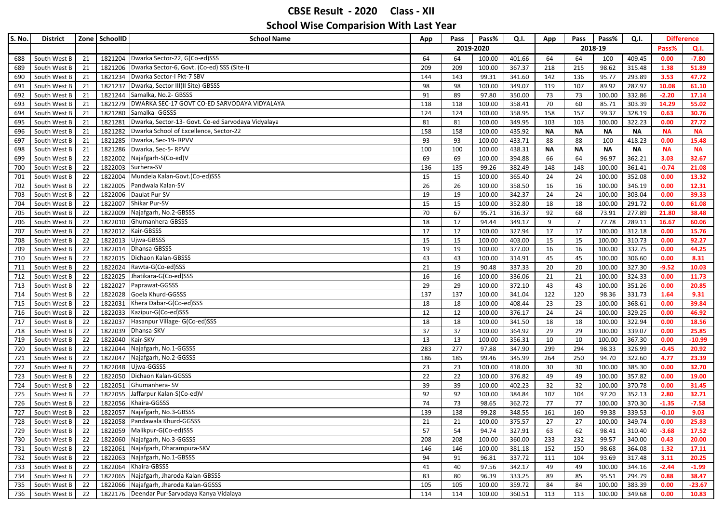| 2019-2020<br>2018-19<br>Pass%<br>Q.I.<br>Dwarka Sector-22, G(Co-ed)SSS<br>21<br>1821204<br>64<br>100.00<br>401.66<br>64<br>409.45<br>0.00<br>$-7.80$<br>South West B<br>64<br>64<br>100<br>688<br>1821206   Dwarka Sector-6, Govt. (Co-ed) SSS (Site-I)<br>209<br>367.37<br>215<br>315.48<br>1.38<br>51.89<br>South West B<br>21<br>209<br>100.00<br>218<br>98.62<br>689<br>Dwarka Sector-I Pkt-7 SBV<br>21<br>1821234<br>99.31<br>293.89<br>3.53<br>47.72<br>South West B<br>144<br>143<br>341.60<br>142<br>136<br>95.77<br>690<br>1821237<br>Dwarka, Sector III(II Site)-GBSSS<br>98<br>287.97<br>South West B<br>21<br>98<br>100.00<br>349.07<br>119<br>107<br>89.92<br>10.08<br>61.10<br>691<br>Samalka, No.2- GBSSS<br>South West B<br>21<br>1821244<br>91<br>89<br>97.80<br>350.00<br>73<br>73<br>100.00<br>332.86<br>$-2.20$<br>17.14<br>692<br>DWARKA SEC-17 GOVT CO-ED SARVODAYA VIDYALAYA<br>1821279<br>358.41<br>303.39<br>14.29<br>55.02<br>South West B<br>21<br>118<br>118<br>100.00<br>70<br>60<br>85.71<br>693<br>Samalka- GGSSS<br>30.76<br>South West B<br>21<br>1821280<br>124<br>124<br>100.00<br>358.95<br>158<br>157<br>99.37<br>328.19<br>0.63<br>694<br>Dwarka, Sector-13- Govt. Co-ed Sarvodaya Vidyalaya<br>81<br>322.23<br>695<br>South West B<br>21<br>1821281<br>81<br>100.00<br>349.95<br>103<br>103<br>100.00<br>0.00<br>27.72<br>Dwarka School of Excellence, Sector-22<br>435.92<br>South West B<br>21<br>1821282<br>158<br>158<br>100.00<br><b>NA</b><br><b>NA</b><br><b>NA</b><br><b>NA</b><br>696<br>ΝA<br>ΝA<br>1821285 Dwarka, Sec-19-RPVV<br>South West B<br>21<br>93<br>93<br>100.00<br>433.71<br>88<br>88<br>418.23<br>0.00<br>15.48<br>697<br>100<br>Dwarka, Sec-5- RPVV<br>1821286<br>438.31<br><b>NA</b><br>South West B<br>21<br>100<br>100<br>100.00<br><b>NA</b><br><b>NA</b><br><b>NA</b><br><b>NA</b><br><b>NA</b><br>698<br>Najafgarh-S(Co-ed)V<br>22<br>1822002<br>69<br>64<br>96.97<br>362.21<br>32.67<br>South West B<br>69<br>100.00<br>394.88<br>66<br>3.03<br>699<br>22<br>1822003<br>Surhera-SV<br>South West B<br>136<br>135<br>99.26<br>382.49<br>148<br>100.00<br>361.41<br>$-0.74$<br>21.08<br>700<br>148<br>22<br>1822004<br>Mundela Kalan-Govt.(Co-ed)SSS<br>13.32<br>South West B<br>15<br>15<br>100.00<br>365.40<br>24<br>24<br>100.00<br>352.08<br>0.00<br>701<br>22<br>1822005<br>Pandwala Kalan-SV<br>26<br>26<br>16<br>346.19<br>12.31<br>South West B<br>100.00<br>358.50<br>16<br>100.00<br>0.00<br>702<br>22<br>1822006<br>Daulat Pur-SV<br>24<br>303.04<br>39.33<br>South West B<br>19<br>19<br>100.00<br>342.37<br>24<br>100.00<br>0.00<br>703<br>Shikar Pur-SV<br>South West B<br>22<br>1822007<br>15<br>15<br>100.00<br>352.80<br>18<br>100.00<br>291.72<br>0.00<br>61.08<br>18<br>704<br>22<br>Najafgarh, No.2-GBSSS<br>70<br>38.48<br>South West B<br>1822009<br>67<br>95.71<br>316.37<br>92<br>68<br>73.91<br>277.89<br>21.80<br>705<br>22<br>1822010 Ghumanhera-GBSSS<br>$\overline{7}$<br>77.78<br>60.06<br>South West B<br>18<br>17<br>94.44<br>349.17<br>9<br>289.11<br>16.67<br>706<br>$\overline{22}$<br>1822012<br>Kair-GBSSS<br>17<br>17<br>100.00<br>312.18<br>15.76<br>South West B<br>17<br>100.00<br>327.94<br>17<br>0.00<br>707<br>1822013<br>Ujwa-GBSSS<br>South West B<br>22<br>15<br>15<br>100.00<br>403.00<br>15<br>100.00<br>310.73<br>0.00<br>92.27<br>708<br>15<br>22<br>1822014<br>Dhansa-GBSSS<br>44.25<br>19<br>19<br>100.00<br>377.00<br>16<br>16<br>100.00<br>332.75<br>0.00<br>709<br>South West B<br>1822015 Dichaon Kalan-GBSSS<br>South West B<br>22<br>43<br>100.00<br>314.91<br>45<br>100.00<br>306.60<br>0.00<br>8.31<br>710<br>43<br>45<br>Rawta-G(Co-ed)SSS<br>22<br>1822024<br>327.30<br>$-9.52$<br>South West B<br>21<br>19<br>90.48<br>337.33<br>20<br>20<br>100.00<br>10.03<br>711<br>22<br>1822025<br>Jhatikara-G(Co-ed)SSS<br>336.06<br>100.00<br>324.33<br>712<br>South West B<br>16<br>16<br>100.00<br>21<br>21<br>0.00<br>11.73<br>1822027<br>Paprawat-GGSSS<br>29<br>372.10<br>351.26<br>20.85<br>South West B<br>22<br>29<br>100.00<br>43<br>43<br>100.00<br>0.00<br>713<br>22<br>1822028<br>Goela Khurd-GGSSS<br>137<br>341.04<br>120<br>98.36<br>331.73<br>9.31<br>South West B<br>137<br>100.00<br>122<br>1.64<br>714<br>$\overline{22}$<br>1822031<br>Khera Dabar-G(Co-ed)SSS<br>408.44<br>23<br>23<br>100.00<br>368.61<br>0.00<br>39.84<br>South West B<br>18<br>18<br>100.00<br>715<br>22<br>1822033<br>Kazipur-G(Co-ed)SSS<br>12<br>12<br>24<br>100.00<br>329.25<br>46.92<br>716<br>South West B<br>100.00<br>376.17<br>24<br>0.00<br>22<br>1822037<br>Hasanpur Village- G(Co-ed)SSS<br>341.50<br>18<br>322.94<br>18.56<br>South West B<br>18<br>18<br>100.00<br>18<br>100.00<br>0.00<br>717<br>Dhansa-SKV<br>22<br>1822039<br>37<br>37<br>364.92<br>29<br>100.00<br>339.07<br>25.85<br>South West B<br>100.00<br>29<br>0.00<br>718<br>22<br>Kair-SKV<br>1822040<br>13<br>10<br>367.30<br>$-10.99$<br>South West B<br>13<br>100.00<br>356.31<br>100.00<br>0.00<br>10<br>719<br>22<br>1822044<br>Najafgarh, No.1-GGSSS<br>294<br>98.33<br>South West B<br>283<br>277<br>97.88<br>347.90<br>299<br>326.99<br>$-0.45$<br>20.92<br>720<br>22<br>1822047<br>Najafgarh, No.2-GGSSS<br>345.99<br>94.70<br>322.60<br>South West B<br>186<br>185<br>99.46<br>264<br>250<br>4.77<br>23.39<br>721<br>22<br>1822048<br>Ujwa-GGSSS<br>385.30<br>32.70<br>South West B<br>23<br>23<br>100.00<br>418.00<br>30<br>30<br>100.00<br>0.00<br>722<br>Dichaon Kalan-GGSSS<br>22<br>1822050<br>22<br>22<br>49<br>357.82<br>19.00<br>South West B<br>100.00<br>376.82<br>49<br>100.00<br>0.00<br>723<br>Ghumanhera-SV<br>22<br>1822051<br>32<br>100.00<br>370.78<br>31.45<br>South West B<br>39<br>39<br>100.00<br>402.23<br>32<br>0.00<br>724<br>South West B<br>22<br>1822055<br>Jaffarpur Kalan-S(Co-ed)V<br>92<br>92<br>100.00<br>384.84<br>104<br>97.20<br>352.13<br>2.80<br>32.71<br>725<br>107<br>Khaira-GGSSS<br>22<br>1822056<br>74<br>73<br>98.65<br>362.72<br>77<br>77<br>370.30<br>$-1.35$<br>$-7.58$<br>South West B<br>100.00<br>726<br>Najafgarh, No.3-GBSSS<br>22<br>1822057<br>139<br>138<br>99.28<br>161<br>160<br>339.53<br>$-0.10$<br>9.03<br>727<br>South West B<br>348.55<br>99.38<br>1822058 Pandawala Khurd-GGSSS<br>349.74<br>South West B<br>22<br>100.00<br>375.57<br>100.00<br>0.00<br>25.83<br>21<br>21<br>27<br>27<br>728<br>1822059 Malikpur-G(Co-ed)SSS<br>57<br>South West B<br>22<br>54<br>327.91<br>63<br>62<br>310.40<br>$-3.68$<br>17.52<br>729<br>94.74<br>98.41<br>1822060 Najafgarh, No.3-GGSSS<br>22<br>208<br>100.00<br>360.00<br>232<br>99.57<br>340.00<br>0.43<br>20.00<br>South West B<br>208<br>233<br>730<br>1822061 Najafgarh, Dharampura-SKV<br>South West B<br>22<br>146<br>100.00<br>381.18<br>152<br>150<br>98.68<br>364.08<br>1.32<br>17.11<br>146<br>731<br>1822063 Najafgarh, No.1-GBSSS<br>South West B<br>22<br>94<br>96.81<br>337.72<br>93.69<br>317.48<br>3.11<br>20.25<br>732<br>91<br>111<br>104<br>1822064 Khaira-GBSSS<br>South West B<br>97.56<br>342.17<br>344.16<br>$-2.44$<br>22<br>41<br>40<br>49<br>49<br>100.00<br>$-1.99$<br>733<br>1822065 Najafgarh, Jharoda Kalan-GBSSS<br>22<br>294.79<br>0.88<br>South West B<br>83<br>80<br>96.39<br>333.25<br>89<br>85<br>95.51<br>38.47<br>734<br>1822066 Najafgarh, Jharoda Kalan-GGSSS<br>South West B<br>22<br>105<br>100.00<br>359.72<br>100.00<br>383.39<br>0.00<br>$-23.67$<br>735<br>105<br>84<br>84<br>1822176 Deendar Pur-Sarvodaya Kanya Vidalaya<br>South West B<br>22<br>114<br>100.00<br>360.51<br>100.00<br>349.68<br>10.83<br>736<br>114<br>113<br>113<br>0.00 | S. No. | <b>District</b> | Zone SchoolID | <b>School Name</b> | App | Pass | Pass% | Q.I. | App | Pass | Pass% | Q.I. | <b>Difference</b> |  |
|----------------------------------------------------------------------------------------------------------------------------------------------------------------------------------------------------------------------------------------------------------------------------------------------------------------------------------------------------------------------------------------------------------------------------------------------------------------------------------------------------------------------------------------------------------------------------------------------------------------------------------------------------------------------------------------------------------------------------------------------------------------------------------------------------------------------------------------------------------------------------------------------------------------------------------------------------------------------------------------------------------------------------------------------------------------------------------------------------------------------------------------------------------------------------------------------------------------------------------------------------------------------------------------------------------------------------------------------------------------------------------------------------------------------------------------------------------------------------------------------------------------------------------------------------------------------------------------------------------------------------------------------------------------------------------------------------------------------------------------------------------------------------------------------------------------------------------------------------------------------------------------------------------------------------------------------------------------------------------------------------------------------------------------------------------------------------------------------------------------------------------------------------------------------------------------------------------------------------------------------------------------------------------------------------------------------------------------------------------------------------------------------------------------------------------------------------------------------------------------------------------------------------------------------------------------------------------------------------------------------------------------------------------------------------------------------------------------------------------------------------------------------------------------------------------------------------------------------------------------------------------------------------------------------------------------------------------------------------------------------------------------------------------------------------------------------------------------------------------------------------------------------------------------------------------------------------------------------------------------------------------------------------------------------------------------------------------------------------------------------------------------------------------------------------------------------------------------------------------------------------------------------------------------------------------------------------------------------------------------------------------------------------------------------------------------------------------------------------------------------------------------------------------------------------------------------------------------------------------------------------------------------------------------------------------------------------------------------------------------------------------------------------------------------------------------------------------------------------------------------------------------------------------------------------------------------------------------------------------------------------------------------------------------------------------------------------------------------------------------------------------------------------------------------------------------------------------------------------------------------------------------------------------------------------------------------------------------------------------------------------------------------------------------------------------------------------------------------------------------------------------------------------------------------------------------------------------------------------------------------------------------------------------------------------------------------------------------------------------------------------------------------------------------------------------------------------------------------------------------------------------------------------------------------------------------------------------------------------------------------------------------------------------------------------------------------------------------------------------------------------------------------------------------------------------------------------------------------------------------------------------------------------------------------------------------------------------------------------------------------------------------------------------------------------------------------------------------------------------------------------------------------------------------------------------------------------------------------------------------------------------------------------------------------------------------------------------------------------------------------------------------------------------------------------------------------------------------------------------------------------------------------------------------------------------------------------------------------------------------------------------------------------------------------------------------------------------------------------------------------------------------------------------------------------------------------------------------------------------------------------------------------------------------------------------------------------------------------------------------------------------------------------------------------------------------------------------------------------------------------------------------------------------------------------------------------------------------------------------------------------------------------------------------------------------------------------------------------------------------------------------------------------------------------------------------------------------------------------------------------------------------------------------------------------------------------------------------------------------------------------------------------------------------------------------------------------------------------------------------------------------------------------------------------------------------------------------------------------------------------------------------------------------------------------------------------------------------------------------|--------|-----------------|---------------|--------------------|-----|------|-------|------|-----|------|-------|------|-------------------|--|
|                                                                                                                                                                                                                                                                                                                                                                                                                                                                                                                                                                                                                                                                                                                                                                                                                                                                                                                                                                                                                                                                                                                                                                                                                                                                                                                                                                                                                                                                                                                                                                                                                                                                                                                                                                                                                                                                                                                                                                                                                                                                                                                                                                                                                                                                                                                                                                                                                                                                                                                                                                                                                                                                                                                                                                                                                                                                                                                                                                                                                                                                                                                                                                                                                                                                                                                                                                                                                                                                                                                                                                                                                                                                                                                                                                                                                                                                                                                                                                                                                                                                                                                                                                                                                                                                                                                                                                                                                                                                                                                                                                                                                                                                                                                                                                                                                                                                                                                                                                                                                                                                                                                                                                                                                                                                                                                                                                                                                                                                                                                                                                                                                                                                                                                                                                                                                                                                                                                                                                                                                                                                                                                                                                                                                                                                                                                                                                                                                                                                                                                                                                                                                                                                                                                                                                                                                                                                                                                                                                                                                                                                                                                                                                                                                                                                                                                                                                                                                                                                                                                                                                                                          |        |                 |               |                    |     |      |       |      |     |      |       |      |                   |  |
|                                                                                                                                                                                                                                                                                                                                                                                                                                                                                                                                                                                                                                                                                                                                                                                                                                                                                                                                                                                                                                                                                                                                                                                                                                                                                                                                                                                                                                                                                                                                                                                                                                                                                                                                                                                                                                                                                                                                                                                                                                                                                                                                                                                                                                                                                                                                                                                                                                                                                                                                                                                                                                                                                                                                                                                                                                                                                                                                                                                                                                                                                                                                                                                                                                                                                                                                                                                                                                                                                                                                                                                                                                                                                                                                                                                                                                                                                                                                                                                                                                                                                                                                                                                                                                                                                                                                                                                                                                                                                                                                                                                                                                                                                                                                                                                                                                                                                                                                                                                                                                                                                                                                                                                                                                                                                                                                                                                                                                                                                                                                                                                                                                                                                                                                                                                                                                                                                                                                                                                                                                                                                                                                                                                                                                                                                                                                                                                                                                                                                                                                                                                                                                                                                                                                                                                                                                                                                                                                                                                                                                                                                                                                                                                                                                                                                                                                                                                                                                                                                                                                                                                                          |        |                 |               |                    |     |      |       |      |     |      |       |      |                   |  |
|                                                                                                                                                                                                                                                                                                                                                                                                                                                                                                                                                                                                                                                                                                                                                                                                                                                                                                                                                                                                                                                                                                                                                                                                                                                                                                                                                                                                                                                                                                                                                                                                                                                                                                                                                                                                                                                                                                                                                                                                                                                                                                                                                                                                                                                                                                                                                                                                                                                                                                                                                                                                                                                                                                                                                                                                                                                                                                                                                                                                                                                                                                                                                                                                                                                                                                                                                                                                                                                                                                                                                                                                                                                                                                                                                                                                                                                                                                                                                                                                                                                                                                                                                                                                                                                                                                                                                                                                                                                                                                                                                                                                                                                                                                                                                                                                                                                                                                                                                                                                                                                                                                                                                                                                                                                                                                                                                                                                                                                                                                                                                                                                                                                                                                                                                                                                                                                                                                                                                                                                                                                                                                                                                                                                                                                                                                                                                                                                                                                                                                                                                                                                                                                                                                                                                                                                                                                                                                                                                                                                                                                                                                                                                                                                                                                                                                                                                                                                                                                                                                                                                                                                          |        |                 |               |                    |     |      |       |      |     |      |       |      |                   |  |
|                                                                                                                                                                                                                                                                                                                                                                                                                                                                                                                                                                                                                                                                                                                                                                                                                                                                                                                                                                                                                                                                                                                                                                                                                                                                                                                                                                                                                                                                                                                                                                                                                                                                                                                                                                                                                                                                                                                                                                                                                                                                                                                                                                                                                                                                                                                                                                                                                                                                                                                                                                                                                                                                                                                                                                                                                                                                                                                                                                                                                                                                                                                                                                                                                                                                                                                                                                                                                                                                                                                                                                                                                                                                                                                                                                                                                                                                                                                                                                                                                                                                                                                                                                                                                                                                                                                                                                                                                                                                                                                                                                                                                                                                                                                                                                                                                                                                                                                                                                                                                                                                                                                                                                                                                                                                                                                                                                                                                                                                                                                                                                                                                                                                                                                                                                                                                                                                                                                                                                                                                                                                                                                                                                                                                                                                                                                                                                                                                                                                                                                                                                                                                                                                                                                                                                                                                                                                                                                                                                                                                                                                                                                                                                                                                                                                                                                                                                                                                                                                                                                                                                                                          |        |                 |               |                    |     |      |       |      |     |      |       |      |                   |  |
|                                                                                                                                                                                                                                                                                                                                                                                                                                                                                                                                                                                                                                                                                                                                                                                                                                                                                                                                                                                                                                                                                                                                                                                                                                                                                                                                                                                                                                                                                                                                                                                                                                                                                                                                                                                                                                                                                                                                                                                                                                                                                                                                                                                                                                                                                                                                                                                                                                                                                                                                                                                                                                                                                                                                                                                                                                                                                                                                                                                                                                                                                                                                                                                                                                                                                                                                                                                                                                                                                                                                                                                                                                                                                                                                                                                                                                                                                                                                                                                                                                                                                                                                                                                                                                                                                                                                                                                                                                                                                                                                                                                                                                                                                                                                                                                                                                                                                                                                                                                                                                                                                                                                                                                                                                                                                                                                                                                                                                                                                                                                                                                                                                                                                                                                                                                                                                                                                                                                                                                                                                                                                                                                                                                                                                                                                                                                                                                                                                                                                                                                                                                                                                                                                                                                                                                                                                                                                                                                                                                                                                                                                                                                                                                                                                                                                                                                                                                                                                                                                                                                                                                                          |        |                 |               |                    |     |      |       |      |     |      |       |      |                   |  |
|                                                                                                                                                                                                                                                                                                                                                                                                                                                                                                                                                                                                                                                                                                                                                                                                                                                                                                                                                                                                                                                                                                                                                                                                                                                                                                                                                                                                                                                                                                                                                                                                                                                                                                                                                                                                                                                                                                                                                                                                                                                                                                                                                                                                                                                                                                                                                                                                                                                                                                                                                                                                                                                                                                                                                                                                                                                                                                                                                                                                                                                                                                                                                                                                                                                                                                                                                                                                                                                                                                                                                                                                                                                                                                                                                                                                                                                                                                                                                                                                                                                                                                                                                                                                                                                                                                                                                                                                                                                                                                                                                                                                                                                                                                                                                                                                                                                                                                                                                                                                                                                                                                                                                                                                                                                                                                                                                                                                                                                                                                                                                                                                                                                                                                                                                                                                                                                                                                                                                                                                                                                                                                                                                                                                                                                                                                                                                                                                                                                                                                                                                                                                                                                                                                                                                                                                                                                                                                                                                                                                                                                                                                                                                                                                                                                                                                                                                                                                                                                                                                                                                                                                          |        |                 |               |                    |     |      |       |      |     |      |       |      |                   |  |
|                                                                                                                                                                                                                                                                                                                                                                                                                                                                                                                                                                                                                                                                                                                                                                                                                                                                                                                                                                                                                                                                                                                                                                                                                                                                                                                                                                                                                                                                                                                                                                                                                                                                                                                                                                                                                                                                                                                                                                                                                                                                                                                                                                                                                                                                                                                                                                                                                                                                                                                                                                                                                                                                                                                                                                                                                                                                                                                                                                                                                                                                                                                                                                                                                                                                                                                                                                                                                                                                                                                                                                                                                                                                                                                                                                                                                                                                                                                                                                                                                                                                                                                                                                                                                                                                                                                                                                                                                                                                                                                                                                                                                                                                                                                                                                                                                                                                                                                                                                                                                                                                                                                                                                                                                                                                                                                                                                                                                                                                                                                                                                                                                                                                                                                                                                                                                                                                                                                                                                                                                                                                                                                                                                                                                                                                                                                                                                                                                                                                                                                                                                                                                                                                                                                                                                                                                                                                                                                                                                                                                                                                                                                                                                                                                                                                                                                                                                                                                                                                                                                                                                                                          |        |                 |               |                    |     |      |       |      |     |      |       |      |                   |  |
|                                                                                                                                                                                                                                                                                                                                                                                                                                                                                                                                                                                                                                                                                                                                                                                                                                                                                                                                                                                                                                                                                                                                                                                                                                                                                                                                                                                                                                                                                                                                                                                                                                                                                                                                                                                                                                                                                                                                                                                                                                                                                                                                                                                                                                                                                                                                                                                                                                                                                                                                                                                                                                                                                                                                                                                                                                                                                                                                                                                                                                                                                                                                                                                                                                                                                                                                                                                                                                                                                                                                                                                                                                                                                                                                                                                                                                                                                                                                                                                                                                                                                                                                                                                                                                                                                                                                                                                                                                                                                                                                                                                                                                                                                                                                                                                                                                                                                                                                                                                                                                                                                                                                                                                                                                                                                                                                                                                                                                                                                                                                                                                                                                                                                                                                                                                                                                                                                                                                                                                                                                                                                                                                                                                                                                                                                                                                                                                                                                                                                                                                                                                                                                                                                                                                                                                                                                                                                                                                                                                                                                                                                                                                                                                                                                                                                                                                                                                                                                                                                                                                                                                                          |        |                 |               |                    |     |      |       |      |     |      |       |      |                   |  |
|                                                                                                                                                                                                                                                                                                                                                                                                                                                                                                                                                                                                                                                                                                                                                                                                                                                                                                                                                                                                                                                                                                                                                                                                                                                                                                                                                                                                                                                                                                                                                                                                                                                                                                                                                                                                                                                                                                                                                                                                                                                                                                                                                                                                                                                                                                                                                                                                                                                                                                                                                                                                                                                                                                                                                                                                                                                                                                                                                                                                                                                                                                                                                                                                                                                                                                                                                                                                                                                                                                                                                                                                                                                                                                                                                                                                                                                                                                                                                                                                                                                                                                                                                                                                                                                                                                                                                                                                                                                                                                                                                                                                                                                                                                                                                                                                                                                                                                                                                                                                                                                                                                                                                                                                                                                                                                                                                                                                                                                                                                                                                                                                                                                                                                                                                                                                                                                                                                                                                                                                                                                                                                                                                                                                                                                                                                                                                                                                                                                                                                                                                                                                                                                                                                                                                                                                                                                                                                                                                                                                                                                                                                                                                                                                                                                                                                                                                                                                                                                                                                                                                                                                          |        |                 |               |                    |     |      |       |      |     |      |       |      |                   |  |
|                                                                                                                                                                                                                                                                                                                                                                                                                                                                                                                                                                                                                                                                                                                                                                                                                                                                                                                                                                                                                                                                                                                                                                                                                                                                                                                                                                                                                                                                                                                                                                                                                                                                                                                                                                                                                                                                                                                                                                                                                                                                                                                                                                                                                                                                                                                                                                                                                                                                                                                                                                                                                                                                                                                                                                                                                                                                                                                                                                                                                                                                                                                                                                                                                                                                                                                                                                                                                                                                                                                                                                                                                                                                                                                                                                                                                                                                                                                                                                                                                                                                                                                                                                                                                                                                                                                                                                                                                                                                                                                                                                                                                                                                                                                                                                                                                                                                                                                                                                                                                                                                                                                                                                                                                                                                                                                                                                                                                                                                                                                                                                                                                                                                                                                                                                                                                                                                                                                                                                                                                                                                                                                                                                                                                                                                                                                                                                                                                                                                                                                                                                                                                                                                                                                                                                                                                                                                                                                                                                                                                                                                                                                                                                                                                                                                                                                                                                                                                                                                                                                                                                                                          |        |                 |               |                    |     |      |       |      |     |      |       |      |                   |  |
|                                                                                                                                                                                                                                                                                                                                                                                                                                                                                                                                                                                                                                                                                                                                                                                                                                                                                                                                                                                                                                                                                                                                                                                                                                                                                                                                                                                                                                                                                                                                                                                                                                                                                                                                                                                                                                                                                                                                                                                                                                                                                                                                                                                                                                                                                                                                                                                                                                                                                                                                                                                                                                                                                                                                                                                                                                                                                                                                                                                                                                                                                                                                                                                                                                                                                                                                                                                                                                                                                                                                                                                                                                                                                                                                                                                                                                                                                                                                                                                                                                                                                                                                                                                                                                                                                                                                                                                                                                                                                                                                                                                                                                                                                                                                                                                                                                                                                                                                                                                                                                                                                                                                                                                                                                                                                                                                                                                                                                                                                                                                                                                                                                                                                                                                                                                                                                                                                                                                                                                                                                                                                                                                                                                                                                                                                                                                                                                                                                                                                                                                                                                                                                                                                                                                                                                                                                                                                                                                                                                                                                                                                                                                                                                                                                                                                                                                                                                                                                                                                                                                                                                                          |        |                 |               |                    |     |      |       |      |     |      |       |      |                   |  |
|                                                                                                                                                                                                                                                                                                                                                                                                                                                                                                                                                                                                                                                                                                                                                                                                                                                                                                                                                                                                                                                                                                                                                                                                                                                                                                                                                                                                                                                                                                                                                                                                                                                                                                                                                                                                                                                                                                                                                                                                                                                                                                                                                                                                                                                                                                                                                                                                                                                                                                                                                                                                                                                                                                                                                                                                                                                                                                                                                                                                                                                                                                                                                                                                                                                                                                                                                                                                                                                                                                                                                                                                                                                                                                                                                                                                                                                                                                                                                                                                                                                                                                                                                                                                                                                                                                                                                                                                                                                                                                                                                                                                                                                                                                                                                                                                                                                                                                                                                                                                                                                                                                                                                                                                                                                                                                                                                                                                                                                                                                                                                                                                                                                                                                                                                                                                                                                                                                                                                                                                                                                                                                                                                                                                                                                                                                                                                                                                                                                                                                                                                                                                                                                                                                                                                                                                                                                                                                                                                                                                                                                                                                                                                                                                                                                                                                                                                                                                                                                                                                                                                                                                          |        |                 |               |                    |     |      |       |      |     |      |       |      |                   |  |
|                                                                                                                                                                                                                                                                                                                                                                                                                                                                                                                                                                                                                                                                                                                                                                                                                                                                                                                                                                                                                                                                                                                                                                                                                                                                                                                                                                                                                                                                                                                                                                                                                                                                                                                                                                                                                                                                                                                                                                                                                                                                                                                                                                                                                                                                                                                                                                                                                                                                                                                                                                                                                                                                                                                                                                                                                                                                                                                                                                                                                                                                                                                                                                                                                                                                                                                                                                                                                                                                                                                                                                                                                                                                                                                                                                                                                                                                                                                                                                                                                                                                                                                                                                                                                                                                                                                                                                                                                                                                                                                                                                                                                                                                                                                                                                                                                                                                                                                                                                                                                                                                                                                                                                                                                                                                                                                                                                                                                                                                                                                                                                                                                                                                                                                                                                                                                                                                                                                                                                                                                                                                                                                                                                                                                                                                                                                                                                                                                                                                                                                                                                                                                                                                                                                                                                                                                                                                                                                                                                                                                                                                                                                                                                                                                                                                                                                                                                                                                                                                                                                                                                                                          |        |                 |               |                    |     |      |       |      |     |      |       |      |                   |  |
|                                                                                                                                                                                                                                                                                                                                                                                                                                                                                                                                                                                                                                                                                                                                                                                                                                                                                                                                                                                                                                                                                                                                                                                                                                                                                                                                                                                                                                                                                                                                                                                                                                                                                                                                                                                                                                                                                                                                                                                                                                                                                                                                                                                                                                                                                                                                                                                                                                                                                                                                                                                                                                                                                                                                                                                                                                                                                                                                                                                                                                                                                                                                                                                                                                                                                                                                                                                                                                                                                                                                                                                                                                                                                                                                                                                                                                                                                                                                                                                                                                                                                                                                                                                                                                                                                                                                                                                                                                                                                                                                                                                                                                                                                                                                                                                                                                                                                                                                                                                                                                                                                                                                                                                                                                                                                                                                                                                                                                                                                                                                                                                                                                                                                                                                                                                                                                                                                                                                                                                                                                                                                                                                                                                                                                                                                                                                                                                                                                                                                                                                                                                                                                                                                                                                                                                                                                                                                                                                                                                                                                                                                                                                                                                                                                                                                                                                                                                                                                                                                                                                                                                                          |        |                 |               |                    |     |      |       |      |     |      |       |      |                   |  |
|                                                                                                                                                                                                                                                                                                                                                                                                                                                                                                                                                                                                                                                                                                                                                                                                                                                                                                                                                                                                                                                                                                                                                                                                                                                                                                                                                                                                                                                                                                                                                                                                                                                                                                                                                                                                                                                                                                                                                                                                                                                                                                                                                                                                                                                                                                                                                                                                                                                                                                                                                                                                                                                                                                                                                                                                                                                                                                                                                                                                                                                                                                                                                                                                                                                                                                                                                                                                                                                                                                                                                                                                                                                                                                                                                                                                                                                                                                                                                                                                                                                                                                                                                                                                                                                                                                                                                                                                                                                                                                                                                                                                                                                                                                                                                                                                                                                                                                                                                                                                                                                                                                                                                                                                                                                                                                                                                                                                                                                                                                                                                                                                                                                                                                                                                                                                                                                                                                                                                                                                                                                                                                                                                                                                                                                                                                                                                                                                                                                                                                                                                                                                                                                                                                                                                                                                                                                                                                                                                                                                                                                                                                                                                                                                                                                                                                                                                                                                                                                                                                                                                                                                          |        |                 |               |                    |     |      |       |      |     |      |       |      |                   |  |
|                                                                                                                                                                                                                                                                                                                                                                                                                                                                                                                                                                                                                                                                                                                                                                                                                                                                                                                                                                                                                                                                                                                                                                                                                                                                                                                                                                                                                                                                                                                                                                                                                                                                                                                                                                                                                                                                                                                                                                                                                                                                                                                                                                                                                                                                                                                                                                                                                                                                                                                                                                                                                                                                                                                                                                                                                                                                                                                                                                                                                                                                                                                                                                                                                                                                                                                                                                                                                                                                                                                                                                                                                                                                                                                                                                                                                                                                                                                                                                                                                                                                                                                                                                                                                                                                                                                                                                                                                                                                                                                                                                                                                                                                                                                                                                                                                                                                                                                                                                                                                                                                                                                                                                                                                                                                                                                                                                                                                                                                                                                                                                                                                                                                                                                                                                                                                                                                                                                                                                                                                                                                                                                                                                                                                                                                                                                                                                                                                                                                                                                                                                                                                                                                                                                                                                                                                                                                                                                                                                                                                                                                                                                                                                                                                                                                                                                                                                                                                                                                                                                                                                                                          |        |                 |               |                    |     |      |       |      |     |      |       |      |                   |  |
|                                                                                                                                                                                                                                                                                                                                                                                                                                                                                                                                                                                                                                                                                                                                                                                                                                                                                                                                                                                                                                                                                                                                                                                                                                                                                                                                                                                                                                                                                                                                                                                                                                                                                                                                                                                                                                                                                                                                                                                                                                                                                                                                                                                                                                                                                                                                                                                                                                                                                                                                                                                                                                                                                                                                                                                                                                                                                                                                                                                                                                                                                                                                                                                                                                                                                                                                                                                                                                                                                                                                                                                                                                                                                                                                                                                                                                                                                                                                                                                                                                                                                                                                                                                                                                                                                                                                                                                                                                                                                                                                                                                                                                                                                                                                                                                                                                                                                                                                                                                                                                                                                                                                                                                                                                                                                                                                                                                                                                                                                                                                                                                                                                                                                                                                                                                                                                                                                                                                                                                                                                                                                                                                                                                                                                                                                                                                                                                                                                                                                                                                                                                                                                                                                                                                                                                                                                                                                                                                                                                                                                                                                                                                                                                                                                                                                                                                                                                                                                                                                                                                                                                                          |        |                 |               |                    |     |      |       |      |     |      |       |      |                   |  |
|                                                                                                                                                                                                                                                                                                                                                                                                                                                                                                                                                                                                                                                                                                                                                                                                                                                                                                                                                                                                                                                                                                                                                                                                                                                                                                                                                                                                                                                                                                                                                                                                                                                                                                                                                                                                                                                                                                                                                                                                                                                                                                                                                                                                                                                                                                                                                                                                                                                                                                                                                                                                                                                                                                                                                                                                                                                                                                                                                                                                                                                                                                                                                                                                                                                                                                                                                                                                                                                                                                                                                                                                                                                                                                                                                                                                                                                                                                                                                                                                                                                                                                                                                                                                                                                                                                                                                                                                                                                                                                                                                                                                                                                                                                                                                                                                                                                                                                                                                                                                                                                                                                                                                                                                                                                                                                                                                                                                                                                                                                                                                                                                                                                                                                                                                                                                                                                                                                                                                                                                                                                                                                                                                                                                                                                                                                                                                                                                                                                                                                                                                                                                                                                                                                                                                                                                                                                                                                                                                                                                                                                                                                                                                                                                                                                                                                                                                                                                                                                                                                                                                                                                          |        |                 |               |                    |     |      |       |      |     |      |       |      |                   |  |
|                                                                                                                                                                                                                                                                                                                                                                                                                                                                                                                                                                                                                                                                                                                                                                                                                                                                                                                                                                                                                                                                                                                                                                                                                                                                                                                                                                                                                                                                                                                                                                                                                                                                                                                                                                                                                                                                                                                                                                                                                                                                                                                                                                                                                                                                                                                                                                                                                                                                                                                                                                                                                                                                                                                                                                                                                                                                                                                                                                                                                                                                                                                                                                                                                                                                                                                                                                                                                                                                                                                                                                                                                                                                                                                                                                                                                                                                                                                                                                                                                                                                                                                                                                                                                                                                                                                                                                                                                                                                                                                                                                                                                                                                                                                                                                                                                                                                                                                                                                                                                                                                                                                                                                                                                                                                                                                                                                                                                                                                                                                                                                                                                                                                                                                                                                                                                                                                                                                                                                                                                                                                                                                                                                                                                                                                                                                                                                                                                                                                                                                                                                                                                                                                                                                                                                                                                                                                                                                                                                                                                                                                                                                                                                                                                                                                                                                                                                                                                                                                                                                                                                                                          |        |                 |               |                    |     |      |       |      |     |      |       |      |                   |  |
|                                                                                                                                                                                                                                                                                                                                                                                                                                                                                                                                                                                                                                                                                                                                                                                                                                                                                                                                                                                                                                                                                                                                                                                                                                                                                                                                                                                                                                                                                                                                                                                                                                                                                                                                                                                                                                                                                                                                                                                                                                                                                                                                                                                                                                                                                                                                                                                                                                                                                                                                                                                                                                                                                                                                                                                                                                                                                                                                                                                                                                                                                                                                                                                                                                                                                                                                                                                                                                                                                                                                                                                                                                                                                                                                                                                                                                                                                                                                                                                                                                                                                                                                                                                                                                                                                                                                                                                                                                                                                                                                                                                                                                                                                                                                                                                                                                                                                                                                                                                                                                                                                                                                                                                                                                                                                                                                                                                                                                                                                                                                                                                                                                                                                                                                                                                                                                                                                                                                                                                                                                                                                                                                                                                                                                                                                                                                                                                                                                                                                                                                                                                                                                                                                                                                                                                                                                                                                                                                                                                                                                                                                                                                                                                                                                                                                                                                                                                                                                                                                                                                                                                                          |        |                 |               |                    |     |      |       |      |     |      |       |      |                   |  |
|                                                                                                                                                                                                                                                                                                                                                                                                                                                                                                                                                                                                                                                                                                                                                                                                                                                                                                                                                                                                                                                                                                                                                                                                                                                                                                                                                                                                                                                                                                                                                                                                                                                                                                                                                                                                                                                                                                                                                                                                                                                                                                                                                                                                                                                                                                                                                                                                                                                                                                                                                                                                                                                                                                                                                                                                                                                                                                                                                                                                                                                                                                                                                                                                                                                                                                                                                                                                                                                                                                                                                                                                                                                                                                                                                                                                                                                                                                                                                                                                                                                                                                                                                                                                                                                                                                                                                                                                                                                                                                                                                                                                                                                                                                                                                                                                                                                                                                                                                                                                                                                                                                                                                                                                                                                                                                                                                                                                                                                                                                                                                                                                                                                                                                                                                                                                                                                                                                                                                                                                                                                                                                                                                                                                                                                                                                                                                                                                                                                                                                                                                                                                                                                                                                                                                                                                                                                                                                                                                                                                                                                                                                                                                                                                                                                                                                                                                                                                                                                                                                                                                                                                          |        |                 |               |                    |     |      |       |      |     |      |       |      |                   |  |
|                                                                                                                                                                                                                                                                                                                                                                                                                                                                                                                                                                                                                                                                                                                                                                                                                                                                                                                                                                                                                                                                                                                                                                                                                                                                                                                                                                                                                                                                                                                                                                                                                                                                                                                                                                                                                                                                                                                                                                                                                                                                                                                                                                                                                                                                                                                                                                                                                                                                                                                                                                                                                                                                                                                                                                                                                                                                                                                                                                                                                                                                                                                                                                                                                                                                                                                                                                                                                                                                                                                                                                                                                                                                                                                                                                                                                                                                                                                                                                                                                                                                                                                                                                                                                                                                                                                                                                                                                                                                                                                                                                                                                                                                                                                                                                                                                                                                                                                                                                                                                                                                                                                                                                                                                                                                                                                                                                                                                                                                                                                                                                                                                                                                                                                                                                                                                                                                                                                                                                                                                                                                                                                                                                                                                                                                                                                                                                                                                                                                                                                                                                                                                                                                                                                                                                                                                                                                                                                                                                                                                                                                                                                                                                                                                                                                                                                                                                                                                                                                                                                                                                                                          |        |                 |               |                    |     |      |       |      |     |      |       |      |                   |  |
|                                                                                                                                                                                                                                                                                                                                                                                                                                                                                                                                                                                                                                                                                                                                                                                                                                                                                                                                                                                                                                                                                                                                                                                                                                                                                                                                                                                                                                                                                                                                                                                                                                                                                                                                                                                                                                                                                                                                                                                                                                                                                                                                                                                                                                                                                                                                                                                                                                                                                                                                                                                                                                                                                                                                                                                                                                                                                                                                                                                                                                                                                                                                                                                                                                                                                                                                                                                                                                                                                                                                                                                                                                                                                                                                                                                                                                                                                                                                                                                                                                                                                                                                                                                                                                                                                                                                                                                                                                                                                                                                                                                                                                                                                                                                                                                                                                                                                                                                                                                                                                                                                                                                                                                                                                                                                                                                                                                                                                                                                                                                                                                                                                                                                                                                                                                                                                                                                                                                                                                                                                                                                                                                                                                                                                                                                                                                                                                                                                                                                                                                                                                                                                                                                                                                                                                                                                                                                                                                                                                                                                                                                                                                                                                                                                                                                                                                                                                                                                                                                                                                                                                                          |        |                 |               |                    |     |      |       |      |     |      |       |      |                   |  |
|                                                                                                                                                                                                                                                                                                                                                                                                                                                                                                                                                                                                                                                                                                                                                                                                                                                                                                                                                                                                                                                                                                                                                                                                                                                                                                                                                                                                                                                                                                                                                                                                                                                                                                                                                                                                                                                                                                                                                                                                                                                                                                                                                                                                                                                                                                                                                                                                                                                                                                                                                                                                                                                                                                                                                                                                                                                                                                                                                                                                                                                                                                                                                                                                                                                                                                                                                                                                                                                                                                                                                                                                                                                                                                                                                                                                                                                                                                                                                                                                                                                                                                                                                                                                                                                                                                                                                                                                                                                                                                                                                                                                                                                                                                                                                                                                                                                                                                                                                                                                                                                                                                                                                                                                                                                                                                                                                                                                                                                                                                                                                                                                                                                                                                                                                                                                                                                                                                                                                                                                                                                                                                                                                                                                                                                                                                                                                                                                                                                                                                                                                                                                                                                                                                                                                                                                                                                                                                                                                                                                                                                                                                                                                                                                                                                                                                                                                                                                                                                                                                                                                                                                          |        |                 |               |                    |     |      |       |      |     |      |       |      |                   |  |
|                                                                                                                                                                                                                                                                                                                                                                                                                                                                                                                                                                                                                                                                                                                                                                                                                                                                                                                                                                                                                                                                                                                                                                                                                                                                                                                                                                                                                                                                                                                                                                                                                                                                                                                                                                                                                                                                                                                                                                                                                                                                                                                                                                                                                                                                                                                                                                                                                                                                                                                                                                                                                                                                                                                                                                                                                                                                                                                                                                                                                                                                                                                                                                                                                                                                                                                                                                                                                                                                                                                                                                                                                                                                                                                                                                                                                                                                                                                                                                                                                                                                                                                                                                                                                                                                                                                                                                                                                                                                                                                                                                                                                                                                                                                                                                                                                                                                                                                                                                                                                                                                                                                                                                                                                                                                                                                                                                                                                                                                                                                                                                                                                                                                                                                                                                                                                                                                                                                                                                                                                                                                                                                                                                                                                                                                                                                                                                                                                                                                                                                                                                                                                                                                                                                                                                                                                                                                                                                                                                                                                                                                                                                                                                                                                                                                                                                                                                                                                                                                                                                                                                                                          |        |                 |               |                    |     |      |       |      |     |      |       |      |                   |  |
|                                                                                                                                                                                                                                                                                                                                                                                                                                                                                                                                                                                                                                                                                                                                                                                                                                                                                                                                                                                                                                                                                                                                                                                                                                                                                                                                                                                                                                                                                                                                                                                                                                                                                                                                                                                                                                                                                                                                                                                                                                                                                                                                                                                                                                                                                                                                                                                                                                                                                                                                                                                                                                                                                                                                                                                                                                                                                                                                                                                                                                                                                                                                                                                                                                                                                                                                                                                                                                                                                                                                                                                                                                                                                                                                                                                                                                                                                                                                                                                                                                                                                                                                                                                                                                                                                                                                                                                                                                                                                                                                                                                                                                                                                                                                                                                                                                                                                                                                                                                                                                                                                                                                                                                                                                                                                                                                                                                                                                                                                                                                                                                                                                                                                                                                                                                                                                                                                                                                                                                                                                                                                                                                                                                                                                                                                                                                                                                                                                                                                                                                                                                                                                                                                                                                                                                                                                                                                                                                                                                                                                                                                                                                                                                                                                                                                                                                                                                                                                                                                                                                                                                                          |        |                 |               |                    |     |      |       |      |     |      |       |      |                   |  |
|                                                                                                                                                                                                                                                                                                                                                                                                                                                                                                                                                                                                                                                                                                                                                                                                                                                                                                                                                                                                                                                                                                                                                                                                                                                                                                                                                                                                                                                                                                                                                                                                                                                                                                                                                                                                                                                                                                                                                                                                                                                                                                                                                                                                                                                                                                                                                                                                                                                                                                                                                                                                                                                                                                                                                                                                                                                                                                                                                                                                                                                                                                                                                                                                                                                                                                                                                                                                                                                                                                                                                                                                                                                                                                                                                                                                                                                                                                                                                                                                                                                                                                                                                                                                                                                                                                                                                                                                                                                                                                                                                                                                                                                                                                                                                                                                                                                                                                                                                                                                                                                                                                                                                                                                                                                                                                                                                                                                                                                                                                                                                                                                                                                                                                                                                                                                                                                                                                                                                                                                                                                                                                                                                                                                                                                                                                                                                                                                                                                                                                                                                                                                                                                                                                                                                                                                                                                                                                                                                                                                                                                                                                                                                                                                                                                                                                                                                                                                                                                                                                                                                                                                          |        |                 |               |                    |     |      |       |      |     |      |       |      |                   |  |
|                                                                                                                                                                                                                                                                                                                                                                                                                                                                                                                                                                                                                                                                                                                                                                                                                                                                                                                                                                                                                                                                                                                                                                                                                                                                                                                                                                                                                                                                                                                                                                                                                                                                                                                                                                                                                                                                                                                                                                                                                                                                                                                                                                                                                                                                                                                                                                                                                                                                                                                                                                                                                                                                                                                                                                                                                                                                                                                                                                                                                                                                                                                                                                                                                                                                                                                                                                                                                                                                                                                                                                                                                                                                                                                                                                                                                                                                                                                                                                                                                                                                                                                                                                                                                                                                                                                                                                                                                                                                                                                                                                                                                                                                                                                                                                                                                                                                                                                                                                                                                                                                                                                                                                                                                                                                                                                                                                                                                                                                                                                                                                                                                                                                                                                                                                                                                                                                                                                                                                                                                                                                                                                                                                                                                                                                                                                                                                                                                                                                                                                                                                                                                                                                                                                                                                                                                                                                                                                                                                                                                                                                                                                                                                                                                                                                                                                                                                                                                                                                                                                                                                                                          |        |                 |               |                    |     |      |       |      |     |      |       |      |                   |  |
|                                                                                                                                                                                                                                                                                                                                                                                                                                                                                                                                                                                                                                                                                                                                                                                                                                                                                                                                                                                                                                                                                                                                                                                                                                                                                                                                                                                                                                                                                                                                                                                                                                                                                                                                                                                                                                                                                                                                                                                                                                                                                                                                                                                                                                                                                                                                                                                                                                                                                                                                                                                                                                                                                                                                                                                                                                                                                                                                                                                                                                                                                                                                                                                                                                                                                                                                                                                                                                                                                                                                                                                                                                                                                                                                                                                                                                                                                                                                                                                                                                                                                                                                                                                                                                                                                                                                                                                                                                                                                                                                                                                                                                                                                                                                                                                                                                                                                                                                                                                                                                                                                                                                                                                                                                                                                                                                                                                                                                                                                                                                                                                                                                                                                                                                                                                                                                                                                                                                                                                                                                                                                                                                                                                                                                                                                                                                                                                                                                                                                                                                                                                                                                                                                                                                                                                                                                                                                                                                                                                                                                                                                                                                                                                                                                                                                                                                                                                                                                                                                                                                                                                                          |        |                 |               |                    |     |      |       |      |     |      |       |      |                   |  |
|                                                                                                                                                                                                                                                                                                                                                                                                                                                                                                                                                                                                                                                                                                                                                                                                                                                                                                                                                                                                                                                                                                                                                                                                                                                                                                                                                                                                                                                                                                                                                                                                                                                                                                                                                                                                                                                                                                                                                                                                                                                                                                                                                                                                                                                                                                                                                                                                                                                                                                                                                                                                                                                                                                                                                                                                                                                                                                                                                                                                                                                                                                                                                                                                                                                                                                                                                                                                                                                                                                                                                                                                                                                                                                                                                                                                                                                                                                                                                                                                                                                                                                                                                                                                                                                                                                                                                                                                                                                                                                                                                                                                                                                                                                                                                                                                                                                                                                                                                                                                                                                                                                                                                                                                                                                                                                                                                                                                                                                                                                                                                                                                                                                                                                                                                                                                                                                                                                                                                                                                                                                                                                                                                                                                                                                                                                                                                                                                                                                                                                                                                                                                                                                                                                                                                                                                                                                                                                                                                                                                                                                                                                                                                                                                                                                                                                                                                                                                                                                                                                                                                                                                          |        |                 |               |                    |     |      |       |      |     |      |       |      |                   |  |
|                                                                                                                                                                                                                                                                                                                                                                                                                                                                                                                                                                                                                                                                                                                                                                                                                                                                                                                                                                                                                                                                                                                                                                                                                                                                                                                                                                                                                                                                                                                                                                                                                                                                                                                                                                                                                                                                                                                                                                                                                                                                                                                                                                                                                                                                                                                                                                                                                                                                                                                                                                                                                                                                                                                                                                                                                                                                                                                                                                                                                                                                                                                                                                                                                                                                                                                                                                                                                                                                                                                                                                                                                                                                                                                                                                                                                                                                                                                                                                                                                                                                                                                                                                                                                                                                                                                                                                                                                                                                                                                                                                                                                                                                                                                                                                                                                                                                                                                                                                                                                                                                                                                                                                                                                                                                                                                                                                                                                                                                                                                                                                                                                                                                                                                                                                                                                                                                                                                                                                                                                                                                                                                                                                                                                                                                                                                                                                                                                                                                                                                                                                                                                                                                                                                                                                                                                                                                                                                                                                                                                                                                                                                                                                                                                                                                                                                                                                                                                                                                                                                                                                                                          |        |                 |               |                    |     |      |       |      |     |      |       |      |                   |  |
|                                                                                                                                                                                                                                                                                                                                                                                                                                                                                                                                                                                                                                                                                                                                                                                                                                                                                                                                                                                                                                                                                                                                                                                                                                                                                                                                                                                                                                                                                                                                                                                                                                                                                                                                                                                                                                                                                                                                                                                                                                                                                                                                                                                                                                                                                                                                                                                                                                                                                                                                                                                                                                                                                                                                                                                                                                                                                                                                                                                                                                                                                                                                                                                                                                                                                                                                                                                                                                                                                                                                                                                                                                                                                                                                                                                                                                                                                                                                                                                                                                                                                                                                                                                                                                                                                                                                                                                                                                                                                                                                                                                                                                                                                                                                                                                                                                                                                                                                                                                                                                                                                                                                                                                                                                                                                                                                                                                                                                                                                                                                                                                                                                                                                                                                                                                                                                                                                                                                                                                                                                                                                                                                                                                                                                                                                                                                                                                                                                                                                                                                                                                                                                                                                                                                                                                                                                                                                                                                                                                                                                                                                                                                                                                                                                                                                                                                                                                                                                                                                                                                                                                                          |        |                 |               |                    |     |      |       |      |     |      |       |      |                   |  |
|                                                                                                                                                                                                                                                                                                                                                                                                                                                                                                                                                                                                                                                                                                                                                                                                                                                                                                                                                                                                                                                                                                                                                                                                                                                                                                                                                                                                                                                                                                                                                                                                                                                                                                                                                                                                                                                                                                                                                                                                                                                                                                                                                                                                                                                                                                                                                                                                                                                                                                                                                                                                                                                                                                                                                                                                                                                                                                                                                                                                                                                                                                                                                                                                                                                                                                                                                                                                                                                                                                                                                                                                                                                                                                                                                                                                                                                                                                                                                                                                                                                                                                                                                                                                                                                                                                                                                                                                                                                                                                                                                                                                                                                                                                                                                                                                                                                                                                                                                                                                                                                                                                                                                                                                                                                                                                                                                                                                                                                                                                                                                                                                                                                                                                                                                                                                                                                                                                                                                                                                                                                                                                                                                                                                                                                                                                                                                                                                                                                                                                                                                                                                                                                                                                                                                                                                                                                                                                                                                                                                                                                                                                                                                                                                                                                                                                                                                                                                                                                                                                                                                                                                          |        |                 |               |                    |     |      |       |      |     |      |       |      |                   |  |
|                                                                                                                                                                                                                                                                                                                                                                                                                                                                                                                                                                                                                                                                                                                                                                                                                                                                                                                                                                                                                                                                                                                                                                                                                                                                                                                                                                                                                                                                                                                                                                                                                                                                                                                                                                                                                                                                                                                                                                                                                                                                                                                                                                                                                                                                                                                                                                                                                                                                                                                                                                                                                                                                                                                                                                                                                                                                                                                                                                                                                                                                                                                                                                                                                                                                                                                                                                                                                                                                                                                                                                                                                                                                                                                                                                                                                                                                                                                                                                                                                                                                                                                                                                                                                                                                                                                                                                                                                                                                                                                                                                                                                                                                                                                                                                                                                                                                                                                                                                                                                                                                                                                                                                                                                                                                                                                                                                                                                                                                                                                                                                                                                                                                                                                                                                                                                                                                                                                                                                                                                                                                                                                                                                                                                                                                                                                                                                                                                                                                                                                                                                                                                                                                                                                                                                                                                                                                                                                                                                                                                                                                                                                                                                                                                                                                                                                                                                                                                                                                                                                                                                                                          |        |                 |               |                    |     |      |       |      |     |      |       |      |                   |  |
|                                                                                                                                                                                                                                                                                                                                                                                                                                                                                                                                                                                                                                                                                                                                                                                                                                                                                                                                                                                                                                                                                                                                                                                                                                                                                                                                                                                                                                                                                                                                                                                                                                                                                                                                                                                                                                                                                                                                                                                                                                                                                                                                                                                                                                                                                                                                                                                                                                                                                                                                                                                                                                                                                                                                                                                                                                                                                                                                                                                                                                                                                                                                                                                                                                                                                                                                                                                                                                                                                                                                                                                                                                                                                                                                                                                                                                                                                                                                                                                                                                                                                                                                                                                                                                                                                                                                                                                                                                                                                                                                                                                                                                                                                                                                                                                                                                                                                                                                                                                                                                                                                                                                                                                                                                                                                                                                                                                                                                                                                                                                                                                                                                                                                                                                                                                                                                                                                                                                                                                                                                                                                                                                                                                                                                                                                                                                                                                                                                                                                                                                                                                                                                                                                                                                                                                                                                                                                                                                                                                                                                                                                                                                                                                                                                                                                                                                                                                                                                                                                                                                                                                                          |        |                 |               |                    |     |      |       |      |     |      |       |      |                   |  |
|                                                                                                                                                                                                                                                                                                                                                                                                                                                                                                                                                                                                                                                                                                                                                                                                                                                                                                                                                                                                                                                                                                                                                                                                                                                                                                                                                                                                                                                                                                                                                                                                                                                                                                                                                                                                                                                                                                                                                                                                                                                                                                                                                                                                                                                                                                                                                                                                                                                                                                                                                                                                                                                                                                                                                                                                                                                                                                                                                                                                                                                                                                                                                                                                                                                                                                                                                                                                                                                                                                                                                                                                                                                                                                                                                                                                                                                                                                                                                                                                                                                                                                                                                                                                                                                                                                                                                                                                                                                                                                                                                                                                                                                                                                                                                                                                                                                                                                                                                                                                                                                                                                                                                                                                                                                                                                                                                                                                                                                                                                                                                                                                                                                                                                                                                                                                                                                                                                                                                                                                                                                                                                                                                                                                                                                                                                                                                                                                                                                                                                                                                                                                                                                                                                                                                                                                                                                                                                                                                                                                                                                                                                                                                                                                                                                                                                                                                                                                                                                                                                                                                                                                          |        |                 |               |                    |     |      |       |      |     |      |       |      |                   |  |
|                                                                                                                                                                                                                                                                                                                                                                                                                                                                                                                                                                                                                                                                                                                                                                                                                                                                                                                                                                                                                                                                                                                                                                                                                                                                                                                                                                                                                                                                                                                                                                                                                                                                                                                                                                                                                                                                                                                                                                                                                                                                                                                                                                                                                                                                                                                                                                                                                                                                                                                                                                                                                                                                                                                                                                                                                                                                                                                                                                                                                                                                                                                                                                                                                                                                                                                                                                                                                                                                                                                                                                                                                                                                                                                                                                                                                                                                                                                                                                                                                                                                                                                                                                                                                                                                                                                                                                                                                                                                                                                                                                                                                                                                                                                                                                                                                                                                                                                                                                                                                                                                                                                                                                                                                                                                                                                                                                                                                                                                                                                                                                                                                                                                                                                                                                                                                                                                                                                                                                                                                                                                                                                                                                                                                                                                                                                                                                                                                                                                                                                                                                                                                                                                                                                                                                                                                                                                                                                                                                                                                                                                                                                                                                                                                                                                                                                                                                                                                                                                                                                                                                                                          |        |                 |               |                    |     |      |       |      |     |      |       |      |                   |  |
|                                                                                                                                                                                                                                                                                                                                                                                                                                                                                                                                                                                                                                                                                                                                                                                                                                                                                                                                                                                                                                                                                                                                                                                                                                                                                                                                                                                                                                                                                                                                                                                                                                                                                                                                                                                                                                                                                                                                                                                                                                                                                                                                                                                                                                                                                                                                                                                                                                                                                                                                                                                                                                                                                                                                                                                                                                                                                                                                                                                                                                                                                                                                                                                                                                                                                                                                                                                                                                                                                                                                                                                                                                                                                                                                                                                                                                                                                                                                                                                                                                                                                                                                                                                                                                                                                                                                                                                                                                                                                                                                                                                                                                                                                                                                                                                                                                                                                                                                                                                                                                                                                                                                                                                                                                                                                                                                                                                                                                                                                                                                                                                                                                                                                                                                                                                                                                                                                                                                                                                                                                                                                                                                                                                                                                                                                                                                                                                                                                                                                                                                                                                                                                                                                                                                                                                                                                                                                                                                                                                                                                                                                                                                                                                                                                                                                                                                                                                                                                                                                                                                                                                                          |        |                 |               |                    |     |      |       |      |     |      |       |      |                   |  |
|                                                                                                                                                                                                                                                                                                                                                                                                                                                                                                                                                                                                                                                                                                                                                                                                                                                                                                                                                                                                                                                                                                                                                                                                                                                                                                                                                                                                                                                                                                                                                                                                                                                                                                                                                                                                                                                                                                                                                                                                                                                                                                                                                                                                                                                                                                                                                                                                                                                                                                                                                                                                                                                                                                                                                                                                                                                                                                                                                                                                                                                                                                                                                                                                                                                                                                                                                                                                                                                                                                                                                                                                                                                                                                                                                                                                                                                                                                                                                                                                                                                                                                                                                                                                                                                                                                                                                                                                                                                                                                                                                                                                                                                                                                                                                                                                                                                                                                                                                                                                                                                                                                                                                                                                                                                                                                                                                                                                                                                                                                                                                                                                                                                                                                                                                                                                                                                                                                                                                                                                                                                                                                                                                                                                                                                                                                                                                                                                                                                                                                                                                                                                                                                                                                                                                                                                                                                                                                                                                                                                                                                                                                                                                                                                                                                                                                                                                                                                                                                                                                                                                                                                          |        |                 |               |                    |     |      |       |      |     |      |       |      |                   |  |
|                                                                                                                                                                                                                                                                                                                                                                                                                                                                                                                                                                                                                                                                                                                                                                                                                                                                                                                                                                                                                                                                                                                                                                                                                                                                                                                                                                                                                                                                                                                                                                                                                                                                                                                                                                                                                                                                                                                                                                                                                                                                                                                                                                                                                                                                                                                                                                                                                                                                                                                                                                                                                                                                                                                                                                                                                                                                                                                                                                                                                                                                                                                                                                                                                                                                                                                                                                                                                                                                                                                                                                                                                                                                                                                                                                                                                                                                                                                                                                                                                                                                                                                                                                                                                                                                                                                                                                                                                                                                                                                                                                                                                                                                                                                                                                                                                                                                                                                                                                                                                                                                                                                                                                                                                                                                                                                                                                                                                                                                                                                                                                                                                                                                                                                                                                                                                                                                                                                                                                                                                                                                                                                                                                                                                                                                                                                                                                                                                                                                                                                                                                                                                                                                                                                                                                                                                                                                                                                                                                                                                                                                                                                                                                                                                                                                                                                                                                                                                                                                                                                                                                                                          |        |                 |               |                    |     |      |       |      |     |      |       |      |                   |  |
|                                                                                                                                                                                                                                                                                                                                                                                                                                                                                                                                                                                                                                                                                                                                                                                                                                                                                                                                                                                                                                                                                                                                                                                                                                                                                                                                                                                                                                                                                                                                                                                                                                                                                                                                                                                                                                                                                                                                                                                                                                                                                                                                                                                                                                                                                                                                                                                                                                                                                                                                                                                                                                                                                                                                                                                                                                                                                                                                                                                                                                                                                                                                                                                                                                                                                                                                                                                                                                                                                                                                                                                                                                                                                                                                                                                                                                                                                                                                                                                                                                                                                                                                                                                                                                                                                                                                                                                                                                                                                                                                                                                                                                                                                                                                                                                                                                                                                                                                                                                                                                                                                                                                                                                                                                                                                                                                                                                                                                                                                                                                                                                                                                                                                                                                                                                                                                                                                                                                                                                                                                                                                                                                                                                                                                                                                                                                                                                                                                                                                                                                                                                                                                                                                                                                                                                                                                                                                                                                                                                                                                                                                                                                                                                                                                                                                                                                                                                                                                                                                                                                                                                                          |        |                 |               |                    |     |      |       |      |     |      |       |      |                   |  |
|                                                                                                                                                                                                                                                                                                                                                                                                                                                                                                                                                                                                                                                                                                                                                                                                                                                                                                                                                                                                                                                                                                                                                                                                                                                                                                                                                                                                                                                                                                                                                                                                                                                                                                                                                                                                                                                                                                                                                                                                                                                                                                                                                                                                                                                                                                                                                                                                                                                                                                                                                                                                                                                                                                                                                                                                                                                                                                                                                                                                                                                                                                                                                                                                                                                                                                                                                                                                                                                                                                                                                                                                                                                                                                                                                                                                                                                                                                                                                                                                                                                                                                                                                                                                                                                                                                                                                                                                                                                                                                                                                                                                                                                                                                                                                                                                                                                                                                                                                                                                                                                                                                                                                                                                                                                                                                                                                                                                                                                                                                                                                                                                                                                                                                                                                                                                                                                                                                                                                                                                                                                                                                                                                                                                                                                                                                                                                                                                                                                                                                                                                                                                                                                                                                                                                                                                                                                                                                                                                                                                                                                                                                                                                                                                                                                                                                                                                                                                                                                                                                                                                                                                          |        |                 |               |                    |     |      |       |      |     |      |       |      |                   |  |
|                                                                                                                                                                                                                                                                                                                                                                                                                                                                                                                                                                                                                                                                                                                                                                                                                                                                                                                                                                                                                                                                                                                                                                                                                                                                                                                                                                                                                                                                                                                                                                                                                                                                                                                                                                                                                                                                                                                                                                                                                                                                                                                                                                                                                                                                                                                                                                                                                                                                                                                                                                                                                                                                                                                                                                                                                                                                                                                                                                                                                                                                                                                                                                                                                                                                                                                                                                                                                                                                                                                                                                                                                                                                                                                                                                                                                                                                                                                                                                                                                                                                                                                                                                                                                                                                                                                                                                                                                                                                                                                                                                                                                                                                                                                                                                                                                                                                                                                                                                                                                                                                                                                                                                                                                                                                                                                                                                                                                                                                                                                                                                                                                                                                                                                                                                                                                                                                                                                                                                                                                                                                                                                                                                                                                                                                                                                                                                                                                                                                                                                                                                                                                                                                                                                                                                                                                                                                                                                                                                                                                                                                                                                                                                                                                                                                                                                                                                                                                                                                                                                                                                                                          |        |                 |               |                    |     |      |       |      |     |      |       |      |                   |  |
|                                                                                                                                                                                                                                                                                                                                                                                                                                                                                                                                                                                                                                                                                                                                                                                                                                                                                                                                                                                                                                                                                                                                                                                                                                                                                                                                                                                                                                                                                                                                                                                                                                                                                                                                                                                                                                                                                                                                                                                                                                                                                                                                                                                                                                                                                                                                                                                                                                                                                                                                                                                                                                                                                                                                                                                                                                                                                                                                                                                                                                                                                                                                                                                                                                                                                                                                                                                                                                                                                                                                                                                                                                                                                                                                                                                                                                                                                                                                                                                                                                                                                                                                                                                                                                                                                                                                                                                                                                                                                                                                                                                                                                                                                                                                                                                                                                                                                                                                                                                                                                                                                                                                                                                                                                                                                                                                                                                                                                                                                                                                                                                                                                                                                                                                                                                                                                                                                                                                                                                                                                                                                                                                                                                                                                                                                                                                                                                                                                                                                                                                                                                                                                                                                                                                                                                                                                                                                                                                                                                                                                                                                                                                                                                                                                                                                                                                                                                                                                                                                                                                                                                                          |        |                 |               |                    |     |      |       |      |     |      |       |      |                   |  |
|                                                                                                                                                                                                                                                                                                                                                                                                                                                                                                                                                                                                                                                                                                                                                                                                                                                                                                                                                                                                                                                                                                                                                                                                                                                                                                                                                                                                                                                                                                                                                                                                                                                                                                                                                                                                                                                                                                                                                                                                                                                                                                                                                                                                                                                                                                                                                                                                                                                                                                                                                                                                                                                                                                                                                                                                                                                                                                                                                                                                                                                                                                                                                                                                                                                                                                                                                                                                                                                                                                                                                                                                                                                                                                                                                                                                                                                                                                                                                                                                                                                                                                                                                                                                                                                                                                                                                                                                                                                                                                                                                                                                                                                                                                                                                                                                                                                                                                                                                                                                                                                                                                                                                                                                                                                                                                                                                                                                                                                                                                                                                                                                                                                                                                                                                                                                                                                                                                                                                                                                                                                                                                                                                                                                                                                                                                                                                                                                                                                                                                                                                                                                                                                                                                                                                                                                                                                                                                                                                                                                                                                                                                                                                                                                                                                                                                                                                                                                                                                                                                                                                                                                          |        |                 |               |                    |     |      |       |      |     |      |       |      |                   |  |
|                                                                                                                                                                                                                                                                                                                                                                                                                                                                                                                                                                                                                                                                                                                                                                                                                                                                                                                                                                                                                                                                                                                                                                                                                                                                                                                                                                                                                                                                                                                                                                                                                                                                                                                                                                                                                                                                                                                                                                                                                                                                                                                                                                                                                                                                                                                                                                                                                                                                                                                                                                                                                                                                                                                                                                                                                                                                                                                                                                                                                                                                                                                                                                                                                                                                                                                                                                                                                                                                                                                                                                                                                                                                                                                                                                                                                                                                                                                                                                                                                                                                                                                                                                                                                                                                                                                                                                                                                                                                                                                                                                                                                                                                                                                                                                                                                                                                                                                                                                                                                                                                                                                                                                                                                                                                                                                                                                                                                                                                                                                                                                                                                                                                                                                                                                                                                                                                                                                                                                                                                                                                                                                                                                                                                                                                                                                                                                                                                                                                                                                                                                                                                                                                                                                                                                                                                                                                                                                                                                                                                                                                                                                                                                                                                                                                                                                                                                                                                                                                                                                                                                                                          |        |                 |               |                    |     |      |       |      |     |      |       |      |                   |  |
|                                                                                                                                                                                                                                                                                                                                                                                                                                                                                                                                                                                                                                                                                                                                                                                                                                                                                                                                                                                                                                                                                                                                                                                                                                                                                                                                                                                                                                                                                                                                                                                                                                                                                                                                                                                                                                                                                                                                                                                                                                                                                                                                                                                                                                                                                                                                                                                                                                                                                                                                                                                                                                                                                                                                                                                                                                                                                                                                                                                                                                                                                                                                                                                                                                                                                                                                                                                                                                                                                                                                                                                                                                                                                                                                                                                                                                                                                                                                                                                                                                                                                                                                                                                                                                                                                                                                                                                                                                                                                                                                                                                                                                                                                                                                                                                                                                                                                                                                                                                                                                                                                                                                                                                                                                                                                                                                                                                                                                                                                                                                                                                                                                                                                                                                                                                                                                                                                                                                                                                                                                                                                                                                                                                                                                                                                                                                                                                                                                                                                                                                                                                                                                                                                                                                                                                                                                                                                                                                                                                                                                                                                                                                                                                                                                                                                                                                                                                                                                                                                                                                                                                                          |        |                 |               |                    |     |      |       |      |     |      |       |      |                   |  |
|                                                                                                                                                                                                                                                                                                                                                                                                                                                                                                                                                                                                                                                                                                                                                                                                                                                                                                                                                                                                                                                                                                                                                                                                                                                                                                                                                                                                                                                                                                                                                                                                                                                                                                                                                                                                                                                                                                                                                                                                                                                                                                                                                                                                                                                                                                                                                                                                                                                                                                                                                                                                                                                                                                                                                                                                                                                                                                                                                                                                                                                                                                                                                                                                                                                                                                                                                                                                                                                                                                                                                                                                                                                                                                                                                                                                                                                                                                                                                                                                                                                                                                                                                                                                                                                                                                                                                                                                                                                                                                                                                                                                                                                                                                                                                                                                                                                                                                                                                                                                                                                                                                                                                                                                                                                                                                                                                                                                                                                                                                                                                                                                                                                                                                                                                                                                                                                                                                                                                                                                                                                                                                                                                                                                                                                                                                                                                                                                                                                                                                                                                                                                                                                                                                                                                                                                                                                                                                                                                                                                                                                                                                                                                                                                                                                                                                                                                                                                                                                                                                                                                                                                          |        |                 |               |                    |     |      |       |      |     |      |       |      |                   |  |
|                                                                                                                                                                                                                                                                                                                                                                                                                                                                                                                                                                                                                                                                                                                                                                                                                                                                                                                                                                                                                                                                                                                                                                                                                                                                                                                                                                                                                                                                                                                                                                                                                                                                                                                                                                                                                                                                                                                                                                                                                                                                                                                                                                                                                                                                                                                                                                                                                                                                                                                                                                                                                                                                                                                                                                                                                                                                                                                                                                                                                                                                                                                                                                                                                                                                                                                                                                                                                                                                                                                                                                                                                                                                                                                                                                                                                                                                                                                                                                                                                                                                                                                                                                                                                                                                                                                                                                                                                                                                                                                                                                                                                                                                                                                                                                                                                                                                                                                                                                                                                                                                                                                                                                                                                                                                                                                                                                                                                                                                                                                                                                                                                                                                                                                                                                                                                                                                                                                                                                                                                                                                                                                                                                                                                                                                                                                                                                                                                                                                                                                                                                                                                                                                                                                                                                                                                                                                                                                                                                                                                                                                                                                                                                                                                                                                                                                                                                                                                                                                                                                                                                                                          |        |                 |               |                    |     |      |       |      |     |      |       |      |                   |  |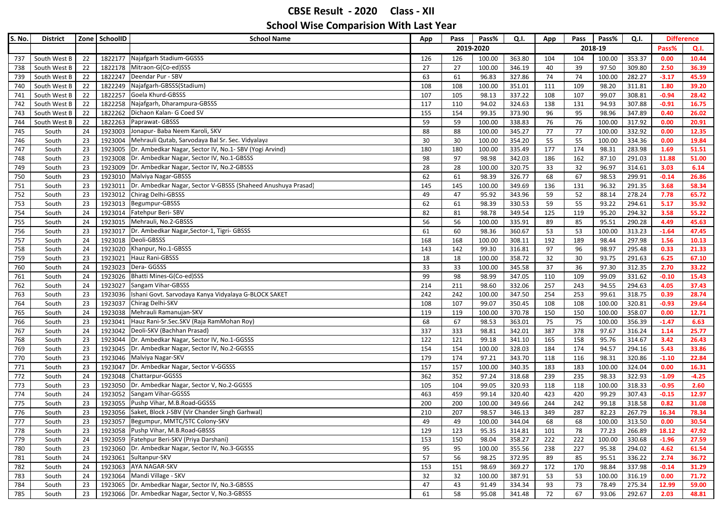| S. No. | <b>District</b> |    | Zone SchoolID | <b>School Name</b>                                                     | App | Pass | Pass%     | Q.I.   | App | Pass | Pass%   | Q.I.   |         | <b>Difference</b> |
|--------|-----------------|----|---------------|------------------------------------------------------------------------|-----|------|-----------|--------|-----|------|---------|--------|---------|-------------------|
|        |                 |    |               |                                                                        |     |      | 2019-2020 |        |     |      | 2018-19 |        | Pass%   | Q.I.              |
| 737    | South West B    | 22 | 1822177       | Najafgarh Stadium-GGSSS                                                | 126 | 126  | 100.00    | 363.80 | 104 | 104  | 100.00  | 353.37 | 0.00    | 10.44             |
| 738    | South West B    | 22 |               | 1822178 Mitraon-G(Co-ed)SSS                                            | 27  | 27   | 100.00    | 346.19 | 40  | 39   | 97.50   | 309.80 | 2.50    | 36.39             |
| 739    | South West B    | 22 | 1822247       | Deendar Pur - SBV                                                      | 63  | 61   | 96.83     | 327.86 | 74  | 74   | 100.00  | 282.27 | $-3.17$ | 45.59             |
| 740    | South West B    | 22 | 1822249       | Najafgarh-GBSSS(Stadium)                                               | 108 | 108  | 100.00    | 351.01 | 111 | 109  | 98.20   | 311.81 | 1.80    | 39.20             |
| 741    | South West B    | 22 | 1822257       | Goela Khurd-GBSSS                                                      | 107 | 105  | 98.13     | 337.22 | 108 | 107  | 99.07   | 308.81 | $-0.94$ | 28.42             |
| 742    | South West B    | 22 | 1822258       | Najafgarh, Dharampura-GBSSS                                            | 117 | 110  | 94.02     | 324.63 | 138 | 131  | 94.93   | 307.88 | $-0.91$ | 16.75             |
| 743    | South West B    | 22 | 1822262       | Dichaon Kalan- G Coed SV                                               | 155 | 154  | 99.35     | 373.90 | 96  | 95   | 98.96   | 347.89 | 0.40    | 26.02             |
| 744    | South West B    | 22 | 1822263       | Paprawat-GBSSS                                                         | 59  | 59   | 100.00    | 338.83 | 76  | 76   | 100.00  | 317.92 | 0.00    | 20.91             |
| 745    | South           | 24 | 1923003       | Jonapur- Baba Neem Karoli, SKV                                         | 88  | 88   | 100.00    | 345.27 | 77  | 77   | 100.00  | 332.92 | 0.00    | 12.35             |
| 746    | South           | 23 |               | 1923004 Mehrauli Qutab, Sarvodaya Bal Sr. Sec. Vidyalaya               | 30  | 30   | 100.00    | 354.20 | 55  | 55   | 100.00  | 334.36 | 0.00    | 19.84             |
| 747    | South           | 23 |               | 1923005   Dr. Ambedkar Nagar, Sector IV, No.1- SBV (Yogi Arvind)       | 180 | 180  | 100.00    | 335.49 | 177 | 174  | 98.31   | 283.98 | 1.69    | 51.51             |
| 748    | South           | 23 |               | 1923008 Dr. Ambedkar Nagar, Sector IV, No.1-GBSSS                      | 98  | 97   | 98.98     | 342.03 | 186 | 162  | 87.10   | 291.03 | 11.88   | 51.00             |
| 749    | South           | 23 | 1923009       | Dr. Ambedkar Nagar, Sector IV, No.2-GBSSS                              | 28  | 28   | 100.00    | 320.75 | 33  | 32   | 96.97   | 314.61 | 3.03    | 6.14              |
| 750    | South           | 23 |               | 1923010 Malviya Nagar-GBSSS                                            | 62  | 61   | 98.39     | 326.77 | 68  | 67   | 98.53   | 299.91 | $-0.14$ | 26.86             |
| 751    | South           | 23 |               | 1923011   Dr. Ambedkar Nagar, Sector V-GBSSS (Shaheed Anushuya Prasad) | 145 | 145  | 100.00    | 349.69 | 136 | 131  | 96.32   | 291.35 | 3.68    | 58.34             |
| 752    | South           | 23 | 1923012       | Chirag Delhi-GBSSS                                                     | 49  | 47   | 95.92     | 343.96 | 59  | 52   | 88.14   | 278.24 | 7.78    | 65.72             |
| 753    | South           | 23 | 1923013       | Begumpur-GBSSS                                                         | 62  | 61   | 98.39     | 330.53 | 59  | 55   | 93.22   | 294.61 | 5.17    | 35.92             |
| 754    | South           | 24 | 1923014       | Fatehpur Beri-SBV                                                      | 82  | 81   | 98.78     | 349.54 | 125 | 119  | 95.20   | 294.32 | 3.58    | 55.22             |
| 755    | South           | 24 |               | 1923015 Mehrauli, No.2-GBSSS                                           | 56  | 56   | 100.00    | 335.91 | 89  | 85   | 95.51   | 290.28 | 4.49    | 45.63             |
| 756    | South           | 23 | 1923017       | Dr. Ambedkar Nagar, Sector-1, Tigri- GBSSS                             | 61  | 60   | 98.36     | 360.67 | 53  | 53   | 100.00  | 313.23 | $-1.64$ | 47.45             |
| 757    | South           | 24 | 1923018       | Deoli-GBSSS                                                            | 168 | 168  | 100.00    | 308.11 | 192 | 189  | 98.44   | 297.98 | 1.56    | 10.13             |
| 758    | South           | 24 | 1923020       | Khanpur, No.1-GBSSS                                                    | 143 | 142  | 99.30     | 316.81 | 97  | 96   | 98.97   | 295.48 | 0.33    | 21.33             |
| 759    | South           | 23 |               | 1923021 Hauz Rani-GBSSS                                                | 18  | 18   | 100.00    | 358.72 | 32  | 30   | 93.75   | 291.63 | 6.25    | 67.10             |
| 760    | South           | 24 | 1923023       | Dera-GGSSS                                                             | 33  | 33   | 100.00    | 345.58 | 37  | 36   | 97.30   | 312.35 | 2.70    | 33.22             |
| 761    | South           | 24 |               | 1923026 Bhatti Mines-G(Co-ed)SSS                                       | 99  | 98   | 98.99     | 347.05 | 110 | 109  | 99.09   | 331.62 | $-0.10$ | 15.43             |
| 762    | South           | 24 | 1923027       | Sangam Vihar-GBSSS                                                     | 214 | 211  | 98.60     | 332.06 | 257 | 243  | 94.55   | 294.63 | 4.05    | 37.43             |
| 763    | South           | 23 | 1923036       | Ishani Govt. Sarvodaya Kanya Vidyalaya G-BLOCK SAKET                   | 242 | 242  | 100.00    | 347.50 | 254 | 253  | 99.61   | 318.75 | 0.39    | 28.74             |
| 764    | South           | 23 | 1923037       | Chirag Delhi-SKV                                                       | 108 | 107  | 99.07     | 350.45 | 108 | 108  | 100.00  | 320.81 | $-0.93$ | 29.64             |
| 765    | South           | 24 | 1923038       | Mehrauli Ramanujan-SKV                                                 | 119 | 119  | 100.00    | 370.78 | 150 | 150  | 100.00  | 358.07 | 0.00    | 12.71             |
| 766    | South           | 23 | 1923041       | Hauz Rani-Sr.Sec.SKV (Raja RamMohan Roy)                               | 68  | 67   | 98.53     | 363.01 | 75  | 75   | 100.00  | 356.39 | $-1.47$ | 6.63              |
| 767    | South           | 24 |               | 1923042 Deoli-SKV (Bachhan Prasad)                                     | 337 | 333  | 98.81     | 342.01 | 387 | 378  | 97.67   | 316.24 | 1.14    | 25.77             |
| 768    | South           | 23 |               | 1923044   Dr. Ambedkar Nagar, Sector IV, No.1-GGSSS                    | 122 | 121  | 99.18     | 341.10 | 165 | 158  | 95.76   | 314.67 | 3.42    | 26.43             |
| 769    | South           | 23 |               | 1923045   Dr. Ambedkar Nagar, Sector IV, No.2-GGSSS                    | 154 | 154  | 100.00    | 328.03 | 184 | 174  | 94.57   | 294.16 | 5.43    | 33.86             |
| 770    | South           | 23 |               | 1923046 Malviya Nagar-SKV                                              | 179 | 174  | 97.21     | 343.70 | 118 | 116  | 98.31   | 320.86 | $-1.10$ | 22.84             |
| 771    | South           | 23 |               | 1923047 Dr. Ambedkar Nagar, Sector V-GGSSS                             | 157 | 157  | 100.00    | 340.35 | 183 | 183  | 100.00  | 324.04 | 0.00    | 16.31             |
| 772    | South           | 24 |               | 1923048 Chattarpur-GGSSS                                               | 362 | 352  | 97.24     | 318.68 | 239 | 235  | 98.33   | 322.93 | $-1.09$ | $-4.25$           |
| 773    | South           | 23 |               | 1923050   Dr. Ambedkar Nagar, Sector V, No.2-GGSSS                     | 105 | 104  | 99.05     | 320.93 | 118 | 118  | 100.00  | 318.33 | $-0.95$ | 2.60              |
| 774    | South           | 24 | 1923052       | Sangam Vihar-GGSSS                                                     | 463 | 459  | 99.14     | 320.40 | 423 | 420  | 99.29   | 307.43 | $-0.15$ | 12.97             |
| 775    | South           | 23 | 1923055       | Pushp Vihar, M.B.Road-GGSSS                                            | 200 | 200  | 100.00    | 349.66 | 244 | 242  | 99.18   | 318.58 | 0.82    | 31.08             |
| 776    | South           | 23 |               | 1923056 Saket, Block J-SBV (Vir Chander Singh Garhwal)                 | 210 | 207  | 98.57     | 346.13 | 349 | 287  | 82.23   | 267.79 | 16.34   | 78.34             |
| 777    | South           | 23 |               | 1923057   Begumpur, MMTC/STC Colony-SKV                                | 49  | 49   | 100.00    | 344.04 | 68  | 68   | 100.00  | 313.50 | 0.00    | 30.54             |
| 778    | South           | 23 |               | 1923058 Pushp Vihar, M.B.Road-GBSSS                                    | 129 | 123  | 95.35     | 314.81 | 101 | 78   | 77.23   | 266.89 | 18.12   | 47.92             |
| 779    | South           | 24 |               | 1923059 Fatehpur Beri-SKV (Priya Darshani)                             | 153 | 150  | 98.04     | 358.27 | 222 | 222  | 100.00  | 330.68 | $-1.96$ | 27.59             |
| 780    | South           | 23 |               | 1923060 Dr. Ambedkar Nagar, Sector IV, No.3-GGSSS                      | 95  | 95   | 100.00    | 355.56 | 238 | 227  | 95.38   | 294.02 | 4.62    | 61.54             |
| 781    | South           | 24 |               | 1923061 Sultanpur-SKV                                                  | 57  | 56   | 98.25     | 372.95 | 89  | 85   | 95.51   | 336.22 | 2.74    | 36.72             |
| 782    | South           | 24 |               | 1923063 AYA NAGAR-SKV                                                  | 153 | 151  | 98.69     | 369.27 | 172 | 170  | 98.84   | 337.98 | $-0.14$ | 31.29             |
| 783    | South           | 24 |               | 1923064 Mandi Village - SKV                                            | 32  | 32   | 100.00    | 387.91 | 53  | 53   | 100.00  | 316.19 | 0.00    | 71.72             |
| 784    | South           | 23 |               | 1923065 Dr. Ambedkar Nagar, Sector IV, No.3-GBSSS                      | 47  | 43   | 91.49     | 334.34 | 93  | 73   | 78.49   | 275.34 | 12.99   | 59.00             |
| 785    | South           | 23 |               | 1923066 Dr. Ambedkar Nagar, Sector V, No.3-GBSSS                       | 61  | 58   | 95.08     | 341.48 | 72  | 67   | 93.06   | 292.67 | 2.03    | 48.81             |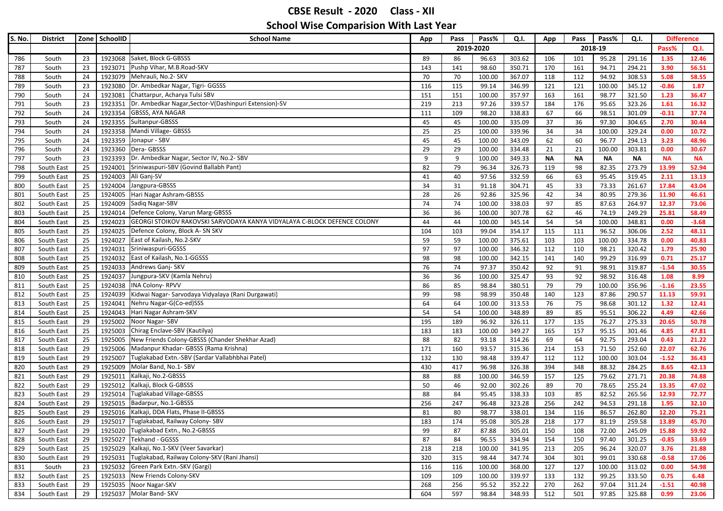| S. No.     | <b>District</b>          | Zone     | SchoolID           | <b>School Name</b>                                                            | App        | Pass<br>Pass%<br>Q.I. |                  | App              | Pass<br>Pass% |            | Q.I.           | <b>Difference</b> |               |                |
|------------|--------------------------|----------|--------------------|-------------------------------------------------------------------------------|------------|-----------------------|------------------|------------------|---------------|------------|----------------|-------------------|---------------|----------------|
|            |                          |          |                    |                                                                               |            | 2019-2020             |                  |                  |               |            | 2018-19        |                   | Pass%         | Q.I.           |
| 786        | South                    | 23       | 1923068            | Saket, Block G-GBSSS                                                          | 89         | 86                    | 96.63            | 303.62           | 106           | 101        | 95.28          | 291.16            | 1.35          | 12.46          |
| 787        | South                    | 23       | 1923071            | Pushp Vihar, M.B.Road-SKV                                                     | 143        | 141                   | 98.60            | 350.71           | 170           | 161        | 94.71          | 294.21            | 3.90          | 56.51          |
| 788        | South                    | 24       |                    | 1923079 Mehrauli, No.2- SKV                                                   | 70         | 70                    | 100.00           | 367.07           | 118           | 112        | 94.92          | 308.53            | 5.08          | 58.55          |
| 789        | South                    | 23       | 1923080            | Dr. Ambedkar Nagar, Tigri- GGSSS                                              | 116        | 115                   | 99.14            | 346.99           | 121           | 121        | 100.00         | 345.12            | $-0.86$       | 1.87           |
| 790        | South                    | 24       | 1923081            | Chattarpur, Acharya Tulsi SBV                                                 | 151        | 151                   | 100.00           | 357.97           | 163           | 161        | 98.77          | 321.50            | 1.23          | 36.47          |
| 791        | South                    | 23       | 1923351            | Dr. Ambedkar Nagar, Sector-V(Dashinpuri Extension)-SV                         | 219        | 213                   | 97.26            | 339.57           | 184           | 176        | 95.65          | 323.26            | 1.61          | 16.32          |
| 792        | South                    | 24       | 1923354            | <b>GBSSS, AYA NAGAR</b>                                                       | 111        | 109                   | 98.20            | 338.83           | 67            | 66         | 98.51          | 301.09            | $-0.31$       | 37.74          |
| 793        | South                    | 24       | 1923355            | Sultanpur-GBSSS                                                               | 45         | 45                    | 100.00           | 335.09           | 37            | 36         | 97.30          | 304.65            | 2.70          | 30.44          |
| 794        | South                    | 24       | 1923358            | Mandi Village- GBSSS                                                          | 25         | 25                    | 100.00           | 339.96           | 34            | 34         | 100.00         | 329.24            | 0.00          | 10.72          |
| 795        | South                    | 24       | 1923359            | Jonapur - SBV                                                                 | 45         | 45                    | 100.00           | 343.09           | 62            | 60         | 96.77          | 294.13            | 3.23          | 48.96          |
| 796        | South                    | 24       |                    | 1923360 Dera- GBSSS                                                           | 29         | 29                    | 100.00           | 334.48           | 21            | 21         | 100.00         | 303.81            | 0.00          | 30.67          |
| 797        | South                    | 23       | 1923393            | Dr. Ambedkar Nagar, Sector IV, No.2- SBV                                      | 9          | 9                     | 100.00           | 349.33           | <b>NA</b>     | <b>NA</b>  | <b>NA</b>      | <b>NA</b>         | <b>NA</b>     | <b>NA</b>      |
| 798        | South East               | 25       | 1924001            | Sriniwaspuri-SBV (Govind Ballabh Pant)                                        | 82         | 79                    | 96.34            | 326.73           | 119           | 98         | 82.35          | 273.79            | 13.99         | 52.94          |
| 799        | South East               | 25       | 1924003            | Ali Ganj-SV                                                                   | 41         | 40                    | 97.56            | 332.59           | 66            | 63         | 95.45          | 319.45            | 2.11          | 13.13          |
| 800        | South East               | 25       | 1924004            | Jangpura-GBSSS                                                                | 34         | 31                    | 91.18            | 304.71           | 45            | 33         | 73.33          | 261.67            | 17.84         | 43.04          |
| 801        | South East               | 25       | 1924005            | Hari Nagar Ashram-GBSSS                                                       | 28         | 26                    | 92.86            | 325.96           | 42            | 34         | 80.95          | 279.36            | 11.90         | 46.61          |
| 802        | South East               | 25       | 1924009            | Sadiq Nagar-SBV                                                               | 74         | 74                    | 100.00           | 338.03           | 97            | 85         | 87.63          | 264.97            | 12.37         | 73.06          |
| 803        | South East               | 25       | 1924014            | Defence Colony, Varun Marg-GBSSS                                              | 36         | 36                    | 100.00           | 307.78           | 62            | 46         | 74.19          | 249.29            | 25.81         | 58.49          |
| 804        | South East               | 25       | 1924023            | GEORGI STOIKOV RAKOVSKI SARVODAYA KANYA VIDYALAYA C-BLOCK DEFENCE COLONY      | 44         | 44                    | 100.00           | 345.14           | 54            | 54         | 100.00         | 348.81            | 0.00          | $-3.68$        |
| 805        | South East               | 25       | 1924025            | Defence Colony, Block A- SN SKV                                               | 104        | 103                   | 99.04            | 354.17           | 115           | 111        | 96.52          | 306.06            | 2.52          | 48.11          |
| 806        | South East               | 25       | 1924027            | East of Kailash, No.2-SKV                                                     | 59         | 59                    | 100.00           | 375.61           | 103           | 103        | 100.00         | 334.78            | 0.00          | 40.83          |
| 807        | South East               | 25       | 1924031            | Sriniwaspuri-GGSSS                                                            | 97         | 97                    | 100.00           | 346.32           | 112           | 110        | 98.21          | 320.42            | 1.79          | 25.90          |
| 808        | South East               | 25       | 1924032            | East of Kailash, No.1-GGSSS                                                   | 98         | 98                    | 100.00           | 342.15           | 141           | 140        | 99.29          | 316.99            | 0.71          | 25.17          |
| 809        | South East               | 25       | 1924033            | Andrews Ganj-SKV                                                              | 76         | 74                    | 97.37            | 350.42           | 92            | 91         | 98.91          | 319.87            | $-1.54$       | 30.55          |
| 810        | South East               | 25       | 1924037            | Jungpura-SKV (Kamla Nehru)                                                    | 36         | 36                    | 100.00           | 325.47           | 93            | 92         | 98.92          | 316.48            | 1.08          | 8.99           |
| 811        | South East               | 25       | 1924038            | <b>INA Colony-RPVV</b>                                                        | 86         | 85                    | 98.84            | 380.51           | 79            | 79         | 100.00         | 356.96            | $-1.16$       | 23.55          |
| 812        | South East               | 25       | 1924039            | Kidwai Nagar- Sarvodaya Vidyalaya (Rani Durgawati)<br>Nehru Nagar-G(Co-ed)SSS | 99         | 98                    | 98.99            | 350.48           | 140           | 123        | 87.86          | 290.57            | 11.13<br>1.32 | 59.91<br>12.41 |
| 813        | South East               | 25<br>25 | 1924041<br>1924043 | Hari Nagar Ashram-SKV                                                         | 64         | 64<br>54              | 100.00<br>100.00 | 313.53<br>348.89 | 76<br>89      | 75         | 98.68<br>95.51 | 301.12<br>306.22  | 4.49          | 42.66          |
| 814        | South East               |          |                    | Noor Nagar-SBV                                                                | 54         |                       |                  |                  | 177           | 85         |                |                   |               |                |
| 815        | South East               | 29       | 1925002<br>1925003 | Chirag Enclave-SBV (Kautilya)                                                 | 195<br>183 | 189<br>183            | 96.92<br>100.00  | 326.11<br>349.27 | 165           | 135<br>157 | 76.27<br>95.15 | 275.33<br>301.46  | 20.65<br>4.85 | 50.78<br>47.81 |
| 816<br>817 | South East<br>South East | 25<br>25 | 1925005            | New Friends Colony-GBSSS (Chander Shekhar Azad)                               | 88         | 82                    | 93.18            | 314.26           | 69            | 64         | 92.75          | 293.04            | 0.43          | 21.22          |
| 818        | South East               | 29       | 1925006            | Madanpur Khadar- GBSSS (Rama Krishna)                                         | 171        | 160                   | 93.57            | 315.36           | 214           | 153        | 71.50          | 252.60            | 22.07         | 62.76          |
| 819        | South East               | 29       | 1925007            | Tuglakabad Extn.-SBV (Sardar Vallabhbhai Patel)                               | 132        | 130                   | 98.48            | 339.47           | 112           | 112        | 100.00         | 303.04            | $-1.52$       | 36.43          |
| 820        | South East               | 29       | 1925009            | Molar Band, No.1- SBV                                                         | 430        | 417                   | 96.98            | 326.38           | 394           | 348        | 88.32          | 284.25            | 8.65          | 42.13          |
| 821        | South East               | 29       | 1925011            | Kalkaji, No.2-GBSSS                                                           | 88         | 88                    | 100.00           | 346.59           | 157           | 125        | 79.62          | 271.71            | 20.38         | 74.88          |
| 822        | South East               | 29       | 1925012            | Kalkaji, Block G-GBSSS                                                        | 50         | 46                    | 92.00            | 302.26           | 89            | 70         | 78.65          | 255.24            | 13.35         | 47.02          |
| 823        | South East               | 29       | 1925014            | Tuglakabad Village-GBSSS                                                      | 88         | 84                    | 95.45            | 338.33           | 103           | 85         | 82.52          | 265.56            | 12.93         | 72.77          |
| 824        | South East               | 29       | 1925015            | Badarpur, No.1-GBSSS                                                          | 256        | 247                   | 96.48            | 323.28           | 256           | 242        | 94.53          | 291.18            | 1.95          | 32.10          |
| 825        | South East               | 29       |                    | 1925016 Kalkaji, DDA Flats, Phase II-GBSSS                                    | 81         | 80                    | 98.77            | 338.01           | 134           | 116        | 86.57          | 262.80            | 12.20         | 75.21          |
| 826        | South East               | 29       |                    | 1925017 Tuglakabad, Railway Colony-SBV                                        | 183        | 174                   | 95.08            | 305.28           | 218           | 177        | 81.19          | 259.58            | 13.89         | 45.70          |
| 827        | South East               | 29       |                    | 1925020 Tuglakabad Extn., No.2-GBSSS                                          | 99         | 87                    | 87.88            | 305.01           | 150           | 108        | 72.00          | 245.09            | 15.88         | 59.92          |
| 828        | South East               | 29       |                    | 1925027 Tekhand - GGSSS                                                       | 87         | 84                    | 96.55            | 334.94           | 154           | 150        | 97.40          | 301.25            | $-0.85$       | 33.69          |
| 829        | South East               | 25       |                    | 1925029 Kalkaji, No.1-SKV (Veer Savarkar)                                     | 218        | 218                   | 100.00           | 341.95           | 213           | 205        | 96.24          | 320.07            | 3.76          | 21.88          |
| 830        | South East               | 29       |                    | 1925031 Tuglakabad, Railway Colony-SKV (Rani Jhansi)                          | 320        | 315                   | 98.44            | 347.74           | 304           | 301        | 99.01          | 330.68            | $-0.58$       | 17.06          |
| 831        | South                    | 23       |                    | 1925032 Green Park Extn.-SKV (Gargi)                                          | 116        | 116                   | 100.00           | 368.00           | 127           | 127        | 100.00         | 313.02            | 0.00          | 54.98          |
| 832        | South East               | 25       |                    | 1925033 New Friends Colony-SKV                                                | 109        | 109                   | 100.00           | 339.97           | 133           | 132        | 99.25          | 333.50            | 0.75          | 6.48           |
| 833        | South East               | 29       |                    | 1925035 Noor Nagar-SKV                                                        | 268        | 256                   | 95.52            | 352.22           | 270           | 262        | 97.04          | 311.24            | $-1.51$       | 40.98          |
| 834        | South East               | 29       |                    | 1925037 Molar Band- SKV                                                       | 604        | 597                   | 98.84            | 348.93           | 512           | 501        | 97.85          | 325.88            | 0.99          | 23.06          |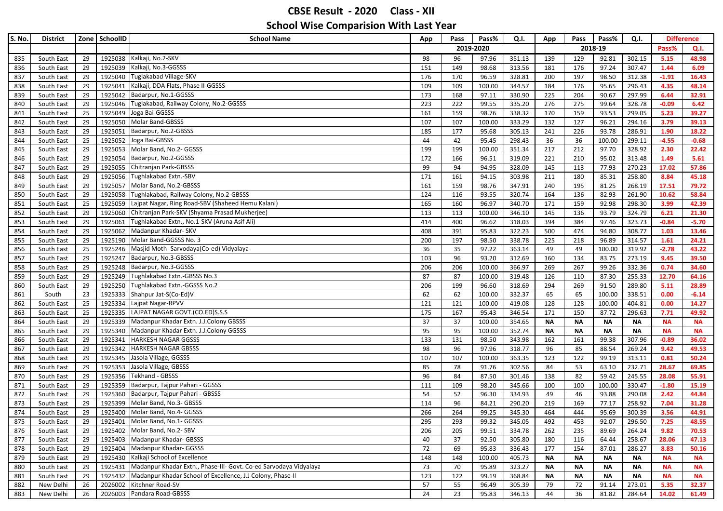| S. No.     | <b>District</b>          |          | Zone SchoolID      | <b>School Name</b>                                                        | Pass%<br>Pass<br>Q.I.<br>App |           | Pass<br>Pass%<br>App |                  | Q.I.       | <b>Difference</b> |                 |                  |                  |                |
|------------|--------------------------|----------|--------------------|---------------------------------------------------------------------------|------------------------------|-----------|----------------------|------------------|------------|-------------------|-----------------|------------------|------------------|----------------|
|            |                          |          |                    |                                                                           |                              | 2019-2020 |                      |                  |            |                   | 2018-19         |                  | Pass%<br>Q.I.    |                |
| 835        | South East               | 29       | 1925038            | Kalkaji, No.2-SKV                                                         | 98                           | 96        | 97.96                | 351.13           | 139        | 129               | 92.81           | 302.15           | 5.15             | 48.98          |
| 836        | South East               | 29       | 1925039            | Kalkaji, No.3-GGSSS                                                       | 151                          | 149       | 98.68                | 313.56           | 181        | 176               | 97.24           | 307.47           | 1.44             | 6.09           |
| 837        | South East               | 29       | 1925040            | Tuglakabad Village-SKV                                                    | 176                          | 170       | 96.59                | 328.81           | 200        | 197               | 98.50           | 312.38           | $-1.91$          | 16.43          |
| 838        | South East               | 29       | 1925041            | Kalkaji, DDA Flats, Phase II-GGSSS                                        | 109                          | 109       | 100.00               | 344.57           | 184        | 176               | 95.65           | 296.43           | 4.35             | 48.14          |
| 839        | South East               | 29       | 1925042            | Badarpur, No.1-GGSSS                                                      | 173                          | 168       | 97.11                | 330.90           | 225        | 204               | 90.67           | 297.99           | 6.44             | 32.91          |
| 840        | South East               | 29       | 1925046            | Tuglakabad, Railway Colony, No.2-GGSSS                                    | 223                          | 222       | 99.55                | 335.20           | 276        | 275               | 99.64           | 328.78           | $-0.09$          | 6.42           |
| 841        | South East               | 25       |                    | 1925049 Joga Bai-GGSSS                                                    | 161                          | 159       | 98.76                | 338.32           | 170        | 159               | 93.53           | 299.05           | 5.23             | 39.27          |
| 842        | South East               | 29       | 1925050            | Molar Band-GBSSS                                                          | 107                          | 107       | 100.00               | 333.29           | 132        | 127               | 96.21           | 294.16           | 3.79             | 39.13          |
| 843        | South East               | 29       | 1925051            | Badarpur, No.2-GBSSS                                                      | 185                          | 177       | 95.68                | 305.13           | 241        | 226               | 93.78           | 286.91           | 1.90             | 18.22          |
| 844        | South East               | 25       | 1925052            | Joga Bai-GBSSS                                                            | 44                           | 42        | 95.45                | 298.43           | 36         | 36                | 100.00          | 299.11           | $-4.55$          | $-0.68$        |
| 845        | South East               | 29       |                    | 1925053 Molar Band, No.2- GGSSS                                           | 199                          | 199       | 100.00               | 351.34           | 217        | 212               | 97.70           | 328.92           | 2.30             | 22.42          |
| 846        | South East               | 29       | 1925054            | Badarpur, No.2-GGSSS                                                      | 172                          | 166       | 96.51                | 319.09           | 221        | 210               | 95.02           | 313.48           | 1.49             | 5.61           |
| 847        | South East               | 29       | 1925055            | Chitranjan Park-GBSSS                                                     | 99                           | 94        | 94.95                | 328.09           | 145        | 113               | 77.93           | 270.23           | 17.02            | 57.86          |
| 848        | South East               | 29       | 1925056            | Tughlakabad Extn.-SBV                                                     | 171                          | 161       | 94.15                | 303.98           | 211        | 180               | 85.31           | 258.80           | 8.84             | 45.18          |
| 849        | South East               | 29       | 1925057            | Molar Band, No.2-GBSSS                                                    | 161                          | 159       | 98.76                | 347.91           | 240        | 195               | 81.25           | 268.19           | 17.51            | 79.72          |
| 850        | South East               | 29       | 1925058            | Tughlakabad, Railway Colony, No.2-GBSSS                                   | 124                          | 116       | 93.55                | 320.74           | 164        | 136               | 82.93           | 261.90           | 10.62            | 58.84          |
| 851        | South East               | 25       | 1925059            | Lajpat Nagar, Ring Road-SBV (Shaheed Hemu Kalani)                         | 165                          | 160       | 96.97                | 340.70           | 171        | 159               | 92.98           | 298.30           | 3.99             | 42.39          |
| 852        | South East               | 29       | 1925060            | Chitranjan Park-SKV (Shyama Prasad Mukherjee)                             | 113                          | 113       | 100.00               | 346.10           | 145        | 136               | 93.79           | 324.79           | 6.21             | 21.30          |
| 853        | South East               | 29       | 1925061            | Tughlakabad Extn., No.1-SKV (Aruna Asif Ali)                              | 414                          | 400       | 96.62                | 318.03           | 394        | 384               | 97.46           | 323.73           | $-0.84$          | $-5.70$        |
| 854        | South East               | 29       | 1925062            | Madanpur Khadar- SKV                                                      | 408                          | 391       | 95.83                | 322.23           | 500        | 474               | 94.80           | 308.77           | 1.03             | 13.46          |
| 855        | South East               | 29       | 1925190            | Molar Band-GGSSS No. 3                                                    | 200                          | 197       | 98.50                | 338.78           | 225        | 218               | 96.89           | 314.57           | 1.61             | 24.21          |
| 856        | South East               | 25       | 1925246            | Masjid Moth-Sarvodaya(Co-ed) Vidyalaya                                    | 36                           | 35        | 97.22                | 363.14           | 49         | 49                | 100.00          | 319.92           | $-2.78$          | 43.22          |
| 857        | South East               | 29       | 1925247            | Badarpur, No.3-GBSSS                                                      | 103                          | 96        | 93.20                | 312.69           | 160        | 134               | 83.75           | 273.19           | 9.45             | 39.50          |
| 858        | South East               | 29       | 1925248            | Badarpur, No.3-GGSSS                                                      | 206                          | 206       | 100.00               | 366.97           | 269        | 267               | 99.26           | 332.36           | 0.74             | 34.60          |
| 859        | South East               | 29       | 1925249            | Tughlakabad Extn.-GBSSS No.3                                              | 87                           | 87        | 100.00               | 319.48           | 126        | 110               | 87.30           | 255.33           | 12.70            | 64.16          |
| 860        | South East               | 29       | 1925250            | Tughlakabad Extn.-GGSSS No.2                                              | 206                          | 199       | 96.60                | 318.69           | 294        | 269               | 91.50           | 289.80           | 5.11             | 28.89          |
| 861        | South                    | 23       | 1925333            | Shahpur Jat-S(Co-Ed)V                                                     | 62                           | 62        | 100.00               | 332.37           | 65         | 65                | 100.00          | 338.51           | 0.00             | $-6.14$        |
| 862        | South East               | 25       |                    | 1925334 Lajpat Nagar-RPVV                                                 | 121                          | 121       | 100.00               | 419.08           | 128        | 128               | 100.00          | 404.81           | 0.00             | 14.27          |
| 863        | South East               | 25       | 1925335            | LAJPAT NAGAR GOVT.(CO.ED)S.S.S                                            | 175                          | 167       | 95.43                | 346.54           | 171        | 150               | 87.72           | 296.63           | 7.71             | 49.92          |
| 864        | South East               | 29       | 1925339            | Madanpur Khadar Extn. J.J.Colony GBSSS                                    | 37                           | 37        | 100.00               | 354.65           | ΝA         | <b>NA</b>         | <b>NA</b>       | ΝA               | <b>NA</b>        | <b>NA</b>      |
| 865        | South East               | 29       | 1925340            | Madanpur Khadar Extn. J.J.Colony GGSSS                                    | 95                           | 95        | 100.00               | 352.74           | NΑ         | <b>NA</b>         | <b>NA</b>       | <b>NA</b>        | <b>NA</b>        | <b>NA</b>      |
| 866        | South East               | 29       | 1925341            | <b>HARKESH NAGAR GGSSS</b>                                                | 133                          | 131       | 98.50                | 343.98           | 162        | 161               | 99.38           | 307.96           | $-0.89$          | 36.02          |
| 867        | South East               | 29       | 1925342            | <b>HARKESH NAGAR GBSSS</b>                                                | 98                           | 96        | 97.96                | 318.77           | 96         | 85                | 88.54           | 269.24           | 9.42             | 49.53          |
| 868        | South East               | 29       | 1925345            | Jasola Village, GGSSS                                                     | 107                          | 107       | 100.00               | 363.35           | 123        | 122               | 99.19           | 313.11           | 0.81             | 50.24          |
| 869        | South East               | 29       | 1925353            | Jasola Village, GBSSS<br>Tekhand - GBSSS                                  | 85                           | 78        | 91.76                | 302.56           | 84         | 53                | 63.10           | 232.71           | 28.67            | 69.85          |
| 870        | South East<br>South East | 29<br>29 | 1925356<br>1925359 | Badarpur, Tajpur Pahari - GGSSS                                           | 96                           | 84        | 87.50<br>98.20       | 301.46           | 138        | 82                | 59.42           | 245.55           | 28.08<br>$-1.80$ | 55.91          |
| 871        | South East               | 29       | 1925360            | Badarpur, Tajpur Pahari - GBSSS                                           | 111<br>54                    | 109<br>52 | 96.30                | 345.66<br>334.93 | 100<br>49  | 100<br>46         | 100.00<br>93.88 | 330.47<br>290.08 | 2.42             | 15.19<br>44.84 |
| 872        |                          | 29       | 1925399            | Molar Band, No.3- GBSSS                                                   | 114                          |           | 84.21                | 290.20           | 219        | 169               | 77.17           |                  | 7.04             | 31.28          |
| 873        | South East<br>South East | 29       |                    | 1925400 Molar Band, No.4- GGSSS                                           | 266                          | 96<br>264 | 99.25                | 345.30           | 464        | 444               | 95.69           | 258.92<br>300.39 | 3.56             | 44.91          |
| 874        | South East               |          |                    | 1925401 Molar Band, No.1- GGSSS                                           |                              |           |                      |                  |            |                   |                 |                  |                  |                |
| 875        | South East               | 29<br>29 |                    | Molar Band, No.2- SBV                                                     | 295                          | 293       | 99.32                | 345.05           | 492        | 453               | 92.07           | 296.50           | 7.25             | 48.55          |
| 876        |                          | 29       | 1925402<br>1925403 | Madanpur Khadar- GBSSS                                                    | 206                          | 205       | 99.51                | 334.78           | 262<br>180 | 235               | 89.69           | 264.24           | 9.82<br>28.06    | 70.53<br>47.13 |
| 877        | South East<br>South East | 29       |                    | 1925404 Madanpur Khadar- GGSSS                                            | 40<br>72                     | 37<br>69  | 92.50<br>95.83       | 305.80<br>336.43 | 177        | 116<br>154        | 64.44<br>87.01  | 258.67<br>286.27 | 8.83             | 50.16          |
| 878        | South East               | 29       |                    | 1925430 Kalkaji School of Excellence                                      | 148                          | 148       | 100.00               | 405.73           | ΝA         | <b>NA</b>         | ΝA              | ΝA               | <b>NA</b>        | <b>NA</b>      |
| 879<br>880 | South East               | 29       |                    | 1925431 Madanpur Khadar Extn., Phase-III- Govt. Co-ed Sarvodaya Vidyalaya | 73                           | 70        | 95.89                | 323.27           | ΝΑ         | NΑ                | NΑ              | ΝA               | <b>NA</b>        | <b>NA</b>      |
| 881        | South East               | 29       |                    | 1925432 Madanpur Khadar School of Excellence, J.J Colony, Phase-II        | 123                          | 122       | 99.19                | 368.84           | ΝA         | ΝA                | ΝA              | ΝA               | <b>NA</b>        | <b>NA</b>      |
| 882        | New Delhi                | 26       |                    | 2026002 Kitchner Road-SV                                                  | 57                           | 55        | 96.49                | 305.39           | 79         | 72                | 91.14           | 273.01           | 5.35             | 32.37          |
| 883        | New Delhi                | 26       |                    | 2026003 Pandara Road-GBSSS                                                | 24                           | 23        | 95.83                | 346.13           | 44         | 36                | 81.82           | 284.64           | 14.02            | 61.49          |
|            |                          |          |                    |                                                                           |                              |           |                      |                  |            |                   |                 |                  |                  |                |